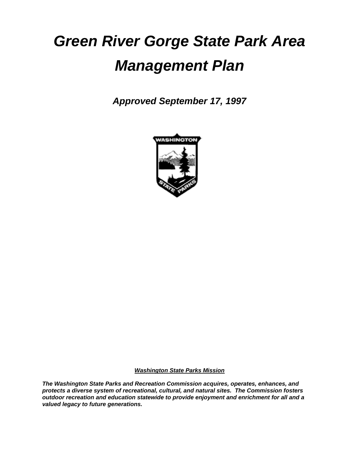# *Green River Gorge State Park Area Management Plan*

*Approved September 17, 1997*



*Washington State Parks Mission*

*The Washington State Parks and Recreation Commission acquires, operates, enhances, and protects a diverse system of recreational, cultural, and natural sites. The Commission fosters outdoor recreation and education statewide to provide enjoyment and enrichment for all and a valued legacy to future generations.*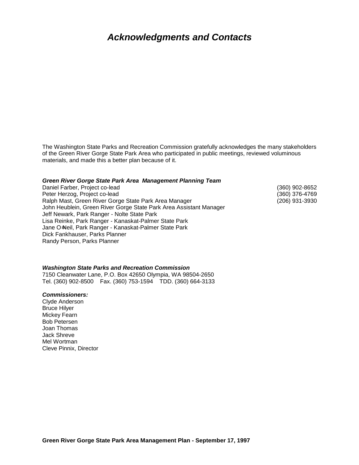### *Acknowledgments and Contacts*

The Washington State Parks and Recreation Commission gratefully acknowledges the many stakeholders of the Green River Gorge State Park Area who participated in public meetings, reviewed voluminous materials, and made this a better plan because of it.

#### *Green River Gorge State Park Area Management Planning Team*

| <u>Urcen niver Ourge Oldie Fark Area management Flammig Team</u>   |                |
|--------------------------------------------------------------------|----------------|
| Daniel Farber, Project co-lead                                     | (360) 902-8652 |
| Peter Herzog, Project co-lead                                      | (360) 376-4769 |
| Ralph Mast, Green River Gorge State Park Area Manager              | (206) 931-3930 |
| John Heublein, Green River Gorge State Park Area Assistant Manager |                |
| Jeff Newark, Park Ranger - Nolte State Park                        |                |
| Lisa Reinke, Park Ranger - Kanaskat-Palmer State Park              |                |
| Jane O-Neil, Park Ranger - Kanaskat-Palmer State Park              |                |
| Dick Fankhauser, Parks Planner                                     |                |
| Randy Person, Parks Planner                                        |                |

#### *Washington State Parks and Recreation Commission*

7150 Cleanwater Lane, P.O. Box 42650 Olympia, WA 98504-2650 Tel. (360) 902-8500 Fax. (360) 753-1594 TDD. (360) 664-3133

#### *Commissioners:*

Clyde Anderson Bruce Hilyer Mickey Fearn Bob Petersen Joan Thomas Jack Shreve Mel Wortman Cleve Pinnix, Director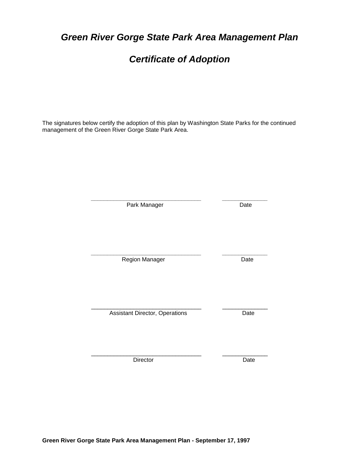*Certificate of Adoption*

*Green River Gorge State Park Area Management Plan*

The signatures below certify the adoption of this plan by Washington State Parks for the continued management of the Green River Gorge State Park Area.

| Park Manager                          | Date |
|---------------------------------------|------|
| Region Manager                        | Date |
| <b>Assistant Director, Operations</b> | Date |
| Director                              | Date |

**Green River Gorge State Park Area Management Plan - September 17, 1997**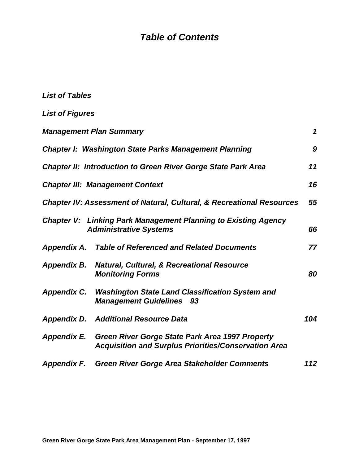### *Table of Contents*

| <b>List of Tables</b>  |                                                                                                                            |     |  |
|------------------------|----------------------------------------------------------------------------------------------------------------------------|-----|--|
| <b>List of Figures</b> |                                                                                                                            |     |  |
|                        | <b>Management Plan Summary</b>                                                                                             | 1   |  |
|                        | <b>Chapter I: Washington State Parks Management Planning</b>                                                               | 9   |  |
|                        | <b>Chapter II: Introduction to Green River Gorge State Park Area</b>                                                       | 11  |  |
|                        | <b>Chapter III: Management Context</b>                                                                                     | 16  |  |
|                        | <b>Chapter IV: Assessment of Natural, Cultural, &amp; Recreational Resources</b>                                           | 55  |  |
|                        | <b>Chapter V: Linking Park Management Planning to Existing Agency</b><br><b>Administrative Systems</b>                     | 66  |  |
|                        | <b>Appendix A. Table of Referenced and Related Documents</b>                                                               | 77  |  |
|                        | Appendix B. Natural, Cultural, & Recreational Resource<br><b>Monitoring Forms</b>                                          | 80  |  |
| <b>Appendix C.</b>     | <b>Washington State Land Classification System and</b><br><b>Management Guidelines 93</b>                                  |     |  |
|                        | <b>Appendix D. Additional Resource Data</b>                                                                                | 104 |  |
|                        | Appendix E. Green River Gorge State Park Area 1997 Property<br><b>Acquisition and Surplus Priorities/Conservation Area</b> |     |  |
| <b>Appendix F.</b>     | <b>Green River Gorge Area Stakeholder Comments</b>                                                                         | 112 |  |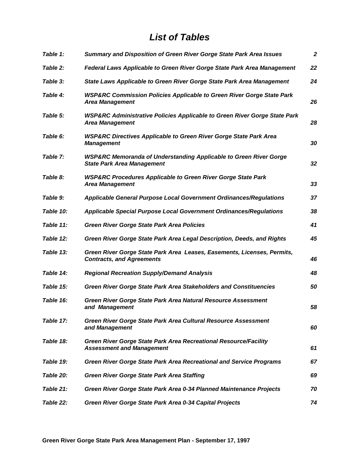### *List of Tables*

| Table 1:  | Summary and Disposition of Green River Gorge State Park Area Issues                                               | $\boldsymbol{2}$ |
|-----------|-------------------------------------------------------------------------------------------------------------------|------------------|
| Table 2:  | Federal Laws Applicable to Green River Gorge State Park Area Management                                           | 22               |
| Table 3:  | State Laws Applicable to Green River Gorge State Park Area Management                                             | 24               |
| Table 4:  | <b>WSP&amp;RC Commission Policies Applicable to Green River Gorge State Park</b><br><b>Area Management</b>        | 26               |
| Table 5:  | <b>WSP&amp;RC Administrative Policies Applicable to Green River Gorge State Park</b><br><b>Area Management</b>    | 28               |
| Table 6:  | <b>WSP&amp;RC Directives Applicable to Green River Gorge State Park Area</b><br><b>Management</b>                 | 30               |
| Table 7:  | <b>WSP&amp;RC Memoranda of Understanding Applicable to Green River Gorge</b><br><b>State Park Area Management</b> | 32               |
| Table 8:  | <b>WSP&amp;RC Procedures Applicable to Green River Gorge State Park</b><br><b>Area Management</b>                 | 33               |
| Table 9:  | <b>Applicable General Purpose Local Government Ordinances/Regulations</b>                                         | 37               |
| Table 10: | <b>Applicable Special Purpose Local Government Ordinances/Regulations</b>                                         | 38               |
| Table 11: | <b>Green River Gorge State Park Area Policies</b>                                                                 | 41               |
| Table 12: | Green River Gorge State Park Area Legal Description, Deeds, and Rights                                            | 45               |
| Table 13: | Green River Gorge State Park Area Leases, Easements, Licenses, Permits,<br><b>Contracts, and Agreements</b>       | 46               |
| Table 14: | <b>Regional Recreation Supply/Demand Analysis</b>                                                                 | 48               |
| Table 15: | <b>Green River Gorge State Park Area Stakeholders and Constituencies</b>                                          | 50               |
| Table 16: | Green River Gorge State Park Area Natural Resource Assessment<br>and Management                                   | 58               |
| Table 17: | Green River Gorge State Park Area Cultural Resource Assessment<br>and Management                                  | 60               |
| Table 18: | Green River Gorge State Park Area Recreational Resource/Facility<br><b>Assessment and Management</b>              | 61               |
| Table 19: | Green River Gorge State Park Area Recreational and Service Programs                                               | 67               |
| Table 20: | <b>Green River Gorge State Park Area Staffing</b>                                                                 | 69               |
| Table 21: | Green River Gorge State Park Area 0-34 Planned Maintenance Projects                                               | 70               |
| Table 22: | Green River Gorge State Park Area 0-34 Capital Projects                                                           | 74               |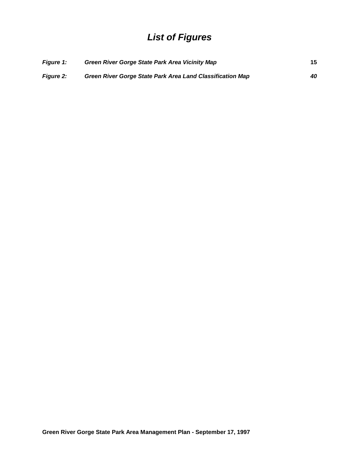### *List of Figures*

| <b>Figure 1:</b> | <b>Green River Gorge State Park Area Vicinity Map</b>     | 15 |
|------------------|-----------------------------------------------------------|----|
| <b>Figure 2:</b> | Green River Gorge State Park Area Land Classification Map | 40 |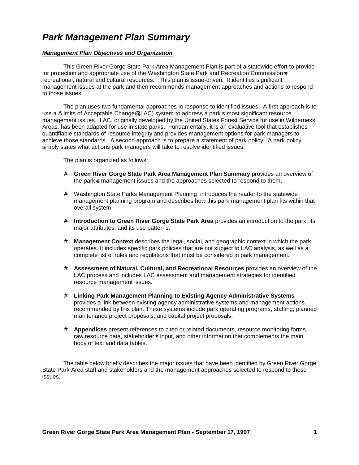### *Park Management Plan Summary*

#### *Management Plan Objectives and Organization*

This Green River Gorge State Park Area Management Plan is part of a statewide effort to provide for protection and appropriate use of the Washington State Park and Recreation Commission-s recreational, natural and cultural resources. This plan is issue-driven. It identifies significant management issues at the park and then recommends management approaches and actions to respond to those issues.

The plan uses two fundamental approaches in response to identified issues. A first approach is to use a ALimits of Acceptable Change® (LAC) system to address a park-s most significant resource management issues. LAC, originally developed by the United States Forest Service for use in Wilderness Areas, has been adapted for use in state parks. Fundamentally, it is an evaluative tool that establishes quantifiable standards of resource integrity and provides management options for park managers to achieve those standards. A second approach is to prepare a statement of park policy. A park policy simply states what actions park managers will take to resolve identified issues.

The plan is organized as follows:

- # **Green River Gorge State Park Area Management Plan Summary** provides an overview of the park-s management issues and the approaches selected to respond to them.
- # Washington State Parks Management Planning introduces the reader to the statewide management planning program and describes how this park management plan fits within that overall system.
- # **Introduction to Green River Gorge State Park Area** provides an introduction to the park, its major attributes, and its use patterns.
- # **Management Context** describes the legal, social, and geographic context in which the park operates. It includes specific park policies that are not subject to LAC analysis, as well as a complete list of rules and regulations that must be considered in park management.
- # **Assessment of Natural, Cultural, and Recreational Resources** provides an overview of the LAC process and includes LAC assessment and management strategies for identified resource management issues.
- # **Linking Park Management Planning to Existing Agency Administrative Systems**  provides a link between existing agency administrative systems and management actions recommended by this plan. These systems include park operating programs, staffing, planned maintenance project proposals, and capital project proposals.
- # **Appendices** present references to cited or related documents, resource monitoring forms, raw resource data, stakeholder=s input, and other information that complements the main body of text and data tables.

The table below briefly describes the major issues that have been identified by Green River Gorge State Park Area staff and stakeholders and the management approaches selected to respond to these issues.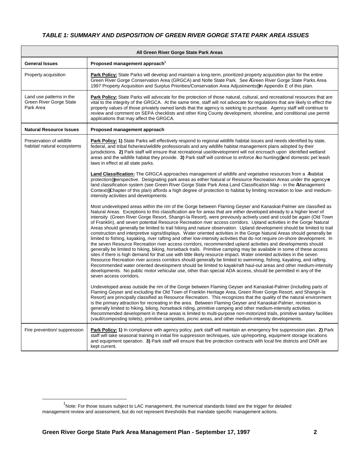#### *TABLE 1: SUMMARY AND DISPOSITION OF GREEN RIVER GORGE STATE PARK AREA ISSUES*

| All Green River Gorge State Park Areas                                  |                                                                                                                                                                                                                                                                                                                                                                                                                                                                                                                                                                                                                                                                                                                                                                                                                                                                                                                                                                                                                                                                                                                                                                                                                                                                                                                                                                                                                                                                                                                                                                                                                                    |  |
|-------------------------------------------------------------------------|------------------------------------------------------------------------------------------------------------------------------------------------------------------------------------------------------------------------------------------------------------------------------------------------------------------------------------------------------------------------------------------------------------------------------------------------------------------------------------------------------------------------------------------------------------------------------------------------------------------------------------------------------------------------------------------------------------------------------------------------------------------------------------------------------------------------------------------------------------------------------------------------------------------------------------------------------------------------------------------------------------------------------------------------------------------------------------------------------------------------------------------------------------------------------------------------------------------------------------------------------------------------------------------------------------------------------------------------------------------------------------------------------------------------------------------------------------------------------------------------------------------------------------------------------------------------------------------------------------------------------------|--|
| <b>General Issues</b>                                                   | Proposed management approach <sup>1</sup>                                                                                                                                                                                                                                                                                                                                                                                                                                                                                                                                                                                                                                                                                                                                                                                                                                                                                                                                                                                                                                                                                                                                                                                                                                                                                                                                                                                                                                                                                                                                                                                          |  |
| Property acquisition                                                    | <b>Park Policy:</b> State Parks will develop and maintain a long-term, prioritized property acquisition plan for the entire<br>Green River Gorge Conservation Area (GRGCA) and Nolte State Park. See AGreen River Gorge State Parks Area<br>1997 Property Acquisition and Surplus Priorities/Conservation Area Adjustments <sup>®</sup> in Appendix E of this plan.                                                                                                                                                                                                                                                                                                                                                                                                                                                                                                                                                                                                                                                                                                                                                                                                                                                                                                                                                                                                                                                                                                                                                                                                                                                                |  |
| Land use patterns in the<br><b>Green River Gorge State</b><br>Park Area | Park Policy: State Parks will advocate for the protection of those natural, cultural, and recreational resources that are<br>vital to the integrity of the GRGCA. At the same time, staff will not advocate for regulations that are likely to effect the<br>property values of those privately owned lands that the agency is seeking to purchase. Agency staff will continue to<br>review and comment on SEPA checklists and other King County development, shoreline, and conditional use permit<br>applications that may affect the GRGCA.                                                                                                                                                                                                                                                                                                                                                                                                                                                                                                                                                                                                                                                                                                                                                                                                                                                                                                                                                                                                                                                                                     |  |
| <b>Natural Resource Issues</b>                                          | Proposed management approach                                                                                                                                                                                                                                                                                                                                                                                                                                                                                                                                                                                                                                                                                                                                                                                                                                                                                                                                                                                                                                                                                                                                                                                                                                                                                                                                                                                                                                                                                                                                                                                                       |  |
| Preservation of wildlife<br>habitat/ natural ecosystems                 | Park Policy: 1) State Parks will effectively respond to regional wildlife habitat issues and needs identified by state,<br>federal, and tribal fisheries/wildlife professionals and any wildlife habitat management plans adopted by their<br>jurisdictions. 2) Park staff will ensure that recreational use/development will not encroach upon identified wetland<br>areas and the wildlife habitat they provide. 3) Park staff will continue to enforce Ano hunting and domestic pet leash<br>laws in effect at all state parks.                                                                                                                                                                                                                                                                                                                                                                                                                                                                                                                                                                                                                                                                                                                                                                                                                                                                                                                                                                                                                                                                                                 |  |
|                                                                         | <b>Land Classification:</b> The GRGCA approaches management of wildlife and vegetative resources from a Ahabitat<br>protection® perspective. Designating park areas as either Natural or Resource Recreation Areas under the agency-s<br>land classification system (see Green River Gorge State Park Area Land Classification Map - in the AManagement<br>Context® Chapter of this plan) affords a high degree of protection to habitat by limiting recreation to low- and medium-<br>intensity activities and developments.                                                                                                                                                                                                                                                                                                                                                                                                                                                                                                                                                                                                                                                                                                                                                                                                                                                                                                                                                                                                                                                                                                      |  |
|                                                                         | Most undeveloped areas within the rim of the Gorge between Flaming Geyser and Kanaskat-Palmer are classified as<br>Natural Areas. Exceptions to this classification are for areas that are either developed already to a higher level of<br>intensity (Green River Gorge Resort, Shangri-la Resort), were previously actively used and could be again (Old Town<br>of Franklin), and seven potential Resource Recreation river access corridors. Upland activities in the Gorge Natural<br>Areas should generally be limited to trail hiking and nature observation. Upland development should be limited to trail<br>construction and interpretive signs/displays. Water oriented activities in the Gorge Natural Areas should generally be<br>limited to fishing, kayaking, river rafting and other low-intensity activities that do not require on-shore development. In<br>the seven Resource Recreation river access corridors, recommended upland activities and developments should<br>generally be limited to hiking, biking, horseback trails. Primitive camping may be available in some of these access<br>sites if there is high demand for that use with little likely resource impact. Water oriented activities in the seven<br>Resource Recreation river access corridors should generally be limited to swimming, fishing, kayaking, and rafting.<br>Recommended water oriented development should be limited to kayak/raft haul-out areas and other medium-intensity<br>developments. No public motor vehicular use, other than special ADA access, should be permitted in any of the<br>seven access corridors. |  |
|                                                                         | Undeveloped areas outside the rim of the Gorge between Flaming Geyser and Kanaskat-Palmer (including parts of<br>Flaming Geyser and excluding the Old Town of Franklin Heritage Area, Green River Gorge Resort, and Shangri-la<br>Resort) are principally classified as Resource Recreation. This recognizes that the quality of the natural environment<br>is the primary attraction for recreating in the area. Between Flaming Geyser and Kanaskat-Palmer, recreation is<br>generally limited to hiking, biking, horseback riding, primitive camping and other medium-intensity activities.<br>Recommended development in these areas is limited to multi-purpose non-motorized trails, primitive sanitary facilities<br>(vault/composting toilets), primitive campsites, picnic areas, and other medium-intensity developments.                                                                                                                                                                                                                                                                                                                                                                                                                                                                                                                                                                                                                                                                                                                                                                                                |  |
| Fire prevention/ suppression                                            | Park Policy: 1) In compliance with agency policy, park staff will maintain an emergency fire suppression plan. 2) Park<br>staff will take seasonal training in initial fire suppression techniques, size up/reporting, equipment storage locations<br>and equipment operation. 3) Park staff will ensure that fire protection contracts with local fire districts and DNR are<br>kept current.                                                                                                                                                                                                                                                                                                                                                                                                                                                                                                                                                                                                                                                                                                                                                                                                                                                                                                                                                                                                                                                                                                                                                                                                                                     |  |

 <sup>1</sup> Note: For those issues subject to LAC management, the numerical standards listed are the trigger for detailed management review and assessment, but do not represent thresholds that mandate specific management actions.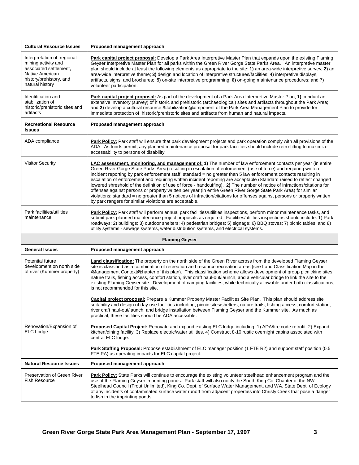| <b>Cultural Resource Issues</b>                                                                                                              | Proposed management approach                                                                                                                                                                                                                                                                                                                                                                                                                                                                                                                                                                                                                                                                                                                                                                                                                                                                                                                                                                                                      |
|----------------------------------------------------------------------------------------------------------------------------------------------|-----------------------------------------------------------------------------------------------------------------------------------------------------------------------------------------------------------------------------------------------------------------------------------------------------------------------------------------------------------------------------------------------------------------------------------------------------------------------------------------------------------------------------------------------------------------------------------------------------------------------------------------------------------------------------------------------------------------------------------------------------------------------------------------------------------------------------------------------------------------------------------------------------------------------------------------------------------------------------------------------------------------------------------|
| Interpretation of regional<br>mining activity and<br>associated settlement,<br>Native American<br>history/prehistory, and<br>natural history | Park capital project proposal: Develop a Park Area Interpretive Master Plan that expands upon the existing Flaming<br>Geyser Interpretive Master Plan for all parks within the Green River Gorge State Parks Area. An interpretive master<br>plan should include at least the following elements as appropriate to the site: 1) an area-wide interpretive survey; 2) an<br>area-wide interpretive theme; 3) design and location of interpretive structures/facilities; 4) interpretive displays,<br>artifacts, signs, and brochures; 5) on-site interpretive programming; 6) on-going maintenance procedures; and 7)<br>volunteer participation.                                                                                                                                                                                                                                                                                                                                                                                  |
| Identification and<br>stabilization of<br>historic/prehistoric sites and<br>artifacts                                                        | Park capital project proposal: As part of the development of a Park Area Interpretive Master Plan, 1) conduct an<br>extensive inventory (survey) of historic and prehistoric (archaeological) sites and artifacts throughout the Park Area;<br>and 2) develop a cultural resource Astabilization® component of the Park Area Management Plan to provide for<br>immediate protection of historic/prehistoric sites and artifacts from human and natural impacts.                                                                                                                                                                                                                                                                                                                                                                                                                                                                                                                                                                   |
| <b>Recreational Resource</b><br><b>Issues</b>                                                                                                | Proposed management approach                                                                                                                                                                                                                                                                                                                                                                                                                                                                                                                                                                                                                                                                                                                                                                                                                                                                                                                                                                                                      |
| ADA compliance                                                                                                                               | Park Policy: Park staff will ensure that park development projects and park operation comply with all provisions of the<br>ADA. As funds permit, any planned maintenance proposal for park facilities should include retro-fitting to maximize<br>accessability to persons of disability.                                                                                                                                                                                                                                                                                                                                                                                                                                                                                                                                                                                                                                                                                                                                         |
| <b>Visitor Security</b>                                                                                                                      | LAC assessment, monitoring, and management of: 1) The number of law enforcement contacts per year (in entire<br>Green River Gorge State Parks Area) resulting in escalation of enforcement (use of force) and requiring written<br>incident reporting by park enforcement staff; standard = no greater than 5 law enforcement contacts resulting in<br>escalation of enforcement and requiring written incident reporting are acceptable (Standard raised to reflect changed<br>lowered shreshold of the definition of use of force - handcuffing). 2) The number of notice of infractions/citations for<br>offenses against persons or property written per year (in entire Green River Gorge State Park Area) for similar<br>violations; standard = no greater than 5 notices of infraction/citations for offenses against persons or property written<br>by park rangers for similar violations are acceptable.                                                                                                                |
| Park facilities/utilities<br>maintenance                                                                                                     | Park Policy: Park staff will perform annual park facilities/utilities inspections, perform minor maintenance tasks, and<br>submit park planned maintenance project proposals as required. Facilities/utilities inspections should include: 1) Park<br>roadways; 2) buildings; 3) outdoor shelters; 4) pedestrian bridges; 5) signage; 6) BBQ stoves; 7) picnic tables; and 8)<br>utility systems - sewage systems, water distribution systems, and electrical systems.                                                                                                                                                                                                                                                                                                                                                                                                                                                                                                                                                            |
|                                                                                                                                              | <b>Flaming Geyser</b>                                                                                                                                                                                                                                                                                                                                                                                                                                                                                                                                                                                                                                                                                                                                                                                                                                                                                                                                                                                                             |
| <b>General Issues</b>                                                                                                                        | Proposed management approach                                                                                                                                                                                                                                                                                                                                                                                                                                                                                                                                                                                                                                                                                                                                                                                                                                                                                                                                                                                                      |
| Potential future<br>development on north side<br>of river (Kummer property)                                                                  | Land classification: The property on the north side of the Green River across from the developed Flaming Geyser<br>site is classified as a combination of recreation and resource recreation areas (see Land Classification Map in the<br>AManagement Context® chapter of this plan). This classification scheme allows development of group picnicking sites,<br>nature trails, fishing access, comfort station, river craft haul-out/launch, and a vehicular bridge to link the site to the<br>existing Flaming Geyser site. Development of camping facilities, while technically allowable under both classifications,<br>is not recommended for this site.<br>Capital project proposal: Prepare a Kummer Property Master Facilities Site Plan. This plan should address site<br>suitability and design of day-use facilities including, picnic sites/shelters, nature trails, fishing access, comfort station,<br>river craft haul-out/launch, and bridge installation between Flaming Geyser and the Kummer site. As much as |
|                                                                                                                                              | practical, these facilities should be ADA accessible.                                                                                                                                                                                                                                                                                                                                                                                                                                                                                                                                                                                                                                                                                                                                                                                                                                                                                                                                                                             |
| Renovation/Expansion of<br><b>ELC</b> Lodge                                                                                                  | Proposed Capital Project: Renovate and expand existing ELC lodge including: 1) ADA/fire code retrofit. 2) Expand<br>kitchen/dining facility. 3) Replace electric/water utilities. 4) Construct 8-10 rustic overnight cabins associated with<br>central ELC lodge.                                                                                                                                                                                                                                                                                                                                                                                                                                                                                                                                                                                                                                                                                                                                                                 |
|                                                                                                                                              | Park Staffing Proposal: Propose establishment of ELC manager position (1 FTE R2) and support staff position (0.5<br>FTE PA) as operating impacts for ELC capital project.                                                                                                                                                                                                                                                                                                                                                                                                                                                                                                                                                                                                                                                                                                                                                                                                                                                         |
| <b>Natural Resource Issues</b>                                                                                                               | Proposed management approach                                                                                                                                                                                                                                                                                                                                                                                                                                                                                                                                                                                                                                                                                                                                                                                                                                                                                                                                                                                                      |
| Preservation of Green River<br>Fish Resource                                                                                                 | Park Policy: State Parks will continue to encourage the existing volunteer steelhead enhancement program and the<br>use of the Flaming Geyser imprinting ponds. Park staff will also notify the South King Co. Chapter of the NW<br>Steelhead Council (Trout Unlimited), King Co. Dept. of Surface Water Management, and WA. State Dept. of Ecology<br>of any incidents of contaminated surface water runoff from adjacent properties into Christy Creek that pose a danger<br>to fish in the imprinting ponds.                                                                                                                                                                                                                                                                                                                                                                                                                                                                                                                   |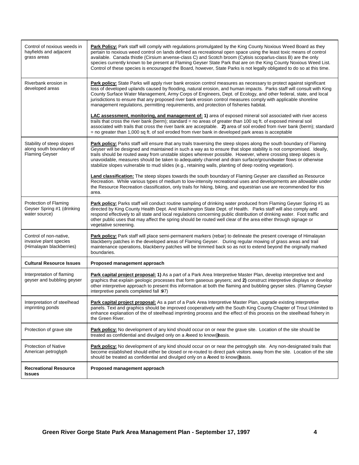| Control of noxious weeds in<br>hayfields and adjacent<br>grass areas          | Park Policy: Park staff will comply with regulations promulgated by the King County Noxious Weed Board as they<br>pertain to noxious weed control on lands defined as recreational open space using the least toxic means of control<br>available. Canada thistle (Cirsium arvense-class C) and Scotch broom (Cytisis scoparlus-class B) are the only<br>species currently known to be present at Flaming Geyser State Park that are on the King County Noxious Weed List.<br>Control of these species is encouraged the Board, however, State Parks is not legally obligated to do so at this time. |
|-------------------------------------------------------------------------------|------------------------------------------------------------------------------------------------------------------------------------------------------------------------------------------------------------------------------------------------------------------------------------------------------------------------------------------------------------------------------------------------------------------------------------------------------------------------------------------------------------------------------------------------------------------------------------------------------|
| Riverbank erosion in<br>developed areas                                       | Park policy: State Parks will apply river bank erosion control measures as necessary to protect against significant<br>loss of developed uplands caused by flooding, natural erosion, and human impacts. Parks staff will consult with King<br>County Surface Water Management, Army Corps of Engineers, Dept. of Ecology, and other federal, state, and local<br>jurisdictions to ensure that any proposed river bank erosion control measures comply with applicable shoreline<br>management regulations, permitting requirements, and protection of fisheries habitat.                            |
|                                                                               | <b>LAC</b> assessment, monitoring, and management of: 1) area of exposed mineral soil associated with river access<br>trails that cross the river bank (berm); standard = no areas of greater than 100 sq ft. of exposed mineral soil<br>associated with trails that cross the river bank are acceptable. 2) area of soil eroded from river bank (berm); standard<br>= no greater than 1,000 sq ft. of soil eroded from river bank in developed park areas is acceptable                                                                                                                             |
| Stability of steep slopes<br>along south boundary of<br><b>Flaming Geyser</b> | Park policy: Parks staff will ensure that any trails traversing the steep slopes along the south boundary of Flaming<br>Geyser will be designed and maintained in such a way as to ensure that slope stability is not compromised. Ideally,<br>trails should be routed away from unstable slopes wherever possible. However, where crossing steep slopes is<br>unavoidable, measures should be taken to adequately channel and drain surface/groundwater flows or otherwise<br>stabilize slopes vulnerable to mud slides (e.g., retaining walls, planting of deep rooting vegetation).               |
|                                                                               | <b>Land classification:</b> The steep slopes towards the south boundary of Flaming Geyser are classified as Resource<br>Recreation. While various types of medium to low-intensity recreational uses and developments are allowable under<br>the Resource Recreation classification, only trails for hiking, biking, and equestrian use are recommended for this<br>area.                                                                                                                                                                                                                            |
| Protection of Flaming<br>Geyser Spring #1 (drinking<br>water source)          | Park policy: Parks staff will conduct routine sampling of drinking water produced from Flaming Geyser Spring #1 as<br>directed by King County Health Dept. And Washington State Dept. of Health. Parks staff will also comply and<br>respond effectively to all state and local regulations concerning public distribution of drinking water. Foot traffic and<br>other public uses that may affect the spring should be routed well clear of the area either through signage or<br>vegetative screening.                                                                                            |
| Control of non-native,<br>invasive plant species<br>(Himalayan blackberries)  | Park policy: Park staff will place semi-permanent markers (rebar) to delineate the present coverage of Himalayan<br>blackberry patches in the developed areas of Flaming Geyser. During regular mowing of grass areas and trail<br>maintenance operations, blackberry patches will be trimmed back so as not to extend beyond the originally marked<br>boundaries.                                                                                                                                                                                                                                   |
| <b>Cultural Resource Issues</b>                                               | Proposed management approach                                                                                                                                                                                                                                                                                                                                                                                                                                                                                                                                                                         |
| Interpretation of flaming<br>geyser and bubbling geyser                       | Park capital project proposal: 1) As a part of a Park Area Interpretive Master Plan, develop interpretive text and<br>graphics that explain geologic processes that form gaseous geysers; and 2) construct interpretive displays or develop<br>other interpretive approach to present this information at both the flaming and bubbling geyser sites. (Flaming Geyser<br>interpretive panels completed fall >97)                                                                                                                                                                                     |
| Interpretation of steelhead<br>imprinting ponds                               | Park capital project proposal: As a part of a Park Area Interpretive Master Plan, upgrade existing interpretive<br>panels. Text and graphics should be improved cooperatively with the South King County Chapter of Trout Unlimited to<br>enhance explanation of the of steelhead imprinting process and the effect of this process on the steelhead fishery in<br>the Green River.                                                                                                                                                                                                                  |
| Protection of grave site                                                      | <b>Park policy:</b> No development of any kind should occur on or near the grave site. Location of the site should be<br>treated as confidential and divulged only on a Aneed to know basis.                                                                                                                                                                                                                                                                                                                                                                                                         |
| <b>Protection of Native</b><br>American petroglyph                            | Park policy: No development of any kind should occur on or near the petroglyph site. Any non-designated trails that<br>become established should either be closed or re-routed to direct park visitors away from the site. Location of the site<br>should be treated as confidential and divulged only on a Aneed to know basis.                                                                                                                                                                                                                                                                     |
| <b>Recreational Resource</b><br><b>Issues</b>                                 | Proposed management approach                                                                                                                                                                                                                                                                                                                                                                                                                                                                                                                                                                         |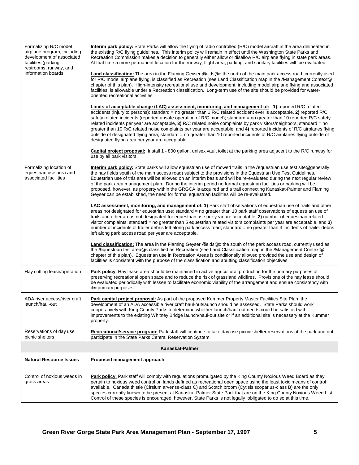| Formalizing R/C model<br>airplane program, including<br>development of associated<br>facilities (parking,<br>restrooms, runway, and<br>information boards | Interim park policy: State Parks will allow the flying of radio controlled (R/C) model aircraft in the area delineated in<br>the existing R/C flying guidelines. This interim policy will remain in effect until the Washington State Parks and<br>Recreation Commission makes a decision to generally either allow or disallow R/C airplane flying in state park areas.<br>At that time a more permanent location for the runway, flight area, parking, and sanitary facilities will be evaluated.<br>Land classification: The area in the Flaming Geyser efields to the north of the main park access road, currently used<br>for R/C model airplane flying, is classified as Recreation (see Land Classification map in the AManagement Context®<br>chapter of this plan). High-intensity recreational use and development, including model airplane flying and associated<br>facilities, is allowable under a Recreation classification. Long-term use of the site should be provided for water-<br>oriented recreational activities.<br>Limits of acceptable change (LAC) assessment, monitoring, and management of: 1) reported R/C related<br>accidents (injury to persons); standard = no greater than 1 R/C related accident ever is acceptable, 2) reported R/C<br>safety related incidents (reported unsafe operation of R/C model); standard = no greater than 10 reported R/C safety<br>related incidents per year are acceptable, 3) R/C related noise complaints by park visitors/neighbors; standard = no<br>greater than 10 R/C related noise complaints per year are acceptable, and 4) reported incidents of R/C airplanes flying<br>outside of designated flying area; standard = no greater than 10 reported incidents of R/C airplanes flying outside of<br>designated flying area per year are acceptable.<br><b>Capital project proposal:</b> Install 1 - 800 gallon, unisex vault toilet at the parking area adjacent to the R/C runway for<br>use by all park visitors. |  |
|-----------------------------------------------------------------------------------------------------------------------------------------------------------|---------------------------------------------------------------------------------------------------------------------------------------------------------------------------------------------------------------------------------------------------------------------------------------------------------------------------------------------------------------------------------------------------------------------------------------------------------------------------------------------------------------------------------------------------------------------------------------------------------------------------------------------------------------------------------------------------------------------------------------------------------------------------------------------------------------------------------------------------------------------------------------------------------------------------------------------------------------------------------------------------------------------------------------------------------------------------------------------------------------------------------------------------------------------------------------------------------------------------------------------------------------------------------------------------------------------------------------------------------------------------------------------------------------------------------------------------------------------------------------------------------------------------------------------------------------------------------------------------------------------------------------------------------------------------------------------------------------------------------------------------------------------------------------------------------------------------------------------------------------------------------------------------------------------------------------------------------------------------------------------------|--|
| Formalizing location of<br>equestrian use area and<br>associated facilities                                                                               | Interim park policy: State parks will allow equestrian use of mowed trails in the Aequestrian use test site® (generally<br>the hay fields south of the main access road) subject to the provisions in the Equestrian Use Test Guidelines.<br>Equestrian use of this area will be allowed on an interim basis and will be re-evaluated during the next regular review<br>of the park area management plan. During the interim period no formal equestrian facilities or parking will be<br>proposed, however, as property within the GRGCA is acquired and a trail connecting Kanaskat-Palmer and Flaming<br>Geyser can be established, the need for formal equestrian facilities will be re-evaluated.<br>LAC assessment, monitoring, and management of: 1) Park staff observations of equestrian use of trails and other<br>areas not designated for equestrian use; standard = no greater than 10 park staff observations of equestrian use of<br>trails and other areas not designated for equestrian use per year are acceptable, 2) number of equestrian related<br>visitor complaints; standard = no greater than 5 equestrian related visitors complaints per year are acceptable, and $3$ )<br>number of incidents of trailer debris left along park access road; standard = no greater than 3 incidents of trailer debris<br>left along park access road per year are acceptable.<br>Land classification: The area in the Flaming Geyser Afields <sup>®</sup> to the south of the park access road, currently used as                                                                                                                                                                                                                                                                                                                                                                                                                                                                    |  |
|                                                                                                                                                           | the Aequestrian test area® is classified as Recreation (see Land Classification map in the AManagement Context®<br>chapter of this plan). Equestrian use in Recreation Areas is conditionally allowed provided the use and design of<br>facilities is consistent with the purpose of the classification and abutting classification objectives.                                                                                                                                                                                                                                                                                                                                                                                                                                                                                                                                                                                                                                                                                                                                                                                                                                                                                                                                                                                                                                                                                                                                                                                                                                                                                                                                                                                                                                                                                                                                                                                                                                                   |  |
| Hay cutting lease/operation                                                                                                                               | Park policy: Hay lease area should be maintained in active agricultural production for the primary purposes of<br>preserving recreational open space and to reduce the risk of grassland wildfires. Provisions of the hay lease should<br>be evaluated periodically with lessee to facilitate economic viability of the arrangement and ensure consistency with<br>it-s primary purposes.                                                                                                                                                                                                                                                                                                                                                                                                                                                                                                                                                                                                                                                                                                                                                                                                                                                                                                                                                                                                                                                                                                                                                                                                                                                                                                                                                                                                                                                                                                                                                                                                         |  |
| ADA river access/river craft<br>launch/haul-out                                                                                                           | Park capital project proposal: As part of the proposed Kummer Property Master Facilities Site Plan, the<br>development of an ADA accessible river craft haul-out/launch should be assessed. State Parks should work<br>cooperatively with King County Parks to determine whether launch/haul-out needs could be satisfied with<br>improvements to the existing Whitney Bridge launch/haul-out site or if an additional site is necessary at the Kummer<br>property.                                                                                                                                                                                                                                                                                                                                                                                                                                                                                                                                                                                                                                                                                                                                                                                                                                                                                                                                                                                                                                                                                                                                                                                                                                                                                                                                                                                                                                                                                                                               |  |
| Reservations of day use<br>picnic shelters                                                                                                                | Recreational/service program: Park staff will continue to take day use picnic shelter reservations at the park and not<br>participate in the State Parks Central Reservation System.                                                                                                                                                                                                                                                                                                                                                                                                                                                                                                                                                                                                                                                                                                                                                                                                                                                                                                                                                                                                                                                                                                                                                                                                                                                                                                                                                                                                                                                                                                                                                                                                                                                                                                                                                                                                              |  |
| Kanaskat-Palmer                                                                                                                                           |                                                                                                                                                                                                                                                                                                                                                                                                                                                                                                                                                                                                                                                                                                                                                                                                                                                                                                                                                                                                                                                                                                                                                                                                                                                                                                                                                                                                                                                                                                                                                                                                                                                                                                                                                                                                                                                                                                                                                                                                   |  |
| <b>Natural Resource Issues</b>                                                                                                                            | Proposed management approach                                                                                                                                                                                                                                                                                                                                                                                                                                                                                                                                                                                                                                                                                                                                                                                                                                                                                                                                                                                                                                                                                                                                                                                                                                                                                                                                                                                                                                                                                                                                                                                                                                                                                                                                                                                                                                                                                                                                                                      |  |
| Control of noxious weeds in<br>grass areas                                                                                                                | <b>Park policy:</b> Park staff will comply with regulations promulgated by the King County Noxious Weed Board as they<br>pertain to noxious weed control on lands defined as recreational open space using the least toxic means of control<br>available. Canada thistle (Cirsium arvense-class C) and Scotch broom (Cytisis scoparlus-class B) are the only<br>species currently known to be present at Kanaskat-Palmer State Park that are on the King County Noxious Weed List.<br>Control of these species is encouraged, however, State Parks is not legally obligated to do so at this time.                                                                                                                                                                                                                                                                                                                                                                                                                                                                                                                                                                                                                                                                                                                                                                                                                                                                                                                                                                                                                                                                                                                                                                                                                                                                                                                                                                                                |  |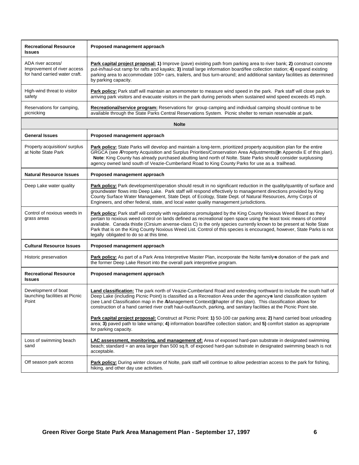| <b>Recreational Resource</b><br><b>Issues</b>                                     | Proposed management approach                                                                                                                                                                                                                                                                                                                                                                                                                                                                                                      |
|-----------------------------------------------------------------------------------|-----------------------------------------------------------------------------------------------------------------------------------------------------------------------------------------------------------------------------------------------------------------------------------------------------------------------------------------------------------------------------------------------------------------------------------------------------------------------------------------------------------------------------------|
| ADA river access/<br>Improvement of river access<br>for hand carried water craft. | Park capital project proposal: 1) Improve (pave) existing path from parking area to river bank; 2) construct concrete<br>put-in/haul-out ramp for rafts and kayaks; 3) install large information board/fee collection station; 4) expand existing<br>parking area to accommodate 100+ cars, trailers, and bus turn-around; and additional sanitary facilities as determined<br>by parking capacity.                                                                                                                               |
| High-wind threat to visitor<br>safety                                             | Park policy: Park staff will maintain an anemometer to measure wind speed in the park. Park staff will close park to<br>arriving park visitors and evacuate visitors in the park during periods when sustained wind speed exceeds 45 mph.                                                                                                                                                                                                                                                                                         |
| Reservations for camping,<br>picnicking                                           | Recreational/service program: Reservations for group camping and individual camping should continue to be<br>available through the State Parks Central Reservations System. Picnic shelter to remain reservable at park.                                                                                                                                                                                                                                                                                                          |
|                                                                                   | <b>Nolte</b>                                                                                                                                                                                                                                                                                                                                                                                                                                                                                                                      |
| <b>General Issues</b>                                                             | Proposed management approach                                                                                                                                                                                                                                                                                                                                                                                                                                                                                                      |
| Property acquisition/ surplus<br>at Nolte State Park                              | Park policy: State Parks will develop and maintain a long-term, prioritized property acquisition plan for the entire<br>GRGCA (see AProperty Acquisition and Surplus Priorities/Conservation Area Adjustments® in Appendix E of this plan).<br>Note: King County has already purchased abutting land north of Nolte. State Parks should consider surplussing<br>agency owned land south of Veazie-Cumberland Road to King County Parks for use as a trailhead.                                                                    |
| <b>Natural Resource Issues</b>                                                    | Proposed management approach                                                                                                                                                                                                                                                                                                                                                                                                                                                                                                      |
| Deep Lake water quality                                                           | Park policy: Park development/operation should result in no significant reduction in the quality/quantity of surface and<br>groundwater flows into Deep Lake. Park staff will respond effectively to management directions provided by King<br>County Surface Water Management, State Dept. of Ecology, State Dept. of Natural Resources, Army Corps of<br>Engineers, and other federal, state, and local water quality management jurisdictions.                                                                                 |
| Control of noxious weeds in<br>grass areas                                        | Park policy: Park staff will comply with regulations promulgated by the King County Noxious Weed Board as they<br>pertain to noxious weed control on lands defined as recreational open space using the least toxic means of control<br>available. Canada thistle (Cirsium arvense-class C) is the only species currently known to be present at Nolte State<br>Park that is on the King County Noxious Weed List. Control of this species is encouraged, however, State Parks is not<br>legally obligated to do so at this time. |
| <b>Cultural Resource Issues</b>                                                   | Proposed management approach                                                                                                                                                                                                                                                                                                                                                                                                                                                                                                      |
| Historic preservation                                                             | Park policy: As part of a Park Area Interpretive Master Plan, incorporate the Nolte family-s donation of the park and<br>the former Deep Lake Resort into the overall park interpretive program.                                                                                                                                                                                                                                                                                                                                  |
| <b>Recreational Resource</b><br><b>Issues</b>                                     | Proposed management approach                                                                                                                                                                                                                                                                                                                                                                                                                                                                                                      |
| Development of boat<br>launching facilities at Picnic<br>Point                    | Land classification: The park north of Veazie-Cumberland Road and extending northward to include the south half of<br>Deep Lake (including Picnic Point) is classified as a Recreation Area under the agency-s land classification system<br>(see Land Classification map in the AManagement Context® chapter of this plan). This classification allows for<br>construction of a hand carried river craft haul-out/launch, parking, and sanitary facilities at the Picnic Point site.                                             |
|                                                                                   | Park capital project proposal: Construct at Picnic Point: 1) 50-100 car parking area; 2) hand carried boat unloading<br>area; 3) paved path to lake w/ramp; 4) information board/fee collection station; and 5) comfort station as appropriate<br>for parking capacity.                                                                                                                                                                                                                                                           |
| Loss of swimming beach<br>sand                                                    | LAC assessment, monitoring, and management of: Area of exposed hard-pan substrate in designated swimming<br>beach; standard = an area larger than 500 sq.ft. of exposed hard-pan substrate in designated swimming beach is not<br>acceptable.                                                                                                                                                                                                                                                                                     |
| Off season park access                                                            | Park policy: During winter closure of Nolte, park staff will continue to allow pedestrian access to the park for fishing,<br>hiking, and other day use activities.                                                                                                                                                                                                                                                                                                                                                                |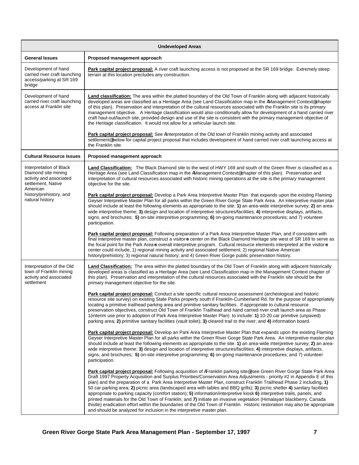| <b>Undeveloped Areas</b>                                                                        |                                                                                                                                                                                                                                                                                                                                                                                                                                                                                                                                                                                                                                                                                                                                                                                                                                                                                                                                                                       |  |
|-------------------------------------------------------------------------------------------------|-----------------------------------------------------------------------------------------------------------------------------------------------------------------------------------------------------------------------------------------------------------------------------------------------------------------------------------------------------------------------------------------------------------------------------------------------------------------------------------------------------------------------------------------------------------------------------------------------------------------------------------------------------------------------------------------------------------------------------------------------------------------------------------------------------------------------------------------------------------------------------------------------------------------------------------------------------------------------|--|
| <b>General Issues</b>                                                                           | Proposed management approach                                                                                                                                                                                                                                                                                                                                                                                                                                                                                                                                                                                                                                                                                                                                                                                                                                                                                                                                          |  |
| Development of hand<br>carried river craft launching<br>access/parking at SR 169<br>bridge      | <b>Park capital project proposal:</b> A river craft launching access is not proposed at the SR 169 bridge. Extremely steep<br>terrain at this location precludes any construction.                                                                                                                                                                                                                                                                                                                                                                                                                                                                                                                                                                                                                                                                                                                                                                                    |  |
| Development of hand<br>carried river craft launching<br>access at Franklin site                 | Land classification: The area within the platted boundary of the Old Town of Franklin along with adjacent historically<br>developed areas are classified as a Heritage Area (see Land Classification map in the AManagement Context® chapter<br>of this plan). Preservation and interpretation of the cultural resources associated with the Franklin site is its primary<br>management objective. A Heritage classification would also conditionally allow for development of a hand carried river<br>craft haul-out/launch site, provided design and use of the site is consistent with the primary management objective of<br>the Heritage classification. It would not allow for a vehicular launch site.                                                                                                                                                                                                                                                         |  |
|                                                                                                 | Park capital project proposal: See AInterpretation of the Old town of Franklin mining activity and associated<br>settlement® below for capital project proposal that includes development of hand carried river craft launching access at<br>the Franklin site.                                                                                                                                                                                                                                                                                                                                                                                                                                                                                                                                                                                                                                                                                                       |  |
| <b>Cultural Resource Issues</b>                                                                 | Proposed management approach                                                                                                                                                                                                                                                                                                                                                                                                                                                                                                                                                                                                                                                                                                                                                                                                                                                                                                                                          |  |
| Interpretation of Black<br>Diamond site mining<br>activity and associated<br>settlement, Native | Land Classification: The Black Diamond site to the west of HWY 169 and south of the Green River is classified as a<br>Heritage Area (see Land Classification map in the AManagement Context® chapter of this plan). Preservation and<br>interpretation of cultural resources associated with historic mining operations at the site is the primary management<br>objective for the site.                                                                                                                                                                                                                                                                                                                                                                                                                                                                                                                                                                              |  |
| American<br>history/prehistory, and<br>natural history                                          | Park capital project proposal: Develop a Park Area Interpretive Master Plan that expands upon the existing Flaming<br>Geyser Interpretive Master Plan for all parks within the Green River Gorge State Park Area. An interpretive master plan<br>should include at least the following elements as appropriate to the site: 1) an area-wide interpretive survey; 2) an area-<br>wide interpretive theme; 3) design and location of interpretive structures/facilities; 4) interpretive displays, artifacts,<br>signs, and brochures; 5) on-site interpretive programming; 6) on-going maintenance procedures; and 7) volunteer<br>participation.                                                                                                                                                                                                                                                                                                                      |  |
|                                                                                                 | Park capital project proposal: Following preparation of a Park Area Interpretive Master Plan, and if consistent with<br>final interpretive master plan, construct a visitor-s center on the Black Diamond Heritage site west of SR 169 to serve as<br>the focal point for the Park Area-s overall interpretive program. Cultural resource elements interpreted at the visitor-s<br>center could include, 1) regional mining activity and associated settlement; 2) regional Native American<br>history/prehistory; 3) regional natural history; and 4) Green River Gorge public preservation history.                                                                                                                                                                                                                                                                                                                                                                 |  |
| Interpretation of the Old<br>town of Franklin mining<br>activity and associated<br>settlement   | <b>Land Classification:</b> The area within the platted boundary of the Old Town of Franklin along with adjacent historically<br>developed areas is classified as a Heritage Area (see Land Classification map in the Management Context chapter of<br>this plan). Preservation and interpretation of the cultural resources associated with the Franklin site should be the<br>primary management objective for the site.                                                                                                                                                                                                                                                                                                                                                                                                                                                                                                                                            |  |
|                                                                                                 | Park capital project proposal: Conduct a site specific cultural resource assessment (archeological and historic<br>resource site survey) on existing State Parks property south if Franklin-Cumberland Rd. for the purpose of appropriately<br>locating a primitive trailhead parking area and primitive sanitary facilities. If appropriate to cultural resource<br>preservation objectives, construct Old Town of Franklin Trailhead and hand carried river craft launch area as Phase<br>1(interim use prior to adoption of Park Area Interpretive Master Plan) to include: 1) 10-20 car primitive (unpaved)<br>parking area; 2) primitive sanitary facilities (vault toilet); 3) cleared trail to the river; and 4) information board.                                                                                                                                                                                                                            |  |
|                                                                                                 | <b>Park capital project proposal:</b> Develop an Park Area Interpretive Master Plan that expands upon the existing Flaming<br>Geyser Interpretive Master Plan for all parks within the Green River Gorge State Park Area. An interpretive master plan<br>should include at least the following elements as appropriate to the site: 1) an area-wide interpretive survey; 2) an area-<br>wide interpretive theme; 3) design and location of interpretive structures/facilities; 4) interpretive displays, artifacts,<br>signs, and brochures; 5) on-site interpretive programming; 6) on-going maintenance procedures; and 7) volunteer<br>participation.                                                                                                                                                                                                                                                                                                              |  |
|                                                                                                 | Park capital project proposal: Following acquisition of AFranklin parking site® (see Green River Gorge State Park Area<br>Draft 1997 Property Acquisition and Surplus Priorities/Conservation Area Adjustments - priority #2 in Appendix E of this<br>plan) and the preparation of a Park Area Interpretive Master Plan, construct Franklin Trailhead Phase 2 including, 1)<br>50 car parking area; 2) picnic area (landscaped area with tables and BBQ grills); 3) picnic shelter 4) sanitary facilities<br>appropriate to parking capacity (comfort station); 5) information/interpretive kiosk 6) interpretive trails, panels, and<br>printed materials for the Old Town of Franklin; and 7) initiate an invasive vegetation (Himalayan blackberry, Canada<br>thistle) eradication effort within the boundaries of the Old Town of Franklin. Historic restoration may also be appropriate<br>and should be analyzed for inclusion in the interpretive master plan. |  |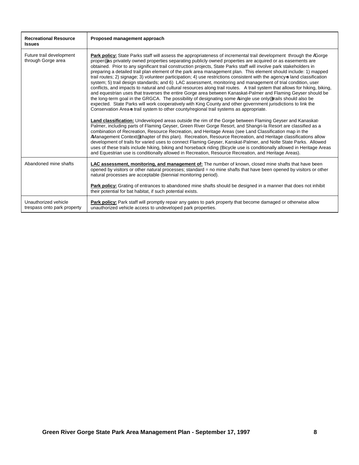| <b>Recreational Resource</b><br><b>Issues</b>       | Proposed management approach                                                                                                                                                                                                                                                                                                                                                                                                                                                                                                                                                                                                                                                                                                                                                                                                                                                                                                                                                                                                                                                                                                                                                                                                                                                                                                                                                                                                                                                                                                                                                                                                                                                                                                                                                                                                                                                                                                                                                                                                                                                                                            |
|-----------------------------------------------------|-------------------------------------------------------------------------------------------------------------------------------------------------------------------------------------------------------------------------------------------------------------------------------------------------------------------------------------------------------------------------------------------------------------------------------------------------------------------------------------------------------------------------------------------------------------------------------------------------------------------------------------------------------------------------------------------------------------------------------------------------------------------------------------------------------------------------------------------------------------------------------------------------------------------------------------------------------------------------------------------------------------------------------------------------------------------------------------------------------------------------------------------------------------------------------------------------------------------------------------------------------------------------------------------------------------------------------------------------------------------------------------------------------------------------------------------------------------------------------------------------------------------------------------------------------------------------------------------------------------------------------------------------------------------------------------------------------------------------------------------------------------------------------------------------------------------------------------------------------------------------------------------------------------------------------------------------------------------------------------------------------------------------------------------------------------------------------------------------------------------------|
| Future trail development<br>through Gorge area      | Park policy: State Parks staff will assess the appropriateness of incremental trail development through the AGorge<br>proper® as privately owned properties separating publicly owned properties are acquired or as easements are<br>obtained. Prior to any significant trail construction projects, State Parks staff will involve park stakeholders in<br>preparing a detailed trail plan element of the park area management plan. This element should include: 1) mapped<br>trail routes; 2) signage; 3) volunteer participation; 4) use restrictions consistent with the agency-s land classification<br>system; 5) trail design standards; and 6) LAC assessment, monitoring and management of trial condition, user<br>conflicts, and impacts to natural and cultural resources along trail routes. A trail system that allows for hiking, biking,<br>and equestrian uses that traverses the entire Gorge area between Kanaskat-Palmer and Flaming Geyser should be<br>the long-term goal in the GRGCA. The possibility of designating some Asingle use only trails should also be<br>expected. State Parks will work cooperatively with King County and other government jurisdictions to link the<br>Conservation Area-s trail system to other county/regional trail systems as appropriate.<br>Land classification: Undeveloped areas outside the rim of the Gorge between Flaming Geyser and Kanaskat-<br>Palmer, including parts of Flaming Geyser, Green River Gorge Resort, and Shangri-la Resort are classified as a<br>combination of Recreation, Resource Recreation, and Heritage Areas (see Land Classification map in the<br>AManagement Context® chapter of this plan). Recreation, Resource Recreation, and Heritage classifications allow<br>development of trails for varied uses to connect Flaming Geyser, Kanskat-Palmer, and Nolte State Parks. Allowed<br>uses of these trails include hiking, biking and horseback riding (Bicycle use is conditionally allowed in Heritage Areas<br>and Equestrian use is conditionally allowed in Recreation, Resource Recreation, and Heritage Areas). |
| Abandoned mine shafts                               | LAC assessment, monitoring, and management of: The number of known, closed mine shafts that have been<br>opened by visitors or other natural processes; standard = no mine shafts that have been opened by visitors or other<br>natural processes are acceptable (biennial monitoring period).                                                                                                                                                                                                                                                                                                                                                                                                                                                                                                                                                                                                                                                                                                                                                                                                                                                                                                                                                                                                                                                                                                                                                                                                                                                                                                                                                                                                                                                                                                                                                                                                                                                                                                                                                                                                                          |
|                                                     | Park policy: Grating of entrances to abandoned mine shafts should be designed in a manner that does not inhibit<br>their potential for bat habitat, if such potential exists.                                                                                                                                                                                                                                                                                                                                                                                                                                                                                                                                                                                                                                                                                                                                                                                                                                                                                                                                                                                                                                                                                                                                                                                                                                                                                                                                                                                                                                                                                                                                                                                                                                                                                                                                                                                                                                                                                                                                           |
| Unauthorized vehicle<br>trespass onto park property | Park policy: Park staff will promptly repair any gates to park property that become damaged or otherwise allow<br>unauthorized vehicle access to undeveloped park properties.                                                                                                                                                                                                                                                                                                                                                                                                                                                                                                                                                                                                                                                                                                                                                                                                                                                                                                                                                                                                                                                                                                                                                                                                                                                                                                                                                                                                                                                                                                                                                                                                                                                                                                                                                                                                                                                                                                                                           |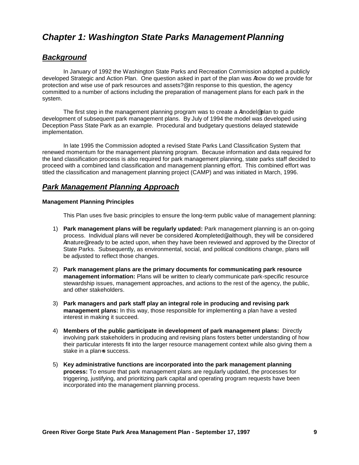### **Chapter 1: Washington State Parks Management Planning**

#### *Background*

In January of 1992 the Washington State Parks and Recreation Commission adopted a publicly developed Strategic and Action Plan. One question asked in part of the plan was Ahow do we provide for protection and wise use of park resources and assets?@ In response to this question, the agency committed to a number of actions including the preparation of management plans for each park in the system.

The first step in the management planning program was to create a  $A$ model<sup>®</sup> plan to guide development of subsequent park management plans. By July of 1994 the model was developed using Deception Pass State Park as an example. Procedural and budgetary questions delayed statewide implementation.

In late 1995 the Commission adopted a revised State Parks Land Classification System that renewed momentum for the management planning program. Because information and data required for the land classification process is also required for park management planning, state parks staff decided to proceed with a combined land classification and management planning effort. This combined effort was titled the classification and management planning project (CAMP) and was initiated in March, 1996.

#### *Park Management Planning Approach*

#### **Management Planning Principles**

This Plan uses five basic principles to ensure the long-term public value of management planning:

- 1) **Park management plans will be regularly updated:** Park management planning is an on-going process. Individual plans will never be considered Acompleted®, although, they will be considered Amature®, ready to be acted upon, when they have been reviewed and approved by the Director of State Parks. Subsequently, as environmental, social, and political conditions change, plans will be adjusted to reflect those changes.
- 2) **Park management plans are the primary documents for communicating park resource management information:** Plans will be written to clearly communicate park-specific resource stewardship issues, management approaches, and actions to the rest of the agency, the public, and other stakeholders.
- 3) **Park managers and park staff play an integral role in producing and revising park management plans:** In this way, those responsible for implementing a plan have a vested interest in making it succeed.
- 4) **Members of the public participate in development of park management plans:** Directly involving park stakeholders in producing and revising plans fosters better understanding of how their particular interests fit into the larger resource management context while also giving them a stake in a plan-s success.
- 5) **Key administrative functions are incorporated into the park management planning process:** To ensure that park management plans are regularly updated, the processes for triggering, justifying, and prioritizing park capital and operating program requests have been incorporated into the management planning process.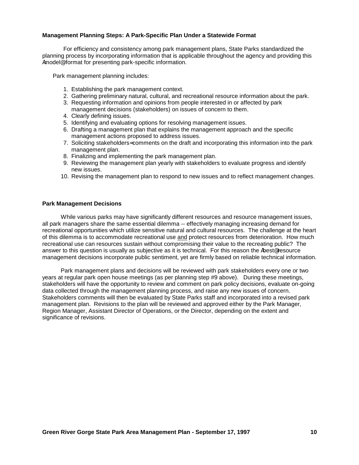#### **Management Planning Steps: A Park-Specific Plan Under a Statewide Format**

For efficiency and consistency among park management plans, State Parks standardized the planning process by incorporating information that is applicable throughout the agency and providing this Amodel<sup>®</sup> format for presenting park-specific information.

Park management planning includes:

- 1. Establishing the park management context.
- 2. Gathering preliminary natural, cultural, and recreational resource information about the park.
- 3. Requesting information and opinions from people interested in or affected by park management decisions (stakeholders) on issues of concern to them.
- 4. Clearly defining issues.
- 5. Identifying and evaluating options for resolving management issues.
- 6. Drafting a management plan that explains the management approach and the specific management actions proposed to address issues.
- 7. Soliciting stakeholders= comments on the draft and incorporating this information into the park management plan.
- 8. Finalizing and implementing the park management plan.
- 9. Reviewing the management plan yearly with stakeholders to evaluate progress and identify new issues.
- 10. Revising the management plan to respond to new issues and to reflect management changes.

#### **Park Management Decisions**

While various parks may have significantly different resources and resource management issues, all park managers share the same essential dilemma -- effectively managing increasing demand for recreational opportunities which utilize sensitive natural and cultural resources. The challenge at the heart of this dilemma is to accommodate recreational use and protect resources from deterioration. How much recreational use can resources sustain without compromising their value to the recreating public? The answer to this question is usually as subjective as it is technical. For this reason the Abest<sup>®</sup> resource management decisions incorporate public sentiment, yet are firmly based on reliable technical information.

Park management plans and decisions will be reviewed with park stakeholders every one or two years at regular park open house meetings (as per planning step #9 above). During these meetings, stakeholders will have the opportunity to review and comment on park policy decisions, evaluate on-going data collected through the management planning process, and raise any new issues of concern. Stakeholders comments will then be evaluated by State Parks staff and incorporated into a revised park management plan. Revisions to the plan will be reviewed and approved either by the Park Manager, Region Manager, Assistant Director of Operations, or the Director, depending on the extent and significance of revisions.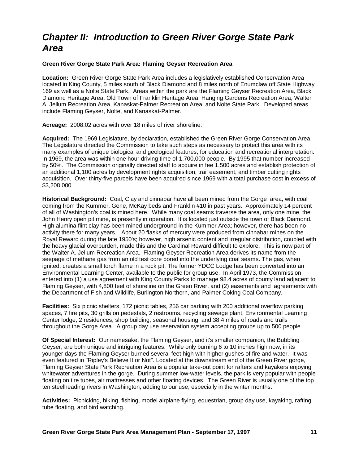### *Chapter II: Introduction to Green River Gorge State Park Area*

#### **Green River Gorge State Park Area: Flaming Geyser Recreation Area**

**Location:** Green River Gorge State Park Area includes a legislatively established Conservation Area located in King County, 5 miles south of Black Diamond and 8 miles north of Enumclaw off State Highway 169 as well as a Nolte State Park. Areas within the park are the Flaming Geyser Recreation Area, Black Diamond Heritage Area, Old Town of Franklin Heritage Area, Hanging Gardens Recreation Area, Walter A. Jellum Recreation Area, Kanaskat-Palmer Recreation Area, and Nolte State Park. Developed areas include Flaming Geyser, Nolte, and Kanaskat-Palmer.

**Acreage:** 2008.02 acres with over 18 miles of river shoreline.

**Acquired:** The 1969 Legislature, by declaration, established the Green River Gorge Conservation Area. The Legislature directed the Commission to take such steps as necessary to protect this area with its many examples of unique biological and geological features, for education and recreational interpretation. In 1969, the area was within one hour driving time of 1,700,000 people. By 1995 that number increased by 50%. The Commission originally directed staff to acquire in fee 1,500 acres and establish protection of an additional 1,100 acres by development rights acquisition, trail easement, and timber cutting rights acquisition. Over thirty-five parcels have been acquired since 1969 with a total purchase cost in excess of \$3,208,000.

**Historical Background:** Coal, Clay and cinnabar have all been mined from the Gorge area, with coal coming from the Kummer, Gene, McKay beds and Franklin #10 in past years. Approximately 14 percent of all of Washington's coal is mined here. While many coal seams traverse the area, only one mine, the John Henry open pit mine, is presently in operation. It is located just outside the town of Black Diamond. High alumina flint clay has been mined underground in the Kummer Area; however, there has been no activity there for many years. About 20 flasks of mercury were produced from cinnabar mines on the Royal Reward during the late 1950's; however, high arsenic content and irregular distribution, coupled with the heavy glacial overburden, made this and the Cardinal Reward difficult to explore. This is now part of the Walter A. Jellum Recreation Area. Flaming Geyser Recreation Area derives its name from the seepage of methane gas from an old test core bored into the underlying coal seams. The gas, when ignited, creates a small torch flame in a rock pit. The former YDCC Lodge has been converted into an Environmental Learning Center, available to the public for group use. In April 1973, the Commission entered into (1) a use agreement with King County Parks to manage 98.4 acres of county land adjacent to Flaming Geyser, with 4,800 feet of shoreline on the Green River, and (2) easements and agreements with the Department of Fish and Wildlife, Burlington Northern, and Palmer Coking Coal Company.

**Facilities:** Six picnic shelters, 172 picnic tables, 256 car parking with 200 additional overflow parking spaces, 7 fire pits, 30 grills on pedestals, 2 restrooms, recycling sewage plant, Environmental Learning Center lodge, 2 residences, shop building, seasonal housing, and 38.4 miles of roads and trails throughout the Gorge Area. A group day use reservation system accepting groups up to 500 people.

**Of Special Interest:** Our namesake, the Flaming Geyser, and it's smaller companion, the Bubbling Geyser, are both unique and intriguing features. While only burning 6 to 10 inches high now, in its younger days the Flaming Geyser burned several feet high with higher gushes of fire and water. It was even featured in "Ripley's Believe It or Not". Located at the downstream end of the Green River gorge, Flaming Geyser State Park Recreation Area is a popular take-out point for rafters and kayakers enjoying whitewater adventures in the gorge. During summer low-water levels, the park is very popular with people floating on tire tubes, air mattresses and other floating devices. The Green River is usually one of the top ten steelheading rivers in Washington, adding to our use, especially in the winter months.

**Activities:** Picnicking, hiking, fishing, model airplane flying, equestrian, group day use, kayaking, rafting, tube floating, and bird watching.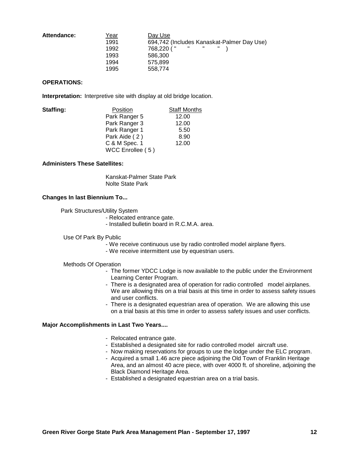| Attendance: | Year | Day Use                                                      |
|-------------|------|--------------------------------------------------------------|
|             | 1991 | 694,742 (Includes Kanaskat-Palmer Day Use)                   |
|             | 1992 | $\mathbf{H}$ and $\mathbf{H}$<br>$\mathbf{H}$<br>768.220 ( " |
|             | 1993 | 586.300                                                      |
|             | 1994 | 575.899                                                      |
|             | 1995 | 558.774                                                      |

#### **OPERATIONS:**

**Interpretation:** Interpretive site with display at old bridge location.

| Staffing: | Position         | <b>Staff Months</b> |
|-----------|------------------|---------------------|
|           | Park Ranger 5    | 12.00               |
|           | Park Ranger 3    | 12.00               |
|           | Park Ranger 1    | 5.50                |
|           | Park Aide (2)    | 8.90                |
|           | C & M Spec. 1    | 12.00               |
|           | WCC Enrollee (5) |                     |

#### **Administers These Satellites:**

Kanskat-Palmer State Park Nolte State Park

#### **Changes In last Biennium To...**

Park Structures/Utility System

- Relocated entrance gate.
- Installed bulletin board in R.C.M.A. area.

#### Use Of Park By Public

- We receive continuous use by radio controlled model airplane flyers.
- We receive intermittent use by equestrian users.

#### Methods Of Operation

- The former YDCC Lodge is now available to the public under the Environment Learning Center Program.
- There is a designated area of operation for radio controlled model airplanes. We are allowing this on a trial basis at this time in order to assess safety issues and user conflicts.
- There is a designated equestrian area of operation. We are allowing this use on a trial basis at this time in order to assess safety issues and user conflicts.

#### **Major Accomplishments in Last Two Years....**

- Relocated entrance gate.
- Established a designated site for radio controlled model aircraft use.
- Now making reservations for groups to use the lodge under the ELC program.
- Acquired a small 1.46 acre piece adjoining the Old Town of Franklin Heritage Area, and an almost 40 acre piece, with over 4000 ft. of shoreline, adjoining the Black Diamond Heritage Area.
- Established a designated equestrian area on a trial basis.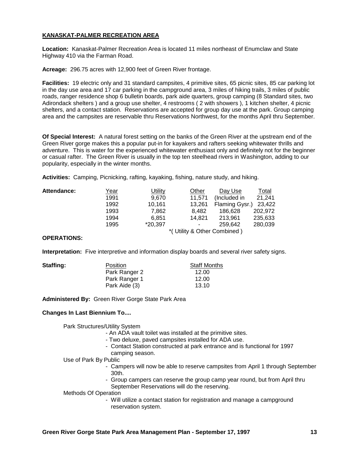#### **KANASKAT-PALMER RECREATION AREA**

**Location:** Kanaskat-Palmer Recreation Area is located 11 miles northeast of Enumclaw and State Highway 410 via the Farman Road.

**Acreage:** 296.75 acres with 12,900 feet of Green River frontage.

**Facilities:** 19 electric only and 31 standard campsites, 4 primitive sites, 65 picnic sites, 85 car parking lot in the day use area and 17 car parking in the campground area, 3 miles of hiking trails, 3 miles of public roads, ranger residence shop 6 bulletin boards, park aide quarters, group camping (8 Standard sites, two Adirondack shelters ) and a group use shelter, 4 restrooms ( 2 with showers ), 1 kitchen shelter, 4 picnic shelters, and a contact station. Reservations are accepted for group day use at the park. Group camping area and the campsites are reservable thru Reservations Northwest, for the months April thru September.

**Of Special Interest:** A natural forest setting on the banks of the Green River at the upstream end of the Green River gorge makes this a popular put-in for kayakers and rafters seeking whitewater thrills and adventure. This is water for the experienced whitewater enthusiast only and definitely not for the beginner or casual rafter. The Green River is usually in the top ten steelhead rivers in Washington, adding to our popularity, especially in the winter months.

**Activities:** Camping, Picnicking, rafting, kayaking, fishing, nature study, and hiking.

| Attendance: | <u>Year</u> | Utility | Other  | Day Use                     | Total   |
|-------------|-------------|---------|--------|-----------------------------|---------|
|             | 1991        | 9.670   | 11.571 | (Included in                | 21,241  |
|             | 1992        | 10,161  | 13,261 | Flaming Gysr.)              | 23,422  |
|             | 1993        | 7.862   | 8.482  | 186.628                     | 202.972 |
|             | 1994        | 6.851   | 14.821 | 213.961                     | 235,633 |
|             | 1995        | *20,397 | ۰      | 259.642                     | 280.039 |
|             |             |         |        | *(Utility & Other Combined) |         |

#### **OPERATIONS:**

**Interpretation:** Five interpretive and information display boards and several river safety signs.

| Staffing: | <b>Position</b> | <b>Staff Months</b> |
|-----------|-----------------|---------------------|
|           | Park Ranger 2   | 12.00               |
|           | Park Ranger 1   | 12.00               |
|           | Park Aide (3)   | 13.10               |
|           |                 |                     |

**Administered By:** Green River Gorge State Park Area

#### **Changes In Last Biennium To....**

Park Structures/Utility System

- An ADA vault toilet was installed at the primitive sites.
- Two deluxe, paved campsites installed for ADA use.
- Contact Station constructed at park entrance and is functional for 1997 camping season.

Use of Park By Public

- Campers will now be able to reserve campsites from April 1 through September 30th.
- Group campers can reserve the group camp year round, but from April thru September Reservations will do the reserving.

#### Methods Of Operation

- Will utilize a contact station for registration and manage a campground reservation system.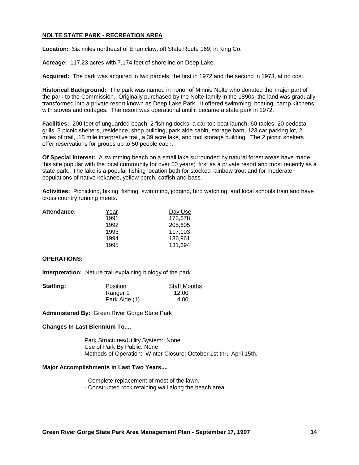#### **NOLTE STATE PARK - RECREATION AREA**

**Location:** Six miles northeast of Enumclaw, off State Route 169, in King Co.

**Acreage:** 117.23 acres with 7,174 feet of shoreline on Deep Lake.

**Acquired:** The park was acquired in two parcels; the first in 1972 and the second in 1973, at no cost.

**Historical Background:** The park was named in honor of Minnie Nolte who donated the major part of the park to the Commission. Originally purchased by the Nolte family in the 1890s, the land was gradually transformed into a private resort known as Deep Lake Park. It offered swimming, boating, camp kitchens with stoves and cottages. The resort was operational until it became a state park in 1972.

**Facilities:** 200 feet of unguarded beach, 2 fishing docks, a car-top boat launch, 60 tables, 20 pedestal grills, 3 picnic shelters, residence, shop building, park aide cabin, storage barn, 123 car parking lot, 2 miles of trail, .15 mile interpretive trail, a 39 acre lake, and tool storage building. The 2 picnic shelters offer reservations for groups up to 50 people each.

**Of Special Interest:** A swimming beach on a small lake surrounded by natural forest areas have made this site popular with the local community for over 50 years; first as a private resort and most recently as a state park. The lake is a popular fishing location both for stocked rainbow trout and for moderate populations of native kokanee, yellow perch, catfish and bass.

**Activities:** Picnicking, hiking, fishing, swimming, jogging, bird watching, and local schools train and have cross country running meets.

| <b>Attendance:</b> | Year | Day Use |
|--------------------|------|---------|
|                    | 1991 | 173.678 |
|                    | 1992 | 205,605 |
|                    | 1993 | 117.103 |
|                    | 1994 | 136.961 |
|                    | 1995 | 131,694 |
|                    |      |         |

#### **OPERATIONS:**

**Interpretation:** Nature trail explaining biology of the park.

| Staffing: | <b>Position</b> | <b>Staff Months</b> |
|-----------|-----------------|---------------------|
|           | Ranger 1        | 12.00               |
|           | Park Aide (1)   | 4.00                |

**Administered By:** Green River Gorge State Park

#### **Changes In Last Biennium To....**

Park Structures/Utility System: None Use of Park By Public: None Methods of Operation: Winter Closure; October 1st thru April 15th.

#### **Major Accomplishments in Last Two Years....**

- Complete replacement of most of the lawn.
- Constructed rock retaining wall along the beach area.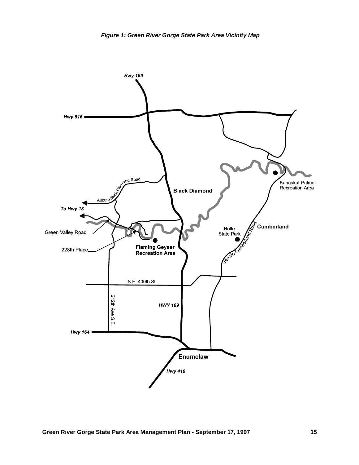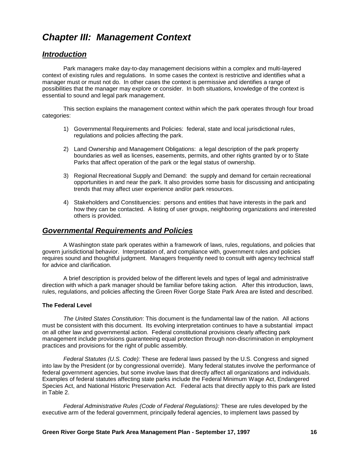### *Chapter III: Management Context*

#### *Introduction*

Park managers make day-to-day management decisions within a complex and multi-layered context of existing rules and regulations. In some cases the context is restrictive and identifies what a manager must or must not do. In other cases the context is permissive and identifies a range of possibilities that the manager may explore or consider. In both situations, knowledge of the context is essential to sound and legal park management.

This section explains the management context within which the park operates through four broad categories:

- 1) Governmental Requirements and Policies: federal, state and local jurisdictional rules, regulations and policies affecting the park.
- 2) Land Ownership and Management Obligations: a legal description of the park property boundaries as well as licenses, easements, permits, and other rights granted by or to State Parks that affect operation of the park or the legal status of ownership.
- 3) Regional Recreational Supply and Demand: the supply and demand for certain recreational opportunities in and near the park. It also provides some basis for discussing and anticipating trends that may affect user experience and/or park resources.
- 4) Stakeholders and Constituencies: persons and entities that have interests in the park and how they can be contacted. A listing of user groups, neighboring organizations and interested others is provided.

#### *Governmental Requirements and Policies*

A Washington state park operates within a framework of laws, rules, regulations, and policies that govern jurisdictional behavior. Interpretation of, and compliance with, government rules and policies requires sound and thoughtful judgment. Managers frequently need to consult with agency technical staff for advice and clarification.

A brief description is provided below of the different levels and types of legal and administrative direction with which a park manager should be familiar before taking action. After this introduction, laws, rules, regulations, and policies affecting the Green River Gorge State Park Area are listed and described.

#### **The Federal Level**

*The United States Constitution*: This document is the fundamental law of the nation. All actions must be consistent with this document. Its evolving interpretation continues to have a substantial impact on all other law and governmental action. Federal constitutional provisions clearly affecting park management include provisions guaranteeing equal protection through non-discrimination in employment practices and provisions for the right of public assembly.

*Federal Statutes (U.S. Code):* These are federal laws passed by the U.S. Congress and signed into law by the President (or by congressional override). Many federal statutes involve the performance of federal government agencies, but some involve laws that directly affect all organizations and individuals. Examples of federal statutes affecting state parks include the Federal Minimum Wage Act, Endangered Species Act, and National Historic Preservation Act. Federal acts that directly apply to this park are listed in Table 2.

*Federal Administrative Rules (Code of Federal Regulations):* These are rules developed by the executive arm of the federal government, principally federal agencies, to implement laws passed by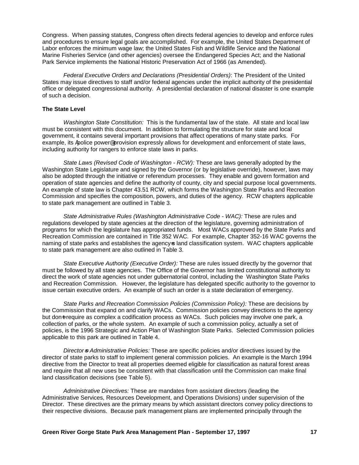Congress. When passing statutes, Congress often directs federal agencies to develop and enforce rules and procedures to ensure legal goals are accomplished. For example, the United States Department of Labor enforces the minimum wage law; the United States Fish and Wildlife Service and the National Marine Fisheries Service (and other agencies) oversee the Endangered Species Act; and the National Park Service implements the National Historic Preservation Act of 1966 (as Amended).

*Federal Executive Orders and Declarations (Presidential Orders)*: The President of the United States may issue directives to staff and/or federal agencies under the implicit authority of the presidential office or delegated congressional authority. A presidential declaration of national disaster is one example of such a decision.

#### **The State Level**

*Washington State Constitution:* This is the fundamental law of the state. All state and local law must be consistent with this document. In addition to formulating the structure for state and local government, it contains several important provisions that affect operations of many state parks. For example, its Apolice power@ provision expressly allows for development and enforcement of state laws, including authority for rangers to enforce state laws in parks.

*State Laws (Revised Code of Washington - RCW):* These are laws generally adopted by the Washington State Legislature and signed by the Governor (or by legislative override), however, laws may also be adopted through the initiative or referendum processes. They enable and govern formation and operation of state agencies and define the authority of county, city and special purpose local governments. An example of state law is Chapter 43.51 RCW, which forms the Washington State Parks and Recreation Commission and specifies the composition, powers, and duties of the agency. RCW chapters applicable to state park management are outlined in Table 3.

*State Administrative Rules (Washington Administrative Code - WAC):* These are rules and regulations developed by state agencies at the direction of the legislature, governing administration of programs for which the legislature has appropriated funds. Most WACs approved by the State Parks and Recreation Commission are contained in Title 352 WAC. For example, Chapter 352-16 WAC governs the naming of state parks and establishes the agency-s land classification system. WAC chapters applicable to state park management are also outlined in Table 3.

*State Executive Authority (Executive Order):* These are rules issued directly by the governor that must be followed by all state agencies. The Office of the Governor has limited constitutional authority to direct the work of state agencies not under gubernatorial control, including the Washington State Parks and Recreation Commission. However, the legislature has delegated specific authority to the governor to issue certain executive orders. An example of such an order is a state declaration of emergency.

*State Parks and Recreation Commission Policies (Commission Policy):* These are decisions by the Commission that expand on and clarify WACs. Commission policies convey directions to the agency but don-t require as complex a codification process as WACs. Such policies may involve one park, a collection of parks, or the whole system. An example of such a commission policy, actually a set of policies, is the 1996 Strategic and Action Plan of Washington State Parks. Selected Commission policies applicable to this park are outlined in Table 4.

*Director*=*s Administrative Policies:* These are specific policies and/or directives issued by the director of state parks to staff to implement general commission policies. An example is the March 1994 directive from the Director to treat all properties deemed eligible for classification as natural forest areas and require that all new uses be consistent with that classification until the Commission can make final land classification decisions (see Table 5).

*Administrative Directives:* These are mandates from assistant directors (leading the Administrative Services, Resources Development, and Operations Divisions) under supervision of the Director. These directives are the primary means by which assistant directors convey policy directions to their respective divisions. Because park management plans are implemented principally through the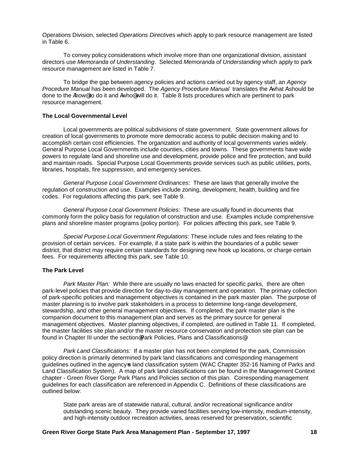Operations Division, selected *Operations Directives* which apply to park resource management are listed in Table 6.

To convey policy considerations which involve more than one organizational division, assistant directors use *Memoranda of Understanding*. Selected *Memoranda of Understanding* which apply to park resource management are listed in Table 7.

To bridge the gap between agency policies and actions carried out by agency staff, an *Agency Procedure Manual* has been developed. The *Agency Procedure Manual* translates the Awhat A should be done to the Ahow@ to do it and Awho@ will do it. Table 8 lists procedures which are pertinent to park resource management.

#### **The Local Governmental Level**

Local governments are political subdivisions of state government. State government allows for creation of local governments to promote more democratic access to public decision making and to accomplish certain cost efficiencies. The organization and authority of local governments varies widely. General Purpose Local Governments include counties, cities and towns. These governments have wide powers to regulate land and shoreline use and development, provide police and fire protection, and build and maintain roads. Special Purpose Local Governments provide services such as public utilities, ports, libraries, hospitals, fire suppression, and emergency services.

*General Purpose Local Government Ordinances*: These are laws that generally involve the regulation of construction and use. Examples include zoning, development, health, building and fire codes. For regulations affecting this park, see Table 9.

*General Purpose Local Government Policies*: These are usually found in documents that commonly form the policy basis for regulation of construction and use. Examples include comprehensive plans and shoreline master programs (policy portion). For policies affecting this park, see Table 9.

*Special Purpose Local Government Regulations*: These include rules and fees relating to the provision of certain services. For example, if a state park is within the boundaries of a public sewer district, that district may require certain standards for designing new hook up locations, or charge certain fees. For requirements affecting this park, see Table 10.

#### **The Park Level**

*Park Master Plan:* While there are usually no laws enacted for specific parks, there are often park-level policies that provide direction for day-to-day management and operation. The primary collection of park-specific policies and management objectives is contained in the park master plan. The purpose of master planning is to involve park stakeholders in a process to determine long-range development, stewardship, and other general management objectives. If completed, the park master plan is the companion document to this management plan and serves as the primary source for general management objectives. Master planning objectives, if completed, are outlined in Table 11. If completed, the master facilities site plan and/or the master resource conservation and protection site plan can be found in Chapter III under the section® Park Policies, Plans and Classifications®.

*Park Land Classifications:* If a master plan has not been completed for the park, Commission policy direction is primarily determined by park land classifications and corresponding management guidelines outlined in the agency-s land classification system (WAC Chapter 352-16 Naming of Parks and Land Classification System). A map of park land classifications can be found in the Management Context chapter - Green River Gorge Park Plans and Policies section of this plan. Corresponding management guidelines for each classification are referenced in Appendix C. Definitions of these classifications are outlined below:

State park areas are of statewide natural, cultural, and/or recreational significance and/or outstanding scenic beauty. They provide varied facilities serving low-intensity, medium-intensity, and high-intensity outdoor recreation activities, areas reserved for preservation, scientific

#### **Green River Gorge State Park Area Management Plan - September 17, 1997 18**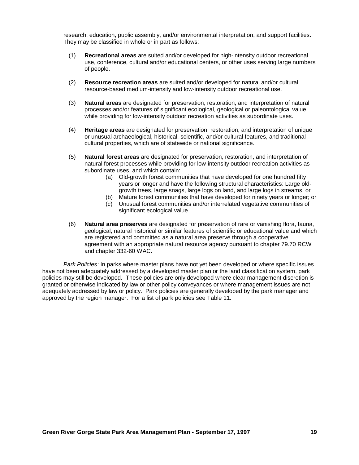research, education, public assembly, and/or environmental interpretation, and support facilities. They may be classified in whole or in part as follows:

- (1) **Recreational areas** are suited and/or developed for high-intensity outdoor recreational use, conference, cultural and/or educational centers, or other uses serving large numbers of people.
- (2) **Resource recreation areas** are suited and/or developed for natural and/or cultural resource-based medium-intensity and low-intensity outdoor recreational use.
- (3) **Natural areas** are designated for preservation, restoration, and interpretation of natural processes and/or features of significant ecological, geological or paleontological value while providing for low-intensity outdoor recreation activities as subordinate uses.
- (4) **Heritage areas** are designated for preservation, restoration, and interpretation of unique or unusual archaeological, historical, scientific, and/or cultural features, and traditional cultural properties, which are of statewide or national significance.
- (5) **Natural forest areas** are designated for preservation, restoration, and interpretation of natural forest processes while providing for low-intensity outdoor recreation activities as subordinate uses, and which contain:
	- (a) Old-growth forest communities that have developed for one hundred fifty years or longer and have the following structural characteristics: Large oldgrowth trees, large snags, large logs on land, and large logs in streams; or
	- (b) Mature forest communities that have developed for ninety years or longer; or
	- (c) Unusual forest communities and/or interrelated vegetative communities of significant ecological value.
- (6) **Natural area preserves** are designated for preservation of rare or vanishing flora, fauna, geological, natural historical or similar features of scientific or educational value and which are registered and committed as a natural area preserve through a cooperative agreement with an appropriate natural resource agency pursuant to chapter 79.70 RCW and chapter 332-60 WAC.

*Park Policies:* In parks where master plans have not yet been developed or where specific issues have not been adequately addressed by a developed master plan or the land classification system, park policies may still be developed. These policies are only developed where clear management discretion is granted or otherwise indicated by law or other policy conveyances or where management issues are not adequately addressed by law or policy. Park policies are generally developed by the park manager and approved by the region manager. For a list of park policies see Table 11.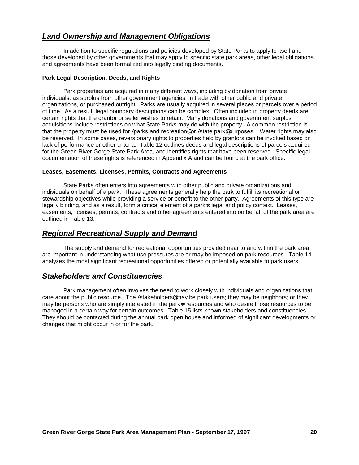#### *Land Ownership and Management Obligations*

In addition to specific regulations and policies developed by State Parks to apply to itself and those developed by other governments that may apply to specific state park areas, other legal obligations and agreements have been formalized into legally binding documents.

#### **Park Legal Description**, **Deeds, and Rights**

Park properties are acquired in many different ways, including by donation from private individuals, as surplus from other government agencies, in trade with other public and private organizations, or purchased outright. Parks are usually acquired in several pieces or parcels over a period of time. As a result, legal boundary descriptions can be complex. Often included in property deeds are certain rights that the grantor or seller wishes to retain. Many donations and government surplus acquisitions include restrictions on what State Parks may do with the property. A common restriction is that the property must be used for Aparks and recreation<sup>®</sup> or Astate park® purposes. Water rights may also be reserved. In some cases, reversionary rights to properties held by grantors can be invoked based on lack of performance or other criteria. Table 12 outlines deeds and legal descriptions of parcels acquired for the Green River Gorge State Park Area, and identifies rights that have been reserved. Specific legal documentation of these rights is referenced in Appendix A and can be found at the park office.

#### **Leases, Easements, Licenses, Permits, Contracts and Agreements**

State Parks often enters into agreements with other public and private organizations and individuals on behalf of a park. These agreements generally help the park to fulfill its recreational or stewardship objectives while providing a service or benefit to the other party. Agreements of this type are legally binding, and as a result, form a critical element of a park-s legal and policy context. Leases, easements, licenses, permits, contracts and other agreements entered into on behalf of the park area are outlined in Table 13.

#### *Regional Recreational Supply and Demand*

The supply and demand for recreational opportunities provided near to and within the park area are important in understanding what use pressures are or may be imposed on park resources. Table 14 analyzes the most significant recreational opportunities offered or potentially available to park users.

#### *Stakeholders and Constituencies*

Park management often involves the need to work closely with individuals and organizations that care about the public resource. The Astakeholders<sup>®</sup> may be park users; they may be neighbors; or they may be persons who are simply interested in the park=s resources and who desire those resources to be managed in a certain way for certain outcomes. Table 15 lists known stakeholders and constituencies. They should be contacted during the annual park open house and informed of significant developments or changes that might occur in or for the park.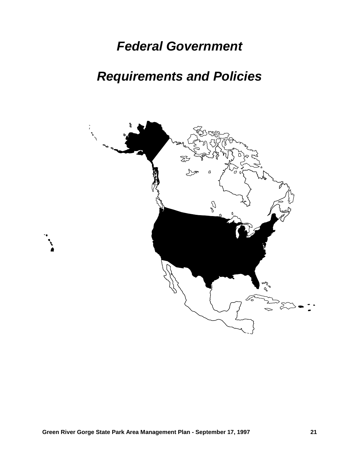## *Federal Government*

# *Requirements and Policies*

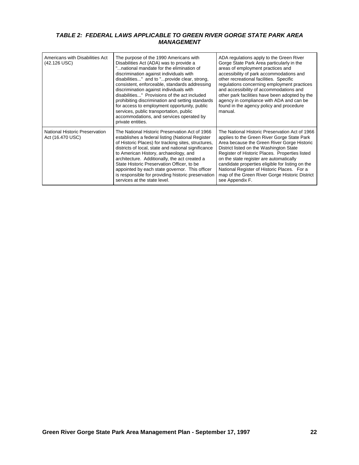#### *TABLE 2: FEDERAL LAWS APPLICABLE TO GREEN RIVER GORGE STATE PARK AREA MANAGEMENT*

| Americans with Disabilities Act<br>(42.126 USC)    | The purpose of the 1990 Americans with<br>Disabilities Act (ADA) was to provide a<br>national mandate for the elimination of<br>discrimination against individuals with<br>disabilities" and to "provide clear, strong,<br>consistent, enforceable, standards addressing<br>discrimination against individuals with<br>disabilities" Provisions of the act included<br>prohibiting discrimination and setting standards<br>for access to employment opportunity, public<br>services, public transportation, public<br>accommodations, and services operated by<br>private entities. | ADA regulations apply to the Green River<br>Gorge State Park Area particularly in the<br>areas of employment practices and<br>accessibility of park accommodations and<br>other recreational facilities. Specific<br>regulations concerning employment practices<br>and accessibility of accommodations and<br>other park facilities have been adopted by the<br>agency in compliance with ADA and can be<br>found in the agency policy and procedure<br>manual. |
|----------------------------------------------------|-------------------------------------------------------------------------------------------------------------------------------------------------------------------------------------------------------------------------------------------------------------------------------------------------------------------------------------------------------------------------------------------------------------------------------------------------------------------------------------------------------------------------------------------------------------------------------------|------------------------------------------------------------------------------------------------------------------------------------------------------------------------------------------------------------------------------------------------------------------------------------------------------------------------------------------------------------------------------------------------------------------------------------------------------------------|
| National Historic Preservation<br>Act (16.470 USC) | The National Historic Preservation Act of 1966<br>establishes a federal listing (National Register<br>of Historic Places) for tracking sites, structures,<br>districts of local, state and national significance<br>to American History, archaeology, and<br>architecture. Additionally, the act created a<br>State Historic Preservation Officer, to be<br>appointed by each state governor. This officer<br>is responsible for providing historic preservation<br>services at the state level.                                                                                    | The National Historic Preservation Act of 1966<br>applies to the Green River Gorge State Park<br>Area because the Green River Gorge Historic<br>District listed on the Washington State<br>Register of Historic Places. Properties listed<br>on the state register are automatically<br>candidate properties eligible for listing on the<br>National Register of Historic Places. For a<br>map of the Green River Gorge Historic District<br>see Appendix F.     |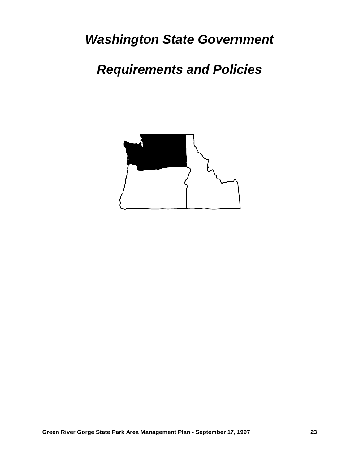*Washington State Government*

*Requirements and Policies*

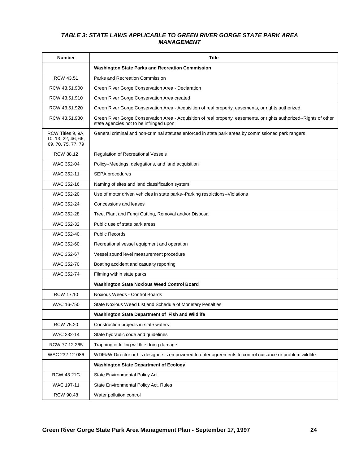#### *TABLE 3: STATE LAWS APPLICABLE TO GREEN RIVER GORGE STATE PARK AREA MANAGEMENT*

| <b>Number</b>                                                  | <b>Title</b>                                                                                                                                                    |
|----------------------------------------------------------------|-----------------------------------------------------------------------------------------------------------------------------------------------------------------|
|                                                                | <b>Washington State Parks and Recreation Commission</b>                                                                                                         |
| <b>RCW 43.51</b>                                               | Parks and Recreation Commission                                                                                                                                 |
| RCW 43.51.900                                                  | Green River Gorge Conservation Area - Declaration                                                                                                               |
| RCW 43.51.910                                                  | Green River Gorge Conservation Area created                                                                                                                     |
| RCW 43.51.920                                                  | Green River Gorge Conservation Area - Acquisition of real property, easements, or rights authorized                                                             |
| RCW 43.51.930                                                  | Green River Gorge Conservation Area - Acquisition of real property, easements, or rights authorized--Rights of other<br>state agencies not to be infringed upon |
| RCW Titles 9, 9A,<br>10, 13, 22, 46, 66,<br>69, 70, 75, 77, 79 | General criminal and non-criminal statutes enforced in state park areas by commissioned park rangers                                                            |
| RCW 88.12                                                      | <b>Regulation of Recreational Vessels</b>                                                                                                                       |
| WAC 352-04                                                     | Policy--Meetings, delegations, and land acquisition                                                                                                             |
| WAC 352-11                                                     | <b>SEPA</b> procedures                                                                                                                                          |
| WAC 352-16                                                     | Naming of sites and land classification system                                                                                                                  |
| WAC 352-20                                                     | Use of motor driven vehicles in state parks--Parking restrictions--Violations                                                                                   |
| WAC 352-24                                                     | Concessions and leases                                                                                                                                          |
| WAC 352-28                                                     | Tree, Plant and Fungi Cutting, Removal and/or Disposal                                                                                                          |
| WAC 352-32                                                     | Public use of state park areas                                                                                                                                  |
| WAC 352-40                                                     | <b>Public Records</b>                                                                                                                                           |
| WAC 352-60                                                     | Recreational vessel equipment and operation                                                                                                                     |
| WAC 352-67                                                     | Vessel sound level measurement procedure                                                                                                                        |
| WAC 352-70                                                     | Boating accident and casualty reporting                                                                                                                         |
| WAC 352-74                                                     | Filming within state parks                                                                                                                                      |
|                                                                | <b>Washington State Noxious Weed Control Board</b>                                                                                                              |
| <b>RCW 17.10</b>                                               | Noxious Weeds - Control Boards                                                                                                                                  |
| WAC 16-750                                                     | State Noxious Weed List and Schedule of Monetary Penalties                                                                                                      |
|                                                                | Washington State Department of Fish and Wildlife                                                                                                                |
| <b>RCW 75.20</b>                                               | Construction projects in state waters                                                                                                                           |
| WAC 232-14                                                     | State hydraulic code and quidelines                                                                                                                             |
| RCW 77.12.265                                                  | Trapping or killing wildlife doing damage                                                                                                                       |
| WAC 232-12-086                                                 | WDF&W Director or his designee is empowered to enter agreements to control nuisance or problem wildlife                                                         |
|                                                                | <b>Washington State Department of Ecology</b>                                                                                                                   |
| RCW 43.21C                                                     | <b>State Environmental Policy Act</b>                                                                                                                           |
| WAC 197-11                                                     | State Environmental Policy Act, Rules                                                                                                                           |
| RCW 90.48                                                      | Water pollution control                                                                                                                                         |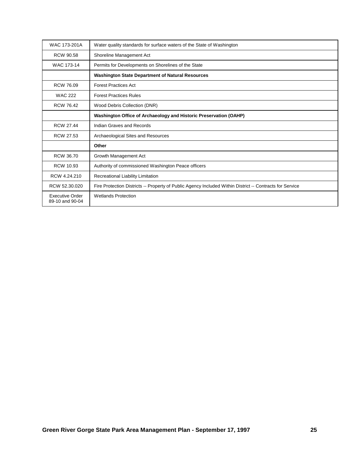| WAC 173-201A                       | Water quality standards for surface waters of the State of Washington                                    |  |
|------------------------------------|----------------------------------------------------------------------------------------------------------|--|
| <b>RCW 90.58</b>                   | Shoreline Management Act                                                                                 |  |
| WAC 173-14                         | Permits for Developments on Shorelines of the State                                                      |  |
|                                    | <b>Washington State Department of Natural Resources</b>                                                  |  |
| RCW 76.09                          | <b>Forest Practices Act</b>                                                                              |  |
| <b>WAC 222</b>                     | <b>Forest Practices Rules</b>                                                                            |  |
| <b>RCW 76.42</b>                   | Wood Debris Collection (DNR)                                                                             |  |
|                                    | Washington Office of Archaeology and Historic Preservation (OAHP)                                        |  |
| <b>RCW 27.44</b>                   | Indian Graves and Records                                                                                |  |
| RCW 27.53                          | Archaeological Sites and Resources                                                                       |  |
|                                    | Other                                                                                                    |  |
| <b>RCW 36.70</b>                   | Growth Management Act                                                                                    |  |
| <b>RCW 10.93</b>                   | Authority of commissioned Washington Peace officers                                                      |  |
| RCW 4.24.210                       | Recreational Liability Limitation                                                                        |  |
| RCW 52.30.020                      | Fire Protection Districts -- Property of Public Agency Included Within District -- Contracts for Service |  |
| Executive Order<br>89-10 and 90-04 | <b>Wetlands Protection</b>                                                                               |  |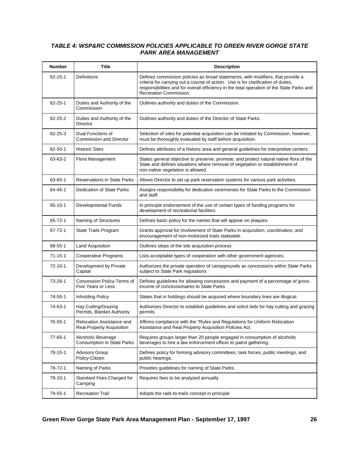#### *TABLE 4: WSP&RC COMMISSION POLICIES APPLICABLE TO GREEN RIVER GORGE STATE PARK AREA MANAGEMENT*

| <b>Number</b> | <b>Title</b>                                                  | <b>Description</b>                                                                                                                                                                                                                                                                          |
|---------------|---------------------------------------------------------------|---------------------------------------------------------------------------------------------------------------------------------------------------------------------------------------------------------------------------------------------------------------------------------------------|
| $62 - 15 - 1$ | Definitions                                                   | Defines commission policies as broad statements, with modifiers, that provide a<br>criteria for carrying out a course of action. Use is for clarification of duties,<br>responsibilities and for overall efficiency in the total operation of the State Parks and<br>Recreation Commission. |
| 62-25-1       | Duties and Authority of the<br>Commission                     | Outlines authority and duties of the Commission.                                                                                                                                                                                                                                            |
| 62-25-2       | Duties and Authority of the<br>Director                       | Outlines authority and duties of the Director of State Parks.                                                                                                                                                                                                                               |
| 62-25-3       | Dual Functions of<br><b>Commission and Director</b>           | Selection of sites for potential acquisition can be initiated by Commission, however,<br>must be thoroughly evaluated by staff before acquisition.                                                                                                                                          |
| 62-50-1       | <b>Historic Sites</b>                                         | Defines attributes of a historic area and general guidelines for interpretive centers.                                                                                                                                                                                                      |
| 63-63-2       | Flora Management                                              | States general objective to preserve, promote, and protect natural native flora of the<br>State and defines situations where removal of vegetation or establishment of<br>non-native vegetation is allowed.                                                                                 |
| 63-65-1       | <b>Reservations in State Parks</b>                            | Allows Director to set up park reservation systems for various park activities.                                                                                                                                                                                                             |
| 64-45-1       | <b>Dedication of State Parks</b>                              | Assigns responsibility for dedication ceremonies for State Parks to the Commission<br>and staff.                                                                                                                                                                                            |
| 65-10-1       | <b>Developmental Funds</b>                                    | In principle endorsement of the use of certain types of funding programs for<br>development of recreational facilities.                                                                                                                                                                     |
| 65-72-1       | Naming of Structures                                          | Defines basic policy for the names that will appear on plaques.                                                                                                                                                                                                                             |
| 67-72-1       | State Trails Program                                          | Grants approval for involvement of State Parks in acquisition, coordination, and<br>encouragement of non-motorized trails statewide.                                                                                                                                                        |
| 68-55-1       | <b>Land Acquisition</b>                                       | Outlines steps of the site acquisition process                                                                                                                                                                                                                                              |
| $71 - 15 - 1$ | Cooperative Programs                                          | Lists acceptable types of cooperation with other government agencies.                                                                                                                                                                                                                       |
| 72-10-1       | Development by Private<br>Capital                             | Authorizes the private operation of campgrounds as concessions within State Parks<br>subject to State Park regulations                                                                                                                                                                      |
| 73-26-1       | Concession Policy-Terms of<br><b>Five Years or Less</b>       | Defines guidelines for allowing concessions and payment of a percentage of gross<br>income of concessionaires to State Parks                                                                                                                                                                |
| 74-55-1       | Inholding Policy                                              | States that in holdings should be acquired where boundary lines are illogical.                                                                                                                                                                                                              |
| 74-63-1       | Hay Cutting/Grazing<br>Permits, Blanket Authority             | Authorizes Director to establish guidelines and solicit bids for hay cutting and grazing<br>permits                                                                                                                                                                                         |
| 76-55-1       | Relocation Assistance and<br><b>Real Property Acquisition</b> | Affirms compliance with the "Rules and Regulations for Uniform Relocation<br>Assistance and Real Property Acquisition Policies Act.                                                                                                                                                         |
| $77 - 65 - 1$ | Alcoholic Beverage<br><b>Consumption in State Parks</b>       | Requires groups larger than 20 people engaged in consumption of alcoholic<br>beverages to hire a law enforcement officer to patrol gathering.                                                                                                                                               |
| 78-15-1       | <b>Advisory Group</b><br>Policy-Citizen                       | Defines policy for forming advisory committees, task forces, public meetings, and<br>public hearings.                                                                                                                                                                                       |
| 78-72-1       | Naming of Parks                                               | Provides quidelines for naming of State Parks.                                                                                                                                                                                                                                              |
| 79-10-1       | Standard Fees Charged for<br>Camping                          | Requires fees to be analyzed annually.                                                                                                                                                                                                                                                      |
| 79-55-1       | <b>Recreation Trail</b>                                       | Adopts the rails-to-trails concept in principle                                                                                                                                                                                                                                             |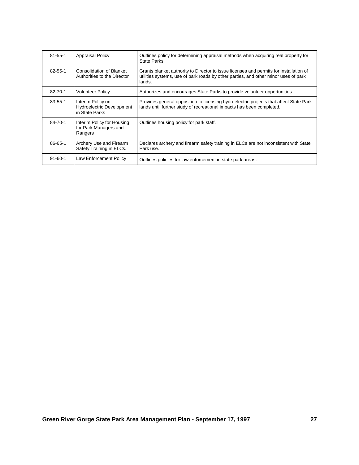| $81 - 55 - 1$ | <b>Appraisal Policy</b>                                                 | Outlines policy for determining appraisal methods when acquiring real property for<br>State Parks.                                                                                      |
|---------------|-------------------------------------------------------------------------|-----------------------------------------------------------------------------------------------------------------------------------------------------------------------------------------|
| $82 - 55 - 1$ | <b>Consolidation of Blanket</b><br>Authorities to the Director          | Grants blanket authority to Director to issue licenses and permits for installation of<br>utilities systems, use of park roads by other parties, and other minor uses of park<br>lands. |
| $82 - 70 - 1$ | <b>Volunteer Policy</b>                                                 | Authorizes and encourages State Parks to provide volunteer opportunities.                                                                                                               |
| 83-55-1       | Interim Policy on<br><b>Hydroelectric Development</b><br>in State Parks | Provides general opposition to licensing hydroelectric projects that affect State Park<br>lands until further study of recreational impacts has been completed.                         |
| 84-70-1       | Interim Policy for Housing<br>for Park Managers and<br>Rangers          | Outlines housing policy for park staff.                                                                                                                                                 |
| 86-65-1       | Archery Use and Firearm<br>Safety Training in ELCs.                     | Declares archery and firearm safety training in ELCs are not inconsistent with State<br>Park use.                                                                                       |
| $91 - 60 - 1$ | Law Enforcement Policy                                                  | Outlines policies for law enforcement in state park areas.                                                                                                                              |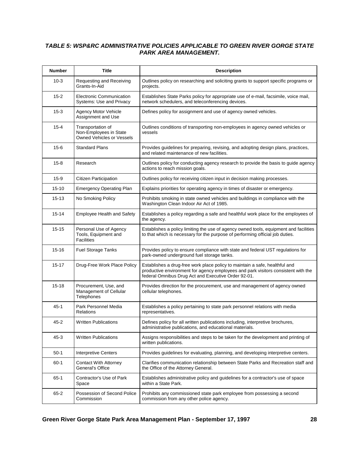#### *TABLE 5: WSP&RC ADMINISTRATIVE POLICIES APPLICABLE TO GREEN RIVER GORGE STATE PARK AREA MANAGEMENT.*

| <b>Number</b> | Title                                                                    | <b>Description</b>                                                                                                                                                                                                      |
|---------------|--------------------------------------------------------------------------|-------------------------------------------------------------------------------------------------------------------------------------------------------------------------------------------------------------------------|
| $10-3$        | Requesting and Receiving<br>Grants-In-Aid                                | Outlines policy on researching and soliciting grants to support specific programs or<br>projects.                                                                                                                       |
| $15 - 2$      | <b>Electronic Communication</b><br><b>Systems: Use and Privacy</b>       | Establishes State Parks policy for appropriate use of e-mail, facsimile, voice mail,<br>network schedulers, and teleconferencing devices.                                                                               |
| $15 - 3$      | Agency Motor Vehicle<br>Assignment and Use                               | Defines policy for assignment and use of agency owned vehicles.                                                                                                                                                         |
| $15 - 4$      | Transportation of<br>Non-Employees in State<br>Owned Vehicles or Vessels | Outlines conditions of transporting non-employees in agency owned vehicles or<br>vessels                                                                                                                                |
| $15 - 6$      | <b>Standard Plans</b>                                                    | Provides guidelines for preparing, revising, and adopting design plans, practices,<br>and related maintenance of new facilities.                                                                                        |
| $15 - 8$      | Research                                                                 | Outlines policy for conducting agency research to provide the basis to guide agency<br>actions to reach mission goals.                                                                                                  |
| $15-9$        | Citizen Participation                                                    | Outlines policy for receiving citizen input in decision making processes.                                                                                                                                               |
| $15 - 10$     | <b>Emergency Operating Plan</b>                                          | Explains priorities for operating agency in times of disaster or emergency.                                                                                                                                             |
| 15-13         | No Smoking Policy                                                        | Prohibits smoking in state owned vehicles and buildings in compliance with the<br>Washington Clean Indoor Air Act of 1985.                                                                                              |
| $15 - 14$     | <b>Employee Health and Safety</b>                                        | Establishes a policy regarding a safe and healthful work place for the employees of<br>the agency.                                                                                                                      |
| $15 - 15$     | Personal Use of Agency<br>Tools, Equipment and<br><b>Facilities</b>      | Establishes a policy limiting the use of agency owned tools, equipment and facilities<br>to that which is necessary for the purpose of performing official job duties.                                                  |
| $15 - 16$     | <b>Fuel Storage Tanks</b>                                                | Provides policy to ensure compliance with state and federal UST regulations for<br>park-owned underground fuel storage tanks.                                                                                           |
| $15 - 17$     | Drug-Free Work Place Policy                                              | Establishes a drug-free work place policy to maintain a safe, healthful and<br>productive environment for agency employees and park visitors consistent with the<br>federal Omnibus Drug Act and Executive Order 92-01. |
| $15 - 18$     | Procurement, Use, and<br>Management of Cellular<br>Telephones            | Provides direction for the procurement, use and management of agency owned<br>cellular telephones.                                                                                                                      |
| 45-1          | Park Personnel Media<br>Relations                                        | Establishes a policy pertaining to state park personnel relations with media<br>representatives.                                                                                                                        |
| 45-2          | <b>Written Publications</b>                                              | Defines policy for all written publications including, interpretive brochures,<br>administrative publications, and educational materials.                                                                               |
| $45 - 3$      | <b>Written Publications</b>                                              | Assigns responsibilities and steps to be taken for the development and printing of<br>written publications.                                                                                                             |
| $50-1$        | Interpretive Centers                                                     | Provides guidelines for evaluating, planning, and developing interpretive centers.                                                                                                                                      |
| $60 - 1$      | Contact With Attorney<br>General's Office                                | Clarifies communication relationship between State Parks and Recreation staff and<br>the Office of the Attorney General.                                                                                                |
| $65-1$        | Contractor's Use of Park<br>Space                                        | Establishes administrative policy and guidelines for a contractor's use of space<br>within a State Park.                                                                                                                |
| 65-2          | Possession of Second Police<br>Commission                                | Prohibits any commissioned state park employee from possessing a second<br>commission from any other police agency.                                                                                                     |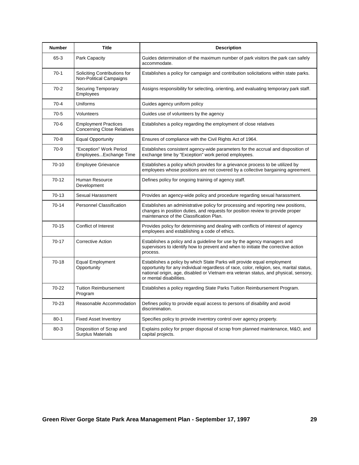| <b>Number</b> | <b>Title</b>                                                     | <b>Description</b>                                                                                                                                                                                                                                                                     |
|---------------|------------------------------------------------------------------|----------------------------------------------------------------------------------------------------------------------------------------------------------------------------------------------------------------------------------------------------------------------------------------|
| $65 - 3$      | Park Capacity                                                    | Guides determination of the maximum number of park visitors the park can safely<br>accommodate.                                                                                                                                                                                        |
| $70-1$        | Soliciting Contributions for<br><b>Non-Political Campaigns</b>   | Establishes a policy for campaign and contribution solicitations within state parks.                                                                                                                                                                                                   |
| $70-2$        | <b>Securing Temporary</b><br>Employees                           | Assigns responsibility for selecting, orienting, and evaluating temporary park staff.                                                                                                                                                                                                  |
| $70-4$        | Uniforms                                                         | Guides agency uniform policy                                                                                                                                                                                                                                                           |
| $70-5$        | Volunteers                                                       | Guides use of volunteers by the agency                                                                                                                                                                                                                                                 |
| $70-6$        | <b>Employment Practices</b><br><b>Concerning Close Relatives</b> | Establishes a policy regarding the employment of close relatives                                                                                                                                                                                                                       |
| $70-8$        | <b>Equal Opportunity</b>                                         | Ensures of compliance with the Civil Rights Act of 1964.                                                                                                                                                                                                                               |
| $70-9$        | "Exception" Work Period<br>EmployeesExchange Time                | Establishes consistent agency-wide parameters for the accrual and disposition of<br>exchange time by "Exception" work period employees.                                                                                                                                                |
| 70-10         | <b>Employee Grievance</b>                                        | Establishes a policy which provides for a grievance process to be utilized by<br>employees whose positions are not covered by a collective bargaining agreement.                                                                                                                       |
| $70-12$       | Human Resource<br>Development                                    | Defines policy for ongoing training of agency staff.                                                                                                                                                                                                                                   |
| 70-13         | Sexual Harassment                                                | Provides an agency-wide policy and procedure regarding sexual harassment.                                                                                                                                                                                                              |
| 70-14         | <b>Personnel Classification</b>                                  | Establishes an administrative policy for processing and reporting new positions,<br>changes in position duties, and requests for position review to provide proper<br>maintenance of the Classification Plan.                                                                          |
| $70 - 15$     | Conflict of Interest                                             | Provides policy for determining and dealing with conflicts of interest of agency<br>employees and establishing a code of ethics.                                                                                                                                                       |
| 70-17         | <b>Corrective Action</b>                                         | Establishes a policy and a guideline for use by the agency managers and<br>supervisors to identify how to prevent and when to initiate the corrective action<br>process.                                                                                                               |
| $70-18$       | <b>Equal Employment</b><br>Opportunity                           | Establishes a policy by which State Parks will provide equal employment<br>opportunity for any individual regardless of race, color, religion, sex, marital status,<br>national origin, age, disabled or Vietnam era veteran status, and physical, sensory,<br>or mental disabilities. |
| 70-22         | <b>Tuition Reimbursement</b><br>Program                          | Establishes a policy regarding State Parks Tuition Reimbursement Program.                                                                                                                                                                                                              |
| 70-23         | Reasonable Accommodation                                         | Defines policy to provide equal access to persons of disability and avoid<br>discrimination.                                                                                                                                                                                           |
| $80 - 1$      | <b>Fixed Asset Inventory</b>                                     | Specifies policy to provide inventory control over agency property.                                                                                                                                                                                                                    |
| $80 - 3$      | Disposition of Scrap and<br><b>Surplus Materials</b>             | Explains policy for proper disposal of scrap from planned maintenance, M&O, and<br>capital projects.                                                                                                                                                                                   |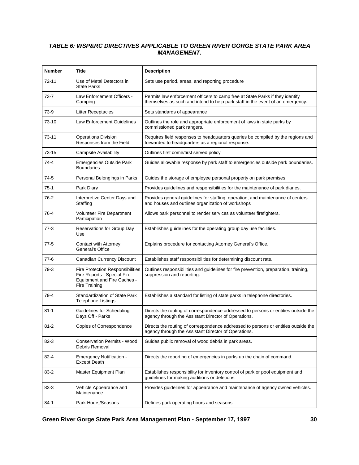#### *TABLE 6: WSP&RC DIRECTIVES APPLICABLE TO GREEN RIVER GORGE STATE PARK AREA MANAGEMENT***.**

| <b>Number</b> | Title                                                                                                                         | <b>Description</b>                                                                                                                                              |
|---------------|-------------------------------------------------------------------------------------------------------------------------------|-----------------------------------------------------------------------------------------------------------------------------------------------------------------|
| $72 - 11$     | Use of Metal Detectors in<br><b>State Parks</b>                                                                               | Sets use period, areas, and reporting procedure                                                                                                                 |
| 73-7          | Law Enforcement Officers -<br>Camping                                                                                         | Permits law enforcement officers to camp free at State Parks if they identify<br>themselves as such and intend to help park staff in the event of an emergency. |
| 73-9          | <b>Litter Receptacles</b>                                                                                                     | Sets standards of appearance                                                                                                                                    |
| 73-10         | <b>Law Enforcement Guidelines</b>                                                                                             | Outlines the role and appropriate enforcement of laws in state parks by<br>commissioned park rangers.                                                           |
| 73-11         | <b>Operations Division</b><br>Responses from the Field                                                                        | Requires field responses to headquarters queries be compiled by the regions and<br>forwarded to headquarters as a regional response.                            |
| 73-15         | <b>Campsite Availability</b>                                                                                                  | Outlines first come/first served policy                                                                                                                         |
| $74 - 4$      | <b>Emergencies Outside Park</b><br><b>Boundaries</b>                                                                          | Guides allowable response by park staff to emergencies outside park boundaries.                                                                                 |
| 74-5          | Personal Belongings in Parks                                                                                                  | Guides the storage of employee personal property on park premises.                                                                                              |
| $75-1$        | Park Diary                                                                                                                    | Provides guidelines and responsibilities for the maintenance of park diaries.                                                                                   |
| 76-2          | Interpretive Center Days and<br>Staffing                                                                                      | Provides general guidelines for staffing, operation, and maintenance of centers<br>and houses and outlines organization of workshops                            |
| 76-4          | <b>Volunteer Fire Department</b><br>Participation                                                                             | Allows park personnel to render services as volunteer firefighters.                                                                                             |
| $77-3$        | Reservations for Group Day<br>Use                                                                                             | Establishes guidelines for the operating group day use facilities.                                                                                              |
| $77-5$        | Contact with Attorney<br>General's Office                                                                                     | Explains procedure for contacting Attorney General's Office.                                                                                                    |
| 77-6          | Canadian Currency Discount                                                                                                    | Establishes staff responsibilities for determining discount rate.                                                                                               |
| 79-3          | <b>Fire Protection Responsibilities</b><br>Fire Reports - Special Fire<br><b>Equipment and Fire Caches -</b><br>Fire Training | Outlines responsibilities and guidelines for fire prevention, preparation, training,<br>suppression and reporting.                                              |
| 79-4          | <b>Standardization of State Park</b><br><b>Telephone Listings</b>                                                             | Establishes a standard for listing of state parks in telephone directories.                                                                                     |
| $81 - 1$      | Guidelines for Scheduling<br>Days Off - Parks                                                                                 | Directs the routing of correspondence addressed to persons or entities outside the<br>agency through the Assistant Director of Operations.                      |
| $81 - 2$      | Copies of Correspondence                                                                                                      | Directs the routing of correspondence addressed to persons or entities outside the<br>agency through the Assistant Director of Operations.                      |
| $82 - 3$      | <b>Conservation Permits - Wood</b><br>Debris Removal                                                                          | Guides public removal of wood debris in park areas.                                                                                                             |
| $82 - 4$      | <b>Emergency Notification -</b><br><b>Except Death</b>                                                                        | Directs the reporting of emergencies in parks up the chain of command.                                                                                          |
| 83-2          | Master Equipment Plan                                                                                                         | Establishes responsibility for inventory control of park or pool equipment and<br>guidelines for making additions or deletions.                                 |
| 83-3          | Vehicle Appearance and<br>Maintenance                                                                                         | Provides guidelines for appearance and maintenance of agency owned vehicles.                                                                                    |
| $84-1$        | Park Hours/Seasons                                                                                                            | Defines park operating hours and seasons.                                                                                                                       |

**Green River Gorge State Park Area Management Plan - September 17, 1997 30**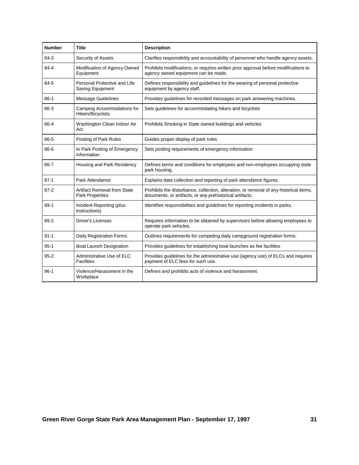| <b>Number</b> | <b>Title</b>                                                 | <b>Description</b>                                                                                                                                 |
|---------------|--------------------------------------------------------------|----------------------------------------------------------------------------------------------------------------------------------------------------|
| $84-3$        | Security of Assets                                           | Clarifies responsibility and accountability of personnel who handle agency assets.                                                                 |
| 84-4          | Modification of Agency Owned<br>Equipment                    | Prohibits modifications, or requires written prior approval before modifications to<br>agency owned equipment can be made.                         |
| 84-5          | Personal Protective and Life<br>Saving Equipment             | Defines responsibility and guidelines for the wearing of personal protective<br>equipment by agency staff.                                         |
| $86-1$        | <b>Message Guidelines</b>                                    | Provides guidelines for recorded messages on park answering machines.                                                                              |
| 86-3          | Camping Accommodations for<br>Hikers/Bicyclists              | Sets guidelines for accommodating hikers and bicyclists                                                                                            |
| 86-4          | Washington Clean Indoor Air<br>Act                           | Prohibits Smoking in State owned buildings and vehicles                                                                                            |
| 86-5          | Posting of Park Rules                                        | Guides proper display of park rules                                                                                                                |
| 86-6          | In Park Posting of Emergency<br>Information                  | Sets posting requirements of emergency information                                                                                                 |
| 86-7          | Housing and Park Residency                                   | Defines terms and conditions for employees and non-employees occupying state<br>park housing.                                                      |
| $87-1$        | Park Attendance                                              | Explains data collection and reporting of park attendance figures.                                                                                 |
| $87 - 2$      | <b>Artifact Removal from State</b><br><b>Park Properties</b> | Prohibits the disturbance, collection, alteration, or removal of any historical items,<br>documents, or artifacts, or any prehistorical artifacts. |
| $89-1$        | Incident Reporting (plus<br>instructions)                    | Identifies responsibilities and guidelines for reporting incidents in parks.                                                                       |
| 89-2          | <b>Driver's Licenses</b>                                     | Requires information to be obtained by supervisors before allowing employees to<br>operate park vehicles.                                          |
| $91 - 1$      | <b>Daily Registration Forms</b>                              | Outlines requirements for competing daily campground registration forms.                                                                           |
| $95 - 1$      | <b>Boat Launch Designation</b>                               | Provides guidelines for establishing boat launches as fee facilities                                                                               |
| $95 - 2$      | Administrative Use of ELC<br><b>Facilities</b>               | Provides guidelines for the administrative use (agency use) of ELCs and requires<br>payment of ELC fees for such use.                              |
| $96-1$        | Violence/Harassment in the<br>Workplace                      | Defines and prohibits acts of violence and harassment.                                                                                             |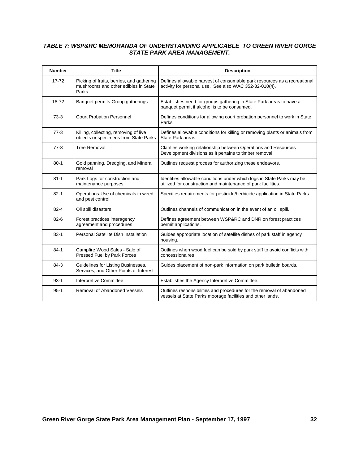### *TABLE 7: WSP&RC MEMORANDA OF UNDERSTANDING APPLICABLE TO GREEN RIVER GORGE STATE PARK AREA MANAGEMENT.*

| <b>Number</b> | <b>Title</b>                                                                               | <b>Description</b>                                                                                                                      |
|---------------|--------------------------------------------------------------------------------------------|-----------------------------------------------------------------------------------------------------------------------------------------|
| $17 - 72$     | Picking of fruits, berries, and gathering<br>mushrooms and other edibles in State<br>Parks | Defines allowable harvest of consumable park resources as a recreational<br>activity for personal use. See also WAC 352-32-010(4).      |
| 18-72         | Banquet permits-Group gatherings                                                           | Establishes need for groups gathering in State Park areas to have a<br>banquet permit if alcohol is to be consumed.                     |
| $73-3$        | <b>Court Probation Personnel</b>                                                           | Defines conditions for allowing court probation personnel to work in State<br>Parks                                                     |
| $77-3$        | Killing, collecting, removing of live<br>objects or specimens from State Parks             | Defines allowable conditions for killing or removing plants or animals from<br>State Park areas.                                        |
| $77-8$        | <b>Tree Removal</b>                                                                        | Clarifies working relationship between Operations and Resources<br>Development divisions as it pertains to timber removal.              |
| $80 - 1$      | Gold panning, Dredging, and Mineral<br>removal                                             | Outlines request process for authorizing these endeavors.                                                                               |
| $81 - 1$      | Park Logs for construction and<br>maintenance purposes                                     | Identifies allowable conditions under which logs in State Parks may be<br>utilized for construction and maintenance of park facilities. |
| $82 - 1$      | Operations-Use of chemicals in weed<br>and pest control                                    | Specifies requirements for pesticide/herbicide application in State Parks.                                                              |
| $82 - 4$      | Oil spill disasters                                                                        | Outlines channels of communication in the event of an oil spill.                                                                        |
| $82 - 6$      | Forest practices interagency<br>agreement and procedures                                   | Defines agreement between WSP&RC and DNR on forest practices<br>permit applications.                                                    |
| $83-1$        | Personal Satellite Dish Installation                                                       | Guides appropriate location of satellite dishes of park staff in agency<br>housing.                                                     |
| $84-1$        | Campfire Wood Sales - Sale of<br>Pressed Fuel by Park Forces                               | Outlines when wood fuel can be sold by park staff to avoid conflicts with<br>concessionaires                                            |
| 84-3          | Guidelines for Listing Businesses,<br>Services, and Other Points of Interest               | Guides placement of non-park information on park bulletin boards.                                                                       |
| $93-1$        | <b>Interpretive Committee</b>                                                              | Establishes the Agency Interpretive Committee.                                                                                          |
| $95-1$        | Removal of Abandoned Vessels                                                               | Outlines responsibilities and procedures for the removal of abandoned<br>vessels at State Parks moorage facilities and other lands.     |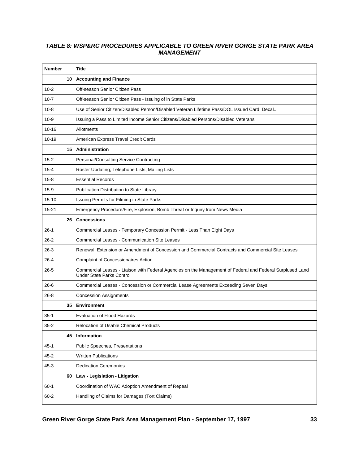### *TABLE 8: WSP&RC PROCEDURES APPLICABLE TO GREEN RIVER GORGE STATE PARK AREA MANAGEMENT*

| <b>Number</b> | Title                                                                                                                                         |
|---------------|-----------------------------------------------------------------------------------------------------------------------------------------------|
| 10            | <b>Accounting and Finance</b>                                                                                                                 |
| $10 - 2$      | Off-season Senior Citizen Pass                                                                                                                |
| $10 - 7$      | Off-season Senior Citizen Pass - Issuing of in State Parks                                                                                    |
| $10 - 8$      | Use of Senior Citizen/Disabled Person/Disabled Veteran Lifetime Pass/DOL Issued Card, Decal                                                   |
| $10-9$        | Issuing a Pass to Limited Income Senior Citizens/Disabled Persons/Disabled Veterans                                                           |
| $10 - 16$     | Allotments                                                                                                                                    |
| $10 - 19$     | American Express Travel Credit Cards                                                                                                          |
| 15            | Administration                                                                                                                                |
| $15 - 2$      | Personal/Consulting Service Contracting                                                                                                       |
| $15 - 4$      | Roster Updating; Telephone Lists; Mailing Lists                                                                                               |
| $15 - 8$      | <b>Essential Records</b>                                                                                                                      |
| $15-9$        | Publication Distribution to State Library                                                                                                     |
| $15 - 10$     | Issuing Permits for Filming in State Parks                                                                                                    |
| $15 - 21$     | Emergency Procedure/Fire, Explosion, Bomb Threat or Inquiry from News Media                                                                   |
| 26            | <b>Concessions</b>                                                                                                                            |
| $26-1$        | Commercial Leases - Temporary Concession Permit - Less Than Eight Days                                                                        |
| $26 - 2$      | <b>Commercial Leases - Communication Site Leases</b>                                                                                          |
| 26-3          | Renewal, Extension or Amendment of Concession and Commercial Contracts and Commercial Site Leases                                             |
| $26 - 4$      | <b>Complaint of Concessionaires Action</b>                                                                                                    |
| $26 - 5$      | Commercial Leases - Liaison with Federal Agencies on the Management of Federal and Federal Surplused Land<br><b>Under State Parks Control</b> |
| 26-6          | Commercial Leases - Concession or Commercial Lease Agreements Exceeding Seven Days                                                            |
| $26 - 8$      | <b>Concession Assignments</b>                                                                                                                 |
| 35            | <b>Environment</b>                                                                                                                            |
| $35-1$        | <b>Evaluation of Flood Hazards</b>                                                                                                            |
| $35 - 2$      | Relocation of Usable Chemical Products                                                                                                        |
| 45            | Information                                                                                                                                   |
| $45 - 1$      | <b>Public Speeches, Presentations</b>                                                                                                         |
| $45 - 2$      | <b>Written Publications</b>                                                                                                                   |
| $45 - 3$      | <b>Dedication Ceremonies</b>                                                                                                                  |
| 60            | Law - Legislation - Litigation                                                                                                                |
| $60-1$        | Coordination of WAC Adoption Amendment of Repeal                                                                                              |
| $60 - 2$      | Handling of Claims for Damages (Tort Claims)                                                                                                  |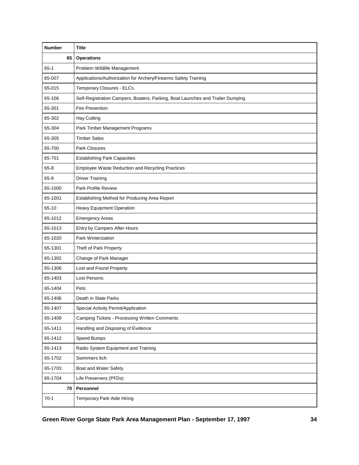| <b>Number</b> | <b>Title</b>                                                                   |  |
|---------------|--------------------------------------------------------------------------------|--|
| 65            | <b>Operations</b>                                                              |  |
| $65-1$        | Problem Wildlife Management                                                    |  |
| 65-007        | Applications/Authorization for Archery/Firearms Safety Training                |  |
| 65-015        | Temporary Closures - ELCs                                                      |  |
| 65-106        | Self-Registration Campers, Boaters, Parking, Boat Launches and Trailer Dumping |  |
| 65-301        | <b>Fire Prevention</b>                                                         |  |
| 65-302        | <b>Hay Cutting</b>                                                             |  |
| 65-304        | Park Timber Management Programs                                                |  |
| 65-305        | <b>Timber Sales</b>                                                            |  |
| 65-700        | Park Closures                                                                  |  |
| 65-701        | <b>Establishing Park Capacities</b>                                            |  |
| $65 - 8$      | <b>Employee Waste Reduction and Recycling Practices</b>                        |  |
| 65-9          | <b>Driver Training</b>                                                         |  |
| 65-1000       | Park Profile Review                                                            |  |
| 65-1001       | Establishing Method for Producing Area Report                                  |  |
| 65-10         | <b>Heavy Equipment Operation</b>                                               |  |
| 65-1012       | <b>Emergency Areas</b>                                                         |  |
| 65-1013       | Entry by Campers After Hours                                                   |  |
| 65-1020       | Park Winterization                                                             |  |
| 65-1301       | Theft of Park Property                                                         |  |
| 65-1302       | Change of Park Manager                                                         |  |
| 65-1306       | Lost and Found Property                                                        |  |
| 65-1403       | <b>Lost Persons</b>                                                            |  |
| 65-1404       | Pets                                                                           |  |
| 65-1406       | Death in State Parks                                                           |  |
| 65-1407       | Special Activity Permit/Application                                            |  |
| 65-1409       | Camping Tickets - Processing Written Comments                                  |  |
| 65-1411       | Handling and Disposing of Evidence                                             |  |
| 65-1412       | Speed Bumps                                                                    |  |
| 65-1413       | Radio System Equipment and Training                                            |  |
| 65-1702       | Swimmers Itch                                                                  |  |
| 65-1703       | Boat and Water Safety                                                          |  |
| 65-1704       | Life Preservers (PFDs)                                                         |  |
| 70 I          | Personnel                                                                      |  |
| $70-1$        | Temporary Park Aide Hiring                                                     |  |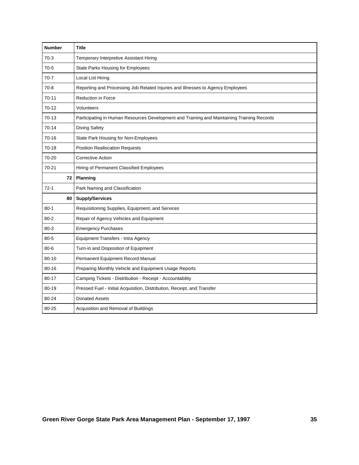| <b>Number</b> | <b>Title</b>                                                                               |
|---------------|--------------------------------------------------------------------------------------------|
| $70-3$        | Temporary Interpretive Assistant Hiring                                                    |
| $70-5$        | State Parks Housing for Employees                                                          |
| $70-7$        | Local List Hiring                                                                          |
| $70-8$        | Reporting and Processing Job Related Injuries and Illnesses to Agency Employees            |
| $70 - 11$     | <b>Reduction in Force</b>                                                                  |
| $70-12$       | Volunteers                                                                                 |
| 70-13         | Participating in Human Resources Development and Training and Maintaining Training Records |
| $70 - 14$     | <b>Diving Safety</b>                                                                       |
| 70-16         | State Park Housing for Non-Employees                                                       |
| 70-18         | <b>Position Reallocation Requests</b>                                                      |
| 70-20         | <b>Corrective Action</b>                                                                   |
| 70-21         | Hiring of Permanent Classified Employees                                                   |
| 72            | Planning                                                                                   |
| $72-1$        | Park Naming and Classification                                                             |
| 80            | <b>Supply/Services</b>                                                                     |
| $80 - 1$      | Requisitioning Supplies, Equipment, and Services                                           |
| $80 - 2$      | Repair of Agency Vehicles and Equipment                                                    |
| $80 - 3$      | <b>Emergency Purchases</b>                                                                 |
| $80 - 5$      | Equipment Transfers - Intra Agency                                                         |
| $80 - 6$      | Turn-in and Disposition of Equipment                                                       |
| $80 - 10$     | Permanent Equipment Record Manual                                                          |
| $80 - 16$     | Preparing Monthly Vehicle and Equipment Usage Reports                                      |
| 80-17         | Camping Tickets - Distribution - Receipt - Accountability                                  |
| 80-19         | Pressed Fuel - Initial Acquisition, Distribution, Receipt, and Transfer                    |
| 80-24         | <b>Donated Assets</b>                                                                      |
| 80-25         | Acquisition and Removal of Buildings                                                       |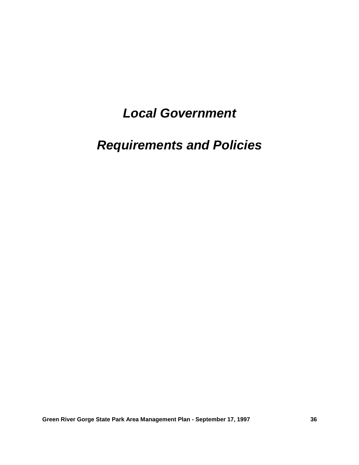# *Local Government*

# *Requirements and Policies*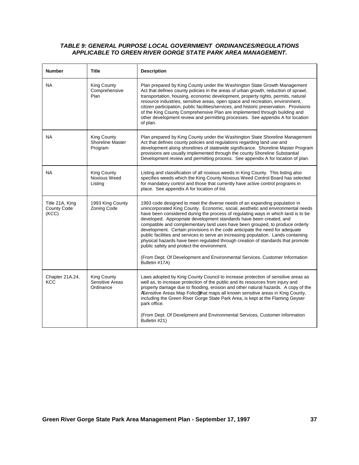### *TABLE 9: GENERAL PURPOSE LOCAL GOVERNMENT ORDINANCES/REGULATIONS APPLICABLE TO GREEN RIVER GORGE STATE PARK AREA MANAGEMENT.*

| <b>Number</b>                                  | <b>Title</b>                                  | <b>Description</b>                                                                                                                                                                                                                                                                                                                                                                                                                                                                                                                                                                                                                                                                                                                                                                                                |
|------------------------------------------------|-----------------------------------------------|-------------------------------------------------------------------------------------------------------------------------------------------------------------------------------------------------------------------------------------------------------------------------------------------------------------------------------------------------------------------------------------------------------------------------------------------------------------------------------------------------------------------------------------------------------------------------------------------------------------------------------------------------------------------------------------------------------------------------------------------------------------------------------------------------------------------|
| NA                                             | <b>King County</b><br>Comprehensive<br>Plan   | Plan prepared by King County under the Washington State Growth Management<br>Act that defines county policies in the areas of urban growth, reduction of sprawl,<br>transportation, housing, economic development, property rights, permits, natural<br>resource industries, sensitive areas, open space and recreation, environment,<br>citizen participation, public facilities/services, and historic preservation. Provisions<br>of the King County Comprehensive Plan are implemented through building and<br>other development review and permitting processes. See appendix A for location<br>of plan.                                                                                                                                                                                                     |
| <b>NA</b>                                      | King County<br>Shoreline Master<br>Program    | Plan prepared by King County under the Washington State Shoreline Management<br>Act that defines county policies and regulations regarding land use and<br>development along shorelines of statewide significance. Shoreline Master Program<br>provisions are usually implemented through the county Shoreline Substantial<br>Development review and permitting process. See appendix A for location of plan.                                                                                                                                                                                                                                                                                                                                                                                                     |
| <b>NA</b>                                      | <b>King County</b><br>Noxious Weed<br>Listing | Listing and classification of all noxious weeds in King County. This listing also<br>specifies weeds which the King County Noxious Weed Control Board has selected<br>for mandatory control and those that currently have active control programs in<br>place. See appendix A for location of list.                                                                                                                                                                                                                                                                                                                                                                                                                                                                                                               |
| Title 21A, King<br><b>County Code</b><br>(KCC) | 1993 King County<br>Zoning Code               | 1993 code designed to meet the diverse needs of an expanding population in<br>unincorporated King County. Economic, social, aesthetic and environmental needs<br>have been considered during the process of regulating ways in which land is to be<br>developed. Appropriate development standards have been created, and<br>compatible and complementary land uses have been grouped, to produce orderly<br>development. Certain provisions in the code anticipate the need for adequate<br>public facilities and services to serve an increasing population. Lands containing<br>physical hazards have been regulated through creation of standards that promote<br>public safety and protect the environment.<br>(From Dept. Of Development and Environmental Services, Customer Information<br>Bulletin #17A) |
| Chapter 21A.24,<br>KCC                         | King County<br>Sensitive Areas<br>Ordinance   | Laws adopted by King County Council to increase protection of sensitive areas as<br>well as, to increase protection of the public and its resources from injury and<br>property damage due to flooding, erosion and other natural hazards. A copy of the<br>ASensitive Areas Map Folio® that maps all known sensitive areas in King County,<br>including the Green River Gorge State Park Area, is kept at the Flaming Geyser<br>park office.<br>(From Dept. Of Develpment and Environmental Services, Customer Information<br>Bulletin #21)                                                                                                                                                                                                                                                                      |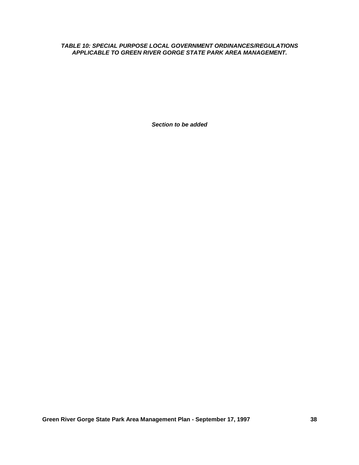*TABLE 10: SPECIAL PURPOSE LOCAL GOVERNMENT ORDINANCES/REGULATIONS APPLICABLE TO GREEN RIVER GORGE STATE PARK AREA MANAGEMENT.*

*Section to be added*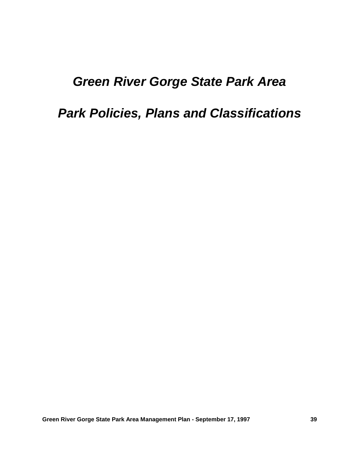# *Green River Gorge State Park Area*

# *Park Policies, Plans and Classifications*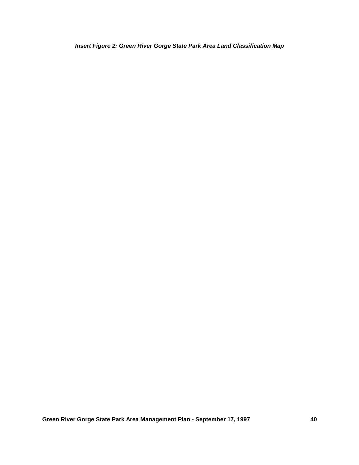*Insert Figure 2: Green River Gorge State Park Area Land Classification Map*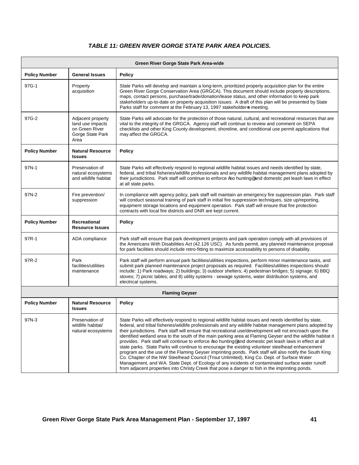## *TABLE 11: GREEN RIVER GORGE STATE PARK AREA POLICIES.*

| Green River Gorge State Park Area-wide |                                                                                     |                                                                                                                                                                                                                                                                                                                                                                                                                                                                                                                                                                                                                                                                                                                                                                                                                                                                                                                                                                                                                                                                               |  |
|----------------------------------------|-------------------------------------------------------------------------------------|-------------------------------------------------------------------------------------------------------------------------------------------------------------------------------------------------------------------------------------------------------------------------------------------------------------------------------------------------------------------------------------------------------------------------------------------------------------------------------------------------------------------------------------------------------------------------------------------------------------------------------------------------------------------------------------------------------------------------------------------------------------------------------------------------------------------------------------------------------------------------------------------------------------------------------------------------------------------------------------------------------------------------------------------------------------------------------|--|
| <b>Policy Number</b>                   | <b>General Issues</b>                                                               | <b>Policy</b>                                                                                                                                                                                                                                                                                                                                                                                                                                                                                                                                                                                                                                                                                                                                                                                                                                                                                                                                                                                                                                                                 |  |
| 97G-1                                  | Property<br>acquisition                                                             | State Parks will develop and maintain a long-term, prioritized property acquisition plan for the entire<br>Green River Gorge Conservation Area (GRGCA). This document should include property descriptions,<br>maps, contact persons, purchase/trade/donation/lease status, and other information to keep park<br>stakeholders up-to-date on property acquisition issues. A draft of this plan will be presented by State<br>Parks staff for comment at the February 13, 1997 stakeholder-s meeting.                                                                                                                                                                                                                                                                                                                                                                                                                                                                                                                                                                          |  |
| 97G-2                                  | Adjacent property<br>land use impacts<br>on Green River<br>Gorge State Park<br>Area | State Parks will advocate for the protection of those natural, cultural, and recreational resources that are<br>vital to the integrity of the GRGCA. Agency staff will continue to review and comment on SEPA<br>checklists and other King County development, shoreline, and conditional use permit applications that<br>may affect the GRGCA.                                                                                                                                                                                                                                                                                                                                                                                                                                                                                                                                                                                                                                                                                                                               |  |
| <b>Policy Number</b>                   | <b>Natural Resource</b><br><b>Issues</b>                                            | <b>Policy</b>                                                                                                                                                                                                                                                                                                                                                                                                                                                                                                                                                                                                                                                                                                                                                                                                                                                                                                                                                                                                                                                                 |  |
| 97N-1                                  | Preservation of<br>natural ecosystems<br>and wildlife habitat                       | State Parks will effectively respond to regional wildlife habitat issues and needs identified by state,<br>federal, and tribal fisheries/wildlife professionals and any wildlife habitat management plans adopted by<br>their jurisdictions. Park staff will continue to enforce Ano hunting® and domestic pet leash laws in effect<br>at all state parks.                                                                                                                                                                                                                                                                                                                                                                                                                                                                                                                                                                                                                                                                                                                    |  |
| 97N-2                                  | Fire prevention/<br>suppression                                                     | In compliance with agency policy, park staff will maintain an emergency fire suppression plan. Park staff<br>will conduct seasonal training of park staff in initial fire suppression techniques, size up/reporting,<br>equipment storage locations and equipment operation. Park staff will ensure that fire protection<br>contracts with local fire districts and DNR are kept current.                                                                                                                                                                                                                                                                                                                                                                                                                                                                                                                                                                                                                                                                                     |  |
| <b>Policy Number</b>                   | Recreational<br><b>Resource Issues</b>                                              | <b>Policy</b>                                                                                                                                                                                                                                                                                                                                                                                                                                                                                                                                                                                                                                                                                                                                                                                                                                                                                                                                                                                                                                                                 |  |
| 97R-1                                  | ADA compliance                                                                      | Park staff will ensure that park development projects and park operation comply with all provisions of<br>the Americans With Disabilities Act (42.126 USC). As funds permit, any planned maintenance proposal<br>for park facilities should include retro-fitting to maximize accessability to persons of disability.                                                                                                                                                                                                                                                                                                                                                                                                                                                                                                                                                                                                                                                                                                                                                         |  |
| 97R-2                                  | Park<br>facilities/utilities<br>maintenance                                         | Park staff will perform annual park facilities/utilities inspections, perform minor maintenance tasks, and<br>submit park planned maintenance project proposals as required. Facilities/utilities inspections should<br>include: 1) Park roadways; 2) buildings; 3) outdoor shelters; 4) pedestrian bridges; 5) signage; 6) BBQ<br>stoves; 7) picnic tables; and 8) utility systems - sewage systems, water distribution systems, and<br>electrical systems.                                                                                                                                                                                                                                                                                                                                                                                                                                                                                                                                                                                                                  |  |
|                                        |                                                                                     | <b>Flaming Geyser</b>                                                                                                                                                                                                                                                                                                                                                                                                                                                                                                                                                                                                                                                                                                                                                                                                                                                                                                                                                                                                                                                         |  |
| <b>Policy Number</b>                   | <b>Natural Resource</b><br><b>Issues</b>                                            | <b>Policy</b>                                                                                                                                                                                                                                                                                                                                                                                                                                                                                                                                                                                                                                                                                                                                                                                                                                                                                                                                                                                                                                                                 |  |
| 97N-3                                  | Preservation of<br>wildlife habitat/<br>natural ecosystems                          | State Parks will effectively respond to regional wildlife habitat issues and needs identified by state,<br>federal, and tribal fisheries/wildlife professionals and any wildlife habitat management plans adopted by<br>their jurisdictions. Park staff will ensure that recreational use/development will not encroach upon the<br>identified wetland area to the south of the main parking area at Flaming Geyser and the wildlife habitat it<br>provides. Park staff will continue to enforce Ano hunting® and domestic pet leash laws in effect at all<br>state parks. State Parks will continue to encourage the existing volunteer steelhead enhancement<br>program and the use of the Flaming Geyser imprinting ponds. Park staff will also notify the South King<br>Co. Chapter of the NW Steelhead Council (Trout Unlimited), King Co. Dept. of Surface Water<br>Management, and WA. State Dept. of Ecology of any incidents of contaminated surface water runoff<br>from adjacent properties into Christy Creek that pose a danger to fish in the imprinting ponds. |  |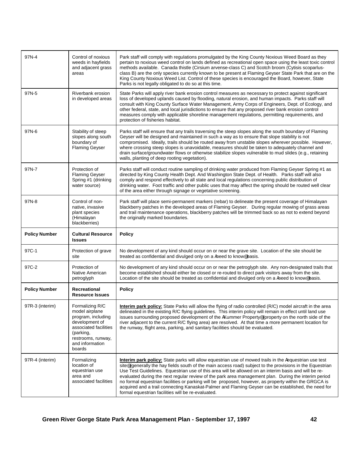| 97N-4                | Control of noxious<br>weeds in hayfields<br>and adjacent grass<br>areas                                                                                            | Park staff will comply with regulations promulgated by the King County Noxious Weed Board as they<br>pertain to noxious weed control on lands defined as recreational open space using the least toxic control<br>methods available. Canada thistle (Cirsium arvense-class C) and Scotch broom (Cytisis scoparlus-<br>class B) are the only species currently known to be present at Flaming Geyser State Park that are on the<br>King County Noxious Weed List. Control of these species is encouraged the Board, however, State<br>Parks is not legally obligated to do so at this time. |
|----------------------|--------------------------------------------------------------------------------------------------------------------------------------------------------------------|--------------------------------------------------------------------------------------------------------------------------------------------------------------------------------------------------------------------------------------------------------------------------------------------------------------------------------------------------------------------------------------------------------------------------------------------------------------------------------------------------------------------------------------------------------------------------------------------|
| 97N-5                | Riverbank erosion<br>in developed areas                                                                                                                            | State Parks will apply river bank erosion control measures as necessary to protect against significant<br>loss of developed uplands caused by flooding, natural erosion, and human impacts. Parks staff will<br>consult with King County Surface Water Management, Army Corps of Engineers, Dept. of Ecology, and<br>other federal, state, and local jurisdictions to ensure that any proposed river bank erosion control<br>measures comply with applicable shoreline management regulations, permitting requirements, and<br>protection of fisheries habitat.                            |
| 97N-6                | Stability of steep<br>slopes along south<br>boundary of<br><b>Flaming Geyser</b>                                                                                   | Parks staff will ensure that any trails traversing the steep slopes along the south boundary of Flaming<br>Geyser will be designed and maintained in such a way as to ensure that slope stability is not<br>compromised. Ideally, trails should be routed away from unstable slopes wherever possible. However,<br>where crossing steep slopes is unavoidable, measures should be taken to adequately channel and<br>drain surface/groundwater flows or otherwise stabilize slopes vulnerable to mud slides (e.g., retaining<br>walls, planting of deep rooting vegetation).               |
| 97N-7                | Protection of<br><b>Flaming Geyser</b><br>Spring #1 (drinking<br>water source)                                                                                     | Parks staff will conduct routine sampling of drinking water produced from Flaming Geyser Spring #1 as<br>directed by King County Health Dept. And Washington State Dept. of Health. Parks staff will also<br>comply and respond effectively to all state and local regulations concerning public distribution of<br>drinking water. Foot traffic and other public uses that may affect the spring should be routed well clear<br>of the area either through signage or vegetative screening.                                                                                               |
| 97N-8                | Control of non-<br>native, invasive<br>plant species<br>(Himalayan<br>blackberries)                                                                                | Park staff will place semi-permanent markers (rebar) to delineate the present coverage of Himalayan<br>blackberry patches in the developed areas of Flaming Geyser. During regular mowing of grass areas<br>and trail maintenance operations, blackberry patches will be trimmed back so as not to extend beyond<br>the originally marked boundaries.                                                                                                                                                                                                                                      |
| <b>Policy Number</b> | <b>Cultural Resource</b>                                                                                                                                           | <b>Policy</b>                                                                                                                                                                                                                                                                                                                                                                                                                                                                                                                                                                              |
|                      | <b>Issues</b>                                                                                                                                                      |                                                                                                                                                                                                                                                                                                                                                                                                                                                                                                                                                                                            |
| 97C-1                | Protection of grave<br>site                                                                                                                                        | No development of any kind should occur on or near the grave site. Location of the site should be<br>treated as confidential and divulged only on a Aneed to know basis.                                                                                                                                                                                                                                                                                                                                                                                                                   |
| 97C-2                | Protection of<br>Native American<br>petroglyph                                                                                                                     | No development of any kind should occur on or near the petroglyph site. Any non-designated trails that<br>become established should either be closed or re-routed to direct park visitors away from the site.<br>Location of the site should be treated as confidential and divulged only on a Aneed to know® basis.                                                                                                                                                                                                                                                                       |
| <b>Policy Number</b> | Recreational<br><b>Resource Issues</b>                                                                                                                             | <b>Policy</b>                                                                                                                                                                                                                                                                                                                                                                                                                                                                                                                                                                              |
| 97R-3 (interim)      | Formalizing R/C<br>model airplane<br>program, including<br>development of<br>associated facilities<br>(parking,<br>restrooms, runway,<br>and information<br>boards | <b>Interim park policy:</b> State Parks will allow the flying of radio controlled (R/C) model aircraft in the area<br>delineated in the existing R/C flying guidelines. This interim policy will remain in effect until land use<br>issues surrounding proposed development of the AKummer Property® (property on the north side of the<br>river adjacent to the current R/C flying area) are resolved. At that time a more permanent location for<br>the runway, flight area, parking, and sanitary facilities should be evaluated.                                                       |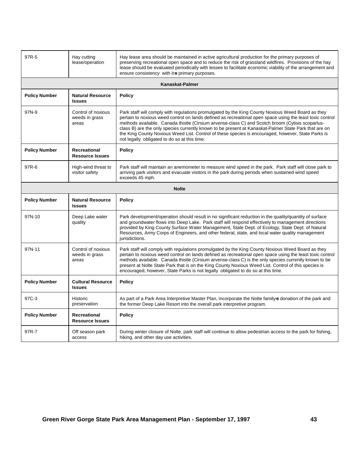| 97R-5                | Hay cutting<br>lease/operation                | Hay lease area should be maintained in active agricultural production for the primary purposes of<br>preserving recreational open space and to reduce the risk of grassland wildfires. Provisions of the hay<br>lease should be evaluated periodically with lessee to facilitate economic viability of the arrangement and<br>ensure consistency with it-s primary purposes.                                                                                                                                                                                                      |
|----------------------|-----------------------------------------------|-----------------------------------------------------------------------------------------------------------------------------------------------------------------------------------------------------------------------------------------------------------------------------------------------------------------------------------------------------------------------------------------------------------------------------------------------------------------------------------------------------------------------------------------------------------------------------------|
|                      |                                               | Kanaskat-Palmer                                                                                                                                                                                                                                                                                                                                                                                                                                                                                                                                                                   |
| <b>Policy Number</b> | <b>Natural Resource</b><br><b>Issues</b>      | <b>Policy</b>                                                                                                                                                                                                                                                                                                                                                                                                                                                                                                                                                                     |
| 97N-9                | Control of noxious<br>weeds in grass<br>areas | Park staff will comply with regulations promulgated by the King County Noxious Weed Board as they<br>pertain to noxious weed control on lands defined as recreational open space using the least toxic control<br>methods available. Canada thistle (Cirsium arvense-class C) and Scotch broom (Cytisis scoparlus-<br>class B) are the only species currently known to be present at Kanaskat-Palmer State Park that are on<br>the King County Noxious Weed List. Control of these species is encouraged, however, State Parks is<br>not legally obligated to do so at this time. |
| <b>Policy Number</b> | Recreational<br><b>Resource Issues</b>        | <b>Policy</b>                                                                                                                                                                                                                                                                                                                                                                                                                                                                                                                                                                     |
| 97R-6                | High-wind threat to<br>visitor safety         | Park staff will maintain an anemometer to measure wind speed in the park. Park staff will close park to<br>arriving park visitors and evacuate visitors in the park during periods when sustained wind speed<br>exceeds 45 mph.                                                                                                                                                                                                                                                                                                                                                   |
|                      |                                               | <b>Nolte</b>                                                                                                                                                                                                                                                                                                                                                                                                                                                                                                                                                                      |
| <b>Policy Number</b> | <b>Natural Resource</b><br><b>Issues</b>      | <b>Policy</b>                                                                                                                                                                                                                                                                                                                                                                                                                                                                                                                                                                     |
| 97N-10               | Deep Lake water<br>quality                    | Park development/operation should result in no significant reduction in the quality/quantity of surface<br>and groundwater flows into Deep Lake. Park staff will respond effectively to management directions<br>provided by King County Surface Water Management, State Dept. of Ecology, State Dept. of Natural<br>Resources, Army Corps of Engineers, and other federal, state, and local water quality management<br>jurisdictions.                                                                                                                                           |
| 97N-11               | Control of noxious<br>weeds in grass<br>areas | Park staff will comply with regulations promulgated by the King County Noxious Weed Board as they<br>pertain to noxious weed control on lands defined as recreational open space using the least toxic control<br>methods available. Canada thistle (Cirsium arvense-class C) is the only species currently known to be<br>present at Nolte State Park that is on the King County Noxious Weed List. Control of this species is<br>encouraged, however, State Parks is not legally obligated to do so at this time.                                                               |
| <b>Policy Number</b> | <b>Cultural Resource</b><br><b>Issues</b>     | <b>Policy</b>                                                                                                                                                                                                                                                                                                                                                                                                                                                                                                                                                                     |
| 97C-3                | Historic<br>preservation                      | As part of a Park Area Interpretive Master Plan, incorporate the Nolte family-s donation of the park and<br>the former Deep Lake Resort into the overall park interpretive program.                                                                                                                                                                                                                                                                                                                                                                                               |
| <b>Policy Number</b> | Recreational<br><b>Resource Issues</b>        | <b>Policy</b>                                                                                                                                                                                                                                                                                                                                                                                                                                                                                                                                                                     |
| 97R-7                | Off season park<br>access                     | During winter closure of Nolte, park staff will continue to allow pedestrian access to the park for fishing,<br>hiking, and other day use activities.                                                                                                                                                                                                                                                                                                                                                                                                                             |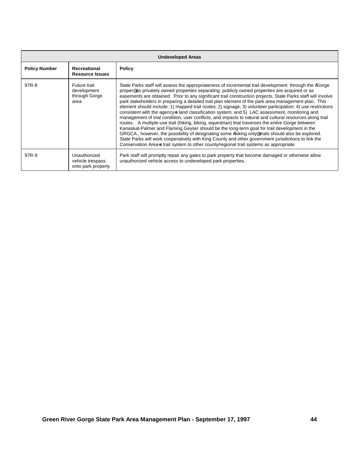| <b>Undeveloped Areas</b> |                                                        |                                                                                                                                                                                                                                                                                                                                                                                                                                                                                                                                                                                                                                                                                                                                                                                                                                                                                                                                                                                                                                                                                                                                                                                                                                                                         |  |
|--------------------------|--------------------------------------------------------|-------------------------------------------------------------------------------------------------------------------------------------------------------------------------------------------------------------------------------------------------------------------------------------------------------------------------------------------------------------------------------------------------------------------------------------------------------------------------------------------------------------------------------------------------------------------------------------------------------------------------------------------------------------------------------------------------------------------------------------------------------------------------------------------------------------------------------------------------------------------------------------------------------------------------------------------------------------------------------------------------------------------------------------------------------------------------------------------------------------------------------------------------------------------------------------------------------------------------------------------------------------------------|--|
| <b>Policy Number</b>     | Recreational<br><b>Resource Issues</b>                 | <b>Policy</b>                                                                                                                                                                                                                                                                                                                                                                                                                                                                                                                                                                                                                                                                                                                                                                                                                                                                                                                                                                                                                                                                                                                                                                                                                                                           |  |
| 97R-8                    | Future trail<br>development<br>through Gorge<br>area   | State Parks staff will assess the appropriateness of incremental trail development through the AGorge<br>proper® as privately owned properties separating publicly owned properties are acquired or as<br>easements are obtained. Prior to any significant trail construction projects, State Parks staff will involve<br>park stakeholders in preparing a detailed trail plan element of the park area management plan. This<br>element should include: 1) mapped trail routes; 2) signage; 3) volunteer participation; 4) use restrictions<br>consistent with the agency-s land classification system; and 5) LAC assessment, monitoring and<br>management of trial condition, user conflicts, and impacts to natural and cultural resources along trail<br>routes. A multiple-use trail (hiking, biking, equestrian) that traverses the entire Gorge between<br>Kanaskat-Palmer and Flaming Geyser should be the long-term goal for trail development in the<br>GRGCA., however, the possibility of designating some Ahiking only® trials should also be explored.<br>State Parks will work cooperatively with King County and other government jurisdictions to link the<br>Conservation Area-s trail system to other county/regional trail systems as appropriate. |  |
| 97R-9                    | Unauthorized<br>vehicle trespass<br>onto park property | Park staff will promptly repair any gates to park property that become damaged or otherwise allow<br>unauthorized vehicle access to undeveloped park properties.                                                                                                                                                                                                                                                                                                                                                                                                                                                                                                                                                                                                                                                                                                                                                                                                                                                                                                                                                                                                                                                                                                        |  |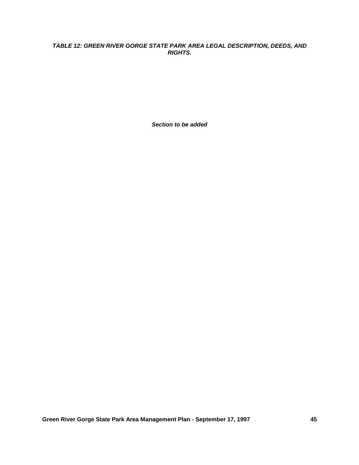### *TABLE 12: GREEN RIVER GORGE STATE PARK AREA LEGAL DESCRIPTION, DEEDS, AND RIGHTS.*

*Section to be added*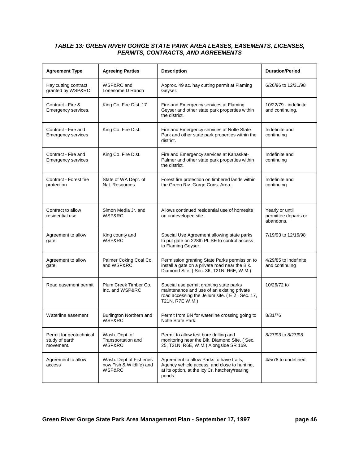### *TABLE 13: GREEN RIVER GORGE STATE PARK AREA LEASES, EASEMENTS, LICENSES, PERMITS, CONTRACTS, AND AGREEMENTS*

| <b>Agreement Type</b>                                  | <b>Agreeing Parties</b>                                       | <b>Description</b>                                                                                                                                         | <b>Duration/Period</b>                               |
|--------------------------------------------------------|---------------------------------------------------------------|------------------------------------------------------------------------------------------------------------------------------------------------------------|------------------------------------------------------|
| Hay cutting contract<br>granted by WSP&RC              | WSP&RC and<br>Lonesome D Ranch                                | Approx. 49 ac. hay cutting permit at Flaming<br>Geyser.                                                                                                    | 6/26/96 to 12/31/98                                  |
| Contract - Fire &<br>Emergency services.               | King Co. Fire Dist. 17                                        | Fire and Emergency services at Flaming<br>Geyser and other state park properties within<br>the district.                                                   | 10/22/79 - indefinite<br>and continuing.             |
| Contract - Fire and<br><b>Emergency services</b>       | King Co. Fire Dist.                                           | Fire and Emergency services at Nolte State<br>Park and other state park properties within the<br>district.                                                 | Indefinite and<br>continuing                         |
| Contract - Fire and<br><b>Emergency services</b>       | King Co. Fire Dist.                                           | Fire and Emergency services at Kanaskat-<br>Palmer and other state park properties within<br>the district.                                                 | Indefinite and<br>continuing                         |
| Contract - Forest fire<br>protection                   | State of WA Dept. of<br>Nat. Resources                        | Forest fire protection on timbered lands within<br>the Green Riv. Gorge Cons. Area.                                                                        | Indefinite and<br>continuing                         |
| Contract to allow<br>residential use                   | Simon Media Jr. and<br>WSP&RC                                 | Allows continued residential use of homesite<br>on undeveloped site.                                                                                       | Yearly or until<br>permittee departs or<br>abandons. |
| Agreement to allow<br>gate                             | King county and<br>WSP&RC                                     | Special Use Agreement allowing state parks<br>to put gate on 228th Pl. SE to control access<br>to Flaming Geyser.                                          | 7/19/93 to 12/16/98                                  |
| Agreement to allow<br>gate                             | Palmer Coking Coal Co.<br>and WSP&RC                          | Permission granting State Parks permission to<br>install a gate on a private road near the Blk.<br>Diamond Site. (Sec. 36, T21N, R6E, W.M.)                | 4/29/85 to indefinite<br>and continuing              |
| Road easement permit                                   | Plum Creek Timber Co.<br>Inc. and WSP&RC                      | Special use permit granting state parks<br>maintenance and use of an existing private<br>road accessing the Jellum site. (E 2, Sec. 17,<br>T21N, R7E W.M.) | 10/26/72 to                                          |
| Waterline easement                                     | Burlington Northern and<br><b>WSP&amp;RC</b>                  | Permit from BN for waterline crossing going to<br>Nolte State Park.                                                                                        | 8/31/76                                              |
| Permit for geotechnical<br>study of earth<br>movement. | Wash. Dept. of<br>Transportation and<br>WSP&RC                | Permit to allow test bore drilling and<br>monitoring near the Blk. Diamond Site. (Sec.<br>25, T21N, R6E, W.M.) Alongside SR 169.                           | 8/27/93 to 8/27/98                                   |
| Agreement to allow<br>access                           | Wash. Dept of Fisheries<br>now Fish & Wildlife) and<br>WSP&RC | Agreement to allow Parks to have trails,<br>Agency vehicle access, and close to hunting,<br>at its option, at the Icy Cr. hatchery/rearing<br>ponds.       | 4/5/78 to undefined                                  |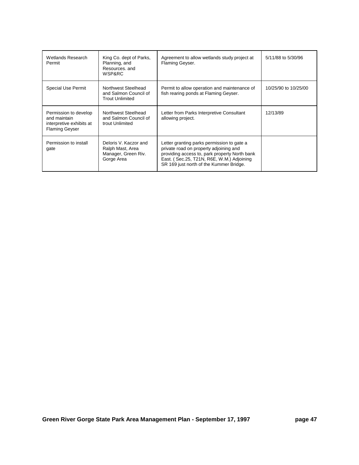| Wetlands Research<br>Permit                                                                | King Co. dept of Parks,<br>Planning, and<br>Resources, and<br>WSP&RC           | Agreement to allow wetlands study project at<br>Flaming Geyser.                                                                                                                                                               | 5/11/88 to 5/30/96   |
|--------------------------------------------------------------------------------------------|--------------------------------------------------------------------------------|-------------------------------------------------------------------------------------------------------------------------------------------------------------------------------------------------------------------------------|----------------------|
| Special Use Permit                                                                         | Northwest Steelhead<br>and Salmon Council of<br><b>Trout Unlimited</b>         | Permit to allow operation and maintenance of<br>fish rearing ponds at Flaming Geyser.                                                                                                                                         | 10/25/90 to 10/25/00 |
| Permission to develop<br>and maintain<br>interpretive exhibits at<br><b>Flaming Geyser</b> | Northwest Steelhead<br>and Salmon Council of<br>trout Unlimited                | Letter from Parks Interpretive Consultant<br>allowing project.                                                                                                                                                                | 12/13/89             |
| Permission to install<br>gate                                                              | Deloris V. Kaczor and<br>Ralph Mast, Area<br>Manager, Green Riv.<br>Gorge Area | Letter granting parks permission to gate a<br>private road on property adjoining and<br>providing access to, park property North bank<br>East. (Sec.25, T21N, R6E, W.M.) Adjoining<br>SR 169 just north of the Kummer Bridge. |                      |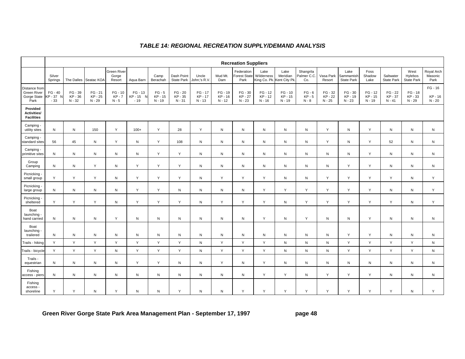|                                                            | <b>Recreation Suppliers</b>   |                            |                                |                                       |                                             |                               |                                |                                |                                |                                           |                                                  |                              |                                 |                                |                                        |                                |                                |                                      |                                  |
|------------------------------------------------------------|-------------------------------|----------------------------|--------------------------------|---------------------------------------|---------------------------------------------|-------------------------------|--------------------------------|--------------------------------|--------------------------------|-------------------------------------------|--------------------------------------------------|------------------------------|---------------------------------|--------------------------------|----------------------------------------|--------------------------------|--------------------------------|--------------------------------------|----------------------------------|
|                                                            | Silver<br>Springs             |                            | The Dalles Seatac KOA          | <b>Green River</b><br>Gorge<br>Resort | Aqua Barn                                   | Camp<br>Berachah              | Dash Point<br>State Park       | Uncle<br>John:'s R.V.          | Mud Mt.<br>Dam                 | Federation<br><b>Forest State</b><br>Park | Lake<br>Wilderness<br>King Co. Pk. Kent City Pk. | Lake<br>Meridian             | Shangrila<br>Palmer C.C<br>Co.  | Vasa Park<br>Resort            | Lake<br>Sammamish<br><b>State Park</b> | Foss<br>Shadow<br>Lake         | Saltwater<br><b>State Park</b> | West<br>Hylebos<br><b>State Park</b> | Royal Arch<br>Masonic<br>Park    |
| Distance from<br><b>Green River</b><br>Gorge State<br>Park | $FG - 40$<br>KP - 37<br>$-33$ | FG - 39<br>KP-36<br>N - 32 | $FG - 21$<br>KP - 25<br>N - 29 | $FG - 10$<br><b>KP-7</b><br>$N - 5$   | $FG - 13$<br>KP - 15<br>$\sqrt{ }$<br>$-19$ | $FG - 5$<br>KP - 15<br>N - 19 | FG - 20<br>KP - 35<br>$N - 31$ | $FG - 17$<br>KP-17<br>$N - 13$ | $FG - 19$<br>KP-16<br>$N - 12$ | $FG - 30$<br>KP-27<br>$N - 23$            | $FG - 12$<br>KP-12<br>N - 16                     | $FG - 10$<br>KP-15<br>N - 19 | $FG - 6$<br>$KP - 5$<br>$N - 8$ | FG - 32<br>KP - 22<br>$N - 25$ | $FG - 30$<br>KP-19<br>$N - 23$         | $FG - 12$<br>KP - 15<br>N - 19 | $FG - 22$<br>KP-37<br>N - 41   | FG - 18<br>KP-33<br>N - 29           | $FG - 16$<br>KP - 16<br>$N - 20$ |
| Provided<br>Activities/<br><b>Facilities</b>               |                               |                            |                                |                                       |                                             |                               |                                |                                |                                |                                           |                                                  |                              |                                 |                                |                                        |                                |                                |                                      |                                  |
| Camping -<br>utility sites                                 | N                             | N                          | 150                            | Y                                     | $100+$                                      | Y                             | 28                             | Y                              | N                              | ${\sf N}$                                 | N                                                | N                            | ${\sf N}$                       | Y                              | N                                      | Y                              | ${\sf N}$                      | N                                    | ${\sf N}$                        |
| Camping -<br>standard sites                                | 56                            | 45                         | N                              | Y                                     | ${\sf N}$                                   | Y                             | 108                            | ${\sf N}$                      | $\mathsf{N}$                   | $\mathsf{N}$                              | N                                                | N                            | ${\sf N}$                       | Y                              | N                                      | Y                              | 52                             | N                                    | ${\sf N}$                        |
| Camping -<br>primitive sites                               | N                             | N                          | N                              | N                                     | ${\sf N}$                                   | Y                             | Y                              | N                              | N                              | $\mathsf{N}$                              | N                                                | ${\sf N}$                    | ${\sf N}$                       | ${\sf N}$                      | N                                      | Y                              | N                              | N                                    | $\mathsf{N}$                     |
| Group<br>Camping                                           | $\mathsf{N}$                  | N                          | Y                              | ${\sf N}$                             | Y                                           | Y                             | Y                              | N                              | N                              | $\mathsf{N}$                              | N                                                | N                            | N                               | ${\sf N}$                      | Y                                      | Y                              | N                              | N                                    | $\mathsf{N}$                     |
| Picnicking -<br>small group                                | Υ                             | Y                          | Y                              | ${\sf N}$                             | Y                                           | Y                             | Y                              | ${\sf N}$                      | Y                              | Y                                         | Y                                                | N                            | ${\sf N}$                       | Y                              | Y                                      | Υ                              | Υ                              | N                                    | Y                                |
| Picnicking<br>large group                                  | N                             | N                          | N                              | ${\sf N}$                             | Y                                           | Υ                             | N                              | ${\sf N}$                      | $\mathsf{N}$                   | $\mathsf{N}$                              | Y                                                | Y                            | Y                               | Y                              | Y                                      | Y                              | N                              | N                                    | Y                                |
| Picnicking<br>sheltered                                    | Y                             | Y                          | Y                              | ${\sf N}$                             | Y                                           | Y                             | Y                              | N                              | Y                              | Y                                         | Y                                                | N                            | Y                               | Y                              | Y                                      | Y                              | Y                              | N                                    | Y                                |
| Boat<br>launching -<br>hand carried                        | $\mathsf{N}$                  | N                          | N                              | Y                                     | ${\sf N}$                                   | ${\sf N}$                     | N                              | N                              | N                              | $\mathsf{N}$                              | Y                                                | N                            | Y                               | ${\sf N}$                      | N                                      | Y                              | N                              | N                                    | $\mathsf{N}$                     |
| Boat<br>launching -<br>trailered                           | $\mathsf{N}$                  | N                          | N                              | $\mathsf{N}$                          | ${\sf N}$                                   | ${\sf N}$                     | N                              | ${\sf N}$                      | N                              | $\mathsf{N}$                              | N                                                | N                            | ${\sf N}$                       | ${\sf N}$                      | Y                                      | Y                              | N                              | N                                    | $\mathsf{N}$                     |
| Trails - hiking                                            | Y                             | Y                          | Y                              | Y                                     | Y                                           | Y                             | Y                              | N                              | Y                              | Y                                         | Y                                                | N                            | ${\sf N}$                       | ${\sf N}$                      | Y                                      | Y                              | Y                              | Y                                    | ${\sf N}$                        |
| Trails - bicycle                                           | Y                             | Y                          | Y                              | ${\sf N}$                             | Y                                           | Y                             | Y                              | ${\sf N}$                      | Y                              | Y                                         | Y                                                | N                            | ${\sf N}$                       | ${\sf N}$                      | Y                                      | Y                              | Y                              | Y                                    | $\mathsf{N}$                     |
| Trails -<br>equestrian                                     | $\mathsf{N}$                  | N                          | ${\sf N}$                      | N                                     | Y                                           | Y                             | N                              | N                              | Y                              | N                                         | Y                                                | N                            | ${\sf N}$                       | ${\sf N}$                      | N                                      | N                              | $\mathsf{N}$                   | N                                    | ${\sf N}$                        |
| Fishing<br>access - piers                                  | ${\sf N}$                     | N                          | $\mathsf{N}$                   | N                                     | ${\sf N}$                                   | ${\sf N}$                     | N                              | N                              | N                              | ${\sf N}$                                 | Y                                                | Y                            | ${\sf N}$                       | Y                              | Y                                      | Υ                              | N                              | N                                    | ${\sf N}$                        |
| Fishing<br>access ·<br>shoreline                           | Y                             | Y                          | N                              | Y                                     | ${\sf N}$                                   | ${\sf N}$                     | Y                              | N                              | N                              | Y                                         | Y                                                | Y                            | Y                               | Y                              | Y                                      | Y                              | Y                              | Ν                                    | Y                                |

### *TABLE 14: REGIONAL RECREATION SUPPLY/DEMAND ANALYSIS*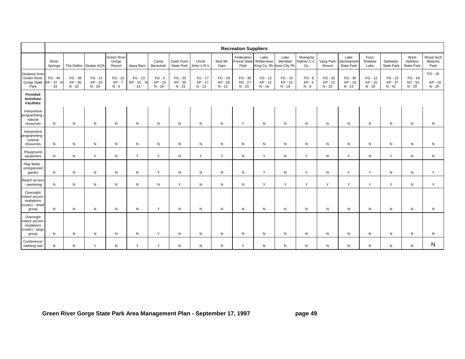|                                                                      | <b>Recreation Suppliers</b>   |                            |                                  |                                  |                             |                               |                                  |                                |                                |                                           |                                                 |                              |                                 |                                |                                        |                                |                                |                                      |                               |
|----------------------------------------------------------------------|-------------------------------|----------------------------|----------------------------------|----------------------------------|-----------------------------|-------------------------------|----------------------------------|--------------------------------|--------------------------------|-------------------------------------------|-------------------------------------------------|------------------------------|---------------------------------|--------------------------------|----------------------------------------|--------------------------------|--------------------------------|--------------------------------------|-------------------------------|
|                                                                      | Silver<br>Springs             |                            | The Dalles Seatac KOA            | Green River<br>Gorge<br>Resort   | Aqua Barn                   | Camp<br>Berachah              | Dash Point<br><b>State Park</b>  | Uncle<br>John;'s R.V.          | Mud Mt.<br>Dam                 | Federation<br><b>Forest State</b><br>Park | Lake<br>Wilderness<br>King Co. Pk. Kent City Pk | Lake<br>Meridian             | Shangrila<br>Palmer C.C.<br>Co. | Vasa Park<br>Resort            | Lake<br>Sammamish<br><b>State Park</b> | Foss<br>Shadow<br>Lake         | Saltwater<br><b>State Park</b> | West<br>Hylebos<br><b>State Park</b> | Royal Arch<br>Masonic<br>Park |
| Distance from<br><b>Green River</b><br>Gorge State<br>Park           | $FG - 40$<br>KP-37 N<br>$-33$ | FG - 39<br>KP-36<br>N - 32 | $FG - 21$<br>KP - 25<br>$N - 29$ | $FG - 10$<br>$KP - 7$<br>$N - 5$ | FG - 13<br>KP-15 N<br>$-19$ | $FG - 5$<br>KP - 15<br>N - 19 | $FG - 20$<br>KP - 35<br>$N - 31$ | $FG - 17$<br>KP-17<br>$N - 13$ | $FG - 19$<br>KP-16<br>$N - 12$ | FG - 30<br>KP-27<br>$N - 23$              | $FG - 12$<br>KP-12<br>$N - 16$                  | $FG - 10$<br>KP-15<br>N - 19 | $FG - 6$<br>$KP - 5$<br>$N - 8$ | $FG - 32$<br>KP-22<br>$N - 25$ | FG - 30<br>KP-19<br>$N - 23$           | $FG - 12$<br>KP - 15<br>N - 19 | FG - 22<br>KP - 37<br>$N - 41$ | $FG - 18$<br>KP-33<br>N - 29         | FG - 16<br>KP-16<br>$N - 20$  |
| Provided<br>Activities/<br><b>Facilities</b>                         |                               |                            |                                  |                                  |                             |                               |                                  |                                |                                |                                           |                                                 |                              |                                 |                                |                                        |                                |                                |                                      |                               |
| Interpretive<br>programming<br>natural<br>resources                  | N                             | N                          | N                                | N                                | ${\sf N}$                   | N                             | ${\sf N}$                        | N                              | ${\sf N}$                      | Y                                         | N                                               | N                            | N                               | ${\sf N}$                      | $\mathsf{N}$                           | ${\sf N}$                      | N                              | N                                    | ${\sf N}$                     |
| Interpretive<br>programming<br>cultural<br>resources                 | N                             | N                          | N                                | N                                | ${\sf N}$                   | N                             | ${\sf N}$                        | N                              | ${\sf N}$                      | ${\sf N}$                                 | Ν                                               | N                            | N                               | $\mathsf{N}$                   | N                                      | N                              | N                              | N                                    | N                             |
| Playground<br>equipment                                              | N                             | N                          | Y                                | N                                | Y                           | Y                             | N                                | Y                              | Y                              | ${\sf N}$                                 | Y                                               | N                            | Y                               | $\mathsf{N}$                   | Y                                      | ${\sf N}$                      | Y                              | N                                    | N                             |
| Play fields -<br>unorganized<br>games                                | N                             | N                          | N                                | N                                | $\mathsf{N}$                | Y                             | ${\sf N}$                        | N                              | N                              | N                                         | Y                                               | N                            | Y                               | $\mathsf{N}$                   | Y                                      | Y                              | N                              | N                                    | Y                             |
| Beach access<br>- swimming                                           | N                             | N                          | N                                | N                                | $\mathsf{N}$                | N                             | Y                                | N                              | ${\sf N}$                      | ${\sf N}$                                 | Y                                               | Y                            | Y                               | Y                              | Y                                      | Y                              | Y                              | N                                    | Y                             |
| Overnight<br>indoor accom-<br>modations<br>(rustic) - small<br>group | N                             | N                          | N                                | N                                | $\mathsf{N}$                | Y                             | ${\sf N}$                        | N                              | ${\sf N}$                      | ${\sf N}$                                 | Ν                                               | N                            | N                               | $\mathsf{N}$                   | N                                      | N                              | N                              | N                                    | N                             |
| Overnight<br>indoor accom-<br>modations<br>(rustic) - large<br>group | N                             | N                          | N                                | N                                | ${\sf N}$                   | Y                             | N                                | N                              | $\mathsf{N}$                   | N                                         | N                                               | N                            | N                               | $\mathsf{N}$                   | N                                      | N                              | N                              | N                                    | N                             |
| Conference/<br>meeting hall                                          | N                             | N                          | Y                                | N                                | Y                           | Y                             | N                                | ${\sf N}$                      | ${\sf N}$                      | Y                                         | N                                               | N                            | N                               | N                              | N                                      | N                              | N                              | ${\sf N}$                            | N                             |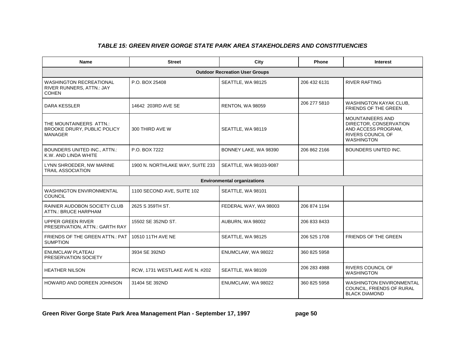## *TABLE 15: GREEN RIVER GORGE STATE PARK AREA STAKEHOLDERS AND CONSTITUENCIES*

| Name                                                                        | <b>Street</b>                    | City                                  | <b>Phone</b> | <b>Interest</b>                                                                                                    |  |
|-----------------------------------------------------------------------------|----------------------------------|---------------------------------------|--------------|--------------------------------------------------------------------------------------------------------------------|--|
|                                                                             |                                  | <b>Outdoor Recreation User Groups</b> |              |                                                                                                                    |  |
| <b>WASHINGTON RECREATIONAL</b><br>RIVER RUNNERS, ATTN.: JAY<br><b>COHEN</b> | P.O. BOX 25408                   | SEATTLE, WA 98125                     | 206 432 6131 | <b>RIVER RAFTING</b>                                                                                               |  |
| DARA KESSLER                                                                | 14642 203RD AVE SE               | RENTON, WA 98059                      | 206 277 5810 | WASHINGTON KAYAK CLUB,<br>FRIENDS OF THE GREEN                                                                     |  |
| THE MOUNTAINEERS ATTN.:<br>BROOKE DRURY, PUBLIC POLICY<br><b>MANAGER</b>    | 300 THIRD AVE W                  | SEATTLE, WA 98119                     |              | <b>MOUNTAINEERS AND</b><br>DIRECTOR, CONSERVATION<br>AND ACCESS PROGRAM,<br>RIVERS COUNCIL OF<br><b>WASHINGTON</b> |  |
| BOUNDERS UNITED INC., ATTN.:<br>K.W. AND LINDA WHITE                        | P.O. BOX 7222                    | BONNEY LAKE, WA 98390                 | 206 862 2166 | BOUNDERS UNITED INC.                                                                                               |  |
| LYNN SHROEDER, NW MARINE<br><b>TRAIL ASSOCIATION</b>                        | 1900 N. NORTHLAKE WAY, SUITE 233 | SEATTLE, WA 98103-9087                |              |                                                                                                                    |  |
|                                                                             |                                  | <b>Environmental organizations</b>    |              |                                                                                                                    |  |
| <b>WASHINGTON ENVIRONMENTAL</b><br><b>COUNCIL</b>                           | 1100 SECOND AVE, SUITE 102       | SEATTLE, WA 98101                     |              |                                                                                                                    |  |
| RAINIER AUDOBON SOCIETY CLUB<br>ATTN.: BRUCE HARPHAM                        | 2625 S 359TH ST.                 | FEDERAL WAY, WA 98003                 | 206 874 1194 |                                                                                                                    |  |
| <b>UPPER GREEN RIVER</b><br>PRESERVATION, ATTN.: GARTH RAY                  | 15502 SE 352ND ST.               | AUBURN, WA 98002                      | 206 833 8433 |                                                                                                                    |  |
| FRIENDS OF THE GREEN ATTN.: PAT<br><b>SUMPTION</b>                          | 10510 11TH AVE NE                | SEATTLE, WA 98125                     | 206 525 1708 | FRIENDS OF THE GREEN                                                                                               |  |
| <b>ENUMCLAW PLATEAU</b><br>PRESERVATION SOCIETY                             | 3934 SE 392ND                    | ENUMCLAW, WA 98022                    | 360 825 5958 |                                                                                                                    |  |
| <b>HEATHER NILSON</b>                                                       | RCW, 1731 WESTLAKE AVE N. #202   | SEATTLE, WA 98109                     | 206 283 4988 | <b>RIVERS COUNCIL OF</b><br><b>WASHINGTON</b>                                                                      |  |
| <b>HOWARD AND DOREEN JOHNSON</b>                                            | 31404 SE 392ND                   | ENUMCLAW, WA 98022                    | 360 825 5958 | <b>WASHINGTON ENVIRONMENTAL</b><br>COUNCIL, FRIENDS OF RURAL<br><b>BLACK DIAMOND</b>                               |  |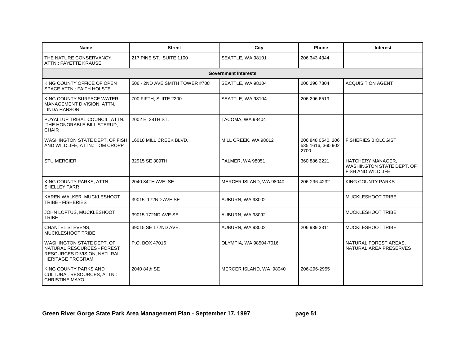| Name                                                                                                              | <b>Street</b>                  | City                        | Phone                                          | <b>Interest</b>                                                     |
|-------------------------------------------------------------------------------------------------------------------|--------------------------------|-----------------------------|------------------------------------------------|---------------------------------------------------------------------|
| THE NATURE CONSERVANCY,<br><b>ATTN.: FAYETTE KRAUSE</b>                                                           | 217 PINE ST. SUITE 1100        | SEATTLE, WA 98101           | 206 343 4344                                   |                                                                     |
|                                                                                                                   |                                | <b>Government Interests</b> |                                                |                                                                     |
| KING COUNTY OFFICE OF OPEN<br>SPACE, ATTN.: FAITH HOLSTE                                                          | 506 - 2ND AVE SMITH TOWER #708 | SEATTLE, WA 98104           | 206 296 7804                                   | <b>ACQUISITION AGENT</b>                                            |
| KING COUNTY SURFACE WATER<br>MANAGEMENT DIVISION, ATTN.:<br><b>LINDA HANSON</b>                                   | 700 FIFTH, SUITE 2200          | SEATTLE, WA 98104           | 206 296 6519                                   |                                                                     |
| PUYALLUP TRIBAL COUNCIL, ATTN.:<br>THE HONORABLE BILL STERUD,<br><b>CHAIR</b>                                     | 2002 E. 28TH ST.               | TACOMA, WA 98404            |                                                |                                                                     |
| WASHINGTON STATE DEPT. OF FISH<br>AND WILDLIFE, ATTN.: TOM CROPP                                                  | 16018 MILL CREEK BLVD.         | MILL CREEK, WA 98012        | 206 848 0540, 206<br>535 1616, 360 902<br>2700 | <b>FISHERIES BIOLOGIST</b>                                          |
| <b>STU MERCIER</b>                                                                                                | 32915 SE 309TH                 | PALMER, WA 98051            | 360 886 2221                                   | HATCHERY MANAGER,<br>WASHINGTON STATE DEPT. OF<br>FISH AND WILDLIFE |
| KING COUNTY PARKS, ATTN.:<br><b>SHELLEY FARR</b>                                                                  | 2040 84TH AVE, SE              | MERCER ISLAND, WA 98040     | 206-296-4232                                   | <b>KING COUNTY PARKS</b>                                            |
| KAREN WALKER MUCKLESHOOT<br>TRIBE - FISHERIES                                                                     | 39015 172ND AVE SE             | AUBURN, WA 98002            |                                                | <b>MUCKLESHOOT TRIBE</b>                                            |
| JOHN LOFTUS, MUCKLESHOOT<br><b>TRIBE</b>                                                                          | 39015 172ND AVE SE             | AUBURN, WA 98092            |                                                | <b>MUCKLESHOOT TRIBE</b>                                            |
| <b>CHANTEL STEVENS,</b><br>MUCKLESHOOT TRIBE                                                                      | 39015 SE 172ND AVE.            | AUBURN, WA 98002            | 206 939 3311                                   | MUCKLESHOOT TRIBE                                                   |
| WASHINGTON STATE DEPT. OF<br>NATURAL RESOURCES - FOREST<br>RESOURCES DIVISION, NATURAL<br><b>HERITAGE PROGRAM</b> | P.O. BOX 47016                 | OLYMPIA, WA 98504-7016      |                                                | NATURAL FOREST AREAS.<br>NATURAL AREA PRESERVES                     |
| KING COUNTY PARKS AND<br>CULTURAL RESOURCES, ATTN.:<br><b>CHRISTINE MAYO</b>                                      | 2040 84th SE                   | MERCER ISLAND, WA 98040     | 206-296-2955                                   |                                                                     |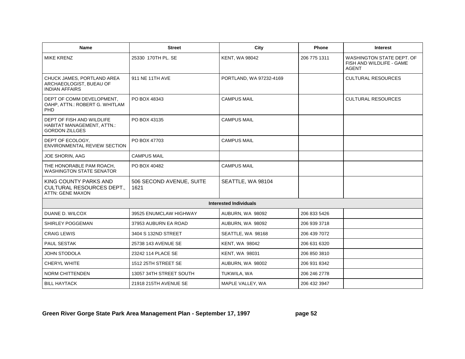| <b>Name</b>                                                                             | <b>Street</b>                    | City                          | Phone        | <b>Interest</b>                                                       |
|-----------------------------------------------------------------------------------------|----------------------------------|-------------------------------|--------------|-----------------------------------------------------------------------|
| <b>MIKE KRENZ</b>                                                                       | 25330 170TH PL. SE               | <b>KENT, WA 98042</b>         | 206 775 1311 | WASHINGTON STATE DEPT. OF<br>FISH AND WILDLIFE - GAME<br><b>AGENT</b> |
| CHUCK JAMES, PORTLAND AREA<br>ARCHAEOLOGIST, BUEAU OF<br><b>INDIAN AFFAIRS</b>          | 911 NE 11TH AVE                  | PORTLAND, WA 97232-4169       |              | <b>CULTURAL RESOURCES</b>                                             |
| DEPT OF COMM DEVELOPMENT.<br>OAHP, ATTN.: ROBERT G. WHITLAM<br>PHD                      | PO BOX 48343                     | <b>CAMPUS MAIL</b>            |              | <b>CULTURAL RESOURCES</b>                                             |
| DEPT OF FISH AND WILDLIFE<br><b>HABITAT MANAGEMENT, ATTN.:</b><br><b>GORDON ZILLGES</b> | PO BOX 43135                     | <b>CAMPUS MAIL</b>            |              |                                                                       |
| DEPT OF ECOLOGY,<br><b>ENVIRONMENTAL REVIEW SECTION</b>                                 | PO BOX 47703                     | <b>CAMPUS MAIL</b>            |              |                                                                       |
| JOE SHORIN, AAG                                                                         | <b>CAMPUS MAIL</b>               |                               |              |                                                                       |
| THE HONORABLE PAM ROACH,<br><b>WASHINGTON STATE SENATOR</b>                             | PO BOX 40482                     | <b>CAMPUS MAIL</b>            |              |                                                                       |
| KING COUNTY PARKS AND<br><b>CULTURAL RESOURCES DEPT.,</b><br><b>ATTN: GENE MAXON</b>    | 506 SECOND AVENUE, SUITE<br>1621 | SEATTLE, WA 98104             |              |                                                                       |
|                                                                                         |                                  | <b>Interested Individuals</b> |              |                                                                       |
| DUANE D. WILCOX                                                                         | 39525 ENUMCLAW HIGHWAY           | AUBURN, WA 98092              | 206 833 5426 |                                                                       |
| SHIRLEY POGGEMAN                                                                        | 37953 AUBURN EA ROAD             | AUBURN, WA 98092              | 206 939 3718 |                                                                       |
| <b>CRAIG LEWIS</b>                                                                      | 3404 S 132ND STREET              | SEATTLE, WA 98168             | 206 439 7072 |                                                                       |
| PAUL SESTAK                                                                             | 25738 143 AVENUE SE              | <b>KENT, WA 98042</b>         | 206 631 6320 |                                                                       |
| <b>JOHN STODOLA</b>                                                                     | 23242 114 PLACE SE               | <b>KENT, WA 98031</b>         | 206 850 3810 |                                                                       |
| CHERYL WHITE                                                                            | 1512 25TH STREET SE              | AUBURN, WA 98002              | 206 931 8342 |                                                                       |
| NORM CHITTENDEN                                                                         | 13057 34TH STREET SOUTH          | TUKWILA, WA                   | 206 246 2778 |                                                                       |
| <b>BILL HAYTACK</b>                                                                     | 21918 215TH AVENUE SE            | MAPLE VALLEY, WA              | 206 432 3947 |                                                                       |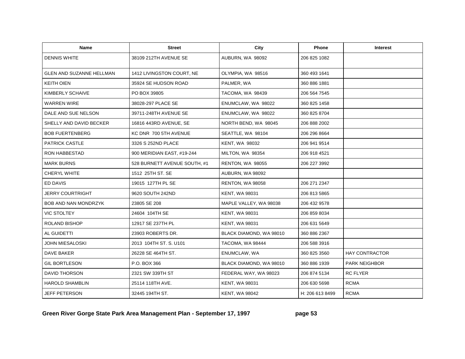| <b>Name</b>                     | <b>Street</b>                | City                    | <b>Phone</b>    | <b>Interest</b>       |
|---------------------------------|------------------------------|-------------------------|-----------------|-----------------------|
| <b>DENNIS WHITE</b>             | 38109 212TH AVENUE SE        | AUBURN, WA 98092        | 206 825 1082    |                       |
| <b>GLEN AND SUZANNE HELLMAN</b> | 1412 LIVINGSTON COURT, NE    | OLYMPIA, WA 98516       | 360 493 1641    |                       |
| <b>KEITH OIEN</b>               | 35924 SE HUDSON ROAD         | PALMER, WA              | 360 886 1881    |                       |
| KIMBERLY SCHAIVE                | PO BOX 39805                 | TACOMA, WA 98439        | 206 564 7545    |                       |
| <b>WARREN WIRE</b>              | 38028-297 PLACE SE           | ENUMCLAW, WA 98022      | 360 825 1458    |                       |
| DALE AND SUE NELSON             | 39711-248TH AVENUE SE        | ENUMCLAW, WA 98022      | 360 825 8704    |                       |
| SHELLY AND DAVID BECKER         | 16816 443RD AVENUE, SE       | NORTH BEND, WA 98045    | 206 888 2002    |                       |
| <b>BOB FUERTENBERG</b>          | KC DNR 700 5TH AVENUE        | SEATTLE, WA 98104       | 206 296 8664    |                       |
| <b>PATRICK CASTLE</b>           | 3326 S 252ND PLACE           | <b>KENT, WA 98032</b>   | 206 941 9514    |                       |
| <b>RON HABBESTAD</b>            | 900 MERIDIAN EAST, #19-244   | MILTON, WA 98354        | 206 918 4521    |                       |
| <b>MARK BURNS</b>               | 528 BURNETT AVENUE SOUTH, #1 | <b>RENTON, WA 98055</b> | 206 227 3992    |                       |
| <b>CHERYL WHITE</b>             | 1512 25TH ST, SE             | AUBURN, WA 98092        |                 |                       |
| ED DAVIS                        | 19015 127TH PL SE            | RENTON, WA 98058        | 206 271 2347    |                       |
| <b>JERRY COURTRIGHT</b>         | 9620 SOUTH 242ND             | <b>KENT, WA 98031</b>   | 206 813 5865    |                       |
| <b>BOB AND NAN MONDRZYK</b>     | 23805 SE 208                 | MAPLE VALLEY, WA 98038  | 206 432 9578    |                       |
| <b>VIC STOLTEY</b>              | 24604 104TH SE               | <b>KENT, WA 98031</b>   | 206 859 8034    |                       |
| ROLAND BISHOP                   | 12917 SE 237TH PL            | <b>KENT, WA 98031</b>   | 206 631 5649    |                       |
| AL GUIDETTI                     | 23903 ROBERTS DR.            | BLACK DIAMOND, WA 98010 | 360 886 2367    |                       |
| JOHN MIESALOSKI                 | 2013 104TH ST. S. U101       | TACOMA, WA 98444        | 206 588 3916    |                       |
| <b>DAVE BAKER</b>               | 26228 SE 464TH ST.           | ENUMCLAW, WA            | 360 825 3560    | <b>HAY CONTRACTOR</b> |
| <b>GIL BORTLESON</b>            | P.O. BOX 366                 | BLACK DIAMOND, WA 98010 | 360 886 1939    | <b>PARK NEIGHBOR</b>  |
| <b>DAVID THORSON</b>            | 2321 SW 339TH ST             | FEDERAL WAY, WA 98023   | 206 874 5134    | <b>RC FLYER</b>       |
| <b>HAROLD SHAMBLIN</b>          | 25114 118TH AVE.             | <b>KENT, WA 98031</b>   | 206 630 5698    | <b>RCMA</b>           |
| <b>JEFF PETERSON</b>            | 32445 194TH ST.              | <b>KENT, WA 98042</b>   | H: 206 613 8499 | <b>RCMA</b>           |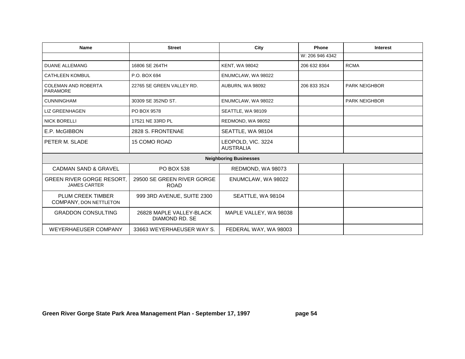| <b>Name</b>                                             | <b>Street</b>                              | City                                   | Phone           | <b>Interest</b>      |
|---------------------------------------------------------|--------------------------------------------|----------------------------------------|-----------------|----------------------|
|                                                         |                                            |                                        | W: 206 946 4342 |                      |
| <b>DUANE ALLEMANG</b>                                   | 16806 SE 264TH                             | <b>KENT, WA 98042</b>                  | 206 632 8364    | <b>RCMA</b>          |
| <b>CATHLEEN KOMBUL</b>                                  | P.O. BOX 694                               | ENUMCLAW, WA 98022                     |                 |                      |
| <b>COLEMAN AND ROBERTA</b><br><b>PARAMORE</b>           | 22765 SE GREEN VALLEY RD.                  | AUBURN, WA 98092                       | 206 833 3524    | <b>PARK NEIGHBOR</b> |
| <b>CUNNINGHAM</b>                                       | 30309 SE 352ND ST.                         | ENUMCLAW, WA 98022                     |                 | <b>PARK NEIGHBOR</b> |
| <b>LIZ GREENHAGEN</b>                                   | PO BOX 9578                                | SEATTLE, WA 98109                      |                 |                      |
| <b>NICK BORELLI</b>                                     | 17521 NE 33RD PL                           | REDMOND, WA 98052                      |                 |                      |
| E.P. McGIBBON                                           | 2828 S. FRONTENAE                          | SEATTLE, WA 98104                      |                 |                      |
| PETER M. SLADE                                          | 15 COMO ROAD                               | LEOPOLD, VIC. 3224<br><b>AUSTRALIA</b> |                 |                      |
|                                                         |                                            | <b>Neighboring Businesses</b>          |                 |                      |
| <b>CADMAN SAND &amp; GRAVEL</b>                         | <b>PO BOX 538</b>                          | REDMOND, WA 98073                      |                 |                      |
| <b>GREEN RIVER GORGE RESORT.</b><br><b>JAMES CARTER</b> | 29500 SE GREEN RIVER GORGE<br><b>ROAD</b>  | ENUMCLAW, WA 98022                     |                 |                      |
| PLUM CREEK TIMBER<br>COMPANY, DON NETTLETON             | 999 3RD AVENUE, SUITE 2300                 | SEATTLE, WA 98104                      |                 |                      |
| <b>GRADDON CONSULTING</b>                               | 26828 MAPLE VALLEY-BLACK<br>DIAMOND RD. SE | MAPLE VALLEY, WA 98038                 |                 |                      |
| <b>WEYERHAEUSER COMPANY</b>                             | 33663 WEYERHAEUSER WAY S.                  | FEDERAL WAY, WA 98003                  |                 |                      |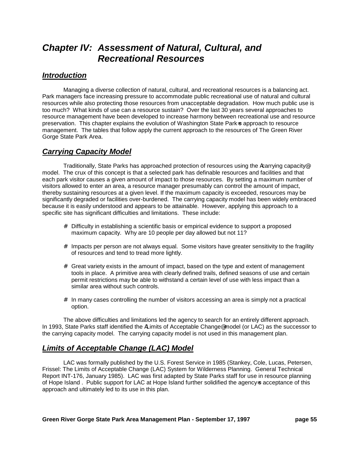# *Chapter IV: Assessment of Natural, Cultural, and Recreational Resources*

## *Introduction*

Managing a diverse collection of natural, cultural, and recreational resources is a balancing act. Park managers face increasing pressure to accommodate public recreational use of natural and cultural resources while also protecting those resources from unacceptable degradation. How much public use is too much? What kinds of use can a resource sustain? Over the last 30 years several approaches to resource management have been developed to increase harmony between recreational use and resource preservation. This chapter explains the evolution of Washington State Park=s approach to resource management. The tables that follow apply the current approach to the resources of The Green River Gorge State Park Area.

# *Carrying Capacity Model*

Traditionally, State Parks has approached protection of resources using the Acarrying capacity@ model. The crux of this concept is that a selected park has definable resources and facilities and that each park visitor causes a given amount of impact to those resources. By setting a maximum number of visitors allowed to enter an area, a resource manager presumably can control the amount of impact, thereby sustaining resources at a given level. If the maximum capacity is exceeded, resources may be significantly degraded or facilities over-burdened. The carrying capacity model has been widely embraced because it is easily understood and appears to be attainable. However, applying this approach to a specific site has significant difficulties and limitations. These include:

- $#$  Difficulty in establishing a scientific basis or empirical evidence to support a proposed maximum capacity. Why are 10 people per day allowed but not 11?
- $#$  Impacts per person are not always equal. Some visitors have greater sensitivity to the fragility of resources and tend to tread more lightly.
- $#$  Great variety exists in the amount of impact, based on the type and extent of management tools in place. A primitive area with clearly defined trails, defined seasons of use and certain permit restrictions may be able to withstand a certain level of use with less impact than a similar area without such controls.
- $#$  In many cases controlling the number of visitors accessing an area is simply not a practical option.

The above difficulties and limitations led the agency to search for an entirely different approach. In 1993, State Parks staff identified the ALimits of Acceptable Change<sup>®</sup> model (or LAC) as the successor to the carrying capacity model. The carrying capacity model is not used in this management plan.

# *Limits of Acceptable Change (LAC) Model*

LAC was formally published by the U.S. Forest Service in 1985 (Stankey, Cole, Lucas, Petersen, Frissel: The Limits of Acceptable Change (LAC) System for Wilderness Planning. General Technical Report INT-176, January 1985). LAC was first adapted by State Parks staff for use in resource planning of Hope Island. Public support for LAC at Hope Island further solidified the agency-s acceptance of this approach and ultimately led to its use in this plan.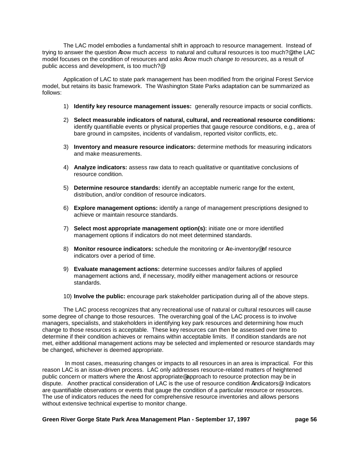The LAC model embodies a fundamental shift in approach to resource management. Instead of trying to answer the question Ahow much *access* to natural and cultural resources is too much?@, the LAC model focuses on the condition of resources and asks Ahow much *change to resources*, as a result of public access and development, is too much?@

Application of LAC to state park management has been modified from the original Forest Service model, but retains its basic framework. The Washington State Parks adaptation can be summarized as follows:

- 1) **Identify key resource management issues:** generally resource impacts or social conflicts.
- 2) **Select measurable indicators of natural, cultural, and recreational resource conditions:** identify quantifiable events or physical properties that gauge resource conditions, e.g., area of bare ground in campsites, incidents of vandalism, reported visitor conflicts, etc.
- 3) **Inventory and measure resource indicators:** determine methods for measuring indicators and make measurements.
- 4) **Analyze indicators:** assess raw data to reach qualitative or quantitative conclusions of resource condition.
- 5) **Determine resource standards:** identify an acceptable numeric range for the extent, distribution, and/or condition of resource indicators.
- 6) **Explore management options:** identify a range of management prescriptions designed to achieve or maintain resource standards.
- 7) **Select most appropriate management option(s):** initiate one or more identified management options if indicators do not meet determined standards.
- 8) **Monitor resource indicators:** schedule the monitoring or Are-inventory<sup>®</sup> of resource indicators over a period of time.
- 9) **Evaluate management actions:** determine successes and/or failures of applied management actions and, if necessary, modify either management actions or resource standards.
- 10) **Involve the public:** encourage park stakeholder participation during all of the above steps.

The LAC process recognizes that any recreational use of natural or cultural resources will cause some degree of change to those resources. The overarching goal of the LAC process is to involve managers, specialists, and stakeholders in identifying key park resources and determining how much change to those resources is acceptable. These key resources can then be assessed over time to determine if their condition achieves or remains within acceptable limits. If condition standards are not met, either additional management actions may be selected and implemented or resource standards may be changed, whichever is deemed appropriate.

In most cases, measuring changes or impacts to all resources in an area is impractical. For this reason LAC is an issue-driven process. LAC only addresses resource-related matters of heightened public concern or matters where the Amost appropriate approach to resource protection may be in dispute. Another practical consideration of LAC is the use of resource condition Aindicators®. Indicators are quantifiable observations or events that gauge the condition of a particular resource or resources. The use of indicators reduces the need for comprehensive resource inventories and allows persons without extensive technical expertise to monitor change.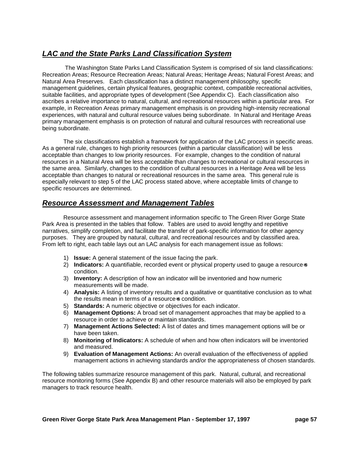# *LAC and the State Parks Land Classification System*

The Washington State Parks Land Classification System is comprised of six land classifications: Recreation Areas; Resource Recreation Areas; Natural Areas; Heritage Areas; Natural Forest Areas; and Natural Area Preserves. Each classification has a distinct management philosophy, specific management guidelines, certain physical features, geographic context, compatible recreational activities, suitable facilities, and appropriate types of development (See Appendix C). Each classification also ascribes a relative importance to natural, cultural, and recreational resources within a particular area. For example, in Recreation Areas primary management emphasis is on providing high-intensity recreational experiences, with natural and cultural resource values being subordinate. In Natural and Heritage Areas primary management emphasis is on protection of natural and cultural resources with recreational use being subordinate.

The six classifications establish a framework for application of the LAC process in specific areas. As a general rule, changes to high priority resources (within a particular classification) will be less acceptable than changes to low priority resources. For example, changes to the condition of natural resources in a Natural Area will be less acceptable than changes to recreational or cultural resources in the same area. Similarly, changes to the condition of cultural resources in a Heritage Area will be less acceptable than changes to natural or recreational resources in the same area. This general rule is especially relevant to step 5 of the LAC process stated above, where acceptable limits of change to specific resources are determined.

# *Resource Assessment and Management Tables*

Resource assessment and management information specific to The Green River Gorge State Park Area is presented in the tables that follow. Tables are used to avoid lengthy and repetitive narratives, simplify completion, and facilitate the transfer of park-specific information for other agency purposes. They are grouped by natural, cultural, and recreational resources and by classified area. From left to right, each table lays out an LAC analysis for each management issue as follows:

- 1) **Issue:** A general statement of the issue facing the park.
- 2) **Indicators:** A quantifiable, recorded event or physical property used to gauge a resource-s condition.
- 3) **Inventory:** A description of how an indicator will be inventoried and how numeric measurements will be made.
- 4) **Analysis:** A listing of inventory results and a qualitative or quantitative conclusion as to what the results mean in terms of a resource-s condition.
- 5) **Standards:** A numeric objective or objectives for each indicator.
- 6) **Management Options:** A broad set of management approaches that may be applied to a resource in order to achieve or maintain standards.
- 7) **Management Actions Selected:** A list of dates and times management options will be or have been taken.
- 8) **Monitoring of Indicators:** A schedule of when and how often indicators will be inventoried and measured.
- 9) **Evaluation of Management Actions:** An overall evaluation of the effectiveness of applied management actions in achieving standards and/or the appropriateness of chosen standards.

The following tables summarize resource management of this park. Natural, cultural, and recreational resource monitoring forms (See Appendix B) and other resource materials will also be employed by park managers to track resource health.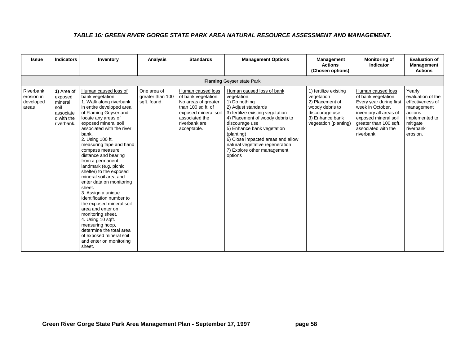### *TABLE 16: GREEN RIVER GORGE STATE PARK AREA NATURAL RESOURCE ASSESSMENT AND MANAGEMENT.*

| <b>Issue</b>                                  | <b>Indicators</b>                                                                 | Inventory                                                                                                                                                                                                                                                                                                                                                                                                                                                                                                                                                                                                                                                                                                  | <b>Analysis</b>                                 | <b>Standards</b>                                                                                                                                                | <b>Management Options</b>                                                                                                                                                                                                                                                                                                               | <b>Management</b><br><b>Actions</b><br>(Chosen options)                                                                                 | <b>Monitoring of</b><br><b>Indicator</b>                                                                                                                                                                 | <b>Evaluation of</b><br><b>Management</b><br><b>Actions</b>                                                                     |
|-----------------------------------------------|-----------------------------------------------------------------------------------|------------------------------------------------------------------------------------------------------------------------------------------------------------------------------------------------------------------------------------------------------------------------------------------------------------------------------------------------------------------------------------------------------------------------------------------------------------------------------------------------------------------------------------------------------------------------------------------------------------------------------------------------------------------------------------------------------------|-------------------------------------------------|-----------------------------------------------------------------------------------------------------------------------------------------------------------------|-----------------------------------------------------------------------------------------------------------------------------------------------------------------------------------------------------------------------------------------------------------------------------------------------------------------------------------------|-----------------------------------------------------------------------------------------------------------------------------------------|----------------------------------------------------------------------------------------------------------------------------------------------------------------------------------------------------------|---------------------------------------------------------------------------------------------------------------------------------|
|                                               |                                                                                   |                                                                                                                                                                                                                                                                                                                                                                                                                                                                                                                                                                                                                                                                                                            |                                                 |                                                                                                                                                                 | <b>Flaming Geyser state Park</b>                                                                                                                                                                                                                                                                                                        |                                                                                                                                         |                                                                                                                                                                                                          |                                                                                                                                 |
| Riverbank<br>erosion in<br>developed<br>areas | 1) Area of<br>exposed<br>mineral<br>soil<br>associate<br>d with the<br>riverbank. | Human caused loss of<br>bank vegetation:<br>1. Walk along riverbank<br>in entire developed area<br>of Flaming Geyser and<br>locate any areas of<br>exposed mineral soil<br>associated with the river<br>bank.<br>2. Using 100 ft.<br>measuring tape and hand<br>compass measure<br>distance and bearing<br>from a permanent<br>landmark (e.g. picnic<br>shelter) to the exposed<br>mineral soil area and<br>enter data on monitoring<br>sheet.<br>3. Assign a unique<br>identification number to<br>the exposed mineral soil<br>area and enter on<br>monitoring sheet.<br>4. Using 10 sqft.<br>measuring hoop,<br>determine the total area<br>of exposed mineral soil<br>and enter on monitoring<br>sheet. | One area of<br>greater than 100<br>sqft. found. | Human caused loss<br>of bank vegetation:<br>No areas of greater<br>than 100 sq ft. of<br>exposed mineral soil<br>associated the<br>riverbank are<br>acceptable. | Human caused loss of bank<br>vegetation:<br>1) Do nothing<br>2) Adjust standards<br>3) fertilize existing vegetation<br>4) Placement of woody debris to<br>discourage use<br>5) Enhance bank vegetation<br>(planting)<br>6) Close impacted areas and allow<br>natural vegetative regeneration<br>7) Explore other management<br>options | 1) fertilize existing<br>vegetation<br>2) Placement of<br>woody debris to<br>discourage use<br>3) Enhance bank<br>vegetation (planting) | Human caused loss<br>of bank vegetation:<br>Every year during first<br>week in October,<br>inventory all areas of<br>exposed mineral soil<br>greater than 100 sqft.<br>associated with the<br>riverbank. | Yearly<br>evaluation of the<br>effectiveness of<br>management<br>actions<br>implemented to<br>mitigate<br>riverbank<br>erosion. |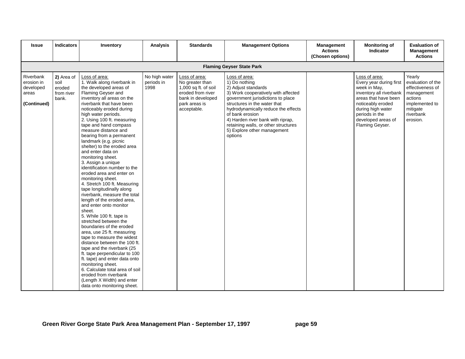| <b>Issue</b>                                                 | <b>Indicators</b>                                   | Inventory                                                                                                                                                                                                                                                                                                                                                                                                                                                                                                                                                                                                                                                                                                                                                                                                                                                                                                                                                                                                                                                                                                              | <b>Analysis</b>                     | <b>Standards</b>                                                                                                                   | <b>Management Options</b>                                                                                                                                                                                                                                                                                                                          | <b>Management</b><br><b>Actions</b><br>(Chosen options) | <b>Monitoring of</b><br><b>Indicator</b>                                                                                                                                                                         | <b>Evaluation of</b><br><b>Management</b><br><b>Actions</b>                                                                     |
|--------------------------------------------------------------|-----------------------------------------------------|------------------------------------------------------------------------------------------------------------------------------------------------------------------------------------------------------------------------------------------------------------------------------------------------------------------------------------------------------------------------------------------------------------------------------------------------------------------------------------------------------------------------------------------------------------------------------------------------------------------------------------------------------------------------------------------------------------------------------------------------------------------------------------------------------------------------------------------------------------------------------------------------------------------------------------------------------------------------------------------------------------------------------------------------------------------------------------------------------------------------|-------------------------------------|------------------------------------------------------------------------------------------------------------------------------------|----------------------------------------------------------------------------------------------------------------------------------------------------------------------------------------------------------------------------------------------------------------------------------------------------------------------------------------------------|---------------------------------------------------------|------------------------------------------------------------------------------------------------------------------------------------------------------------------------------------------------------------------|---------------------------------------------------------------------------------------------------------------------------------|
|                                                              |                                                     |                                                                                                                                                                                                                                                                                                                                                                                                                                                                                                                                                                                                                                                                                                                                                                                                                                                                                                                                                                                                                                                                                                                        |                                     |                                                                                                                                    | <b>Flaming Geyser State Park</b>                                                                                                                                                                                                                                                                                                                   |                                                         |                                                                                                                                                                                                                  |                                                                                                                                 |
| Riverbank<br>erosion in<br>developed<br>areas<br>(Continued) | 2) Area of<br>soil<br>eroded<br>from river<br>bank. | Loss of area:<br>1. Walk along riverbank in<br>the developed areas of<br>Flaming Geyser and<br>inventory all areas on the<br>riverbank that have been<br>noticeably eroded during<br>high water periods.<br>2. Using 100 ft. measuring<br>tape and hand compass<br>measure distance and<br>bearing from a permanent<br>landmark (e.g. picnic<br>shelter) to the eroded area<br>and enter data on<br>monitoring sheet.<br>3. Assign a unique<br>identification number to the<br>eroded area and enter on<br>monitoring sheet.<br>4. Stretch 100 ft. Measuring<br>tape longitudinally along<br>riverbank, measure the total<br>length of the eroded area,<br>and enter onto monitor<br>sheet.<br>5. While 100 ft. tape is<br>stretched between the<br>boundaries of the eroded<br>area, use 25 ft. measuring<br>tape to measure the widest<br>distance between the 100 ft.<br>tape and the riverbank (25<br>ft. tape perpendicular to 100<br>ft. tape) and enter data onto<br>monitoring sheet.<br>6. Calculate total area of soil<br>eroded from riverbank<br>(Length X Width) and enter<br>data onto monitoring sheet. | No high water<br>periods in<br>1998 | Loss of area:<br>No greater than<br>1,000 sq ft. of soil<br>eroded from river<br>bank in developed<br>park areas is<br>acceptable. | Loss of area:<br>1) Do nothing<br>2) Adjust standards<br>3) Work cooperatively with affected<br>government jurisdictions to place<br>structures in the water that<br>hydrodynamically reduce the effects<br>of bank erosion<br>4) Harden river bank with riprap,<br>retaining walls, or other structures<br>5) Explore other management<br>options |                                                         | Loss of area:<br>Every year during first<br>week in May,<br>inventory all riverbank<br>areas that have been<br>noticeably eroded<br>during high water<br>periods in the<br>developed areas of<br>Flaming Geyser. | Yearly<br>evaluation of the<br>effectiveness of<br>management<br>actions<br>implemented to<br>mitigate<br>riverbank<br>erosion. |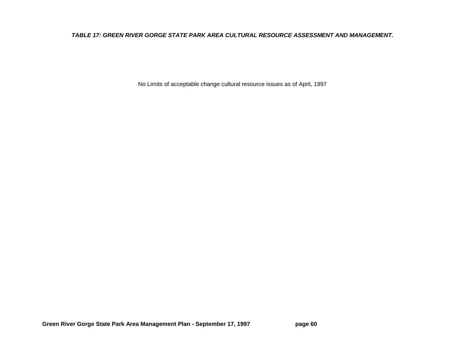### *TABLE 17: GREEN RIVER GORGE STATE PARK AREA CULTURAL RESOURCE ASSESSMENT AND MANAGEMENT.*

No Limits of acceptable change cultural resource issues as of April, 1997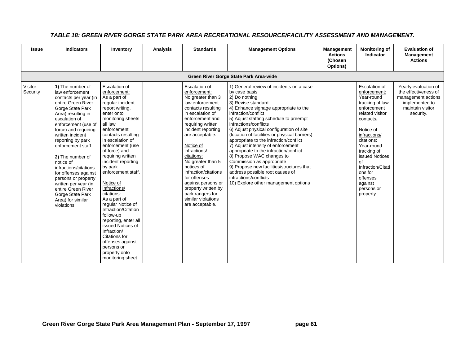| <b>Issue</b>        | <b>Indicators</b>                                                                                                                                                                                                                                                                                                                                                                                                                                                         | Inventory                                                                                                                                                                                                                                                                                                                                                                                                                                                                                                                                                                             | <b>Analysis</b> | <b>Standards</b>                                                                                                                                                                                                                                                                                                                                                                                                                 | <b>Management Options</b>                                                                                                                                                                                                                                                                                                                                                                                                                                                                                                                                                                                                                                             | <b>Management</b><br><b>Actions</b><br>(Chosen<br>Options) | <b>Monitoring of</b><br>Indicator                                                                                                                                                                                                                                                               | <b>Evaluation of</b><br>Management<br><b>Actions</b>                                                                  |
|---------------------|---------------------------------------------------------------------------------------------------------------------------------------------------------------------------------------------------------------------------------------------------------------------------------------------------------------------------------------------------------------------------------------------------------------------------------------------------------------------------|---------------------------------------------------------------------------------------------------------------------------------------------------------------------------------------------------------------------------------------------------------------------------------------------------------------------------------------------------------------------------------------------------------------------------------------------------------------------------------------------------------------------------------------------------------------------------------------|-----------------|----------------------------------------------------------------------------------------------------------------------------------------------------------------------------------------------------------------------------------------------------------------------------------------------------------------------------------------------------------------------------------------------------------------------------------|-----------------------------------------------------------------------------------------------------------------------------------------------------------------------------------------------------------------------------------------------------------------------------------------------------------------------------------------------------------------------------------------------------------------------------------------------------------------------------------------------------------------------------------------------------------------------------------------------------------------------------------------------------------------------|------------------------------------------------------------|-------------------------------------------------------------------------------------------------------------------------------------------------------------------------------------------------------------------------------------------------------------------------------------------------|-----------------------------------------------------------------------------------------------------------------------|
|                     |                                                                                                                                                                                                                                                                                                                                                                                                                                                                           |                                                                                                                                                                                                                                                                                                                                                                                                                                                                                                                                                                                       |                 |                                                                                                                                                                                                                                                                                                                                                                                                                                  | Green River Gorge State Park Area-wide                                                                                                                                                                                                                                                                                                                                                                                                                                                                                                                                                                                                                                |                                                            |                                                                                                                                                                                                                                                                                                 |                                                                                                                       |
| Visitor<br>Security | 1) The number of<br>law enforcement<br>contacts per year (in<br>entire Green River<br>Gorge State Park<br>Area) resulting in<br>escalation of<br>enforcement (use of<br>force) and requiring<br>written incident<br>reporting by park<br>enforcement staff.<br>2) The number of<br>notice of<br>infractions/citations<br>for offenses against<br>persons or property<br>written per year (in<br>entire Green River<br>Gorge State Park<br>Area) for similar<br>violations | Escalation of<br>enforcement:<br>As a part of<br>regular incident<br>report writing.<br>enter onto<br>monitoring sheets<br>all law<br>enforcement<br>contacts resulting<br>in escalation of<br>enforcement (use<br>of force) and<br>requiring written<br>incident reporting<br>by park<br>enforcement staff.<br>Notice of<br>infractions/<br>citations:<br>As a part of<br>regular Notice of<br>Infraction/Citation<br>follow-up<br>reporting, enter all<br>issued Notices of<br>Infraction/<br>Citations for<br>offenses against<br>persons or<br>property onto<br>monitoring sheet. |                 | Escalation of<br>enforcement:<br>No greater than 3<br>law enforcement<br>contacts resulting<br>in escalation of<br>enforcement and<br>requiring written<br>incident reporting<br>are acceptable.<br>Notice of<br>infractions/<br>citations:<br>No greater than 5<br>notices of<br>infraction/citations<br>for offenses<br>against persons or<br>property written by<br>park rangers for<br>similar violations<br>are acceptable. | 1) General review of incidents on a case<br>by case basis<br>2) Do nothing<br>3) Revise standard<br>4) Enhance signage appropriate to the<br>infraction/conflict<br>5) Adjust staffing schedule to preempt<br>infractions/conflicts<br>6) Adjust physical configuration of site<br>(location of facilities or physical barriers)<br>appropriate to the infraction/conflict<br>7) Adjust intensity of enforcement<br>appropriate to the infraction/conflict<br>8) Propose WAC changes to<br>Commission as appropriate<br>9) Propose new facilities/structures that<br>address possible root causes of<br>infractions/conflicts<br>10) Explore other management options |                                                            | Escalation of<br>enforcement:<br>Year-round<br>tracking of law<br>enforcement<br>related visitor<br>contacts.<br>Notice of<br>infractions/<br>citations:<br>Year-round<br>tracking of<br>issued Notices<br>of<br>Infraction/Citati<br>ons for<br>offenses<br>against<br>persons or<br>property. | Yearly evaluation of<br>the effectiveness of<br>management actions<br>implemented to<br>maintain visitor<br>security. |

### *TABLE 18: GREEN RIVER GORGE STATE PARK AREA RECREATIONAL RESOURCE/FACILITY ASSESSMENT AND MANAGEMENT.*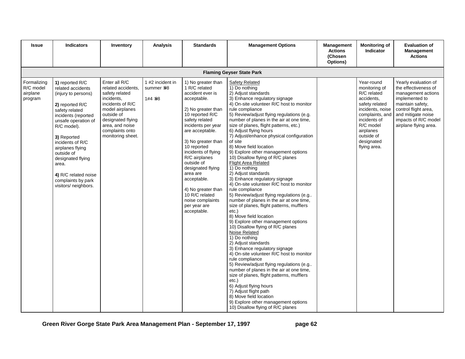| <b>Issue</b>                                    | <b>Indicators</b>                                                                                                                                                                                                                                                                                                                      | Inventory                                                                                                                                                                                                | <b>Analysis</b>                            | <b>Standards</b>                                                                                                                                                                                                                                                                                                                                                                                                 | <b>Management Options</b>                                                                                                                                                                                                                                                                                                                                                                                                                                                                                                                                                                                                                                                                                                                                                                                                                                                                                                                                                                                                                                                                                                                                                                                                                                                                                                                                                  | Management<br><b>Actions</b><br>(Chosen<br>Options) | <b>Monitoring of</b><br><b>Indicator</b>                                                                                                                                                                | <b>Evaluation of</b><br>Management<br><b>Actions</b>                                                                                                                                                    |
|-------------------------------------------------|----------------------------------------------------------------------------------------------------------------------------------------------------------------------------------------------------------------------------------------------------------------------------------------------------------------------------------------|----------------------------------------------------------------------------------------------------------------------------------------------------------------------------------------------------------|--------------------------------------------|------------------------------------------------------------------------------------------------------------------------------------------------------------------------------------------------------------------------------------------------------------------------------------------------------------------------------------------------------------------------------------------------------------------|----------------------------------------------------------------------------------------------------------------------------------------------------------------------------------------------------------------------------------------------------------------------------------------------------------------------------------------------------------------------------------------------------------------------------------------------------------------------------------------------------------------------------------------------------------------------------------------------------------------------------------------------------------------------------------------------------------------------------------------------------------------------------------------------------------------------------------------------------------------------------------------------------------------------------------------------------------------------------------------------------------------------------------------------------------------------------------------------------------------------------------------------------------------------------------------------------------------------------------------------------------------------------------------------------------------------------------------------------------------------------|-----------------------------------------------------|---------------------------------------------------------------------------------------------------------------------------------------------------------------------------------------------------------|---------------------------------------------------------------------------------------------------------------------------------------------------------------------------------------------------------|
|                                                 |                                                                                                                                                                                                                                                                                                                                        |                                                                                                                                                                                                          |                                            |                                                                                                                                                                                                                                                                                                                                                                                                                  | <b>Flaming Geyser State Park</b>                                                                                                                                                                                                                                                                                                                                                                                                                                                                                                                                                                                                                                                                                                                                                                                                                                                                                                                                                                                                                                                                                                                                                                                                                                                                                                                                           |                                                     |                                                                                                                                                                                                         |                                                                                                                                                                                                         |
| Formalizing<br>R/C model<br>airplane<br>program | 1) reported R/C<br>related accidents<br>(injury to persons)<br>2) reported R/C<br>safety related<br>incidents (reported<br>unsafe operation of<br>R/C model).<br>3) Reported<br>incidents of R/C<br>airplanes flying<br>outside of<br>designated flying<br>area.<br>4) R/C related noise<br>complaints by park<br>visitors/ neighbors. | Enter all R/C<br>related accidents,<br>safety related<br>incidents,<br>incidents of R/C<br>model airplanes<br>outside of<br>designated flying<br>area, and noise<br>complaints onto<br>monitoring sheet. | 1 #2 incident in<br>summer >98<br>1#4 > 98 | 1) No greater than<br>1 R/C related<br>accident ever is<br>acceptable.<br>2) No greater than<br>10 reported R/C<br>safety related<br>incidents per year<br>are acceptable.<br>3) No greater than<br>10 reported<br>incidents of flying<br>R/C airplanes<br>outside of<br>designated flying<br>area are<br>acceptable.<br>4) No greater than<br>10 R/C related<br>noise complaints<br>per year are<br>acceptable. | Safety Related<br>1) Do nothing<br>2) Adjust standards<br>3) Enhance regulatory signage<br>4) On-site volunteer R/C host to monitor<br>rule compliance<br>5) Review/adjust flying regulations (e.g.<br>number of planes in the air at one time,<br>size of planes, flight patterns, etc.)<br>6) Adjust flying hours<br>7) Adjust/enhance physical configuration<br>of site<br>8) Move field location<br>9) Explore other management options<br>10) Disallow flying of R/C planes<br><b>Flight Area Related</b><br>1) Do nothing<br>2) Adjust standards<br>3) Enhance regulatory signage<br>4) On-site volunteer R/C host to monitor<br>rule compliance<br>5) Review/adjust flying regulations (e.g<br>number of planes in the air at one time,<br>size of planes, flight patterns, mufflers<br>etc.)<br>8) Move field location<br>9) Explore other management options<br>10) Disallow flying of R/C planes<br>Noise Related<br>1) Do nothing<br>2) Adjust standards<br>3) Enhance regulatory signage<br>4) On-site volunteer R/C host to monitor<br>rule compliance<br>5) Review/adjust flying regulations (e.g<br>number of planes in the air at one time,<br>size of planes, flight patterns, mufflers<br>etc.)<br>6) Adjust flying hours<br>7) Adjust flight path<br>8) Move field location<br>9) Explore other management options<br>10) Disallow flying of R/C planes |                                                     | Year-round<br>monitoring of<br>R/C related<br>accidents,<br>safety related<br>incidents, noise<br>complaints, and<br>incidents of<br>R/C model<br>airplanes<br>outside of<br>designated<br>flying area. | Yearly evaluation of<br>the effectiveness of<br>management actions<br>implemented to<br>maintain safety,<br>control flight area,<br>and mitigate noise<br>impacts of R/C model<br>airplane flying area. |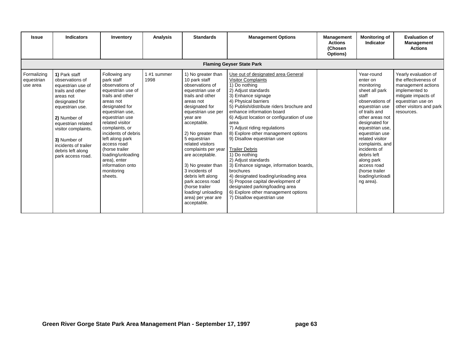| <b>Issue</b>                          | <b>Indicators</b>                                                                                                                                                                                                                                                          | Inventory                                                                                                                                                                                                                                                                                                                                                     | Analysis           | <b>Standards</b>                                                                                                                                                                                                                                                                                                                                                                                                                                  | <b>Management Options</b>                                                                                                                                                                                                                                                                                                                                                                                                                                                                                                                                                                                                                                                                                | <b>Management</b><br><b>Actions</b><br>(Chosen<br>Options) | <b>Monitoring of</b><br>Indicator                                                                                                                                                                                                                                                                                                                   | <b>Evaluation of</b><br><b>Management</b><br><b>Actions</b>                                                                                                               |  |  |  |  |  |
|---------------------------------------|----------------------------------------------------------------------------------------------------------------------------------------------------------------------------------------------------------------------------------------------------------------------------|---------------------------------------------------------------------------------------------------------------------------------------------------------------------------------------------------------------------------------------------------------------------------------------------------------------------------------------------------------------|--------------------|---------------------------------------------------------------------------------------------------------------------------------------------------------------------------------------------------------------------------------------------------------------------------------------------------------------------------------------------------------------------------------------------------------------------------------------------------|----------------------------------------------------------------------------------------------------------------------------------------------------------------------------------------------------------------------------------------------------------------------------------------------------------------------------------------------------------------------------------------------------------------------------------------------------------------------------------------------------------------------------------------------------------------------------------------------------------------------------------------------------------------------------------------------------------|------------------------------------------------------------|-----------------------------------------------------------------------------------------------------------------------------------------------------------------------------------------------------------------------------------------------------------------------------------------------------------------------------------------------------|---------------------------------------------------------------------------------------------------------------------------------------------------------------------------|--|--|--|--|--|
|                                       | <b>Flaming Geyser State Park</b>                                                                                                                                                                                                                                           |                                                                                                                                                                                                                                                                                                                                                               |                    |                                                                                                                                                                                                                                                                                                                                                                                                                                                   |                                                                                                                                                                                                                                                                                                                                                                                                                                                                                                                                                                                                                                                                                                          |                                                            |                                                                                                                                                                                                                                                                                                                                                     |                                                                                                                                                                           |  |  |  |  |  |
| Formalizing<br>equestrian<br>use area | 1) Park staff<br>observations of<br>equestrian use of<br>trails and other<br>areas not<br>designated for<br>equestrian use.<br>2) Number of<br>equestrian related<br>visitor complaints.<br>3) Number of<br>incidents of trailer<br>debris left along<br>park access road. | Following any<br>park staff<br>observations of<br>equestrian use of<br>trails and other<br>areas not<br>designated for<br>equestrian use.<br>equestrian use<br>related visitor<br>complaints, or<br>incidents of debris<br>left along park<br>access road<br>(horse trailer<br>loading/unloading<br>area), enter<br>information onto<br>monitoring<br>sheets. | 1#1 summer<br>1998 | 1) No greater than<br>10 park staff<br>observations of<br>equestrian use of<br>trails and other<br>areas not<br>designated for<br>equestrian use per<br>year are<br>acceptable.<br>2) No greater than<br>5 equestrian<br>related visitors<br>complaints per year<br>are acceptable.<br>3) No greater than<br>3 incidents of<br>debris left along<br>park access road<br>(horse trailer<br>loading/ unloading<br>area) per year are<br>acceptable. | Use out of designated area General<br><b>Visitor Complaints</b><br>1) Do nothing<br>2) Adjust standards<br>3) Enhance signage<br>4) Physical barriers<br>5) Publish/distribute riders brochure and<br>enhance information board<br>6) Adjust location or configuration of use<br>area<br>7) Adjust riding regulations<br>8) Explore other management options<br>9) Disallow equestrian use<br><b>Trailer Debris</b><br>1) Do nothing<br>2) Adjust standards<br>3) Enhance signage, information boards,<br>brochures<br>4) designated loading/unloading area<br>5) Propose capital development of<br>designated parking/loading area<br>6) Explore other management options<br>7) Disallow equestrian use |                                                            | Year-round<br>enter on<br>monitoring<br>sheet all park<br>staff<br>observations of<br>equestrian use<br>of trails and<br>other areas not<br>designated for<br>equestrian use,<br>equestrian use<br>related visitor<br>complaints, and<br>incidents of<br>debris left<br>along park<br>access road<br>(horse trailer<br>loading/unloadi<br>ng area). | Yearly evaluation of<br>the effectiveness of<br>management actions<br>implemented to<br>mitigate impacts of<br>equestrian use on<br>other visitors and park<br>resources. |  |  |  |  |  |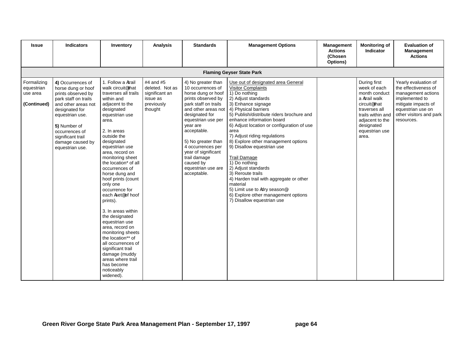| <b>Issue</b>                                         | <b>Indicators</b>                                                                                                                                                                                                                               | Inventory                                                                                                                                                                                                                                                                                                                                                                                                                                                                                                                                                                                                                                                                  | <b>Analysis</b>                                                                     | <b>Standards</b>                                                                                                                                                                                                                                                                                                                          | <b>Management Options</b>                                                                                                                                                                                                                                                                                                                                                                                                                                                                                                                                                                                                                  | <b>Management</b><br><b>Actions</b><br>(Chosen<br>Options) | <b>Monitoring of</b><br><b>Indicator</b>                                                                                                                                                      | <b>Evaluation of</b><br>Management<br><b>Actions</b>                                                                                                                      |  |
|------------------------------------------------------|-------------------------------------------------------------------------------------------------------------------------------------------------------------------------------------------------------------------------------------------------|----------------------------------------------------------------------------------------------------------------------------------------------------------------------------------------------------------------------------------------------------------------------------------------------------------------------------------------------------------------------------------------------------------------------------------------------------------------------------------------------------------------------------------------------------------------------------------------------------------------------------------------------------------------------------|-------------------------------------------------------------------------------------|-------------------------------------------------------------------------------------------------------------------------------------------------------------------------------------------------------------------------------------------------------------------------------------------------------------------------------------------|--------------------------------------------------------------------------------------------------------------------------------------------------------------------------------------------------------------------------------------------------------------------------------------------------------------------------------------------------------------------------------------------------------------------------------------------------------------------------------------------------------------------------------------------------------------------------------------------------------------------------------------------|------------------------------------------------------------|-----------------------------------------------------------------------------------------------------------------------------------------------------------------------------------------------|---------------------------------------------------------------------------------------------------------------------------------------------------------------------------|--|
| <b>Flaming Geyser State Park</b>                     |                                                                                                                                                                                                                                                 |                                                                                                                                                                                                                                                                                                                                                                                                                                                                                                                                                                                                                                                                            |                                                                                     |                                                                                                                                                                                                                                                                                                                                           |                                                                                                                                                                                                                                                                                                                                                                                                                                                                                                                                                                                                                                            |                                                            |                                                                                                                                                                                               |                                                                                                                                                                           |  |
| Formalizing<br>equestrian<br>use area<br>(Continued) | 4) Occurrences of<br>horse dung or hoof<br>prints observed by<br>park staff on trails<br>and other areas not<br>designated for<br>equestrian use.<br>5) Number of<br>occurrences of<br>significant trail<br>damage caused by<br>equestrian use. | 1. Follow a Atrail<br>walk circuit <sup>®</sup> that<br>traverses all trails<br>within and<br>adjacent to the<br>designated<br>equestrian use<br>area.<br>2. In areas<br>outside the<br>designated<br>equestrian use<br>area, record on<br>monitoring sheet<br>the location* of all<br>occurrences of<br>horse dung and<br>hoof prints (count<br>only one<br>occurrence for<br>each Aset <sup>®</sup> of hoof<br>prints).<br>3. In areas within<br>the designated<br>equestrian use<br>area, record on<br>monitoring sheets<br>the location** of<br>all occurrences of<br>significant trail<br>damage (muddy<br>areas where trail<br>has become<br>noticeably<br>widened). | #4 and #5<br>deleted. Not as<br>significant an<br>issue as<br>previously<br>thought | 4) No greater than<br>10 occurrences of<br>horse dung or hoof<br>prints observed by<br>park staff on trails<br>and other areas not<br>designated for<br>equestrian use per<br>year are<br>acceptable.<br>5) No greater than<br>4 occurrences per<br>year of significant<br>trail damage<br>caused by<br>equestrian use are<br>acceptable. | Use out of designated area General<br><b>Visitor Complaints</b><br>1) Do nothing<br>2) Adjust standards<br>3) Enhance signage<br>4) Physical barriers<br>5) Publish/distribute riders brochure and<br>enhance information board<br>6) Adjust location or configuration of use<br>area<br>7) Adjust riding regulations<br>8) Explore other management options<br>9) Disallow equestrian use<br><b>Trail Damage</b><br>1) Do nothing<br>2) Adjust standards<br>3) Reroute trails<br>4) Harden trail with aggregate or other<br>material<br>5) Limit use to Adry season®<br>6) Explore other management options<br>7) Disallow equestrian use |                                                            | During first<br>week of each<br>month conduct<br>a Atrail walk<br>circuit <sup>®</sup> that<br>traverses all<br>trails within and<br>adjacent to the<br>designated<br>equestrian use<br>area. | Yearly evaluation of<br>the effectiveness of<br>management actions<br>implemented to<br>mitigate impacts of<br>equestrian use on<br>other visitors and park<br>resources. |  |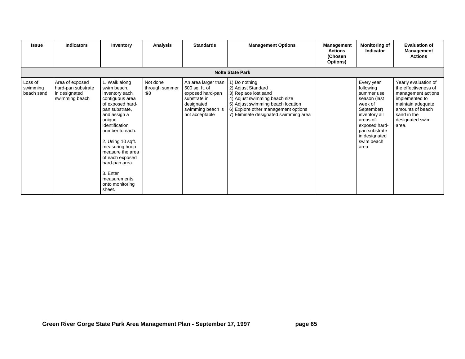| <b>Issue</b>                      | <b>Indicators</b>                                                        | Inventory                                                                                                                                                                                                                                                                                                                       | <b>Analysis</b>                                           | <b>Standards</b>                                                                                                               | <b>Management Options</b>                                                                                                                                                                                         | Management<br><b>Actions</b><br>(Chosen<br>Options) | <b>Monitoring of</b><br>Indicator                                                                                                                                                     | <b>Evaluation of</b><br><b>Management</b><br><b>Actions</b>                                                                                                              |  |  |
|-----------------------------------|--------------------------------------------------------------------------|---------------------------------------------------------------------------------------------------------------------------------------------------------------------------------------------------------------------------------------------------------------------------------------------------------------------------------|-----------------------------------------------------------|--------------------------------------------------------------------------------------------------------------------------------|-------------------------------------------------------------------------------------------------------------------------------------------------------------------------------------------------------------------|-----------------------------------------------------|---------------------------------------------------------------------------------------------------------------------------------------------------------------------------------------|--------------------------------------------------------------------------------------------------------------------------------------------------------------------------|--|--|
| <b>Nolte State Park</b>           |                                                                          |                                                                                                                                                                                                                                                                                                                                 |                                                           |                                                                                                                                |                                                                                                                                                                                                                   |                                                     |                                                                                                                                                                                       |                                                                                                                                                                          |  |  |
| Loss of<br>swimming<br>beach sand | Area of exposed<br>hard-pan substrate<br>in designated<br>swimming beach | 1. Walk along<br>swim beach,<br>inventory each<br>contiguous area<br>of exposed hard-<br>pan substrate,<br>and assign a<br>unique<br>identification<br>number to each.<br>2. Using 10 sqft.<br>measuring hoop<br>measure the area<br>of each exposed<br>hard-pan area.<br>3. Enter<br>measurements<br>onto monitoring<br>sheet. | Not done<br>through summer<br>$\mathcal{S}^{\mathcal{S}}$ | An area larger than<br>500 sq. ft. of<br>exposed hard-pan<br>substrate in<br>designated<br>swimming beach is<br>not acceptable | 1) Do nothing<br>2) Adjust Standard<br>3) Replace lost sand<br>4) Adjust swimming beach size<br>5) Adjust swimming beach location<br>6) Explore other management options<br>7) Eliminate designated swimming area |                                                     | Every year<br>following<br>summer use<br>season (last<br>week of<br>September)<br>inventory all<br>areas of<br>exposed hard-<br>pan substrate<br>in designated<br>swim beach<br>area. | Yearly evaluation of<br>the effectiveness of<br>management actions<br>implemented to<br>maintain adequate<br>amounts of beach<br>sand in the<br>designated swim<br>area. |  |  |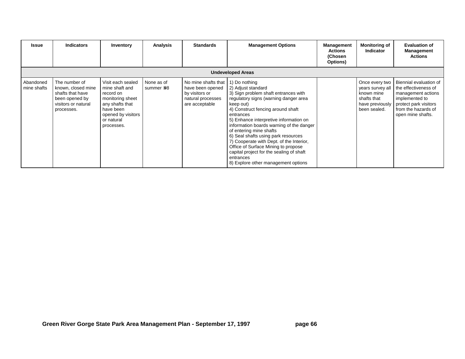| Issue                    | <b>Indicators</b>                                                                                              | Inventory                                                                                                                                              | <b>Analysis</b>          | <b>Standards</b>                                                                                 | <b>Management Options</b>                                                                                                                                                                                                                                                                                                                                                                                                                                                                                                      | <b>Management</b><br><b>Actions</b><br>(Chosen<br>Options) | <b>Monitoring of</b><br><b>Indicator</b>                                                           | <b>Evaluation of</b><br><b>Management</b><br><b>Actions</b>                                                                                                 |  |
|--------------------------|----------------------------------------------------------------------------------------------------------------|--------------------------------------------------------------------------------------------------------------------------------------------------------|--------------------------|--------------------------------------------------------------------------------------------------|--------------------------------------------------------------------------------------------------------------------------------------------------------------------------------------------------------------------------------------------------------------------------------------------------------------------------------------------------------------------------------------------------------------------------------------------------------------------------------------------------------------------------------|------------------------------------------------------------|----------------------------------------------------------------------------------------------------|-------------------------------------------------------------------------------------------------------------------------------------------------------------|--|
| <b>Undeveloped Areas</b> |                                                                                                                |                                                                                                                                                        |                          |                                                                                                  |                                                                                                                                                                                                                                                                                                                                                                                                                                                                                                                                |                                                            |                                                                                                    |                                                                                                                                                             |  |
| Abandoned<br>mine shafts | The number of<br>known, closed mine<br>shafts that have<br>been opened by<br>visitors or natural<br>processes. | Visit each sealed<br>mine shaft and<br>record on<br>monitoring sheet<br>any shafts that<br>have been<br>opened by visitors<br>or natural<br>processes. | None as of<br>summer >98 | No mine shafts that<br>have been opened<br>by visitors or<br>natural processes<br>are acceptable | 1) Do nothing<br>2) Adjust standard<br>3) Sign problem shaft entrances with<br>regulatory signs (warning danger area<br>keep out)<br>4) Construct fencing around shaft<br>entrances<br>5) Enhance interpretive information on<br>information boards warning of the danger<br>of entering mine shafts<br>6) Seal shafts using park resources<br>7) Cooperate with Dept. of the Interior,<br>Office of Surface Mining to propose<br>capital project for the sealing of shaft<br>entrances<br>8) Explore other management options |                                                            | Once every two<br>years survey all<br>known mine<br>shafts that<br>have previously<br>been sealed. | Biennial evaluation of<br>the effectiveness of<br>management actions<br>implemented to<br>protect park visitors<br>from the hazards of<br>open mine shafts. |  |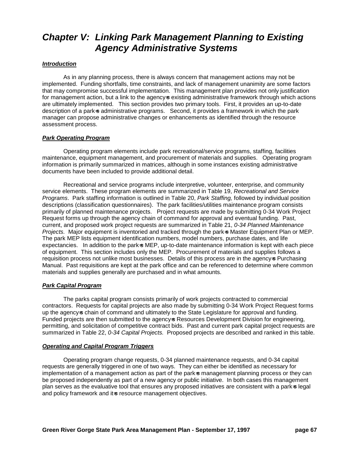# *Chapter V: Linking Park Management Planning to Existing Agency Administrative Systems*

#### *Introduction*

As in any planning process, there is always concern that management actions may not be implemented. Funding shortfalls, time constraints, and lack of management unanimity are some factors that may compromise successful implementation. This management plan provides not only justification for management action, but a link to the agency-s existing administrative framework through which actions are ultimately implemented. This section provides two primary tools. First, it provides an up-to-date description of a park-s administrative programs. Second, it provides a framework in which the park manager can propose administrative changes or enhancements as identified through the resource assessment process.

#### *Park Operating Program*

Operating program elements include park recreational/service programs, staffing, facilities maintenance, equipment management, and procurement of materials and supplies. Operating program information is primarily summarized in matrices, although in some instances existing administrative documents have been included to provide additional detail.

Recreational and service programs include interpretive, volunteer, enterprise, and community service elements. These program elements are summarized in Table 19, *Recreational and Service Programs*. Park staffing information is outlined in Table 20, *Park Staffing,* followed by individual position descriptions (classification questionnaires). The park facilities/utilities maintenance program consists primarily of planned maintenance projects. Project requests are made by submitting 0-34 Work Project Request forms up through the agency chain of command for approval and eventual funding. Past, current, and proposed work project requests are summarized in Table 21, *0-34 Planned Maintenance Projects.* Major equipment is inventoried and tracked through the park-s Master Equipment Plan or MEP. The park MEP lists equipment identification numbers, model numbers, purchase dates, and life expectancies. In addition to the park-s MEP, up-to-date maintenance information is kept with each piece of equipment. This section includes only the MEP. Procurement of materials and supplies follows a requisition process not unlike most businesses. Details of this process are in the agency-s Purchasing Manual. Past requisitions are kept at the park office and can be referenced to determine where common materials and supplies generally are purchased and in what amounts.

#### *Park Capital Program*

The parks capital program consists primarily of work projects contracted to commercial contractors. Requests for capital projects are also made by submitting 0-34 Work Project Request forms up the agency-s chain of command and ultimately to the State Legislature for approval and funding. Funded projects are then submitted to the agency-s Resources Development Division for engineering, permitting, and solicitation of competitive contract bids. Past and current park capital project requests are summarized in Table 22, *0-34 Capital Projects.* Proposed projects are described and ranked in this table.

#### *Operating and Capital Program Triggers*

Operating program change requests, 0-34 planned maintenance requests, and 0-34 capital requests are generally triggered in one of two ways. They can either be identified as necessary for implementation of a management action as part of the park-s management planning process or they can be proposed independently as part of a new agency or public initiative. In both cases this management plan serves as the evaluative tool that ensures any proposed initiatives are consistent with a park-s legal and policy framework and it-s resource management objectives.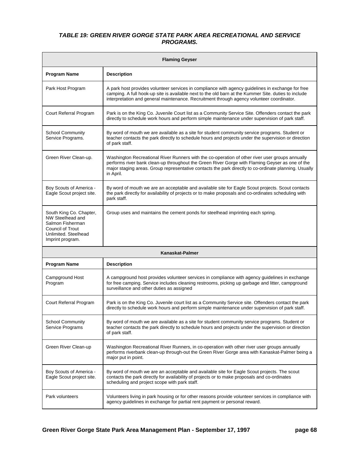### *TABLE 19: GREEN RIVER GORGE STATE PARK AREA RECREATIONAL AND SERVICE PROGRAMS.*

| <b>Flaming Geyser</b>                                                                                                                  |                                                                                                                                                                                                                                                                                                                          |  |  |  |  |  |  |
|----------------------------------------------------------------------------------------------------------------------------------------|--------------------------------------------------------------------------------------------------------------------------------------------------------------------------------------------------------------------------------------------------------------------------------------------------------------------------|--|--|--|--|--|--|
| <b>Program Name</b>                                                                                                                    | <b>Description</b>                                                                                                                                                                                                                                                                                                       |  |  |  |  |  |  |
| Park Host Program                                                                                                                      | A park host provides volunteer services in compliance with agency guidelines in exchange for free<br>camping. A full hook-up site is available next to the old barn at the Kummer Site. duties to include<br>interpretation and general maintenance. Recruitment through agency volunteer coordinator.                   |  |  |  |  |  |  |
| Court Referral Program                                                                                                                 | Park is on the King Co. Juvenile Court list as a Community Service Site. Offenders contact the park<br>directly to schedule work hours and perform simple maintenance under supervision of park staff.                                                                                                                   |  |  |  |  |  |  |
| <b>School Community</b><br>Service Programs.                                                                                           | By word of mouth we are available as a site for student community service programs. Student or<br>teacher contacts the park directly to schedule hours and projects under the supervision or direction<br>of park staff.                                                                                                 |  |  |  |  |  |  |
| Green River Clean-up.                                                                                                                  | Washington Recreational River Runners with the co-operation of other river user groups annually<br>performs river bank clean-up throughout the Green River Gorge with Flaming Geyser as one of the<br>major staging areas. Group representative contacts the park directly to co-ordinate planning. Usually<br>in April. |  |  |  |  |  |  |
| Boy Scouts of America -<br>Eagle Scout project site.                                                                                   | By word of mouth we are an acceptable and available site for Eagle Scout projects. Scout contacts<br>the park directly for availability of projects or to make proposals and co-ordinates scheduling with<br>park staff.                                                                                                 |  |  |  |  |  |  |
| South King Co. Chapter,<br>NW Steelhead and<br>Salmon Fisherman<br><b>Council of Trout</b><br>Unlimited. Steelhead<br>Imprint program. | Group uses and maintains the cement ponds for steelhead imprinting each spring.                                                                                                                                                                                                                                          |  |  |  |  |  |  |
|                                                                                                                                        | Kanaskat-Palmer                                                                                                                                                                                                                                                                                                          |  |  |  |  |  |  |
| <b>Program Name</b>                                                                                                                    | <b>Description</b>                                                                                                                                                                                                                                                                                                       |  |  |  |  |  |  |
| Campground Host<br>Program                                                                                                             | A campground host provides volunteer services in compliance with agency guidelines in exchange<br>for free camping. Service includes cleaning restrooms, picking up garbage and litter, campground<br>surveillance and other duties as assigned                                                                          |  |  |  |  |  |  |
| Court Referral Program                                                                                                                 | Park is on the King Co. Juvenile court list as a Community Service site. Offenders contact the park<br>directly to schedule work hours and perform simple maintenance under supervision of park staff.                                                                                                                   |  |  |  |  |  |  |
| <b>School Community</b><br>Service Programs                                                                                            | By word of mouth we are available as a site for student community service programs. Student or<br>teacher contacts the park directly to schedule hours and projects under the supervision or direction<br>of park staff.                                                                                                 |  |  |  |  |  |  |
| Green River Clean-up                                                                                                                   | Washington Recreational River Runners, in co-operation with other river user groups annually<br>performs riverbank clean-up through-out the Green River Gorge area with Kanaskat-Palmer being a<br>major put in point.                                                                                                   |  |  |  |  |  |  |
| Boy Scouts of America -<br>Eagle Scout project site.                                                                                   | By word of mouth we are an acceptable and available site for Eagle Scout projects. The scout<br>contacts the park directly for availability of projects or to make proposals and co-ordinates<br>scheduling and project scope with park staff.                                                                           |  |  |  |  |  |  |
| Park volunteers                                                                                                                        | Volunteers living in park housing or for other reasons provide volunteer services in compliance with<br>agency guidelines in exchange for partial rent payment or personal reward.                                                                                                                                       |  |  |  |  |  |  |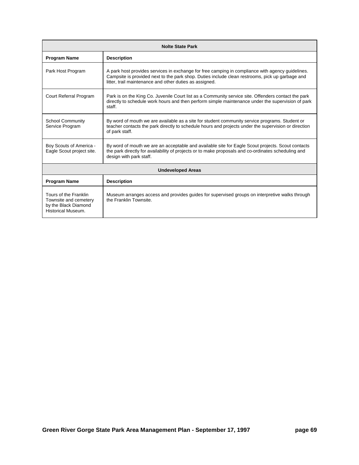| <b>Nolte State Park</b>                                                                      |                                                                                                                                                                                                                                                                |  |  |  |  |  |  |
|----------------------------------------------------------------------------------------------|----------------------------------------------------------------------------------------------------------------------------------------------------------------------------------------------------------------------------------------------------------------|--|--|--|--|--|--|
| <b>Program Name</b>                                                                          | <b>Description</b>                                                                                                                                                                                                                                             |  |  |  |  |  |  |
| Park Host Program                                                                            | A park host provides services in exchange for free camping in compliance with agency guidelines.<br>Campsite is provided next to the park shop. Duties include clean restrooms, pick up garbage and<br>litter, trail maintenance and other duties as assigned. |  |  |  |  |  |  |
| Court Referral Program                                                                       | Park is on the King Co. Juvenile Court list as a Community service site. Offenders contact the park<br>directly to schedule work hours and then perform simple maintenance under the supervision of park<br>staff.                                             |  |  |  |  |  |  |
| <b>School Community</b><br>Service Program                                                   | By word of mouth we are available as a site for student community service programs. Student or<br>teacher contacts the park directly to schedule hours and projects under the supervision or direction<br>of park staff.                                       |  |  |  |  |  |  |
| Boy Scouts of America -<br>Eagle Scout project site.                                         | By word of mouth we are an acceptable and available site for Eagle Scout projects. Scout contacts<br>the park directly for availability of projects or to make proposals and co-ordinates scheduling and<br>design with park staff.                            |  |  |  |  |  |  |
|                                                                                              | <b>Undeveloped Areas</b>                                                                                                                                                                                                                                       |  |  |  |  |  |  |
| <b>Program Name</b>                                                                          | <b>Description</b>                                                                                                                                                                                                                                             |  |  |  |  |  |  |
| Tours of the Franklin<br>Townsite and cemetery<br>by the Black Diamond<br>Historical Museum. | Museum arranges access and provides guides for supervised groups on interpretive walks through<br>the Franklin Townsite.                                                                                                                                       |  |  |  |  |  |  |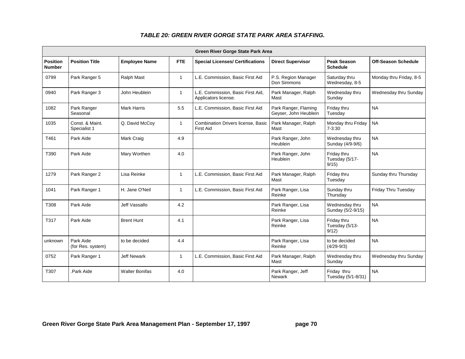|                                  | Green River Gorge State Park Area |                       |              |                                                           |                                               |                                       |                            |  |  |  |  |
|----------------------------------|-----------------------------------|-----------------------|--------------|-----------------------------------------------------------|-----------------------------------------------|---------------------------------------|----------------------------|--|--|--|--|
| <b>Position</b><br><b>Number</b> | <b>Position Title</b>             | <b>Employee Name</b>  | <b>FTE</b>   | <b>Special Licenses/ Certifications</b>                   | <b>Direct Supervisor</b>                      | <b>Peak Season</b><br><b>Schedule</b> | <b>Off-Season Schedule</b> |  |  |  |  |
| 0799                             | Park Ranger 5                     | Ralph Mast            | $\mathbf{1}$ | L.E. Commission, Basic First Aid                          | P.S. Region Manager<br>Don Simmons            | Saturday thru<br>Wednesday, 8-5       | Monday thru Friday, 8-5    |  |  |  |  |
| 0940                             | Park Ranger 3                     | John Heublein         | $\mathbf{1}$ | L.E. Commission, Basic First Aid,<br>Applicators license. | Park Manager, Ralph<br>Mast                   | Wednesday thru<br>Sunday              | Wednesday thru Sunday      |  |  |  |  |
| 1082                             | Park Ranger<br>Seasonal           | <b>Mark Harris</b>    | 5.5          | L.E. Commission, Basic First Aid                          | Park Ranger, Flaming<br>Geyser, John Heublein | Friday thru<br>Tuesday                | <b>NA</b>                  |  |  |  |  |
| 1035                             | Const. & Maint.<br>Specialist 1   | Q. David McCoy        | $\mathbf{1}$ | Combination Drivers license, Basic<br><b>First Aid</b>    | Park Manager, Ralph<br>Mast                   | Monday thru Friday<br>$7 - 3:30$      | <b>NA</b>                  |  |  |  |  |
| T461                             | Park Aide                         | Mark Craig            | 4.9          |                                                           | Park Ranger, John<br><b>Heublein</b>          | Wednesday thru<br>Sunday (4/9-9/6)    | <b>NA</b>                  |  |  |  |  |
| T390                             | Park Aide                         | Mary Worthen          | 4.0          |                                                           | Park Ranger, John<br><b>Heublein</b>          | Friday thru<br>Tuesday (5/17-<br>9/15 | <b>NA</b>                  |  |  |  |  |
| 1279                             | Park Ranger 2                     | Lisa Reinke           | $\mathbf{1}$ | L.E. Commission, Basic First Aid                          | Park Manager, Ralph<br>Mast                   | Friday thru<br>Tuesday                | Sunday thru Thursday       |  |  |  |  |
| 1041                             | Park Ranger 1                     | H. Jane O'Neil        | $\mathbf{1}$ | L.E. Commission, Basic First Aid                          | Park Ranger, Lisa<br>Reinke                   | Sunday thru<br>Thursday               | Friday Thru Tuesday        |  |  |  |  |
| T308                             | Park Aide                         | Jeff Vassallo         | 4.2          |                                                           | Park Ranger, Lisa<br>Reinke                   | Wednesday thru<br>Sunday (5/2-9/15)   | <b>NA</b>                  |  |  |  |  |
| T317                             | Park Aide                         | <b>Brent Hunt</b>     | 4.1          |                                                           | Park Ranger, Lisa<br>Reinke                   | Friday thru<br>Tuesday (5/13-<br>9/12 | <b>NA</b>                  |  |  |  |  |
| unknown                          | Park Aide<br>(for Res. system)    | to be decided         | 4.4          |                                                           | Park Ranger, Lisa<br>Reinke                   | to be decided<br>$(4/29-9/3)$         | <b>NA</b>                  |  |  |  |  |
| 0752                             | Park Ranger 1                     | <b>Jeff Newark</b>    | $\mathbf{1}$ | L.E. Commission, Basic First Aid                          | Park Manager, Ralph<br>Mast                   | Wednesday thru<br>Sunday              | Wednesday thru Sunday      |  |  |  |  |
| T307                             | Park Aide                         | <b>Walter Bonifas</b> | 4.0          |                                                           | Park Ranger, Jeff<br><b>Newark</b>            | Friday thru<br>Tuesday (5/1-8/31)     | <b>NA</b>                  |  |  |  |  |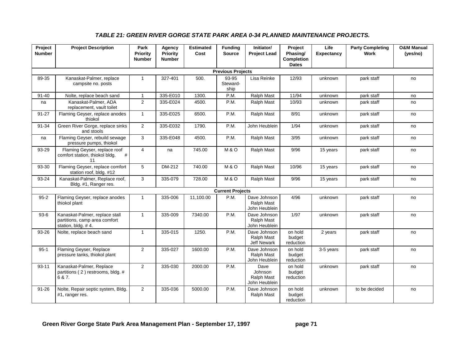### *TABLE 21: GREEN RIVER GORGE STATE PARK AREA 0-34 PLANNED MAINTENANCE PROJECTS.*

| Project<br><b>Number</b> | <b>Project Description</b>                                                            | Park<br>Priority<br><b>Number</b> | Agency<br><b>Priority</b><br><b>Number</b> | <b>Estimated</b><br>Cost | <b>Funding</b><br><b>Source</b> | Initiator/<br><b>Project Lead</b>                | Project<br>Phasing/<br><b>Completion</b><br><b>Dates</b> | Life<br><b>Expectancy</b> | <b>Party Completing</b><br><b>Work</b> | <b>O&amp;M Manual</b><br>(yes/no) |
|--------------------------|---------------------------------------------------------------------------------------|-----------------------------------|--------------------------------------------|--------------------------|---------------------------------|--------------------------------------------------|----------------------------------------------------------|---------------------------|----------------------------------------|-----------------------------------|
|                          |                                                                                       |                                   |                                            |                          | <b>Previous Projects</b>        |                                                  |                                                          |                           |                                        |                                   |
| 89-35                    | Kanaskat-Palmer, replace<br>campsite no. posts                                        | $\mathbf{1}$                      | 327-401                                    | 500.                     | 93-95<br>Steward-<br>ship       | Lisa Reinke                                      | 12/93                                                    | unknown                   | park staff                             | no                                |
| $91 - 40$                | Nolte, replace beach sand                                                             | $\mathbf{1}$                      | 335-E010                                   | 1300.                    | P.M.                            | Ralph Mast                                       | 11/94                                                    | unknown                   | park staff                             | no                                |
| na                       | Kanaskat-Palmer, ADA<br>replacement, vault toilet                                     | 2                                 | 335-E024                                   | 4500.                    | P.M.                            | <b>Ralph Mast</b>                                | 10/93                                                    | unknown                   | park staff                             | no                                |
| 91-27                    | Flaming Geyser, replace anodes<br>thiokol                                             | $\mathbf{1}$                      | 335-E025                                   | 6500.                    | P.M.                            | <b>Ralph Mast</b>                                | 8/91                                                     | unknown                   | park staff                             | no                                |
| 91-34                    | Green River Gorge, replace sinks<br>and stools                                        | $\overline{2}$                    | 335-E032                                   | 1790.                    | P.M.                            | John Heublein                                    | 1/94                                                     | unknown                   | park staff                             | no                                |
| na                       | Flaming Geyser, rebuild sewage<br>pressure pumps, thiokol                             | 3                                 | 335-E048                                   | 4500.                    | P.M.                            | Ralph Mast                                       | 3/95                                                     | unknown                   | park staff                             | no                                |
| 93-29                    | Flaming Geyser, replace roof<br>comfort station, thiokol bldg.<br>#<br>11             | $\overline{4}$                    | na                                         | 745.00                   | M&O                             | Ralph Mast                                       | 9/96                                                     | 15 years                  | park staff                             | no                                |
| 93-30                    | Flaming Geyser, replace comfort<br>station roof, bldg. #12                            | 5                                 | DM-212                                     | 740.00                   | M&O                             | Ralph Mast                                       | 10/96                                                    | 15 years                  | park staff                             | no                                |
| 93-24                    | Kanaskat-Palmer, Replace roof,<br>Bldg. #1, Ranger res.                               | 3                                 | 335-079                                    | 728.00                   | M&O                             | Ralph Mast                                       | 9/96                                                     | 15 years                  | park staff                             | no                                |
|                          |                                                                                       |                                   |                                            |                          | <b>Current Projects</b>         |                                                  |                                                          |                           |                                        |                                   |
| $95 - 2$                 | Flaming Geyser, replace anodes<br>thiokol plant                                       | $\mathbf{1}$                      | 335-006                                    | 11,100.00                | P.M.                            | Dave Johnson<br>Ralph Mast<br>John Heublein      | 4/96                                                     | unknown                   | park staff                             | no                                |
| $93-6$                   | Kanaskat-Palmer, replace stall<br>partitions, camp area comfort<br>station, bldg. #4. | $\mathbf{1}$                      | 335-009                                    | 7340.00                  | P.M.                            | Dave Johnson<br>Ralph Mast<br>John Heublein      | 1/97                                                     | unknown                   | park staff                             | no                                |
| 93-26                    | Nolte, replace beach sand                                                             | $\mathbf{1}$                      | 335-015                                    | 1250.                    | P.M.                            | Dave Johnson<br>Ralph Mast<br><b>Jeff Newark</b> | on hold<br>budget<br>reduction                           | 2 years                   | park staff                             | no                                |
| $95 - 1$                 | Flaming Geyser, Replace<br>pressure tanks, thiokol plant                              | $\overline{2}$                    | 335-027                                    | 1600.00                  | P.M.                            | Dave Johnson<br>Ralph Mast<br>John Heublein      | on hold<br>budget<br>reduction                           | 3-5 years                 | park staff                             | no                                |
| 93-11                    | Kanaskat-Palmer, Replace<br>partitions (2) restrooms, bldg. #<br>6 & 7.               | $\overline{2}$                    | 335-030                                    | 2000.00                  | P.M.                            | Dave<br>Johnson<br>Ralph Mast<br>John Heublein   | on hold<br>budget<br>reduction                           | unknown                   | park staff                             | no                                |
| $91 - 26$                | Nolte, Repair septic system, Bldg.<br>#1, ranger res.                                 | 2                                 | 335-036                                    | 5000.00                  | P.M.                            | Dave Johnson<br>Ralph Mast                       | on hold<br>budget<br>reduction                           | unknown                   | to be decided                          | no                                |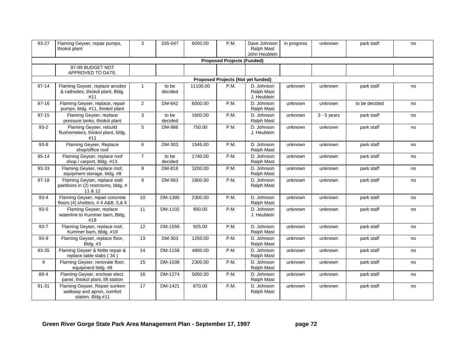| 93-27     | Flaming Geyser, repair pumps,<br>thiokol plant                                   | 3               | 335-047          | 6000.00  | P.M.                              | Dave Johnson<br>Ralph Mast<br>John Heublein | in progress | unknown       | park staff    | no |
|-----------|----------------------------------------------------------------------------------|-----------------|------------------|----------|-----------------------------------|---------------------------------------------|-------------|---------------|---------------|----|
|           |                                                                                  |                 |                  |          | <b>Proposed Projects (Funded)</b> |                                             |             |               |               |    |
|           | 97-99 BUDGET NOT<br>APPROVED TO DATE.                                            |                 |                  |          |                                   |                                             |             |               |               |    |
|           |                                                                                  |                 |                  |          |                                   | Proposed Projects (Not yet funded)          |             |               |               |    |
| $97 - 14$ | Flaming Geyser, replace anodes<br>& cathodes, thiokol plant, Bldg.<br>#11        | $\mathbf{1}$    | to be<br>decided | 11100.00 | P.M.                              | D. Johnson<br>Ralph Mast<br>J. Heublein     | unknown     | unknown       | park staff    | no |
| $97 - 16$ | Flaming Geyser, replace, repair<br>pumps, bldg. #11, thiokol plant               | $\overline{2}$  | DM-642           | 6000.00  | P.M.                              | D. Johnson<br>Ralph Mast                    | unknown     | unknown       | to be decided | no |
| $97 - 15$ | Flaming Geyser, replace<br>pressure tanks, thiokol plant                         | 3               | to be<br>decided | 1600.00  | P.M.                              | D. Johnson<br>Ralph Mast                    | unknown     | $3 - 5$ years | park staff    | no |
| $93-2$    | Flaming Geyser, rebuild<br>flushometers, thiokol plant, bldg.<br>#11             | 5               | DM-986           | 750.00   | P.M.                              | D. Johnson<br>J. Heublein                   | unknown     | unknown       | park staff    | no |
| $93 - 8$  | Flaming Geyser, Replace<br>shop/office roof                                      | 6               | DM-303           | 1545.00  | P.M.                              | D. Johnson<br>Ralph Mast                    | unknown     | unknown       | park staff    | no |
| 95-14     | Flaming Geyser, replace roof<br>shop / carport, Bldg. #13.                       | $\overline{7}$  | to be<br>decided | 1740.00  | P.M.                              | D. Johnson<br><b>Ralph Mast</b>             | unknown     | unknown       | park staff    | no |
| 93-33     | Flaming Geyser, replace roof,<br>equipment storage, bldg. #8                     | 8               | DM-818           | 3200.00  | P.M.                              | D. Johnson<br>Ralph Mast                    | unknown     | unknown       | park staff    | no |
| $97-18$   | Flaming Geyser, replace stall<br>partitions in (2) restrooms, bldg. #<br>11 & 12 | 9               | DM-583           | 1800.00  | P.M.                              | D. Johnson<br>Ralph Mast                    | unknown     | unknown       | park staff    | no |
| $93 - 4$  | Flaming Geyser, repair concrete<br>floors (4) shelters, #4 A&B, 5,& 6            | 10              | DM-1385          | 2300.00  | P.M.                              | D. Johnson<br>Ralph Mast                    | unknown     | unknown       | park staff    | no |
| $93 - 5$  | Flaming Geyser, replace<br>waterline to Kummer barn, Bldg.<br>#19                | 11              | DM-1102          | 900.00   | P.M.                              | D. Johnson<br>J. Heublein                   | unknown     | unknown       | park staff    | no |
| $93 - 7$  | Flaming Geyser, replace roof,<br>Kummer barn, Bldg. #19                          | 12              | DM-1556          | 925.00   | P.M.                              | D. Johnson<br>Ralph Mast                    | unknown     | unknown       | park staff    | no |
| $93-9$    | Flaming Geyser, replace floor,<br><b>Bldg. #3</b>                                | 13              | DM-303           | 1250.00  | P.M.                              | D. Johnson<br>Ralph Mast                    | unknown     | unknown       | park staff    | no |
| 93-35     | Flaming Geyser & Nolte repair &<br>replace table slabs (34)                      | 14              | DM-1158          | 4800.00  | P.M.                              | D. Johnson<br>Ralph Mast                    | unknown     | unknown       | park staff    | no |
| 9         | Flaming Geyser, renovate floor,<br>equipment bldg. #8                            | 15              | DM-1038          | 2300.00  | P.M.                              | D. Johnson<br>Ralph Mast                    | unknown     | unknown       | park staff    | no |
| 89-4      | Flaming Geyser, enclose elect.<br>panel, thiokol plant, lift station             | 16              | DM-1274          | 5000.00  | P.M.                              | D. Johnson<br>Ralph Mast                    | unknown     | unknown       | park staff    | no |
| 91-31     | Flaming Geyser, Repair sunken<br>walkway and apron, comfort<br>station, Bldg.#11 | $\overline{17}$ | DM-1421          | 870.00   | P.M.                              | D. Johnson<br>Ralph Mast                    | unknown     | unknown       | park staff    | no |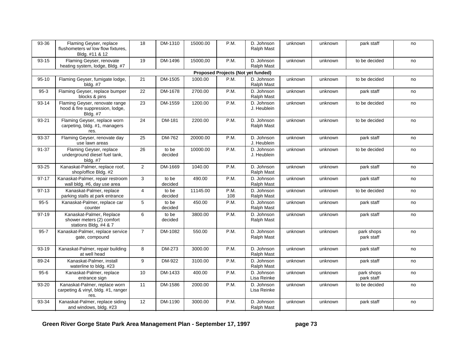| Flaming Geyser, replace<br>flushometers w/ low flow fixtures,<br>Bldg. #11 & 12      | 18                           | DM-1310          | 15000.00 | P.M.        | D. Johnson<br>Ralph Mast        | unknown                                                        | unknown | park staff               | no |
|--------------------------------------------------------------------------------------|------------------------------|------------------|----------|-------------|---------------------------------|----------------------------------------------------------------|---------|--------------------------|----|
| Flaming Geyser, renovate<br>heating system, lodge, Bldg. #7                          | 19                           | DM-1496          | 15000,00 | P.M.        | D. Johnson<br>Ralph Mast        | unknown                                                        | unknown | to be decided            | no |
|                                                                                      |                              |                  |          |             |                                 |                                                                |         |                          |    |
| Flaming Geyser, fumigate lodge,<br>$b$ ldg. $#7$                                     | 21                           | DM-1505          | 1000.00  | P.M.        | D. Johnson<br>Ralph Mast        | unknown                                                        | unknown | to be decided            | no |
| Flaming Geyser, replace bumper<br>blocks & pins                                      | 22                           | DM-1678          | 2700.00  | P.M.        | D. Johnson<br>Ralph Mast        | unknown                                                        | unknown | park staff               | no |
| Flaming Geyser, renovate range<br>hood & fire suppression, lodge,<br><b>Bldg. #7</b> | 23                           | DM-1559          | 1200.00  | P.M.        | D. Johnson<br>J. Heublein       | unknown                                                        | unknown | to be decided            | no |
| Flaming Geyser, replace worn<br>carpeting, bldg. #1, managers<br>res.                | 24                           | DM-181           | 2200.00  | P.M.        | D. Johnson<br>Ralph Mast        | unknown                                                        | unknown | to be decided            | no |
| use lawn areas                                                                       | 25                           | DM-762           | 20000.00 |             | D. Johnson<br>J. Heublein       | unknown                                                        | unknown | park staff               | no |
| Flaming Geyser, replace<br>underground diesel fuel tank,<br>bldg. #7                 | 26                           | to be<br>decided | 10000.00 | P.M.        | D. Johnson<br>J. Heublein       | unknown                                                        | unknown | to be decided            | no |
| Kanaskat-Palmer, replace roof,<br>shop/office Bldg. #2                               | $\overline{2}$               | DM-1669          | 1040.00  | P.M.        | D. Johnson<br>Ralph Mast        | unknown                                                        | unknown | park staff               | no |
| Kanaskat-Palmer, repair restroom<br>wall bldg. #6, day use area                      | 3                            | to be<br>decided | 490.00   | P.M.        | D. Johnson<br>Ralph Mast        | unknown                                                        | unknown | park staff               | no |
| Kanaskat-Palmer, replace<br>parking stalls at park entrance                          | $\overline{4}$               | to be<br>decided | 11145.00 | P.M.<br>108 | D. Johnson<br>Ralph Mast        | unknown                                                        | unknown | to be decided            | no |
| Kanaskat-Palmer, replace car<br>counter                                              | 5                            | to be<br>decided | 450.00   | P.M.        | D. Johnson<br><b>Ralph Mast</b> | unknown                                                        | unknown | park staff               | no |
| Kanaskat-Palmer, Replace<br>shower meters (2) comfort<br>stations Bldg. #4 & 7       | 6                            | to be<br>decided | 3800.00  | P.M.        | D. Johnson<br>Ralph Mast        | unknown                                                        | unknown | park staff               | no |
| Kanaskat-Palmer, replace service<br>gate, compound                                   | $\overline{7}$               | DM-1082          | 550.00   | P.M.        | Ralph Mast                      | unknown                                                        | unknown | park shops<br>park staff | no |
| Kanaskat-Palmer, repair building<br>at well head                                     | 8                            | DM-273           | 3000.00  | P.M.        | D. Johnson<br>Ralph Mast        | unknown                                                        | unknown | park staff               | no |
| Kanaskat-Palmer, install<br>waterline to bldg. #23                                   | 9                            | DM-922           | 3100.00  | P.M.        | D. Johnson<br>Ralph Mast        | unknown                                                        | unknown | park staff               | no |
| Kanaskat-Palmer, replace<br>entrance sign                                            | 10                           | DM-1433          | 400.00   | P.M.        | D. Johnson<br>Lisa Reinke       | unknown                                                        | unknown | park shops<br>park staff | no |
| Kanaskat-Palmer, replace worn<br>carpeting & vinyl, bldg. #1, ranger<br>res.         | 11                           | DM-1586          | 2000.00  | P.M.        | D. Johnson<br>Lisa Reinke       | unknown                                                        | unknown | to be decided            | no |
| Kanaskat-Palmer, replace siding<br>and windows, bldg. #23                            | 12                           | DM-1190          | 3000.00  | P.M.        | D. Johnson<br>Ralph Mast        | unknown                                                        | unknown | park staff               | no |
|                                                                                      | Flaming Geyser, renovate day |                  |          |             | P.M.                            | Proposed Projects (Not yet funded)<br>$\overline{D}$ . Johnson |         |                          |    |

**Green River Gorge State Park Area Management Plan - September 17, 1997 page 73**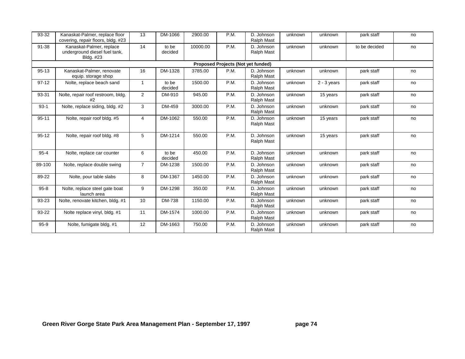| 93-32     | Kanaskat-Palmer, replace floor<br>covering, repair floors, bldg. #23   | 13             | DM-1066          | 2900.00  | P.M. | D. Johnson<br>Ralph Mast                  | unknown | unknown       | park staff    | no |
|-----------|------------------------------------------------------------------------|----------------|------------------|----------|------|-------------------------------------------|---------|---------------|---------------|----|
| 91-38     | Kanaskat-Palmer, replace<br>underground diesel fuel tank,<br>Bldg. #23 | 14             | to be<br>decided | 10000.00 | P.M. | D. Johnson<br>Ralph Mast                  | unknown | unknown       | to be decided | no |
|           |                                                                        |                |                  |          |      | <b>Proposed Projects (Not yet funded)</b> |         |               |               |    |
| $95 - 13$ | Kanaskat-Palmer, renovate<br>equip. storage shop                       | 16             | DM-1328          | 3785.00  | P.M. | D. Johnson<br>Ralph Mast                  | unknown | unknown       | park staff    | no |
| $97-12$   | Nolte, replace beach sand                                              | $\overline{1}$ | to be<br>decided | 1500.00  | P.M. | D. Johnson<br>Ralph Mast                  | unknown | $2 - 3$ years | park staff    | no |
| 93-31     | Nolte, repair roof restroom, bldg.<br>#2                               | 2              | DM-910           | 945.00   | P.M. | D. Johnson<br>Ralph Mast                  | unknown | 15 years      | park staff    | no |
| $93-1$    | Nolte, replace siding, bldg. #2                                        | 3              | DM-459           | 3000.00  | P.M. | D. Johnson<br>Ralph Mast                  | unknown | unknown       | park staff    | no |
| $95 - 11$ | Nolte, repair roof bldg. #5                                            | $\overline{4}$ | DM-1062          | 550.00   | P.M. | D. Johnson<br>Ralph Mast                  | unknown | 15 years      | park staff    | no |
| $95 - 12$ | Nolte, repair roof bldg. #8                                            | 5              | DM-1214          | 550.00   | P.M. | D. Johnson<br>Ralph Mast                  | unknown | 15 years      | park staff    | no |
| $95 - 4$  | Nolte, replace car counter                                             | 6              | to be<br>decided | 450.00   | P.M. | D. Johnson<br>Ralph Mast                  | unknown | unknown       | park staff    | no |
| 89-100    | Nolte, replace double swing                                            | $\overline{7}$ | DM-1238          | 1500.00  | P.M. | D. Johnson<br>Ralph Mast                  | unknown | unknown       | park staff    | no |
| 89-22     | Nolte, pour table slabs                                                | 8              | DM-1367          | 1450.00  | P.M. | D. Johnson<br>Ralph Mast                  | unknown | unknown       | park staff    | no |
| $95 - 8$  | Nolte, replace steel gate boat<br>launch area                          | 9              | DM-1298          | 350.00   | P.M. | D. Johnson<br>Ralph Mast                  | unknown | unknown       | park staff    | no |
| 93-23     | Nolte, renovate kitchen, bldg. #1                                      | 10             | DM-738           | 1150.00  | P.M. | D. Johnson<br>Ralph Mast                  | unknown | unknown       | park staff    | no |
| 93-22     | Nolte replace vinyl, bldg. #1                                          | 11             | DM-1574          | 1000.00  | P.M. | D. Johnson<br>Ralph Mast                  | unknown | unknown       | park staff    | no |
| $95-9$    | Nolte, fumigate bldg. #1                                               | 12             | DM-1663          | 750.00   | P.M. | D. Johnson<br><b>Ralph Mast</b>           | unknown | unknown       | park staff    | no |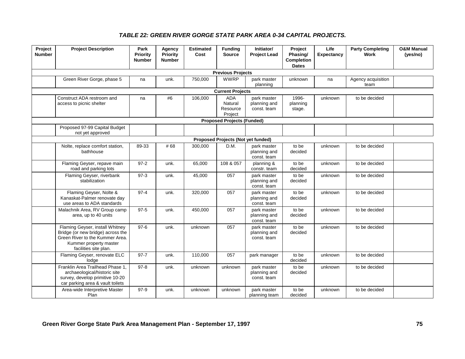### *TABLE 22: GREEN RIVER GORGE STATE PARK AREA 0-34 CAPITAL PROJECTS.*

| Project<br><b>Number</b> | <b>Project Description</b>                                                                                                                                 | Park<br>Priority<br><b>Number</b> | Agency<br><b>Priority</b><br><b>Number</b> | <b>Estimated</b><br>Cost | <b>Funding</b><br><b>Source</b>              | Initiator/<br><b>Project Lead</b>          | Project<br>Phasing/<br>Completion<br><b>Dates</b> | Life<br>Expectancy | <b>Party Completing</b><br><b>Work</b> | <b>O&amp;M Manual</b><br>(yes/no) |
|--------------------------|------------------------------------------------------------------------------------------------------------------------------------------------------------|-----------------------------------|--------------------------------------------|--------------------------|----------------------------------------------|--------------------------------------------|---------------------------------------------------|--------------------|----------------------------------------|-----------------------------------|
|                          |                                                                                                                                                            |                                   |                                            |                          | <b>Previous Projects</b>                     |                                            |                                                   |                    |                                        |                                   |
|                          | Green River Gorge, phase 5                                                                                                                                 | na                                | unk.                                       | 750,000                  | <b>WWRP</b>                                  | park master<br>planning                    | unknown                                           | na                 | Agency acquisition<br>team             |                                   |
|                          |                                                                                                                                                            |                                   |                                            |                          | <b>Current Projects</b>                      |                                            |                                                   |                    |                                        |                                   |
|                          | Construct ADA restroom and<br>access to picnic shelter                                                                                                     | na                                | #6                                         | 106,000                  | <b>ADA</b><br>Natural<br>Resource<br>Project | park master<br>planning and<br>const. team | 1996-<br>planning<br>stage.                       | unknown            | to be decided                          |                                   |
|                          |                                                                                                                                                            |                                   |                                            |                          | <b>Proposed Projects (Funded)</b>            |                                            |                                                   |                    |                                        |                                   |
|                          | Proposed 97-99 Capital Budget<br>not yet approved                                                                                                          |                                   |                                            |                          |                                              |                                            |                                                   |                    |                                        |                                   |
|                          |                                                                                                                                                            |                                   |                                            |                          | Proposed Projects (Not yet funded)           |                                            |                                                   |                    |                                        |                                   |
|                          | Nolte, replace comfort station,<br>bathhouse                                                                                                               | 89-33                             | #68                                        | 300,000                  | D.M.                                         | park master<br>planning and<br>const. team | to be<br>decided                                  | unknown            | to be decided                          |                                   |
|                          | Flaming Geyser, repave main<br>road and parking lots                                                                                                       | $97-2$                            | unk.                                       | 65,000                   | 108 & 057                                    | planning &<br>constr. team                 | to be<br>decided                                  | unknown            | to be decided                          |                                   |
|                          | Flaming Geyser, riverbank<br>stabilization                                                                                                                 | $97-3$                            | unk.                                       | 45,000                   | 057                                          | park master<br>planning and<br>const. team | to be<br>decided                                  | unknown            | to be decided                          |                                   |
|                          | Flaming Geyser, Nolte &<br>Kanaskat-Palmer renovate day<br>use areas to ADA standards                                                                      | $97 - 4$                          | unk.                                       | 320,000                  | 057                                          | park master<br>planning and<br>const. team | to be<br>decided                                  | unknown            | to be decided                          |                                   |
|                          | Malachnik Area, RV Group camp<br>area, up to 40 units                                                                                                      | $97 - 5$                          | unk.                                       | 450,000                  | 057                                          | park master<br>planning and<br>const. team | to be<br>decided                                  | unknown            | to be decided                          |                                   |
|                          | Flaming Geyser, install Whitney<br>Bridge (or new bridge) across the<br>Green River to the Kummer Area.<br>Kummer property master<br>facilities site plan. | $97-6$                            | unk.                                       | unknown                  | 057                                          | park master<br>planning and<br>const. team | to be<br>decided                                  | unknown            | to be decided                          |                                   |
|                          | Flaming Geyser, renovate ELC<br>lodge                                                                                                                      | $97 - 7$                          | unk.                                       | 110,000                  | 057                                          | park manager                               | to be<br>decided                                  | unknown            | to be decided                          |                                   |
|                          | Franklin Area Trailhead Phase 1.<br>archaeological/historic site<br>survey, develop primitive 10-20<br>car parking area & vault toilets                    | $97 - 8$                          | unk.                                       | unknown                  | unknown                                      | park master<br>planning and<br>const. team | to be<br>decided                                  | unknown            | to be decided                          |                                   |
|                          | Area-wide Interpretive Master<br>Plan                                                                                                                      | $97-9$                            | unk.                                       | unknown                  | unknown                                      | park master<br>planning team               | to be<br>decided                                  | unknown            | to be decided                          |                                   |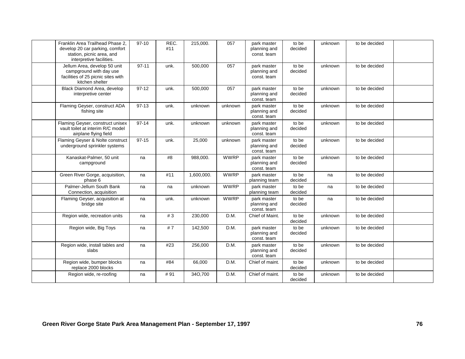| Franklin Area Trailhead Phase 2.<br>develop 20 car parking, comfort<br>station, picnic area, and<br>interpretive facilities. | $97-10$   | REC.<br>#11 | 215,000.   | 057         | park master<br>planning and<br>const. team | to be<br>decided | unknown | to be decided |  |
|------------------------------------------------------------------------------------------------------------------------------|-----------|-------------|------------|-------------|--------------------------------------------|------------------|---------|---------------|--|
| Jellum Area, develop 50 unit<br>campground with day use<br>facilities of 25 picnic sites with<br>kitchen shelter             | $97 - 11$ | unk.        | 500,000    | 057         | park master<br>planning and<br>const. team | to be<br>decided | unknown | to be decided |  |
| Black Diamond Area, develop<br>interpretive center                                                                           | $97-12$   | unk.        | 500,000    | 057         | park master<br>planning and<br>const. team | to be<br>decided | unknown | to be decided |  |
| Flaming Geyser, construct ADA<br>fishing site                                                                                | $97-13$   | unk.        | unknown    | unknown     | park master<br>planning and<br>const. team | to be<br>decided | unknown | to be decided |  |
| Flaming Geyser, construct unisex<br>vault toilet at interim R/C model<br>airplane flying field                               | $97 - 14$ | unk.        | unknown    | unknown     | park master<br>planning and<br>const. team | to be<br>decided | unknown | to be decided |  |
| Flaming Geyser & Nolte construct<br>underground sprinkler systems                                                            | $97-15$   | unk.        | 25,000     | unknown     | park master<br>planning and<br>const. team | to be<br>decided | unknown | to be decided |  |
| Kanaskat-Palmer, 50 unit<br>campground                                                                                       | na        | #8          | 988,000.   | <b>WWRP</b> | park master<br>planning and<br>const. team | to be<br>decided | unknown | to be decided |  |
| Green River Gorge, acquisition,<br>phase 6                                                                                   | na        | #11         | 1,600,000. | <b>WWRP</b> | park master<br>planning team               | to be<br>decided | na      | to be decided |  |
| Palmer-Jellum South Bank<br>Connection, acquisition                                                                          | na        | na          | unknown    | <b>WWRP</b> | park master<br>planning team               | to be<br>decided | na      | to be decided |  |
| Flaming Geyser, acquisition at<br>bridge site                                                                                | na        | unk.        | unknown    | <b>WWRP</b> | park master<br>planning and<br>const. team | to be<br>decided | na      | to be decided |  |
| Region wide, recreation units                                                                                                | na        | #3          | 230,000    | D.M.        | Chief of Maint.                            | to be<br>decided | unknown | to be decided |  |
| Region wide, Big Toys                                                                                                        | na        | #7          | 142,500    | D.M.        | park master<br>planning and<br>const. team | to be<br>decided | unknown | to be decided |  |
| Region wide, install tables and<br>slabs                                                                                     | na        | #23         | 256,000    | D.M.        | park master<br>planning and<br>const. team | to be<br>decided | unknown | to be decided |  |
| Region wide, bumper blocks<br>replace 2000 blocks                                                                            | na        | #84         | 66,000     | D.M.        | Chief of maint.                            | to be<br>decided | unknown | to be decided |  |
| Region wide, re-roofing                                                                                                      | na        | #91         | 340,700    | D.M.        | Chief of maint.                            | to be<br>decided | unknown | to be decided |  |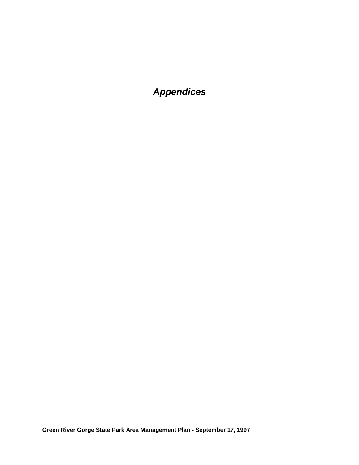# *Appendices*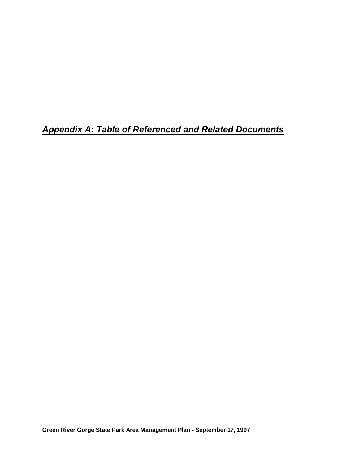*Appendix A: Table of Referenced and Related Documents*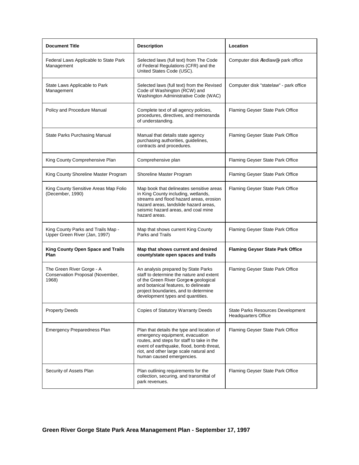| <b>Document Title</b>                                                  | <b>Description</b>                                                                                                                                                                                                                              | Location                                                        |
|------------------------------------------------------------------------|-------------------------------------------------------------------------------------------------------------------------------------------------------------------------------------------------------------------------------------------------|-----------------------------------------------------------------|
| Federal Laws Applicable to State Park<br>Management                    | Selected laws (full text) from The Code<br>of Federal Regulations (CFR) and the<br>United States Code (USC).                                                                                                                                    | Computer disk Afedlawe - park office                            |
| State Laws Applicable to Park<br>Management                            | Selected laws (full text) from the Revised<br>Code of Washington (RCW) and<br>Washington Administrative Code (WAC)                                                                                                                              | Computer disk "statelaw" - park office                          |
| Policy and Procedure Manual                                            | Complete text of all agency policies,<br>procedures, directives, and memoranda<br>of understanding.                                                                                                                                             | Flaming Geyser State Park Office                                |
| State Parks Purchasing Manual                                          | Manual that details state agency<br>purchasing authorities, guidelines,<br>contracts and procedures.                                                                                                                                            | Flaming Geyser State Park Office                                |
| King County Comprehensive Plan                                         | Comprehensive plan                                                                                                                                                                                                                              | Flaming Geyser State Park Office                                |
| King County Shoreline Master Program                                   | Shoreline Master Program                                                                                                                                                                                                                        | Flaming Geyser State Park Office                                |
| King County Sensitive Areas Map Folio<br>(December, 1990)              | Map book that delineates sensitive areas<br>in King County including, wetlands,<br>streams and flood hazard areas, erosion<br>hazard areas, landslide hazard areas,<br>seismic hazard areas, and coal mine<br>hazard areas.                     | Flaming Geyser State Park Office                                |
| King County Parks and Trails Map -<br>Upper Green River (Jan, 1997)    | Map that shows current King County<br>Parks and Trails                                                                                                                                                                                          | Flaming Geyser State Park Office                                |
| King County Open Space and Trails<br>Plan                              | Map that shows current and desired<br>county/state open spaces and trails                                                                                                                                                                       | <b>Flaming Geyser State Park Office</b>                         |
| The Green River Gorge - A<br>Conservation Proposal (November,<br>1968) | An analysis prepared by State Parks<br>staff to determine the nature and extent<br>of the Green River Gorge-s geological<br>and botanical features, to delineate<br>project boundaries, and to determine<br>development types and quantities.   | Flaming Geyser State Park Office                                |
| <b>Property Deeds</b>                                                  | <b>Copies of Statutory Warranty Deeds</b>                                                                                                                                                                                                       | State Parks Resources Development<br><b>Headquarters Office</b> |
| Emergency Preparedness Plan                                            | Plan that details the type and location of<br>emergency equipment, evacuation<br>routes, and steps for staff to take in the<br>event of earthquake, flood, bomb threat,<br>riot, and other large scale natural and<br>human caused emergencies. | Flaming Geyser State Park Office                                |
| Security of Assets Plan                                                | Plan outlining requirements for the<br>collection, securing, and transmittal of<br>park revenues.                                                                                                                                               | Flaming Geyser State Park Office                                |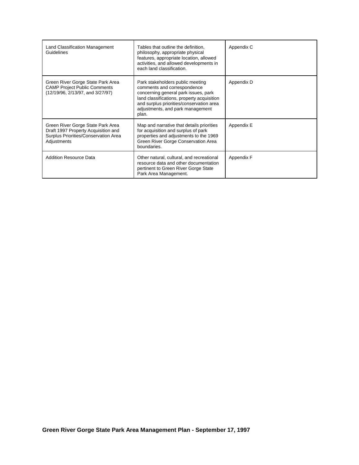| Land Classification Management<br>Guidelines                                                                                    | Tables that outline the definition.<br>philosophy, appropriate physical<br>features, appropriate location, allowed<br>activities, and allowed developments in<br>each land classification.                                                     | Appendix C |
|---------------------------------------------------------------------------------------------------------------------------------|------------------------------------------------------------------------------------------------------------------------------------------------------------------------------------------------------------------------------------------------|------------|
| Green River Gorge State Park Area<br><b>CAMP Project Public Comments</b><br>(12/19/96, 2/13/97, and 3/27/97)                    | Park stakeholders public meeting<br>comments and correspondence<br>concerning general park issues, park<br>land classifications, property acquisition<br>and surplus priorities/conservation area<br>adjustments, and park management<br>plan. | Appendix D |
| Green River Gorge State Park Area<br>Draft 1997 Property Acquisition and<br>Surplus Priorities/Conservation Area<br>Adjustments | Map and narrative that details priorities<br>for acquisition and surplus of park<br>properties and adjustments to the 1969<br>Green River Gorge Conservation Area<br>boundaries.                                                               | Appendix E |
| <b>Addition Resource Data</b>                                                                                                   | Other natural, cultural, and recreational<br>resource data and other documentation<br>pertinent to Green River Gorge State<br>Park Area Management.                                                                                            | Appendix F |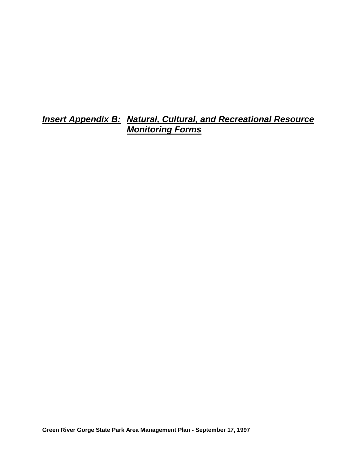*Insert Appendix B: Natural, Cultural, and Recreational Resource Monitoring Forms*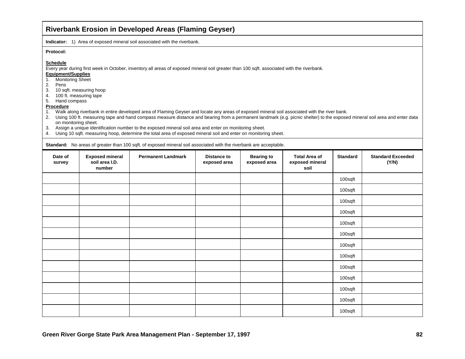### **Riverbank Erosion in Developed Areas (Flaming Geyser)**

**Indicator:** 1) Area of exposed mineral soil associated with the riverbank.

#### **Protocol:**

#### **Schedule**

Every year during first week in October, inventory all areas of exposed mineral soil greater than 100 sqft. associated with the riverbank.

### **Equipment/Supplies**

- 1. Monitoring Sheet
- 2. Pens
- 3. 10 sqft. measuring hoop
- 4. 100 ft. measuring tape
- 5. Hand compass

#### **Procedure**

- 1. Walk along riverbank in entire developed area of Flaming Geyser and locate any areas of exposed mineral soil associated with the river bank.
- 2. Using 100 ft. measuring tape and hand compass measure distance and bearing from a permanent landmark (e.g. picnic shelter) to the exposed mineral soil area and enter data on monitoring sheet.
- 3. Assign a unique identification number to the exposed mineral soil area and enter on monitoring sheet.
- 4. Using 10 sqft. measuring hoop, determine the total area of exposed mineral soil and enter on monitoring sheet.

**Standard:** No areas of greater than 100 sqft. of exposed mineral soil associated with the riverbank are acceptable.

| Date of<br>survey | <b>Exposed mineral</b><br>soil area I.D.<br>number | <b>Permanent Landmark</b> | <b>Distance to</b><br>exposed area | <b>Bearing to</b><br>exposed area | <b>Total Area of</b><br>exposed mineral<br>soil | <b>Standard</b> | <b>Standard Exceeded</b><br>(Y/N) |
|-------------------|----------------------------------------------------|---------------------------|------------------------------------|-----------------------------------|-------------------------------------------------|-----------------|-----------------------------------|
|                   |                                                    |                           |                                    |                                   |                                                 | 100sqft         |                                   |
|                   |                                                    |                           |                                    |                                   |                                                 | 100sqft         |                                   |
|                   |                                                    |                           |                                    |                                   |                                                 | 100sqft         |                                   |
|                   |                                                    |                           |                                    |                                   |                                                 | 100sqft         |                                   |
|                   |                                                    |                           |                                    |                                   |                                                 | 100sqft         |                                   |
|                   |                                                    |                           |                                    |                                   |                                                 | 100sqft         |                                   |
|                   |                                                    |                           |                                    |                                   |                                                 | 100sqft         |                                   |
|                   |                                                    |                           |                                    |                                   |                                                 | 100sqft         |                                   |
|                   |                                                    |                           |                                    |                                   |                                                 | 100sqft         |                                   |
|                   |                                                    |                           |                                    |                                   |                                                 | 100sqft         |                                   |
|                   |                                                    |                           |                                    |                                   |                                                 | 100sqft         |                                   |
|                   |                                                    |                           |                                    |                                   |                                                 | 100sqft         |                                   |
|                   |                                                    |                           |                                    |                                   |                                                 | 100sqft         |                                   |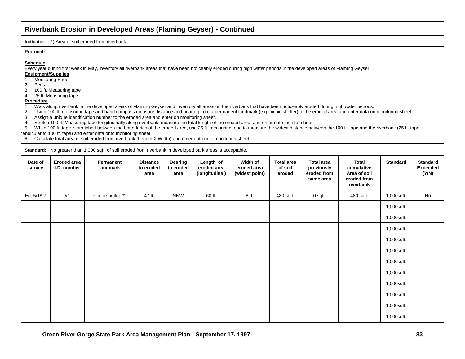### **Riverbank Erosion in Developed Areas (Flaming Geyser) - Continued**

**Indicator:** 2) Area of soil eroded from riverbank

#### **Protocol:**

#### **Schedule**

Every year during first week in May, inventory all riverbank areas that have been noticeably eroded during high water periods in the developed areas of Flaming Geyser.

#### **Equipment/Supplies**

- 1. Monitoring Sheet
- 2. Pens
- 3. 100 ft. Measuring tape 4. 25 ft. Measuring tape

#### **Procedure**

1. Walk along riverbank in the developed areas of Flaming Geyser and inventory all areas on the riverbank that have been noticeably eroded during high water periods.

2. Using 100 ft. measuring tape and hand compass measure distance and bearing from a permanent landmark (e.g. picnic shelter) to the eroded area and enter data on monitoring sheet.

3. Assign a unique identification number to the eroded area and enter on monitoring sheet.

4. Stretch 100 ft. Measuring tape longitudinally along riverbank, measure the total length of the eroded area, and enter onto monitor sheet.

5. While 100 ft. tape is stretched between the boundaries of the eroded area, use 25 ft. measuring tape to measure the widest distance between the 100 ft. tape and the riverbank (25 ft. tape pendicular to 100 ft. tape) and enter data onto monitoring sheet.

6. Calculate total area of soil eroded from riverbank (Length X Width) and enter data onto monitoring sheet.

**Standard:** No greater than 1,000 sqft. of soil eroded from riverbank in developed park areas is acceptable.

| Date of<br>survey | Eroded area<br>I.D. number | Permanent<br>landmark | <b>Distance</b><br>to eroded<br>area | <b>Bearing</b><br>to eroded<br>area | Length of<br>eroded area<br>(longitudinal) | Width of<br>eroded area<br>(widest point) | <b>Total area</b><br>of soil<br>eroded | <b>Total area</b><br>previously<br>eroded from<br>same area | Total<br>cumulative<br>Area of soil<br>eroded from<br>riverbank | <b>Standard</b> | <b>Standard</b><br><b>Exceeded</b><br>(Y/N) |
|-------------------|----------------------------|-----------------------|--------------------------------------|-------------------------------------|--------------------------------------------|-------------------------------------------|----------------------------------------|-------------------------------------------------------------|-----------------------------------------------------------------|-----------------|---------------------------------------------|
| Eg. 5/1/97        | #1                         | Picnic shelter #2     | 47 ft.                               | <b>NNW</b>                          | 60 ft.                                     | 8 ft.                                     | 480 sqft.                              | 0 sqft.                                                     | 480 sqft.                                                       | 1,000sqft.      | No                                          |
|                   |                            |                       |                                      |                                     |                                            |                                           |                                        |                                                             |                                                                 | 1,000sqft.      |                                             |
|                   |                            |                       |                                      |                                     |                                            |                                           |                                        |                                                             |                                                                 | 1,000sqft.      |                                             |
|                   |                            |                       |                                      |                                     |                                            |                                           |                                        |                                                             |                                                                 | 1,000sqft.      |                                             |
|                   |                            |                       |                                      |                                     |                                            |                                           |                                        |                                                             |                                                                 | 1,000sqft.      |                                             |
|                   |                            |                       |                                      |                                     |                                            |                                           |                                        |                                                             |                                                                 | 1,000sqft.      |                                             |
|                   |                            |                       |                                      |                                     |                                            |                                           |                                        |                                                             |                                                                 | 1,000sqft.      |                                             |
|                   |                            |                       |                                      |                                     |                                            |                                           |                                        |                                                             |                                                                 | 1,000sqft.      |                                             |
|                   |                            |                       |                                      |                                     |                                            |                                           |                                        |                                                             |                                                                 | 1,000sqft.      |                                             |
|                   |                            |                       |                                      |                                     |                                            |                                           |                                        |                                                             |                                                                 | 1,000sqft.      |                                             |
|                   |                            |                       |                                      |                                     |                                            |                                           |                                        |                                                             |                                                                 | 1,000sqft.      |                                             |
|                   |                            |                       |                                      |                                     |                                            |                                           |                                        |                                                             |                                                                 | 1,000sqft.      |                                             |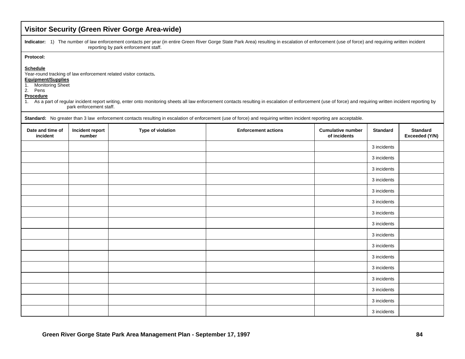|                                                                                                | Visitor Security (Green River Gorge Area-wide) |                                                                  |                                                                                                                                                                                                              |                                          |                 |                                   |  |  |  |
|------------------------------------------------------------------------------------------------|------------------------------------------------|------------------------------------------------------------------|--------------------------------------------------------------------------------------------------------------------------------------------------------------------------------------------------------------|------------------------------------------|-----------------|-----------------------------------|--|--|--|
|                                                                                                |                                                | reporting by park enforcement staff.                             | Indicator: 1) The number of law enforcement contacts per year (in entire Green River Gorge State Park Area) resulting in escalation of enforcement (use of force) and requiring written incident             |                                          |                 |                                   |  |  |  |
| Protocol:                                                                                      |                                                |                                                                  |                                                                                                                                                                                                              |                                          |                 |                                   |  |  |  |
| <b>Schedule</b><br>Equipment/Supplies<br><b>Monitoring Sheet</b><br>1.<br>2. Pens<br>Procedure | park enforcement staff.                        | Year-round tracking of law enforcement related visitor contacts. | 1. As a part of regular incident report writing, enter onto monitoring sheets all law enforcement contacts resulting in escalation of enforcement (use of force) and requiring written incident reporting by |                                          |                 |                                   |  |  |  |
|                                                                                                |                                                |                                                                  | Standard: No greater than 3 law enforcement contacts resulting in escalation of enforcement (use of force) and requiring written incident reporting are acceptable.                                          |                                          |                 |                                   |  |  |  |
| Date and time of<br>incident                                                                   | Incident report<br>number                      | Type of violation                                                | <b>Enforcement actions</b>                                                                                                                                                                                   | <b>Cumulative number</b><br>of incidents | <b>Standard</b> | <b>Standard</b><br>Exceeded (Y/N) |  |  |  |
|                                                                                                |                                                |                                                                  |                                                                                                                                                                                                              |                                          | 3 incidents     |                                   |  |  |  |
|                                                                                                |                                                |                                                                  |                                                                                                                                                                                                              |                                          | 3 incidents     |                                   |  |  |  |
|                                                                                                |                                                |                                                                  |                                                                                                                                                                                                              |                                          | 3 incidents     |                                   |  |  |  |
|                                                                                                |                                                |                                                                  |                                                                                                                                                                                                              |                                          | 3 incidents     |                                   |  |  |  |
|                                                                                                |                                                |                                                                  |                                                                                                                                                                                                              |                                          | 3 incidents     |                                   |  |  |  |
|                                                                                                |                                                |                                                                  |                                                                                                                                                                                                              |                                          | 3 incidents     |                                   |  |  |  |
|                                                                                                |                                                |                                                                  |                                                                                                                                                                                                              |                                          | 3 incidents     |                                   |  |  |  |
|                                                                                                |                                                |                                                                  |                                                                                                                                                                                                              |                                          | 3 incidents     |                                   |  |  |  |
|                                                                                                |                                                |                                                                  |                                                                                                                                                                                                              |                                          | 3 incidents     |                                   |  |  |  |
|                                                                                                |                                                |                                                                  |                                                                                                                                                                                                              |                                          | 3 incidents     |                                   |  |  |  |
|                                                                                                |                                                |                                                                  |                                                                                                                                                                                                              |                                          | 3 incidents     |                                   |  |  |  |
|                                                                                                |                                                |                                                                  |                                                                                                                                                                                                              |                                          | 3 incidents     |                                   |  |  |  |
|                                                                                                |                                                |                                                                  |                                                                                                                                                                                                              |                                          | 3 incidents     |                                   |  |  |  |
|                                                                                                |                                                |                                                                  |                                                                                                                                                                                                              |                                          | 3 incidents     |                                   |  |  |  |
|                                                                                                |                                                |                                                                  |                                                                                                                                                                                                              |                                          | 3 incidents     |                                   |  |  |  |
|                                                                                                |                                                |                                                                  |                                                                                                                                                                                                              |                                          | 3 incidents     |                                   |  |  |  |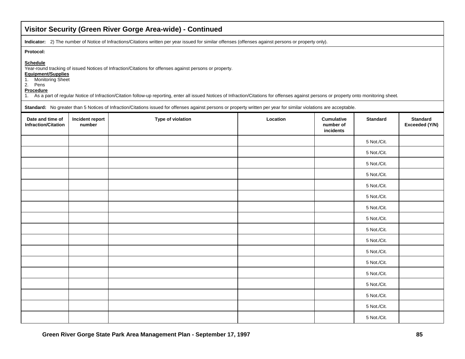| Visitor Security (Green River Gorge Area-wide) - Continued                                        |                           |                                                                                                                                                                                                                                                                                                        |          |                                             |                 |                                   |  |
|---------------------------------------------------------------------------------------------------|---------------------------|--------------------------------------------------------------------------------------------------------------------------------------------------------------------------------------------------------------------------------------------------------------------------------------------------------|----------|---------------------------------------------|-----------------|-----------------------------------|--|
|                                                                                                   |                           | Indicator: 2) The number of Notice of Infractions/Citations written per year issued for similar offenses (offenses against persons or property only).                                                                                                                                                  |          |                                             |                 |                                   |  |
| Protocol:<br><b>Schedule</b><br>Equipment/Supplies<br>1. Monitoring Sheet<br>2. Pens<br>Procedure |                           | Year-round tracking of issued Notices of Infraction/Citations for offenses against persons or property.<br>1. As a part of regular Notice of Infraction/Citation follow-up reporting, enter all issued Notices of Infraction/Citations for offenses against persons or property onto monitoring sheet. |          |                                             |                 |                                   |  |
| Date and time of<br><b>Infraction/Citation</b>                                                    | Incident report<br>number | Standard: No greater than 5 Notices of Infraction/Citations issued for offenses against persons or property written per year for similar violations are acceptable.<br>Type of violation                                                                                                               | Location | <b>Cumulative</b><br>number of<br>incidents | <b>Standard</b> | <b>Standard</b><br>Exceeded (Y/N) |  |
|                                                                                                   |                           |                                                                                                                                                                                                                                                                                                        |          |                                             | 5 Not./Cit.     |                                   |  |
|                                                                                                   |                           |                                                                                                                                                                                                                                                                                                        |          |                                             | 5 Not./Cit.     |                                   |  |
|                                                                                                   |                           |                                                                                                                                                                                                                                                                                                        |          |                                             | 5 Not./Cit.     |                                   |  |
|                                                                                                   |                           |                                                                                                                                                                                                                                                                                                        |          |                                             | 5 Not./Cit.     |                                   |  |
|                                                                                                   |                           |                                                                                                                                                                                                                                                                                                        |          |                                             | 5 Not./Cit.     |                                   |  |
|                                                                                                   |                           |                                                                                                                                                                                                                                                                                                        |          |                                             | 5 Not./Cit.     |                                   |  |
|                                                                                                   |                           |                                                                                                                                                                                                                                                                                                        |          |                                             | 5 Not./Cit.     |                                   |  |
|                                                                                                   |                           |                                                                                                                                                                                                                                                                                                        |          |                                             | 5 Not./Cit.     |                                   |  |
|                                                                                                   |                           |                                                                                                                                                                                                                                                                                                        |          |                                             | 5 Not./Cit.     |                                   |  |
|                                                                                                   |                           |                                                                                                                                                                                                                                                                                                        |          |                                             | 5 Not./Cit.     |                                   |  |
|                                                                                                   |                           |                                                                                                                                                                                                                                                                                                        |          |                                             | 5 Not./Cit.     |                                   |  |
|                                                                                                   |                           |                                                                                                                                                                                                                                                                                                        |          |                                             | 5 Not./Cit.     |                                   |  |
|                                                                                                   |                           |                                                                                                                                                                                                                                                                                                        |          |                                             | 5 Not./Cit.     |                                   |  |
|                                                                                                   |                           |                                                                                                                                                                                                                                                                                                        |          |                                             | 5 Not./Cit.     |                                   |  |
|                                                                                                   |                           |                                                                                                                                                                                                                                                                                                        |          |                                             | 5 Not./Cit.     |                                   |  |
|                                                                                                   |                           |                                                                                                                                                                                                                                                                                                        |          |                                             | 5 Not./Cit.     |                                   |  |
|                                                                                                   |                           |                                                                                                                                                                                                                                                                                                        |          |                                             | 5 Not./Cit.     |                                   |  |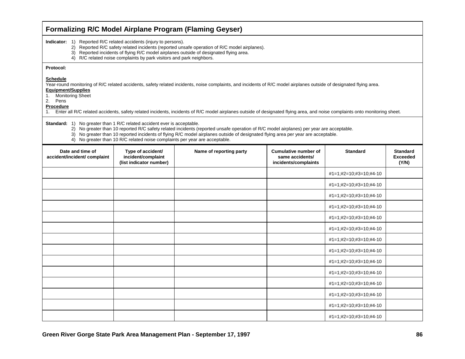| <b>Formalizing R/C Model Airplane Program (Flaming Geyser)</b>                                                                                                                                                                                                                                                                                                                                                                                                      |                                                                    |                         |                                                                        |                          |                                             |  |  |
|---------------------------------------------------------------------------------------------------------------------------------------------------------------------------------------------------------------------------------------------------------------------------------------------------------------------------------------------------------------------------------------------------------------------------------------------------------------------|--------------------------------------------------------------------|-------------------------|------------------------------------------------------------------------|--------------------------|---------------------------------------------|--|--|
| <b>Indicator:</b> 1) Reported R/C related accidents (injury to persons).<br>2) Reported R/C safety related incidents (reported unsafe operation of R/C model airplanes).<br>3) Reported incidents of flying R/C model airplanes outside of designated flying area.<br>4) R/C related noise complaints by park visitors and park neighbors.                                                                                                                          |                                                                    |                         |                                                                        |                          |                                             |  |  |
| Protocol:                                                                                                                                                                                                                                                                                                                                                                                                                                                           |                                                                    |                         |                                                                        |                          |                                             |  |  |
| <b>Schedule</b><br>Year-round monitoring of R/C related accidents, safety related incidents, noise complaints, and incidents of R/C model airplanes outside of designated flying area.<br><b>Equipment/Supplies</b><br><b>Monitoring Sheet</b><br>1.<br>2.<br>Pens<br>Procedure<br>Enter all R/C related accidents, safety related incidents, incidents of R/C model airplanes outside of designated flying area, and noise complaints onto monitoring sheet.<br>1. |                                                                    |                         |                                                                        |                          |                                             |  |  |
| <b>Standard:</b> 1) No greater than 1 R/C related accident ever is acceptable.<br>2) No greater than 10 reported R/C safety related incidents (reported unsafe operation of R/C model airplanes) per year are acceptable.<br>3) No greater than 10 reported incidents of flying R/C model airplanes outside of designated flying area per year are acceptable.<br>4) No greater than 10 R/C related noise complaints per year are acceptable.                       |                                                                    |                         |                                                                        |                          |                                             |  |  |
| Date and time of<br>accident/incident/ complaint                                                                                                                                                                                                                                                                                                                                                                                                                    | Type of accident/<br>incident/complaint<br>(list indicator number) | Name of reporting party | <b>Cumulative number of</b><br>same accidents/<br>incidents/complaints | <b>Standard</b>          | <b>Standard</b><br><b>Exceeded</b><br>(Y/N) |  |  |
|                                                                                                                                                                                                                                                                                                                                                                                                                                                                     |                                                                    |                         |                                                                        | $#1=1;#2=10;#3=10;#4-10$ |                                             |  |  |
|                                                                                                                                                                                                                                                                                                                                                                                                                                                                     |                                                                    |                         |                                                                        | #1=1;#2=10;#3=10;#4-10   |                                             |  |  |
|                                                                                                                                                                                                                                                                                                                                                                                                                                                                     |                                                                    |                         |                                                                        | #1=1;#2=10;#3=10;#4-10   |                                             |  |  |
|                                                                                                                                                                                                                                                                                                                                                                                                                                                                     |                                                                    |                         |                                                                        | #1=1;#2=10;#3=10;#4-10   |                                             |  |  |
|                                                                                                                                                                                                                                                                                                                                                                                                                                                                     |                                                                    |                         |                                                                        | #1=1;#2=10;#3=10;#4-10   |                                             |  |  |
|                                                                                                                                                                                                                                                                                                                                                                                                                                                                     |                                                                    |                         |                                                                        | #1=1;#2=10;#3=10;#4-10   |                                             |  |  |
|                                                                                                                                                                                                                                                                                                                                                                                                                                                                     |                                                                    |                         |                                                                        | $#1=1;#2=10;#3=10;#4-10$ |                                             |  |  |
|                                                                                                                                                                                                                                                                                                                                                                                                                                                                     |                                                                    |                         |                                                                        | #1=1;#2=10;#3=10;#4-10   |                                             |  |  |
|                                                                                                                                                                                                                                                                                                                                                                                                                                                                     |                                                                    |                         |                                                                        | #1=1;#2=10;#3=10;#4-10   |                                             |  |  |
|                                                                                                                                                                                                                                                                                                                                                                                                                                                                     |                                                                    |                         |                                                                        | $#1=1;#2=10;#3=10;#4-10$ |                                             |  |  |
|                                                                                                                                                                                                                                                                                                                                                                                                                                                                     |                                                                    |                         |                                                                        | #1=1;#2=10;#3=10;#4-10   |                                             |  |  |
|                                                                                                                                                                                                                                                                                                                                                                                                                                                                     |                                                                    |                         |                                                                        | #1=1;#2=10;#3=10;#4-10   |                                             |  |  |
|                                                                                                                                                                                                                                                                                                                                                                                                                                                                     |                                                                    |                         |                                                                        | #1=1;#2=10;#3=10;#4-10   |                                             |  |  |
|                                                                                                                                                                                                                                                                                                                                                                                                                                                                     |                                                                    |                         |                                                                        | #1=1;#2=10;#3=10;#4-10   |                                             |  |  |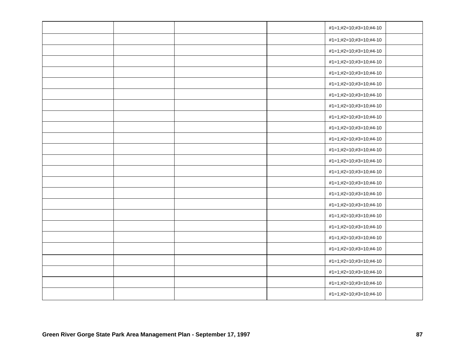|  |  | #1=1;#2=10;#3=10;#4-10 |  |
|--|--|------------------------|--|
|  |  | #1=1;#2=10;#3=10;#4-10 |  |
|  |  | #1=1;#2=10;#3=10;#4-10 |  |
|  |  | #1=1;#2=10;#3=10;#4-10 |  |
|  |  | #1=1;#2=10;#3=10;#4-10 |  |
|  |  | #1=1;#2=10;#3=10;#4-10 |  |
|  |  | #1=1;#2=10;#3=10;#4-10 |  |
|  |  | #1=1;#2=10;#3=10;#4-10 |  |
|  |  | #1=1;#2=10;#3=10;#4-10 |  |
|  |  | #1=1;#2=10;#3=10;#4-10 |  |
|  |  | #1=1;#2=10;#3=10;#4-10 |  |
|  |  | #1=1;#2=10;#3=10;#4-10 |  |
|  |  | #1=1;#2=10;#3=10;#4-10 |  |
|  |  | #1=1;#2=10;#3=10;#4-10 |  |
|  |  | #1=1;#2=10;#3=10;#4-10 |  |
|  |  | #1=1;#2=10;#3=10;#4-10 |  |
|  |  | #1=1;#2=10;#3=10;#4-10 |  |
|  |  | #1=1;#2=10;#3=10;#4-10 |  |
|  |  | #1=1;#2=10;#3=10;#4-10 |  |
|  |  | #1=1;#2=10;#3=10;#4-10 |  |
|  |  | #1=1;#2=10;#3=10;#4-10 |  |
|  |  | #1=1;#2=10;#3=10;#4-10 |  |
|  |  | #1=1;#2=10;#3=10;#4-10 |  |
|  |  | #1=1;#2=10;#3=10;#4-10 |  |
|  |  | #1=1;#2=10;#3=10;#4-10 |  |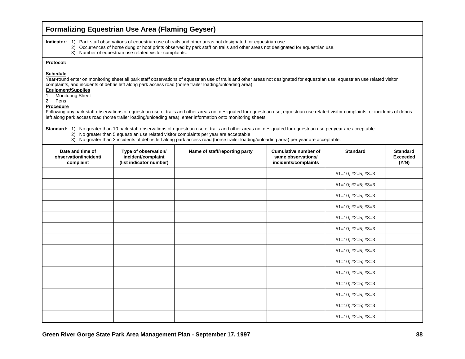| <b>Formalizing Equestrian Use Area (Flaming Geyser)</b>                                               |                                                                                                                                                                                                                                                                                                                    |                                                                                                                                                                                                                                                                                                                                                                                                                                                                                                                                                                                                      |                                                                           |                                    |                                             |  |  |  |
|-------------------------------------------------------------------------------------------------------|--------------------------------------------------------------------------------------------------------------------------------------------------------------------------------------------------------------------------------------------------------------------------------------------------------------------|------------------------------------------------------------------------------------------------------------------------------------------------------------------------------------------------------------------------------------------------------------------------------------------------------------------------------------------------------------------------------------------------------------------------------------------------------------------------------------------------------------------------------------------------------------------------------------------------------|---------------------------------------------------------------------------|------------------------------------|---------------------------------------------|--|--|--|
|                                                                                                       | Indicator: 1) Park staff observations of equestrian use of trails and other areas not designated for equestrian use.<br>2) Occurrences of horse dung or hoof prints observed by park staff on trails and other areas not designated for equestrian use.<br>3) Number of equestrian use related visitor complaints. |                                                                                                                                                                                                                                                                                                                                                                                                                                                                                                                                                                                                      |                                                                           |                                    |                                             |  |  |  |
| Protocol:                                                                                             |                                                                                                                                                                                                                                                                                                                    |                                                                                                                                                                                                                                                                                                                                                                                                                                                                                                                                                                                                      |                                                                           |                                    |                                             |  |  |  |
| <b>Schedule</b><br><b>Equipment/Supplies</b><br><b>Monitoring Sheet</b><br>1.<br>2. Pens<br>Procedure |                                                                                                                                                                                                                                                                                                                    | Year-round enter on monitoring sheet all park staff observations of equestrian use of trails and other areas not designated for equestrian use, equestrian use related visitor<br>complaints, and incidents of debris left along park access road (horse trailer loading/unloading area).<br>Following any park staff observations of equestrian use of trails and other areas not designated for equestrian use, equestrian use related visitor complaints, or incidents of debris<br>left along park access road (horse trailer loading/unloading area), enter information onto monitoring sheets. |                                                                           |                                    |                                             |  |  |  |
|                                                                                                       |                                                                                                                                                                                                                                                                                                                    | Standard: 1) No greater than 10 park staff observations of equestrian use of trails and other areas not designated for equestrian use per year are acceptable.<br>2) No greater than 5 equestrian use related visitor complaints per year are acceptable<br>3) No greater than 3 incidents of debris left along park access road (horse trailer loading/unloading area) per year are acceptable.                                                                                                                                                                                                     |                                                                           |                                    |                                             |  |  |  |
| Date and time of<br>observation/incident/<br>complaint                                                | Type of observation/<br>incident/complaint<br>(list indicator number)                                                                                                                                                                                                                                              | Name of staff/reporting party                                                                                                                                                                                                                                                                                                                                                                                                                                                                                                                                                                        | <b>Cumulative number of</b><br>same observations/<br>incidents/complaints | <b>Standard</b>                    | <b>Standard</b><br><b>Exceeded</b><br>(Y/N) |  |  |  |
|                                                                                                       |                                                                                                                                                                                                                                                                                                                    |                                                                                                                                                                                                                                                                                                                                                                                                                                                                                                                                                                                                      |                                                                           | $#1=10;$ $#2=5;$ $#3=3$            |                                             |  |  |  |
|                                                                                                       |                                                                                                                                                                                                                                                                                                                    |                                                                                                                                                                                                                                                                                                                                                                                                                                                                                                                                                                                                      |                                                                           | $#1=10;$ $#2=5;$ $#3=3$            |                                             |  |  |  |
|                                                                                                       |                                                                                                                                                                                                                                                                                                                    |                                                                                                                                                                                                                                                                                                                                                                                                                                                                                                                                                                                                      |                                                                           | $#1=10;$ #2=5; #3=3                |                                             |  |  |  |
|                                                                                                       |                                                                                                                                                                                                                                                                                                                    |                                                                                                                                                                                                                                                                                                                                                                                                                                                                                                                                                                                                      |                                                                           | $#1=10;$ $#2=5;$ $#3=3$            |                                             |  |  |  |
|                                                                                                       |                                                                                                                                                                                                                                                                                                                    |                                                                                                                                                                                                                                                                                                                                                                                                                                                                                                                                                                                                      |                                                                           | $#1=10;$ $#2=5;$ $#3=3$            |                                             |  |  |  |
|                                                                                                       |                                                                                                                                                                                                                                                                                                                    |                                                                                                                                                                                                                                                                                                                                                                                                                                                                                                                                                                                                      |                                                                           | $#1=10;$ $#2=5;$ $#3=3$            |                                             |  |  |  |
|                                                                                                       |                                                                                                                                                                                                                                                                                                                    |                                                                                                                                                                                                                                                                                                                                                                                                                                                                                                                                                                                                      |                                                                           | $\#1 = 10$ ; $\#2 = 5$ ; $\#3 = 3$ |                                             |  |  |  |
|                                                                                                       |                                                                                                                                                                                                                                                                                                                    |                                                                                                                                                                                                                                                                                                                                                                                                                                                                                                                                                                                                      |                                                                           | $#1=10$ ; $#2=5$ ; $#3=3$          |                                             |  |  |  |
|                                                                                                       |                                                                                                                                                                                                                                                                                                                    |                                                                                                                                                                                                                                                                                                                                                                                                                                                                                                                                                                                                      |                                                                           | $\#1 = 10$ ; $\#2 = 5$ ; $\#3 = 3$ |                                             |  |  |  |
|                                                                                                       |                                                                                                                                                                                                                                                                                                                    |                                                                                                                                                                                                                                                                                                                                                                                                                                                                                                                                                                                                      |                                                                           | $#1=10;$ $#2=5;$ $#3=3$            |                                             |  |  |  |
|                                                                                                       |                                                                                                                                                                                                                                                                                                                    |                                                                                                                                                                                                                                                                                                                                                                                                                                                                                                                                                                                                      |                                                                           | $#1=10;$ $#2=5;$ $#3=3$            |                                             |  |  |  |
|                                                                                                       |                                                                                                                                                                                                                                                                                                                    |                                                                                                                                                                                                                                                                                                                                                                                                                                                                                                                                                                                                      |                                                                           | $\#1 = 10$ ; $\#2 = 5$ ; $\#3 = 3$ |                                             |  |  |  |
|                                                                                                       |                                                                                                                                                                                                                                                                                                                    |                                                                                                                                                                                                                                                                                                                                                                                                                                                                                                                                                                                                      |                                                                           | $#1=10;$ $#2=5;$ $#3=3$            |                                             |  |  |  |
|                                                                                                       |                                                                                                                                                                                                                                                                                                                    |                                                                                                                                                                                                                                                                                                                                                                                                                                                                                                                                                                                                      |                                                                           | #1=10; #2=5; #3=3                  |                                             |  |  |  |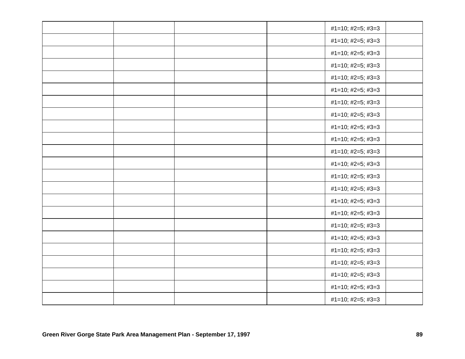|  |  | #1=10; #2=5; #3=3         |  |
|--|--|---------------------------|--|
|  |  | #1=10; #2=5; #3=3         |  |
|  |  | #1=10; #2=5; #3=3         |  |
|  |  | #1=10; #2=5; #3=3         |  |
|  |  | #1=10; #2=5; #3=3         |  |
|  |  | $#1=10;$ #2=5; #3=3       |  |
|  |  | #1=10; #2=5; #3=3         |  |
|  |  | #1=10; #2=5; #3=3         |  |
|  |  | $#1=10;$ #2=5; #3=3       |  |
|  |  | $#1=10;$ #2=5; #3=3       |  |
|  |  | #1=10; #2=5; #3=3         |  |
|  |  | $#1=10;$ #2=5; #3=3       |  |
|  |  | #1=10; #2=5; #3=3         |  |
|  |  | $#1=10;$ #2=5; #3=3       |  |
|  |  | #1=10; #2=5; #3=3         |  |
|  |  | #1=10; #2=5; #3=3         |  |
|  |  | #1=10; #2=5; #3=3         |  |
|  |  | #1=10; #2=5; #3=3         |  |
|  |  | #1=10; #2=5; #3=3         |  |
|  |  | $#1=10;$ #2=5; #3=3       |  |
|  |  | #1=10; #2=5; #3=3         |  |
|  |  | $#1=10;$ #2=5; #3=3       |  |
|  |  | $#1=10$ ; $#2=5$ ; $#3=3$ |  |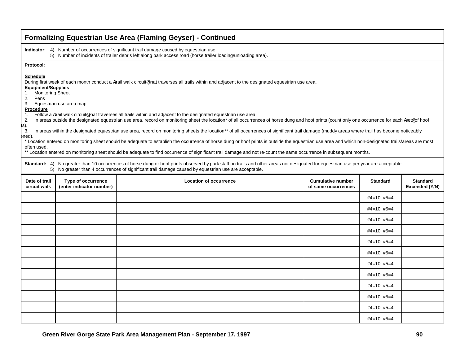|                                                                                                                                                                                                                                                                                                                                                                                                                                                                                                                                                                                                                                                                                                                                                                                                                                                                                                                                                                                                                                                                                                                                                                                                                                                                                                                                                                                                                                                                                                                                                      |                                                | <b>Formalizing Equestrian Use Area (Flaming Geyser) - Continued</b>                                                                                                                                       |                                                 |                 |                                   |  |  |
|------------------------------------------------------------------------------------------------------------------------------------------------------------------------------------------------------------------------------------------------------------------------------------------------------------------------------------------------------------------------------------------------------------------------------------------------------------------------------------------------------------------------------------------------------------------------------------------------------------------------------------------------------------------------------------------------------------------------------------------------------------------------------------------------------------------------------------------------------------------------------------------------------------------------------------------------------------------------------------------------------------------------------------------------------------------------------------------------------------------------------------------------------------------------------------------------------------------------------------------------------------------------------------------------------------------------------------------------------------------------------------------------------------------------------------------------------------------------------------------------------------------------------------------------------|------------------------------------------------|-----------------------------------------------------------------------------------------------------------------------------------------------------------------------------------------------------------|-------------------------------------------------|-----------------|-----------------------------------|--|--|
|                                                                                                                                                                                                                                                                                                                                                                                                                                                                                                                                                                                                                                                                                                                                                                                                                                                                                                                                                                                                                                                                                                                                                                                                                                                                                                                                                                                                                                                                                                                                                      |                                                | Indicator: 4) Number of occurrences of significant trail damage caused by equestrian use.<br>5) Number of incidents of trailer debris left along park access road (horse trailer loading/unloading area). |                                                 |                 |                                   |  |  |
| Protocol:                                                                                                                                                                                                                                                                                                                                                                                                                                                                                                                                                                                                                                                                                                                                                                                                                                                                                                                                                                                                                                                                                                                                                                                                                                                                                                                                                                                                                                                                                                                                            |                                                |                                                                                                                                                                                                           |                                                 |                 |                                   |  |  |
| <b>Schedule</b><br>During first week of each month conduct a Atrail walk circuit® that traverses all trails within and adjacent to the designated equestrian use area.<br><b>Equipment/Supplies</b><br>1. Monitoring Sheet<br>2.<br>Pens<br>3.<br>Equestrian use area map<br>Procedure<br>Follow a Atrail walk circuit® that traverses all trails within and adjacent to the designated equestrian use area.<br>1.<br>In areas outside the designated equestrian use area, record on monitoring sheet the location* of all occurrences of horse dung and hoof prints (count only one occurrence for each Aset® of hoof<br>2.<br>ts).<br>3.<br>In areas within the designated equestrian use area, record on monitoring sheets the location** of all occurrences of significant trail damage (muddy areas where trail has become noticeably<br>:ned).<br>* Location entered on monitoring sheet should be adequate to establish the occurrence of horse dung or hoof prints is outside the equestrian use area and which non-designated trails/areas are most<br>often used.<br>** Location entered on monitoring sheet should be adequate to find occurrence of significant trail damage and not re-count the same occurrence in subsequent months.<br>Standard: 4) No greater than 10 occurrences of horse dung or hoof prints observed by park staff on trails and other areas not designated for equestrian use per year are acceptable.<br>5) No greater than 4 occurrences of significant trail damage caused by equestrian use are acceptable. |                                                |                                                                                                                                                                                                           |                                                 |                 |                                   |  |  |
|                                                                                                                                                                                                                                                                                                                                                                                                                                                                                                                                                                                                                                                                                                                                                                                                                                                                                                                                                                                                                                                                                                                                                                                                                                                                                                                                                                                                                                                                                                                                                      |                                                |                                                                                                                                                                                                           |                                                 |                 |                                   |  |  |
| Date of trail<br>circuit walk                                                                                                                                                                                                                                                                                                                                                                                                                                                                                                                                                                                                                                                                                                                                                                                                                                                                                                                                                                                                                                                                                                                                                                                                                                                                                                                                                                                                                                                                                                                        | Type of occurrence<br>(enter indicator number) | <b>Location of occurrence</b>                                                                                                                                                                             | <b>Cumulative number</b><br>of same occurrences | <b>Standard</b> | <b>Standard</b><br>Exceeded (Y/N) |  |  |
|                                                                                                                                                                                                                                                                                                                                                                                                                                                                                                                                                                                                                                                                                                                                                                                                                                                                                                                                                                                                                                                                                                                                                                                                                                                                                                                                                                                                                                                                                                                                                      |                                                |                                                                                                                                                                                                           |                                                 | $#4=10;$ #5=4   |                                   |  |  |
|                                                                                                                                                                                                                                                                                                                                                                                                                                                                                                                                                                                                                                                                                                                                                                                                                                                                                                                                                                                                                                                                                                                                                                                                                                                                                                                                                                                                                                                                                                                                                      |                                                |                                                                                                                                                                                                           |                                                 | $#4=10; #5=4$   |                                   |  |  |
|                                                                                                                                                                                                                                                                                                                                                                                                                                                                                                                                                                                                                                                                                                                                                                                                                                                                                                                                                                                                                                                                                                                                                                                                                                                                                                                                                                                                                                                                                                                                                      |                                                |                                                                                                                                                                                                           |                                                 | $#4=10;$ $#5=4$ |                                   |  |  |
|                                                                                                                                                                                                                                                                                                                                                                                                                                                                                                                                                                                                                                                                                                                                                                                                                                                                                                                                                                                                                                                                                                                                                                                                                                                                                                                                                                                                                                                                                                                                                      |                                                |                                                                                                                                                                                                           |                                                 | $#4=10;$ $#5=4$ |                                   |  |  |
|                                                                                                                                                                                                                                                                                                                                                                                                                                                                                                                                                                                                                                                                                                                                                                                                                                                                                                                                                                                                                                                                                                                                                                                                                                                                                                                                                                                                                                                                                                                                                      |                                                |                                                                                                                                                                                                           |                                                 | $#4=10; #5=4$   |                                   |  |  |
|                                                                                                                                                                                                                                                                                                                                                                                                                                                                                                                                                                                                                                                                                                                                                                                                                                                                                                                                                                                                                                                                                                                                                                                                                                                                                                                                                                                                                                                                                                                                                      |                                                |                                                                                                                                                                                                           |                                                 | $#4=10;$ $#5=4$ |                                   |  |  |
|                                                                                                                                                                                                                                                                                                                                                                                                                                                                                                                                                                                                                                                                                                                                                                                                                                                                                                                                                                                                                                                                                                                                                                                                                                                                                                                                                                                                                                                                                                                                                      |                                                |                                                                                                                                                                                                           |                                                 | $#4=10;$ #5=4   |                                   |  |  |
|                                                                                                                                                                                                                                                                                                                                                                                                                                                                                                                                                                                                                                                                                                                                                                                                                                                                                                                                                                                                                                                                                                                                                                                                                                                                                                                                                                                                                                                                                                                                                      |                                                |                                                                                                                                                                                                           |                                                 | $#4=10; #5=4$   |                                   |  |  |
|                                                                                                                                                                                                                                                                                                                                                                                                                                                                                                                                                                                                                                                                                                                                                                                                                                                                                                                                                                                                                                                                                                                                                                                                                                                                                                                                                                                                                                                                                                                                                      |                                                |                                                                                                                                                                                                           |                                                 | $#4=10; #5=4$   |                                   |  |  |
|                                                                                                                                                                                                                                                                                                                                                                                                                                                                                                                                                                                                                                                                                                                                                                                                                                                                                                                                                                                                                                                                                                                                                                                                                                                                                                                                                                                                                                                                                                                                                      |                                                |                                                                                                                                                                                                           |                                                 | $#4=10;$ #5=4   |                                   |  |  |
|                                                                                                                                                                                                                                                                                                                                                                                                                                                                                                                                                                                                                                                                                                                                                                                                                                                                                                                                                                                                                                                                                                                                                                                                                                                                                                                                                                                                                                                                                                                                                      |                                                |                                                                                                                                                                                                           |                                                 | $#4=10;$ $#5=4$ |                                   |  |  |
|                                                                                                                                                                                                                                                                                                                                                                                                                                                                                                                                                                                                                                                                                                                                                                                                                                                                                                                                                                                                                                                                                                                                                                                                                                                                                                                                                                                                                                                                                                                                                      |                                                |                                                                                                                                                                                                           |                                                 | $#4=10; #5=4$   |                                   |  |  |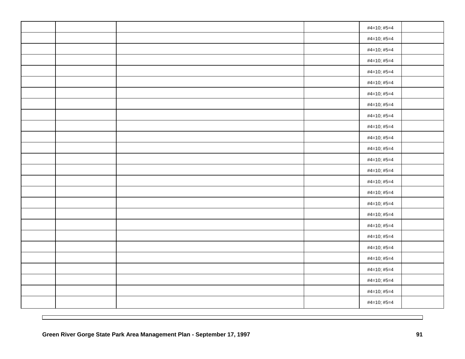|  |  | #4=10; #5=4 |  |
|--|--|-------------|--|
|  |  | #4=10; #5=4 |  |
|  |  | #4=10; #5=4 |  |
|  |  | #4=10; #5=4 |  |
|  |  | #4=10; #5=4 |  |
|  |  | #4=10; #5=4 |  |
|  |  | #4=10; #5=4 |  |
|  |  | #4=10; #5=4 |  |
|  |  | #4=10; #5=4 |  |
|  |  | #4=10; #5=4 |  |
|  |  | #4=10; #5=4 |  |
|  |  | #4=10; #5=4 |  |
|  |  | #4=10; #5=4 |  |
|  |  | #4=10; #5=4 |  |
|  |  | #4=10; #5=4 |  |
|  |  | #4=10; #5=4 |  |
|  |  | #4=10; #5=4 |  |
|  |  | #4=10; #5=4 |  |
|  |  | #4=10; #5=4 |  |
|  |  | #4=10; #5=4 |  |
|  |  | #4=10; #5=4 |  |
|  |  | #4=10; #5=4 |  |
|  |  | #4=10; #5=4 |  |
|  |  | #4=10; #5=4 |  |
|  |  | #4=10; #5=4 |  |
|  |  | #4=10; #5=4 |  |
|  |  |             |  |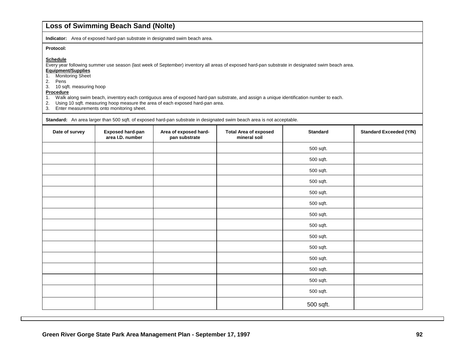### **Loss of Swimming Beach Sand (Nolte)**

**Indicator:** Area of exposed hard-pan substrate in designated swim beach area.

#### **Protocol:**

#### **Schedule**

Every year following summer use season (last week of September) inventory all areas of exposed hard-pan substrate in designated swim beach area.

- **Equipment/Supplies**
- 1. Monitoring Sheet
- 2. Pens
- 3. 10 sqft. measuring hoop

# **Procedure**<br>1. Walk al

- 1. Walk along swim beach, inventory each contiguous area of exposed hard-pan substrate, and assign a unique identification number to each.
- 2. Using 10 sqft. measuring hoop measure the area of each exposed hard-pan area.
- 3. Enter measurements onto monitoring sheet.

**Standard:** An area larger than 500 sqft. of exposed hard-pan substrate in designated swim beach area is not acceptable.

| Date of survey | <b>Exposed hard-pan</b><br>area I.D. number | Area of exposed hard-<br>pan substrate | <b>Total Area of exposed</b><br>mineral soil | <b>Standard</b> | <b>Standard Exceeded (Y/N)</b> |
|----------------|---------------------------------------------|----------------------------------------|----------------------------------------------|-----------------|--------------------------------|
|                |                                             |                                        |                                              | 500 sqft.       |                                |
|                |                                             |                                        |                                              | 500 sqft.       |                                |
|                |                                             |                                        |                                              | 500 sqft.       |                                |
|                |                                             |                                        |                                              | 500 sqft.       |                                |
|                |                                             |                                        |                                              | 500 sqft.       |                                |
|                |                                             |                                        |                                              | 500 sqft.       |                                |
|                |                                             |                                        |                                              | 500 sqft.       |                                |
|                |                                             |                                        |                                              | 500 sqft.       |                                |
|                |                                             |                                        |                                              | 500 sqft.       |                                |
|                |                                             |                                        |                                              | 500 sqft.       |                                |
|                |                                             |                                        |                                              | 500 sqft.       |                                |
|                |                                             |                                        |                                              | 500 sqft.       |                                |
|                |                                             |                                        |                                              | 500 sqft.       |                                |
|                |                                             |                                        |                                              | 500 sqft.       |                                |
|                |                                             |                                        |                                              | 500 sqft.       |                                |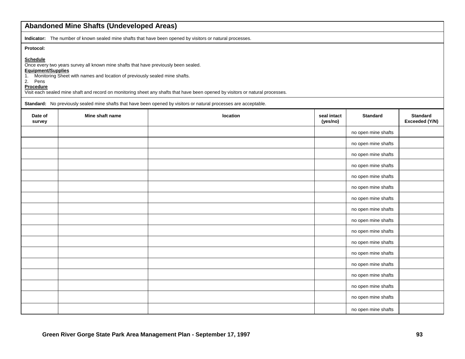|                                                                                     | <b>Abandoned Mine Shafts (Undeveloped Areas)</b>                                                                                                                  |                                                                                                                                                                                                                                                     |                         |                     |                                   |
|-------------------------------------------------------------------------------------|-------------------------------------------------------------------------------------------------------------------------------------------------------------------|-----------------------------------------------------------------------------------------------------------------------------------------------------------------------------------------------------------------------------------------------------|-------------------------|---------------------|-----------------------------------|
|                                                                                     |                                                                                                                                                                   | Indicator: The number of known sealed mine shafts that have been opened by visitors or natural processes.                                                                                                                                           |                         |                     |                                   |
| Protocol:<br><b>Schedule</b><br>Equipment/Supplies<br>1.<br>2.<br>Pens<br>Procedure | Once every two years survey all known mine shafts that have previously been sealed.<br>Monitoring Sheet with names and location of previously sealed mine shafts. | Visit each sealed mine shaft and record on monitoring sheet any shafts that have been opened by visitors or natural processes.<br>Standard: No previously sealed mine shafts that have been opened by visitors or natural processes are acceptable. |                         |                     |                                   |
| Date of<br>survey                                                                   | Mine shaft name                                                                                                                                                   | location                                                                                                                                                                                                                                            | seal intact<br>(yes/no) | <b>Standard</b>     | <b>Standard</b><br>Exceeded (Y/N) |
|                                                                                     |                                                                                                                                                                   |                                                                                                                                                                                                                                                     |                         | no open mine shafts |                                   |
|                                                                                     |                                                                                                                                                                   |                                                                                                                                                                                                                                                     |                         | no open mine shafts |                                   |
|                                                                                     |                                                                                                                                                                   |                                                                                                                                                                                                                                                     |                         | no open mine shafts |                                   |
|                                                                                     |                                                                                                                                                                   |                                                                                                                                                                                                                                                     |                         | no open mine shafts |                                   |
|                                                                                     |                                                                                                                                                                   |                                                                                                                                                                                                                                                     |                         | no open mine shafts |                                   |
|                                                                                     |                                                                                                                                                                   |                                                                                                                                                                                                                                                     |                         | no open mine shafts |                                   |
|                                                                                     |                                                                                                                                                                   |                                                                                                                                                                                                                                                     |                         | no open mine shafts |                                   |
|                                                                                     |                                                                                                                                                                   |                                                                                                                                                                                                                                                     |                         | no open mine shafts |                                   |
|                                                                                     |                                                                                                                                                                   |                                                                                                                                                                                                                                                     |                         | no open mine shafts |                                   |
|                                                                                     |                                                                                                                                                                   |                                                                                                                                                                                                                                                     |                         | no open mine shafts |                                   |
|                                                                                     |                                                                                                                                                                   |                                                                                                                                                                                                                                                     |                         | no open mine shafts |                                   |
|                                                                                     |                                                                                                                                                                   |                                                                                                                                                                                                                                                     |                         | no open mine shafts |                                   |
|                                                                                     |                                                                                                                                                                   |                                                                                                                                                                                                                                                     |                         | no open mine shafts |                                   |
|                                                                                     |                                                                                                                                                                   |                                                                                                                                                                                                                                                     |                         | no open mine shafts |                                   |
|                                                                                     |                                                                                                                                                                   |                                                                                                                                                                                                                                                     |                         | no open mine shafts |                                   |
|                                                                                     |                                                                                                                                                                   |                                                                                                                                                                                                                                                     |                         | no open mine shafts |                                   |
|                                                                                     |                                                                                                                                                                   |                                                                                                                                                                                                                                                     |                         | no open mine shafts |                                   |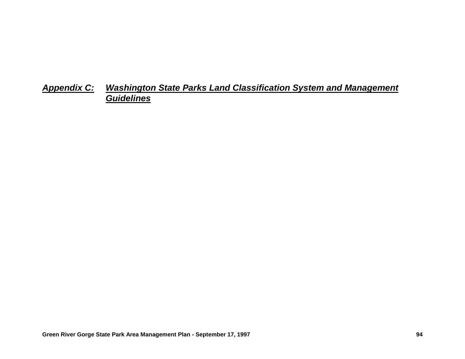# *Appendix C: Washington State Parks Land Classification System and Management Guidelines*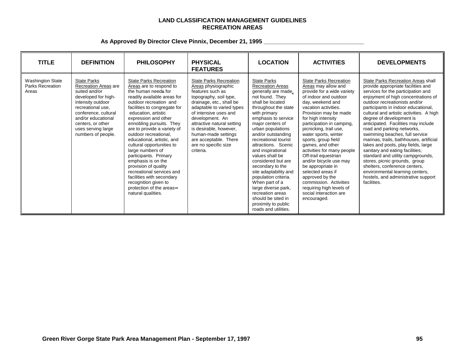### **LAND CLASSIFICATION MANAGEMENT GUIDELINES RECREATION AREAS**

| <b>TITLE</b>                                                | <b>DEFINITION</b>                                                                                                                                                                                                                           | <b>PHILOSOPHY</b>                                                                                                                                                                                                                                                                                                                                                                                                                                                                                                                                                                                     | <b>PHYSICAL</b><br><b>FEATURES</b>                                                                                                                                                                                                                                                                                                                   | <b>LOCATION</b>                                                                                                                                                                                                                                                                                                                                                                                                                                                                                                                                               | <b>ACTIVITIES</b>                                                                                                                                                                                                                                                                                                                                                                                                                                                                                                                                                            | <b>DEVELOPMENTS</b>                                                                                                                                                                                                                                                                                                                                                                                                                                                                                                                                                                                                                                                                                                               |
|-------------------------------------------------------------|---------------------------------------------------------------------------------------------------------------------------------------------------------------------------------------------------------------------------------------------|-------------------------------------------------------------------------------------------------------------------------------------------------------------------------------------------------------------------------------------------------------------------------------------------------------------------------------------------------------------------------------------------------------------------------------------------------------------------------------------------------------------------------------------------------------------------------------------------------------|------------------------------------------------------------------------------------------------------------------------------------------------------------------------------------------------------------------------------------------------------------------------------------------------------------------------------------------------------|---------------------------------------------------------------------------------------------------------------------------------------------------------------------------------------------------------------------------------------------------------------------------------------------------------------------------------------------------------------------------------------------------------------------------------------------------------------------------------------------------------------------------------------------------------------|------------------------------------------------------------------------------------------------------------------------------------------------------------------------------------------------------------------------------------------------------------------------------------------------------------------------------------------------------------------------------------------------------------------------------------------------------------------------------------------------------------------------------------------------------------------------------|-----------------------------------------------------------------------------------------------------------------------------------------------------------------------------------------------------------------------------------------------------------------------------------------------------------------------------------------------------------------------------------------------------------------------------------------------------------------------------------------------------------------------------------------------------------------------------------------------------------------------------------------------------------------------------------------------------------------------------------|
| <b>Washington State</b><br><b>Parks Recreation</b><br>Areas | <b>State Parks</b><br>Recreation Areas are<br>suited and/or<br>developed for high-<br>intensity outdoor<br>recreational use.<br>conference, cultural<br>and/or educational<br>centers, or other<br>uses serving large<br>numbers of people. | <b>State Parks Recreation</b><br>Areas are to respond to<br>the human needs for<br>readily available areas for<br>outdoor recreation and<br>facilities to congregate for<br>education, artistic<br>expression and other<br>ennobling pursuits. They<br>are to provide a variety of<br>outdoor recreational.<br>educational, artistic, and<br>cultural opportunities to<br>large numbers of<br>participants. Primary<br>emphasis is on the<br>provision of quality<br>recreational services and<br>facilities with secondary<br>recognition given to<br>protection of the areas-<br>natural qualities. | <b>State Parks Recreation</b><br>Areas physiographic<br>features such as<br>topography, soil type,<br>drainage, etc., shall be<br>adaptable to varied types<br>of intensive uses and<br>development. An<br>attractive natural setting<br>is desirable, however,<br>human-made settings<br>are acceptable. There<br>are no specific size<br>criteria. | <b>State Parks</b><br><b>Recreation Areas</b><br>generally are made,<br>not found. They<br>shall be located<br>throughout the state<br>with primary<br>emphasis to service<br>major centers of<br>urban populations<br>and/or outstanding<br>recreational tourist<br>attractions. Scenic<br>and inspirational<br>values shall be<br>considered but are<br>secondary to the<br>site adaptability and<br>population criteria.<br>When part of a<br>large diverse park,<br>recreation areas<br>should be sited in<br>proximity to public<br>roads and utilities. | <b>State Parks Recreation</b><br>Areas may allow and<br>provide for a wide variety<br>of indoor and outdoor<br>day, weekend and<br>vacation activities.<br>Provision may be made<br>for high intensity<br>participation in camping,<br>picnicking, trail use,<br>water sports, winter<br>sports, group field<br>games, and other<br>activities for many people<br>Off-trail equestrian<br>and/or bicycle use may<br>be appropriate in<br>selected areas if<br>approved by the<br>commission. Activities<br>requiring high levels of<br>social interaction are<br>encouraged. | State Parks Recreation Areas shall<br>provide appropriate facilities and<br>services for the participation and<br>enjoyment of high concentrations of<br>outdoor recreationists and/or<br>participants in indoor educational,<br>cultural and artistic activities. A high<br>degree of development is<br>anticipated. Facilities may include<br>road and parking networks,<br>swimming beaches, full service<br>marinas, trails, bathhouses, artificial<br>lakes and pools, play fields, large<br>sanitary and eating facilities;<br>standard and utility campgrounds,<br>stores, picnic grounds, group<br>shelters, conference centers,<br>environmental learning centers,<br>hostels, and administrative support<br>facilities. |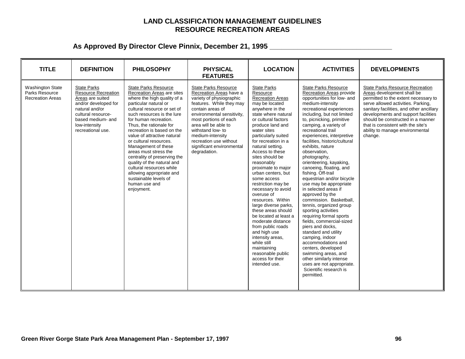### **LAND CLASSIFICATION MANAGEMENT GUIDELINES RESOURCE RECREATION AREAS**

| <b>TITLE</b>                                                         | <b>DEFINITION</b>                                                                                                                                                                               | <b>PHILOSOPHY</b>                                                                                                                                                                                                                                                                                                                                                                                                                                                                                                                                       | <b>PHYSICAL</b><br><b>FEATURES</b>                                                                                                                                                                                                                                                                                                | <b>LOCATION</b>                                                                                                                                                                                                                                                                                                                                                                                                                                                                                                                                                                                                                                                                              | <b>ACTIVITIES</b>                                                                                                                                                                                                                                                                                                                                                                                                                                                                                                                                                                                                                                                                                                                                                                                                                                                                                                     | <b>DEVELOPMENTS</b>                                                                                                                                                                                                                                                                                                                                            |
|----------------------------------------------------------------------|-------------------------------------------------------------------------------------------------------------------------------------------------------------------------------------------------|---------------------------------------------------------------------------------------------------------------------------------------------------------------------------------------------------------------------------------------------------------------------------------------------------------------------------------------------------------------------------------------------------------------------------------------------------------------------------------------------------------------------------------------------------------|-----------------------------------------------------------------------------------------------------------------------------------------------------------------------------------------------------------------------------------------------------------------------------------------------------------------------------------|----------------------------------------------------------------------------------------------------------------------------------------------------------------------------------------------------------------------------------------------------------------------------------------------------------------------------------------------------------------------------------------------------------------------------------------------------------------------------------------------------------------------------------------------------------------------------------------------------------------------------------------------------------------------------------------------|-----------------------------------------------------------------------------------------------------------------------------------------------------------------------------------------------------------------------------------------------------------------------------------------------------------------------------------------------------------------------------------------------------------------------------------------------------------------------------------------------------------------------------------------------------------------------------------------------------------------------------------------------------------------------------------------------------------------------------------------------------------------------------------------------------------------------------------------------------------------------------------------------------------------------|----------------------------------------------------------------------------------------------------------------------------------------------------------------------------------------------------------------------------------------------------------------------------------------------------------------------------------------------------------------|
| <b>Washington State</b><br>Parks Resource<br><b>Recreation Areas</b> | <b>State Parks</b><br><b>Resource Recreation</b><br>Areas are suited<br>and/or developed for<br>natural and/or<br>cultural resource-<br>based medium- and<br>low-intensity<br>recreational use. | <b>State Parks Resource</b><br>Recreation Areas are sites<br>where the high quality of a<br>particular natural or<br>cultural resource or set of<br>such resources is the lure<br>for human recreation.<br>Thus, the rationale for<br>recreation is based on the<br>value of attractive natural<br>or cultural resources.<br>Management of these<br>areas must stress the<br>centrality of preserving the<br>quality of the natural and<br>cultural resources while<br>allowing appropriate and<br>sustainable levels of<br>human use and<br>enjoyment. | <b>State Parks Resource</b><br>Recreation Areas have a<br>variety of physiographic<br>features. While they may<br>contain areas of<br>environmental sensitivity,<br>most portions of each<br>area will be able to<br>withstand low- to<br>medium-intensity<br>recreation use without<br>significant environmental<br>degradation. | <b>State Parks</b><br>Resource<br><b>Recreation Areas</b><br>may be located<br>anywhere in the<br>state where natural<br>or cultural factors<br>produce land and<br>water sites<br>particularly suited<br>for recreation in a<br>natural setting.<br>Access to these<br>sites should be<br>reasonably<br>proximate to major<br>urban centers, but<br>some access<br>restriction may be<br>necessary to avoid<br>overuse of<br>resources. Within<br>large diverse parks,<br>these areas should<br>be located at least a<br>moderate distance<br>from public roads<br>and high use<br>intensity areas,<br>while still<br>maintaining<br>reasonable public<br>access for their<br>intended use. | <b>State Parks Resource</b><br>Recreation Areas provide<br>opportunities for low- and<br>medium-intensity<br>recreational experiences<br>including, but not limited<br>to, picnicking, primitive<br>camping, a variety of<br>recreational trail<br>experiences, interpretive<br>facilities, historic/cultural<br>exhibits, nature<br>observation,<br>photography,<br>orienteering, kayaking,<br>canoeing, floating, and<br>fishing. Off-trail<br>equestrian and/or bicycle<br>use may be appropriate<br>in selected areas if<br>approved by the<br>commission. Basketball.<br>tennis, organized group<br>sporting activities<br>requiring formal sports<br>fields, commercial-sized<br>piers and docks.<br>standard and utility<br>camping, indoor<br>accommodations and<br>centers, developed<br>swimming areas, and<br>other similarly intense<br>uses are not appropriate.<br>Scientific research is<br>permitted. | <b>State Parks Resource Recreation</b><br>Areas development shall be<br>permitted to the extent necessary to<br>serve allowed activities. Parking,<br>sanitary facilities, and other ancillary<br>developments and support facilities<br>should be constructed in a manner<br>that is consistent with the site's<br>ability to manage environmental<br>change. |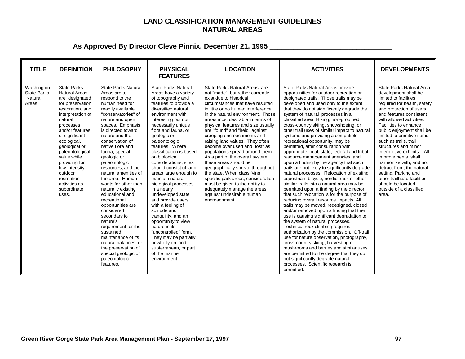### **LAND CLASSIFICATION MANAGEMENT GUIDELINES NATURAL AREAS**

| <b>TITLE</b>                                         | <b>DEFINITION</b>                                                                                                                                                                                                                                                                                                                                             | <b>PHILOSOPHY</b>                                                                                                                                                                                                                                                                                                                                                                                                                                                                                                                                                                                                                                                                 | <b>PHYSICAL</b><br><b>FEATURES</b>                                                                                                                                                                                                                                                                                                                                                                                                                                                                                                                                                                                                                                                                                                   | <b>LOCATION</b>                                                                                                                                                                                                                                                                                                                                                                                                                                                                                                                                                                                                                                                                                                                                     | <b>ACTIVITIES</b>                                                                                                                                                                                                                                                                                                                                                                                                                                                                                                                                                                                                                                                                                                                                                                                                                                                                                                                                                                                                                                                                                                                                                                                                                                                                                                                                                                                                                                                                           | <b>DEVELOPMENTS</b>                                                                                                                                                                                                                                                                                                                                                                                                                                                                                                                                         |
|------------------------------------------------------|---------------------------------------------------------------------------------------------------------------------------------------------------------------------------------------------------------------------------------------------------------------------------------------------------------------------------------------------------------------|-----------------------------------------------------------------------------------------------------------------------------------------------------------------------------------------------------------------------------------------------------------------------------------------------------------------------------------------------------------------------------------------------------------------------------------------------------------------------------------------------------------------------------------------------------------------------------------------------------------------------------------------------------------------------------------|--------------------------------------------------------------------------------------------------------------------------------------------------------------------------------------------------------------------------------------------------------------------------------------------------------------------------------------------------------------------------------------------------------------------------------------------------------------------------------------------------------------------------------------------------------------------------------------------------------------------------------------------------------------------------------------------------------------------------------------|-----------------------------------------------------------------------------------------------------------------------------------------------------------------------------------------------------------------------------------------------------------------------------------------------------------------------------------------------------------------------------------------------------------------------------------------------------------------------------------------------------------------------------------------------------------------------------------------------------------------------------------------------------------------------------------------------------------------------------------------------------|---------------------------------------------------------------------------------------------------------------------------------------------------------------------------------------------------------------------------------------------------------------------------------------------------------------------------------------------------------------------------------------------------------------------------------------------------------------------------------------------------------------------------------------------------------------------------------------------------------------------------------------------------------------------------------------------------------------------------------------------------------------------------------------------------------------------------------------------------------------------------------------------------------------------------------------------------------------------------------------------------------------------------------------------------------------------------------------------------------------------------------------------------------------------------------------------------------------------------------------------------------------------------------------------------------------------------------------------------------------------------------------------------------------------------------------------------------------------------------------------|-------------------------------------------------------------------------------------------------------------------------------------------------------------------------------------------------------------------------------------------------------------------------------------------------------------------------------------------------------------------------------------------------------------------------------------------------------------------------------------------------------------------------------------------------------------|
| Washington<br><b>State Parks</b><br>Natural<br>Areas | <b>State Parks</b><br><b>Natural Areas</b><br>are designated<br>for preservation,<br>restoration, and<br>interpretation of<br>natural<br>processes<br>and/or features<br>of significant<br>ecological,<br>geological or<br>paleontological<br>value while<br>providing for<br>low-intensity<br>outdoor<br>recreation<br>activities as<br>subordinate<br>uses. | <b>State Parks Natural</b><br>Areas are to<br>respond to the<br>human need for<br>readily available<br>"conservatories" of<br>nature and open<br>spaces. Emphasis<br>is directed toward<br>nature and the<br>conservation of<br>native flora and<br>fauna, special<br>geologic or<br>paleontologic<br>resources, and the<br>natural amenities of<br>the area. Human<br>wants for other than<br>naturally existing<br>educational and<br>recreational<br>opportunities are<br>considered<br>secondary to<br>nature's<br>requirement for the<br>sustained<br>maintenance of its<br>natural balances, or<br>the preservation of<br>special geologic or<br>paleontologic<br>features. | <b>State Parks Natural</b><br>Areas have a variety<br>of topography and<br>features to provide a<br>diversified natural<br>environment with<br>interesting but not<br>necessarily unique<br>flora and fauna, or<br>geologic or<br>paleontologic<br>features. Where<br>classification is based<br>on biological<br>considerations, sites<br>should consist of land<br>areas large enough to<br>maintain natural<br>biological processes<br>in a nearly<br>undeveloped state<br>and provide users<br>with a feeling of<br>solitude and<br>tranguility, and an<br>opportunity to view<br>nature in its<br>"uncontrolled" form.<br>They may be partially<br>or wholly on land,<br>subterranean, or part<br>of the marine<br>environment. | State Parks Natural Areas are<br>not "made", but rather currently<br>exist due to historical<br>circumstances that have resulted<br>in little or no human interference<br>in the natural environment. Those<br>areas most desirable in terms of<br>physical features and size usually<br>are "found" and "held" against<br>creeping encroachments and<br>raising land values. They often<br>become over used and "lost" as<br>populations spread around them.<br>As a part of the overall system,<br>these areas should be<br>geographically spread throughout<br>the state. When classifying<br>specific park areas, consideration<br>must be given to the ability to<br>adequately manage the areas<br>against undesirable human<br>encroachment. | State Parks Natural Areas provide<br>opportunities for outdoor recreation on<br>designated trails. Those trails may be<br>developed and used only to the extent<br>that they do not significantly degrade the<br>system of natural processes in a<br>classified area. Hiking, non-groomed<br>cross-country skiing, snowshoeing, or<br>other trail uses of similar impact to natural<br>systems and providing a compatible<br>recreational opportunity, may be<br>permitted, after consultation with<br>appropriate local, state, federal and tribal<br>resource management agencies, and<br>upon a finding by the agency that such<br>trails are not likely to significantly degrade<br>natural processes. Relocation of existing<br>equestrian, bicycle, nordic track or other<br>similar trails into a natural area may be<br>permitted upon a finding by the director<br>that such relocation is for the purpose of<br>reducing overall resource impacts. All<br>trails may be moved, redesigned, closed<br>and/or removed upon a finding that their<br>use is causing significant degradation to<br>the system of natural processes.<br>Technical rock climbing requires<br>authorization by the commission. Off-trail<br>use for nature observation, photography,<br>cross-country skiing, harvesting of<br>mushrooms and berries and similar uses<br>are permitted to the degree that they do<br>not significantly degrade natural<br>processes. Scientific research is<br>permitted. | State Parks Natural Area<br>development shall be<br>limited to facilities<br>required for health, safety<br>and protection of users<br>and features consistent<br>with allowed activities.<br>Facilities to enhance<br>public enjoyment shall be<br>limited to primitive items<br>such as trails, trail<br>structures and minor<br>interpretive exhibits . All<br>improvements shall<br>harmonize with, and not<br>detract from, the natural<br>setting. Parking and<br>other trailhead facilities<br>should be located<br>outside of a classified<br>area. |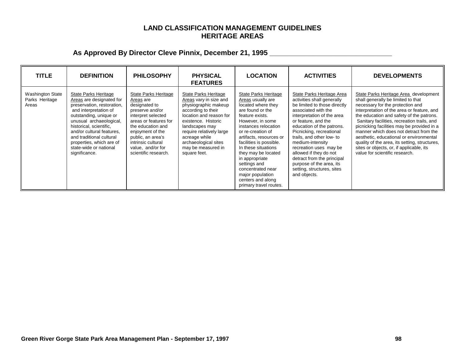### **LAND CLASSIFICATION MANAGEMENT GUIDELINES HERITAGE AREAS**

| <b>TITLE</b>                                | <b>DEFINITION</b>                                                                                                                                                                                                                                                                                                       | <b>PHILOSOPHY</b>                                                                                                                                                                                                                                     | <b>PHYSICAL</b><br><b>FEATURES</b>                                                                                                                                                                                                                                          | <b>LOCATION</b>                                                                                                                                                                                                                                                                                                                                                                                       | <b>ACTIVITIES</b>                                                                                                                                                                                                                                                                                                                                                                                                                         | <b>DEVELOPMENTS</b>                                                                                                                                                                                                                                                                                                                                                                                                                                                                                                        |
|---------------------------------------------|-------------------------------------------------------------------------------------------------------------------------------------------------------------------------------------------------------------------------------------------------------------------------------------------------------------------------|-------------------------------------------------------------------------------------------------------------------------------------------------------------------------------------------------------------------------------------------------------|-----------------------------------------------------------------------------------------------------------------------------------------------------------------------------------------------------------------------------------------------------------------------------|-------------------------------------------------------------------------------------------------------------------------------------------------------------------------------------------------------------------------------------------------------------------------------------------------------------------------------------------------------------------------------------------------------|-------------------------------------------------------------------------------------------------------------------------------------------------------------------------------------------------------------------------------------------------------------------------------------------------------------------------------------------------------------------------------------------------------------------------------------------|----------------------------------------------------------------------------------------------------------------------------------------------------------------------------------------------------------------------------------------------------------------------------------------------------------------------------------------------------------------------------------------------------------------------------------------------------------------------------------------------------------------------------|
| Washington State<br>Parks Heritage<br>Areas | State Parks Heritage<br>Areas are designated for<br>preservation, restoration,<br>and interpretation of<br>outstanding, unique or<br>unusual archaeological,<br>historical, scientific,<br>and/or cultural features,<br>and traditional cultural<br>properties, which are of<br>state-wide or national<br>significance. | State Parks Heritage<br>Areas are<br>designated to<br>preserve and/or<br>interpret selected<br>areas or features for<br>the education and<br>enjoyment of the<br>public, an area's<br>intrinsic cultural<br>value, and/or for<br>scientific research. | State Parks Heritage<br>Areas vary in size and<br>physiographic makeup<br>according to their<br>location and reason for<br>existence. Historic<br>landscapes may<br>require relatively large<br>acreage while<br>archaeological sites<br>may be measured in<br>square feet. | State Parks Heritage<br>Areas usually are<br>located where they<br>are found or the<br>feature exists.<br>However, in some<br>instances relocation<br>or re-creation of<br>artifacts, resources or<br>facilities is possible.<br>In these situations<br>they may be located<br>in appropriate<br>settings and<br>concentrated near<br>major population<br>centers and along<br>primary travel routes. | State Parks Heritage Area<br>activities shall generally<br>be limited to those directly<br>associated with the<br>interpretation of the area<br>or feature, and the<br>education of the patrons.<br>Picnicking, recreational<br>trails, and other low- to<br>medium-intensity<br>recreation uses may be<br>allowed if they do not<br>detract from the principal<br>purpose of the area, its<br>setting, structures, sites<br>and objects. | State Parks Heritage Area_development<br>shall generally be limited to that<br>necessary for the protection and<br>interpretation of the area or feature, and<br>the education and safety of the patrons.<br>Sanitary facilities, recreation trails, and<br>picnicking facilities may be provided in a<br>manner which does not detract from the<br>aesthetic, educational or environmental<br>quality of the area, its setting, structures,<br>sites or objects, or, if applicable, its<br>value for scientific research. |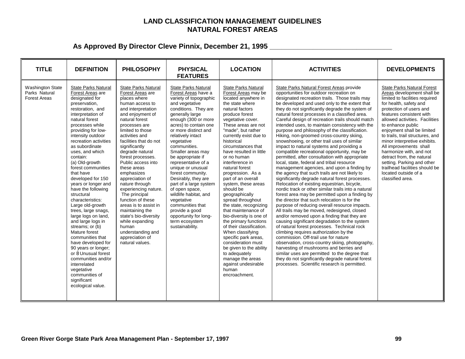### **LAND CLASSIFICATION MANAGEMENT GUIDELINES NATURAL FOREST AREAS**

| <b>TITLE</b>                                                    | <b>DEFINITION</b>                                                                                                                                                                                                                                                                                                                                                                                                                                                                                                                                                                                                                                                                                                                                                          | <b>PHILOSOPHY</b>                                                                                                                                                                                                                                                                                                                                                                                                                                                                                                                                                                                         | <b>PHYSICAL</b><br><b>FEATURES</b>                                                                                                                                                                                                                                                                                                                                                                                                                                                                                                                                                           | <b>LOCATION</b>                                                                                                                                                                                                                                                                                                                                                                                                                                                                                                                                                                                                                                                                                                                                                                           | <b>ACTIVITIES</b>                                                                                                                                                                                                                                                                                                                                                                                                                                                                                                                                                                                                                                                                                                                                                                                                                                                                                                                                                                                                                                                                                                                                                                                                                                                                                                                                                                                                                                                                                                                                                                                                                                                                        | <b>DEVELOPMENTS</b>                                                                                                                                                                                                                                                                                                                                                                                                                                                                                                                       |
|-----------------------------------------------------------------|----------------------------------------------------------------------------------------------------------------------------------------------------------------------------------------------------------------------------------------------------------------------------------------------------------------------------------------------------------------------------------------------------------------------------------------------------------------------------------------------------------------------------------------------------------------------------------------------------------------------------------------------------------------------------------------------------------------------------------------------------------------------------|-----------------------------------------------------------------------------------------------------------------------------------------------------------------------------------------------------------------------------------------------------------------------------------------------------------------------------------------------------------------------------------------------------------------------------------------------------------------------------------------------------------------------------------------------------------------------------------------------------------|----------------------------------------------------------------------------------------------------------------------------------------------------------------------------------------------------------------------------------------------------------------------------------------------------------------------------------------------------------------------------------------------------------------------------------------------------------------------------------------------------------------------------------------------------------------------------------------------|-------------------------------------------------------------------------------------------------------------------------------------------------------------------------------------------------------------------------------------------------------------------------------------------------------------------------------------------------------------------------------------------------------------------------------------------------------------------------------------------------------------------------------------------------------------------------------------------------------------------------------------------------------------------------------------------------------------------------------------------------------------------------------------------|------------------------------------------------------------------------------------------------------------------------------------------------------------------------------------------------------------------------------------------------------------------------------------------------------------------------------------------------------------------------------------------------------------------------------------------------------------------------------------------------------------------------------------------------------------------------------------------------------------------------------------------------------------------------------------------------------------------------------------------------------------------------------------------------------------------------------------------------------------------------------------------------------------------------------------------------------------------------------------------------------------------------------------------------------------------------------------------------------------------------------------------------------------------------------------------------------------------------------------------------------------------------------------------------------------------------------------------------------------------------------------------------------------------------------------------------------------------------------------------------------------------------------------------------------------------------------------------------------------------------------------------------------------------------------------------|-------------------------------------------------------------------------------------------------------------------------------------------------------------------------------------------------------------------------------------------------------------------------------------------------------------------------------------------------------------------------------------------------------------------------------------------------------------------------------------------------------------------------------------------|
| <b>Washington State</b><br>Parks Natural<br><b>Forest Areas</b> | <b>State Parks Natural</b><br>Forest Areas are<br>designated for<br>preservation,<br>restoration, and<br>interpretation of<br>natural forest<br>processes while<br>providing for low-<br>intensity outdoor<br>recreation activities<br>as subordinate<br>uses, and which<br>contain:<br>(a) Old-growth<br>forest communities<br>that have<br>developed for 150<br>years or longer and<br>have the following<br>structural<br>characteristics:<br>Large old-growth<br>trees, large snags,<br>large logs on land,<br>and large logs in<br>streams; or (b)<br>Mature forest<br>communities that<br>have developed for<br>90 years or longer;<br>or 8 Unusual forest<br>communities and/or<br>interrelated<br>vegetative<br>communities of<br>significant<br>ecological value. | <b>State Parks Natural</b><br>Forest Areas are<br>places where<br>human access to<br>and interpretation<br>and enjoyment of<br>natural forest<br>processes are<br>limited to those<br>activities and<br>facilities that do not<br>significantly<br>degrade natural<br>forest processes.<br>Public access into<br>these areas<br>emphasizes<br>appreciation of<br>nature through<br>experiencing nature.<br>The principal<br>function of these<br>areas is to assist in<br>maintaining the<br>state's bio-diversity<br>while expanding<br>human<br>understanding and<br>appreciation of<br>natural values. | <b>State Parks Natural</b><br>Forest Areas have a<br>variety of topographic<br>and vegetative<br>conditions. They are<br>generally large<br>enough (300 or more<br>acres) to contain one<br>or more distinct and<br>relatively intact<br>vegetative<br>communities.<br>Smaller areas may<br>be appropriate if<br>representative of a<br>unique or unusual<br>forest community.<br>Desirably, they are<br>part of a large system<br>of open space,<br>wildlife habitat, and<br>vegetative<br>communities that<br>provide a good<br>opportunity for long-<br>term ecosystem<br>sustainability. | <b>State Parks Natural</b><br>Forest Areas may be<br>located anywhere in<br>the state where<br>natural factors<br>produce forest<br>vegetative cover.<br>These areas are not<br>"made", but rather<br>currently exist due to<br>historical<br>circumstances that<br>have resulted in little<br>or no human<br>interference in<br>natural forest<br>progression. As a<br>part of an overall<br>system, these areas<br>should be<br>geographically<br>spread throughout<br>the state, recognizing<br>that maintenance of<br>bio-diversity is one of<br>the primary functions<br>of their classification.<br>When classifying<br>specific park areas,<br>consideration must<br>be given to the ability<br>to adequately<br>manage the areas<br>against undesirable<br>human<br>encroachment. | State Parks Natural Forest Areas provide<br>opportunities for outdoor recreation on<br>designated recreation trails. Those trails may<br>be developed and used only to the extent that<br>they do not significantly degrade the system of<br>natural forest processes in a classified area.<br>Careful design of recreation trails should match<br>intended uses, to maintain consistency with the<br>purpose and philosophy of the classification.<br>Hiking, non-groomed cross-country skiing,<br>snowshoeing, or other trail uses of similar<br>impact to natural systems and providing a<br>compatible recreational opportunity, may be<br>permitted, after consultation with appropriate<br>local, state, federal and tribal resource<br>management agencies, and upon a finding by<br>the agency that such trails are not likely to<br>significantly degrade natural forest processes.<br>Relocation of existing equestrian, bicycle,<br>nordic track or other similar trails into a natural<br>forest area may be permitted upon a finding by<br>the director that such relocation is for the<br>purpose of reducing overall resource impacts.<br>All trails may be moved, redesigned, closed<br>and/or removed upon a finding that they are<br>causing significant degradation to the system<br>of natural forest processes. Technical rock<br>climbing requires authorization by the<br>commission. Off-trail use for nature<br>observation, cross-country skiing, photography,<br>harvesting of mushrooms and berries and<br>similar uses are permitted to the degree that<br>they do not significantly degrade natural forest<br>processes. Scientific research is permitted. | <b>State Parks Natural Forest</b><br>Areas development shall be<br>limited to facilities required<br>for health, safety and<br>protection of users and<br>features consistent with<br>allowed activities. Facilities<br>to enhance public<br>enjoyment shall be limited<br>to trails, trail structures, and<br>minor interpretive exhibits.<br>All improvements shall<br>harmonize with, and not<br>detract from, the natural<br>setting. Parking and other<br>trailhead facilities should be<br>located outside of a<br>classified area. |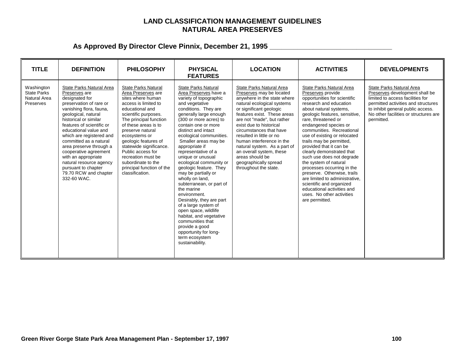### **LAND CLASSIFICATION MANAGEMENT GUIDELINES NATURAL AREA PRESERVES**

| <b>TITLE</b>                                                         | <b>DEFINITION</b>                                                                                                                                                                                                                                                                                                                                                                                                                                  | <b>PHILOSOPHY</b>                                                                                                                                                                                                                                                                                                                                                                                   | <b>PHYSICAL</b><br><b>FEATURES</b>                                                                                                                                                                                                                                                                                                                                                                                                                                                                                                                                                                                                                                                                             | <b>LOCATION</b>                                                                                                                                                                                                                                                                                                                                                                                                                                           | <b>ACTIVITIES</b>                                                                                                                                                                                                                                                                                                                                                                                                                                                                                                                                                                                                                 | <b>DEVELOPMENTS</b>                                                                                                                                                                                                               |
|----------------------------------------------------------------------|----------------------------------------------------------------------------------------------------------------------------------------------------------------------------------------------------------------------------------------------------------------------------------------------------------------------------------------------------------------------------------------------------------------------------------------------------|-----------------------------------------------------------------------------------------------------------------------------------------------------------------------------------------------------------------------------------------------------------------------------------------------------------------------------------------------------------------------------------------------------|----------------------------------------------------------------------------------------------------------------------------------------------------------------------------------------------------------------------------------------------------------------------------------------------------------------------------------------------------------------------------------------------------------------------------------------------------------------------------------------------------------------------------------------------------------------------------------------------------------------------------------------------------------------------------------------------------------------|-----------------------------------------------------------------------------------------------------------------------------------------------------------------------------------------------------------------------------------------------------------------------------------------------------------------------------------------------------------------------------------------------------------------------------------------------------------|-----------------------------------------------------------------------------------------------------------------------------------------------------------------------------------------------------------------------------------------------------------------------------------------------------------------------------------------------------------------------------------------------------------------------------------------------------------------------------------------------------------------------------------------------------------------------------------------------------------------------------------|-----------------------------------------------------------------------------------------------------------------------------------------------------------------------------------------------------------------------------------|
| Washington<br><b>State Parks</b><br><b>Natural Area</b><br>Preserves | State Parks Natural Area<br>Preserves are<br>designated for<br>preservation of rare or<br>vanishing flora, fauna,<br>geological, natural<br>historical or similar<br>features of scientific or<br>educational value and<br>which are registered and<br>committed as a natural<br>area preserve through a<br>cooperative agreement<br>with an appropriate<br>natural resource agency<br>pursuant to chapter<br>79.70 RCW and chapter<br>332-60 WAC. | <b>State Parks Natural</b><br>Area Preserves are<br>sites where human<br>access is limited to<br>educational and<br>scientific purposes.<br>The principal function<br>of these areas is to<br>preserve natural<br>ecosystems or<br>geologic features of<br>statewide significance.<br>Public access for<br>recreation must be<br>subordinate to the<br>principal function of the<br>classification. | <b>State Parks Natural</b><br>Area Preserves have a<br>variety of topographic<br>and vegetative<br>conditions. They are<br>generally large enough<br>(300 or more acres) to<br>contain one or more<br>distinct and intact<br>ecological communities.<br>Smaller areas may be<br>appropriate if<br>representative of a<br>unique or unusual<br>ecological community or<br>geologic feature. They<br>may be partially or<br>wholly on land,<br>subterranean, or part of<br>the marine<br>environment.<br>Desirably, they are part<br>of a large system of<br>open space, wildlife<br>habitat, and vegetative<br>communities that<br>provide a good<br>opportunity for long-<br>term ecosystem<br>sustainability. | State Parks Natural Area<br>Preserves may be located<br>anywhere in the state where<br>natural ecological systems<br>or significant geologic<br>features exist. These areas<br>are not "made", but rather<br>exist due to historical<br>circumstances that have<br>resulted in little or no<br>human interference in the<br>natural system. As a part of<br>an overall system, these<br>areas should be<br>geographically spread<br>throughout the state. | State Parks Natural Area<br>Preserves provide<br>opportunities for scientific<br>research and education<br>about natural systems,<br>geologic features, sensitive,<br>rare, threatened or<br>endangered species or<br>communities. Recreational<br>use of existing or relocated<br>trails may be permitted,<br>provided that it can be<br>clearly demonstrated that<br>such use does not degrade<br>the system of natural<br>processes occurring in the<br>preserve. Otherwise, trails<br>are limited to administrative.<br>scientific and organized<br>educational activities and<br>uses. No other activities<br>are permitted. | State Parks Natural Area<br>Preserves development shall be<br>limited to access facilities for<br>permitted activities and structures<br>to inhibit general public access.<br>No other facilities or structures are<br>permitted. |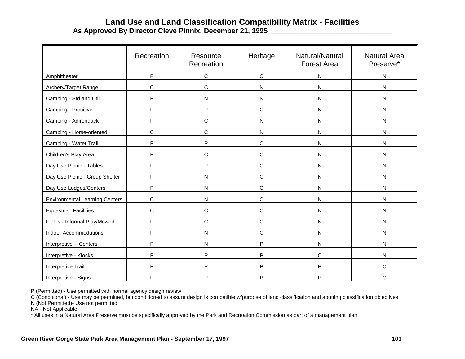## **Land Use and Land Classification Compatibility Matrix - Facilities As Approved By Director Cleve Pinnix, December 21, 1995 \_\_\_\_\_\_\_\_\_\_\_\_\_\_\_\_\_\_\_\_\_\_\_\_\_\_\_\_\_\_\_**

|                                       | Recreation  | Resource<br>Recreation | Heritage     | Natural/Natural<br><b>Forest Area</b> | <b>Natural Area</b><br>Preserve* |
|---------------------------------------|-------------|------------------------|--------------|---------------------------------------|----------------------------------|
| Amphitheater                          | P           | $\mathbf C$            | $\mathbf C$  | ${\sf N}$                             | N                                |
| Archery/Target Range                  | C           | $\mathsf{C}$           | $\mathsf{N}$ | $\mathsf{N}$                          | N                                |
| Camping - Std and Util                | P           | $\mathsf{N}$           | N            | N                                     | N                                |
| Camping - Primitive                   | P           | P                      | $\mathsf C$  | $\mathsf{N}$                          | N                                |
| Camping - Adirondack                  | P           | C                      | $\mathsf{N}$ | ${\sf N}$                             | N                                |
| Camping - Horse-oriented              | C           | $\mathsf{C}$           | $\mathsf{N}$ | $\mathsf{N}$                          | N                                |
| Camping - Water Trail                 | P           | P                      | C            | N                                     | N                                |
| Children's Play Area                  | P           | $\mathsf{C}$           | C            | $\mathsf{N}$                          | N                                |
| Day Use Picnic - Tables               | P           | P                      | C            | $\mathsf{N}$                          | N                                |
| Day Use Picnic - Group Shelter        | P           | ${\sf N}$              | $\mathbf C$  | $\mathsf{N}$                          | N                                |
| Day Use Lodges/Centers                | P           | $\mathsf{N}$           | C            | N                                     | N                                |
| <b>Environmental Learning Centers</b> | $\mathsf C$ | $\mathsf{N}$           | C            | $\mathsf{N}$                          | N                                |
| <b>Equestrian Facilities</b>          | C           | C                      | $\mathsf{C}$ | $\mathsf{N}$                          | N                                |
| Fields - Informal Play/Mowed          | P           | $\mathsf{C}$           | $\mathbf C$  | $\mathsf{N}$                          | N                                |
| <b>Indoor Accommodations</b>          | P           | ${\sf N}$              | C            | N                                     | N                                |
| Interpretive - Centers                | P           | $\mathsf{N}$           | P            | N                                     | N                                |
| Interpretive - Kiosks                 | P           | P                      | P            | C                                     | N                                |
| Interpretive Trail                    | P           | P                      | P            | P                                     | C                                |
| Interpretive - Signs                  | P           | P                      | P            | P                                     | C                                |

P (Permitted) - Use permitted with normal agency design review

C (Conditional) - Use may be permitted, but conditioned to assure design is compatible w/purpose of land classification and abutting classification objectives.

N (Not Permitted)- Use not permitted.

NA - Not Applicable

\* All uses in a Natural Area Preserve must be specifically approved by the Park and Recreation Commission as part of a management plan.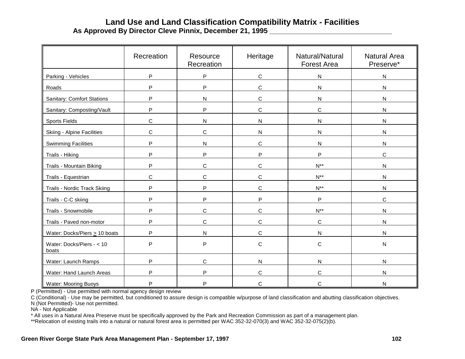## **Land Use and Land Classification Compatibility Matrix - Facilities As Approved By Director Cleve Pinnix, December 21, 1995 \_\_\_\_\_\_\_\_\_\_\_\_\_\_\_\_\_\_\_\_\_\_\_\_\_\_\_\_\_\_\_**

|                                    | Recreation | Resource<br>Recreation | Heritage     | Natural/Natural<br><b>Forest Area</b> | <b>Natural Area</b><br>Preserve* |
|------------------------------------|------------|------------------------|--------------|---------------------------------------|----------------------------------|
| Parking - Vehicles                 | P          | $\sf P$                | $\mathbf C$  | ${\sf N}$                             | N                                |
| Roads                              | P          | P                      | C            | N                                     | N                                |
| Sanitary: Comfort Stations         | P          | $\mathsf{N}$           | $\mathsf C$  | ${\sf N}$                             | N                                |
| Sanitary: Composting/Vault         | P          | P                      | C            | C                                     | N                                |
| <b>Sports Fields</b>               | C          | $\mathsf{N}$           | $\mathsf{N}$ | N                                     | N                                |
| <b>Skiing - Alpine Facilities</b>  | C          | $\mathsf C$            | $\mathsf{N}$ | $\mathsf{N}$                          | N                                |
| <b>Swimming Facilities</b>         | P          | $\mathsf{N}$           | $\mathbf C$  | ${\sf N}$                             | ${\sf N}$                        |
| Trails - Hiking                    | P          | P                      | P            | P                                     | C                                |
| Trails - Mountain Biking           | P          | C                      | C            | $N^{**}$                              | N                                |
| Trails - Equestrian                | C          | C                      | $\mathsf{C}$ | $N^{**}$                              | N                                |
| Trails - Nordic Track Skiing       | P          | P                      | C            | $N^{**}$                              | N                                |
| Trails - C-C skiing                | P          | P                      | P            | P                                     | $\mathsf C$                      |
| Trails - Snowmobile                | P          | $\mathsf C$            | C            | $N^{**}$                              | N                                |
| Trails - Paved non-motor           | P          | $\mathsf C$            | $\mathbf C$  | $\mathbf C$                           | ${\sf N}$                        |
| Water: Docks/Piers $\geq 10$ boats | P          | $\mathsf{N}$           | $\mathsf C$  | ${\sf N}$                             | N                                |
| Water: Docks/Piers - < 10<br>boats | P          | $\mathsf{P}$           | C            | С                                     | N                                |
| Water: Launch Ramps                | P          | $\mathsf C$            | $\mathsf{N}$ | $\mathsf{N}$                          | N                                |
| Water: Hand Launch Areas           | P          | P                      | C            | C                                     | N                                |
| <b>Water: Mooring Buoys</b>        | P          | P                      | С            | C                                     | N                                |

P (Permitted) - Use permitted with normal agency design review

C (Conditional) - Use may be permitted, but conditioned to assure design is compatible w/purpose of land classification and abutting classification objectives.

N (Not Permitted)- Use not permitted.

NA - Not Applicable

\* All uses in a Natural Area Preserve must be specifically approved by the Park and Recreation Commission as part of a management plan.

\*\*Relocation of existing trails into a natural or natural forest area is permitted per WAC 352-32-070(3) and WAC 352-32-075(2)(b).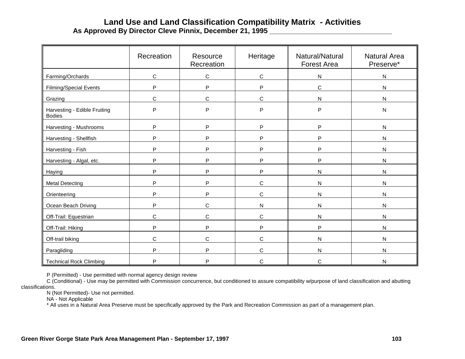# **Land Use and Land Classification Compatibility Matrix - Activities As Approved By Director Cleve Pinnix, December 21, 1995 \_\_\_\_\_\_\_\_\_\_\_\_\_\_\_\_\_\_\_\_\_\_\_\_\_\_\_\_\_\_\_**

|                                               | Recreation   | Resource<br>Recreation | Heritage     | Natural/Natural<br><b>Forest Area</b> | <b>Natural Area</b><br>Preserve* |
|-----------------------------------------------|--------------|------------------------|--------------|---------------------------------------|----------------------------------|
| Farming/Orchards                              | $\mathsf C$  | C                      | $\mathbf C$  | ${\sf N}$                             | N                                |
| <b>Filming/Special Events</b>                 | P            | P                      | P            | $\mathbf C$                           | N                                |
| Grazing                                       | $\mathsf C$  | C                      | $\mathsf{C}$ | N                                     | N                                |
| Harvesting - Edible Fruiting<br><b>Bodies</b> | P            | P                      | P            | P                                     | N                                |
| Harvesting - Mushrooms                        | $\mathsf{P}$ | P                      | P            | P                                     | N                                |
| Harvesting - Shellfish                        | P            | P                      | P            | P                                     | N                                |
| Harvesting - Fish                             | P            | P                      | P            | P                                     | N                                |
| Harvesting - Algal, etc.                      | P            | P                      | P            | P                                     | N                                |
| Haying                                        | P            | P                      | P            | $\mathsf{N}$                          | N                                |
| Metal Detecting                               | P            | P                      | C            | $\mathsf{N}$                          | N                                |
| Orienteering                                  | P            | P                      | $\mathsf{C}$ | $\mathsf{N}$                          | N                                |
| Ocean Beach Driving                           | P            | C                      | ${\sf N}$    | $\mathsf{N}$                          | N                                |
| Off-Trail: Equestrian                         | $\mathsf{C}$ | C                      | $\mathsf{C}$ | $\mathsf{N}$                          | N                                |
| Off-Trail: Hiking                             | P            | P                      | P            | P                                     | N                                |
| Off-trail biking                              | $\mathsf{C}$ | $\mathsf C$            | $\mathbf C$  | $\mathsf{N}$                          | N                                |
| Paragliding                                   | P            | P                      | $\mathbf C$  | $\mathsf{N}$                          | N                                |
| <b>Technical Rock Climbing</b>                | P            | P                      | $\mathsf{C}$ | C                                     | N                                |

P (Permitted) - Use permitted with normal agency design review

C (Conditional) - Use may be permitted with Commission concurrence, but conditioned to assure compatibility w/purpose of land classification and abutting classifications.

N (Not Permitted)- Use not permitted.

NA - Not Applicable

\* All uses in a Natural Area Preserve must be specifically approved by the Park and Recreation Commission as part of a management plan.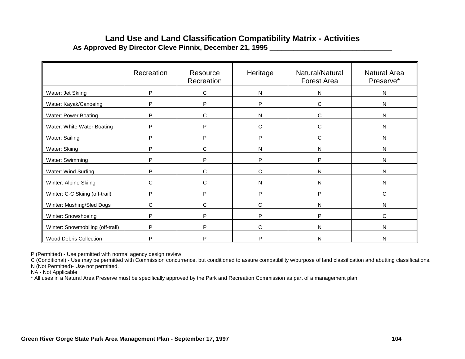## **Land Use and Land Classification Compatibility Matrix - Activities As Approved By Director Cleve Pinnix, December 21, 1995 \_\_\_\_\_\_\_\_\_\_\_\_\_\_\_\_\_\_\_\_\_\_\_\_\_\_\_\_\_\_\_**

|                                  | Recreation | Resource<br>Recreation | Heritage | Natural/Natural<br>Forest Area | <b>Natural Area</b><br>Preserve* |
|----------------------------------|------------|------------------------|----------|--------------------------------|----------------------------------|
| Water: Jet Skiing                | P          | C                      | N        | N                              | N                                |
| Water: Kayak/Canoeing            | D          | P                      | P        | C                              | N                                |
| Water: Power Boating             | P          | С                      | N        | C                              | $\mathsf{N}$                     |
| Water: White Water Boating       | P          | P                      | C        | C                              | N                                |
| Water: Sailing                   | P          | P                      | P        | C                              | N                                |
| Water: Skiing                    | P          | C                      | N        | N                              | N                                |
| Water: Swimming                  | P          | P                      | P        | P                              | N                                |
| Water: Wind Surfing              | P          | C                      | C        | N                              | N                                |
| Winter: Alpine Skiing            | C          | C                      | N        | N                              | N                                |
| Winter: C-C Skiing (off-trail)   | P          | P                      | P        | P                              | C                                |
| Winter: Mushing/Sled Dogs        | C          | C                      | C        | N                              | N                                |
| Winter: Snowshoeing              | P          | P                      | P        | P                              | C                                |
| Winter: Snowmobiling (off-trail) | P          | P                      | C        | N                              | N                                |
| Wood Debris Collection           | D          | P                      | P        | N                              | N                                |

P (Permitted) - Use permitted with normal agency design review

C (Conditional) - Use may be permitted with Commission concurrence, but conditioned to assure compatibility w/purpose of land classification and abutting classifications.

N (Not Permitted)- Use not permitted.

NA - Not Applicable

\* All uses in a Natural Area Preserve must be specifically approved by the Park and Recreation Commission as part of a management plan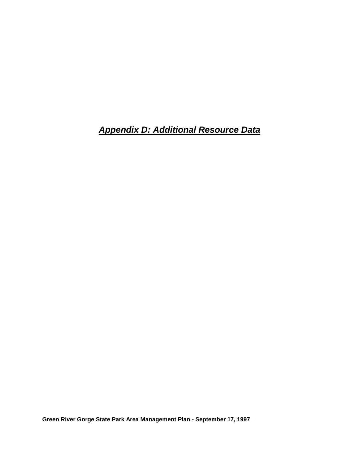*Appendix D: Additional Resource Data*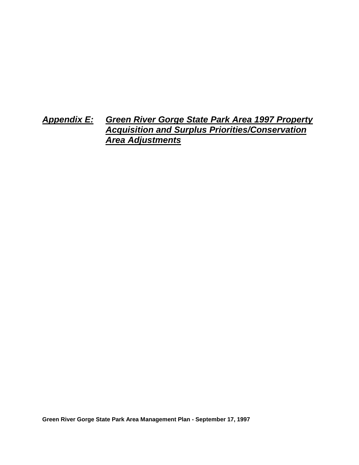# *Appendix E: Green River Gorge State Park Area 1997 Property Acquisition and Surplus Priorities/Conservation Area Adjustments*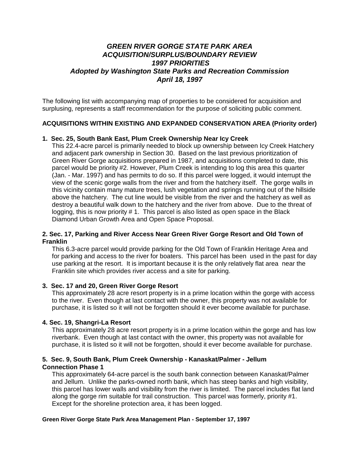## *GREEN RIVER GORGE STATE PARK AREA ACQUISITION/SURPLUS/BOUNDARY REVIEW 1997 PRIORITIES Adopted by Washington State Parks and Recreation Commission April 18, 1997*

The following list with accompanying map of properties to be considered for acquisition and surplusing, represents a staff recommendation for the purpose of soliciting public comment.

## **ACQUISITIONS WITHIN EXISTING AND EXPANDED CONSERVATION AREA (Priority order)**

#### **1. Sec. 25, South Bank East, Plum Creek Ownership Near Icy Creek**

This 22.4-acre parcel is primarily needed to block up ownership between Icy Creek Hatchery and adjacent park ownership in Section 30. Based on the last previous prioritization of Green River Gorge acquisitions prepared in 1987, and acquisitions completed to date, this parcel would be priority #2. However, Plum Creek is intending to log this area this quarter (Jan. - Mar. 1997) and has permits to do so. If this parcel were logged, it would interrupt the view of the scenic gorge walls from the river and from the hatchery itself. The gorge walls in this vicinity contain many mature trees, lush vegetation and springs running out of the hillside above the hatchery. The cut line would be visible from the river and the hatchery as well as destroy a beautiful walk down to the hatchery and the river from above. Due to the threat of logging, this is now priority # 1. This parcel is also listed as open space in the Black Diamond Urban Growth Area and Open Space Proposal.

#### **2. Sec. 17, Parking and River Access Near Green River Gorge Resort and Old Town of Franklin**

This 6.3-acre parcel would provide parking for the Old Town of Franklin Heritage Area and for parking and access to the river for boaters. This parcel has been used in the past for day use parking at the resort. It is important because it is the only relatively flat area near the Franklin site which provides river access and a site for parking.

#### **3. Sec. 17 and 20, Green River Gorge Resort**

This approximately 28 acre resort property is in a prime location within the gorge with access to the river. Even though at last contact with the owner, this property was not available for purchase, it is listed so it will not be forgotten should it ever become available for purchase.

#### **4. Sec. 19, Shangri-La Resort**

This approximately 28 acre resort property is in a prime location within the gorge and has low riverbank. Even though at last contact with the owner, this property was not available for purchase, it is listed so it will not be forgotten, should it ever become available for purchase.

## **5. Sec. 9, South Bank, Plum Creek Ownership - Kanaskat/Palmer - Jellum Connection Phase 1**

This approximately 64-acre parcel is the south bank connection between Kanaskat/Palmer and Jellum. Unlike the parks-owned north bank, which has steep banks and high visibility, this parcel has lower walls and visibility from the river is limited. The parcel includes flat land along the gorge rim suitable for trail construction. This parcel was formerly, priority #1. Except for the shoreline protection area, it has been logged.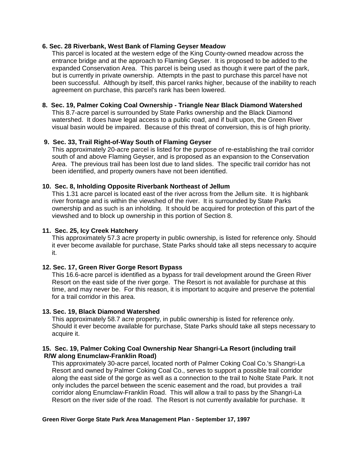#### **6. Sec. 28 Riverbank, West Bank of Flaming Geyser Meadow**

This parcel is located at the western edge of the King County-owned meadow across the entrance bridge and at the approach to Flaming Geyser. It is proposed to be added to the expanded Conservation Area. This parcel is being used as though it were part of the park, but is currently in private ownership. Attempts in the past to purchase this parcel have not been successful. Although by itself, this parcel ranks higher, because of the inability to reach agreement on purchase, this parcel's rank has been lowered.

## **8. Sec. 19, Palmer Coking Coal Ownership - Triangle Near Black Diamond Watershed**

This 8.7-acre parcel is surrounded by State Parks ownership and the Black Diamond watershed. It does have legal access to a public road, and if built upon, the Green River visual basin would be impaired. Because of this threat of conversion, this is of high priority.

## **9. Sec. 33, Trail Right-of-Way South of Flaming Geyser**

This approximately 20-acre parcel is listed for the purpose of re-establishing the trail corridor south of and above Flaming Geyser, and is proposed as an expansion to the Conservation Area. The previous trail has been lost due to land slides. The specific trail corridor has not been identified, and property owners have not been identified.

## **10. Sec. 8, Inholding Opposite Riverbank Northeast of Jellum**

This 1.31 acre parcel is located east of the river across from the Jellum site. It is highbank river frontage and is within the viewshed of the river. It is surrounded by State Parks ownership and as such is an inholding. It should be acquired for protection of this part of the viewshed and to block up ownership in this portion of Section 8.

## **11. Sec. 25, Icy Creek Hatchery**

This approximately 57.3 acre property in public ownership, is listed for reference only. Should it ever become available for purchase, State Parks should take all steps necessary to acquire it.

## **12. Sec. 17, Green River Gorge Resort Bypass**

This 16.6-acre parcel is identified as a bypass for trail development around the Green River Resort on the east side of the river gorge. The Resort is not available for purchase at this time, and may never be. For this reason, it is important to acquire and preserve the potential for a trail corridor in this area.

## **13. Sec. 19, Black Diamond Watershed**

This approximately 58.7 acre property, in public ownership is listed for reference only. Should it ever become available for purchase, State Parks should take all steps necessary to acquire it.

#### **15. Sec. 19, Palmer Coking Coal Ownership Near Shangri-La Resort (including trail R/W along Enumclaw-Franklin Road)**

This approximately 30-acre parcel, located north of Palmer Coking Coal Co.'s Shangri-La Resort and owned by Palmer Coking Coal Co., serves to support a possible trail corridor along the east side of the gorge as well as a connection to the trail to Nolte State Park. It not only includes the parcel between the scenic easement and the road, but provides a trail corridor along Enumclaw-Franklin Road. This will allow a trail to pass by the Shangri-La Resort on the river side of the road. The Resort is not currently available for purchase. It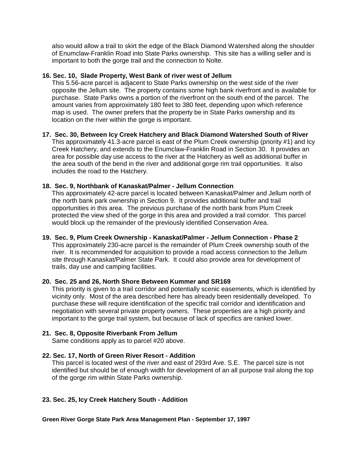also would allow a trail to skirt the edge of the Black Diamond Watershed along the shoulder of Enumclaw-Franklin Road into State Parks ownership. This site has a willing seller and is important to both the gorge trail and the connection to Nolte.

#### **16. Sec. 10, Slade Property, West Bank of river west of Jellum**

This 5.56-acre parcel is adjacent to State Parks ownership on the west side of the river opposite the Jellum site. The property contains some high bank riverfront and is available for purchase. State Parks owns a portion of the riverfront on the south end of the parcel. The amount varies from approximately 180 feet to 380 feet, depending upon which reference map is used. The owner prefers that the property be in State Parks ownership and its location on the river within the gorge is important.

## **17. Sec. 30, Between Icy Creek Hatchery and Black Diamond Watershed South of River**

This approximately 41.3-acre parcel is east of the Plum Creek ownership (priority #1) and Icy Creek Hatchery, and extends to the Enumclaw-Franklin Road in Section 30. It provides an area for possible day use access to the river at the Hatchery as well as additional buffer in the area south of the bend in the river and additional gorge rim trail opportunities. It also includes the road to the Hatchery.

## **18. Sec. 9, Northbank of Kanaskat/Palmer - Jellum Connection**

This approximately 42-acre parcel is located between Kanaskat/Palmer and Jellum north of the north bank park ownership in Section 9. It provides additional buffer and trail opportunities in this area. The previous purchase of the north bank from Plum Creek protected the view shed of the gorge in this area and provided a trail corridor. This parcel would block up the remainder of the previously identified Conservation Area.

#### **19. Sec. 9, Plum Creek Ownership - Kanaskat/Palmer - Jellum Connection - Phase 2** This approximately 230-acre parcel is the remainder of Plum Creek ownership south of the river. It is recommended for acquisition to provide a road access connection to the Jellum site through Kanaskat/Palmer State Park. It could also provide area for development of trails, day use and camping facilities.

## **20. Sec. 25 and 26, North Shore Between Kummer and SR169**

This priority is given to a trail corridor and potentially scenic easements, which is identified by vicinity only. Most of the area described here has already been residentially developed. To purchase these will require identification of the specific trail corridor and identification and negotiation with several private property owners. These properties are a high priority and important to the gorge trail system, but because of lack of specifics are ranked lower.

## **21. Sec. 8, Opposite Riverbank From Jellum**

Same conditions apply as to parcel #20 above.

## **22. Sec. 17, North of Green River Resort - Addition**

This parcel is located west of the river and east of 293rd Ave. S.E. The parcel size is not identified but should be of enough width for development of an all purpose trail along the top of the gorge rim within State Parks ownership.

## **23. Sec. 25, Icy Creek Hatchery South - Addition**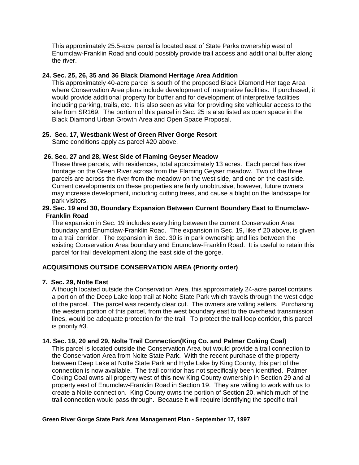This approximately 25.5-acre parcel is located east of State Parks ownership west of Enumclaw-Franklin Road and could possibly provide trail access and additional buffer along the river.

#### **24. Sec. 25, 26, 35 and 36 Black Diamond Heritage Area Addition**

This approximately 40-acre parcel is south of the proposed Black Diamond Heritage Area where Conservation Area plans include development of interpretive facilities. If purchased, it would provide additional property for buffer and for development of interpretive facilities including parking, trails, etc. It is also seen as vital for providing site vehicular access to the site from SR169. The portion of this parcel in Sec. 25 is also listed as open space in the Black Diamond Urban Growth Area and Open Space Proposal.

## **25. Sec. 17, Westbank West of Green River Gorge Resort**

Same conditions apply as parcel #20 above.

## **26. Sec. 27 and 28, West Side of Flaming Geyser Meadow**

These three parcels, with residences, total approximately 13 acres. Each parcel has river frontage on the Green River across from the Flaming Geyser meadow. Two of the three parcels are across the river from the meadow on the west side, and one on the east side. Current developments on these properties are fairly unobtrusive, however, future owners may increase development, including cutting trees, and cause a blight on the landscape for park visitors.

#### **29. Sec. 19 and 30, Boundary Expansion Between Current Boundary East to Enumclaw- Franklin Road**

The expansion in Sec. 19 includes everything between the current Conservation Area boundary and Enumclaw-Franklin Road. The expansion in Sec. 19, like # 20 above, is given to a trail corridor. The expansion in Sec. 30 is in park ownership and lies between the existing Conservation Area boundary and Enumclaw-Franklin Road. It is useful to retain this parcel for trail development along the east side of the gorge.

## **ACQUISITIONS OUTSIDE CONSERVATION AREA (Priority order)**

#### **7. Sec. 29, Nolte East**

Although located outside the Conservation Area, this approximately 24-acre parcel contains a portion of the Deep Lake loop trail at Nolte State Park which travels through the west edge of the parcel. The parcel was recently clear cut. The owners are willing sellers. Purchasing the western portion of this parcel, from the west boundary east to the overhead transmission lines, would be adequate protection for the trail. To protect the trail loop corridor, this parcel is priority #3.

#### **14. Sec. 19, 20 and 29, Nolte Trail Connection(King Co. and Palmer Coking Coal)**

This parcel is located outside the Conservation Area but would provide a trail connection to the Conservation Area from Nolte State Park. With the recent purchase of the property between Deep Lake at Nolte State Park and Hyde Lake by King County, this part of the connection is now available. The trail corridor has not specifically been identified. Palmer Coking Coal owns all property west of this new King County ownership in Section 29 and all property east of Enumclaw-Franklin Road in Section 19. They are willing to work with us to create a Nolte connection. King County owns the portion of Section 20, which much of the trail connection would pass through. Because it will require identifying the specific trail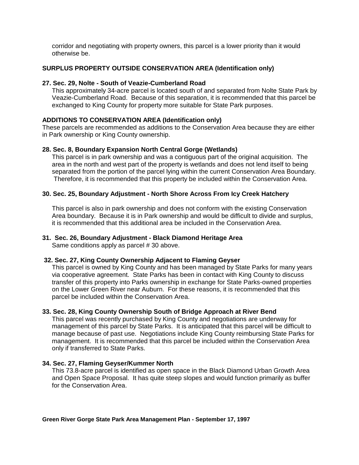corridor and negotiating with property owners, this parcel is a lower priority than it would otherwise be.

## **SURPLUS PROPERTY OUTSIDE CONSERVATION AREA (Identification only)**

## **27. Sec. 29, Nolte - South of Veazie-Cumberland Road**

This approximately 34-acre parcel is located south of and separated from Nolte State Park by Veazie-Cumberland Road. Because of this separation, it is recommended that this parcel be exchanged to King County for property more suitable for State Park purposes.

## **ADDITIONS TO CONSERVATION AREA (Identification only)**

These parcels are recommended as additions to the Conservation Area because they are either in Park ownership or King County ownership.

## **28. Sec. 8, Boundary Expansion North Central Gorge (Wetlands)**

This parcel is in park ownership and was a contiguous part of the original acquisition. The area in the north and west part of the property is wetlands and does not lend itself to being separated from the portion of the parcel lying within the current Conservation Area Boundary. Therefore, it is recommended that this property be included within the Conservation Area.

## **30. Sec. 25, Boundary Adjustment - North Shore Across From Icy Creek Hatchery**

This parcel is also in park ownership and does not conform with the existing Conservation Area boundary. Because it is in Park ownership and would be difficult to divide and surplus, it is recommended that this additional area be included in the Conservation Area.

## **31. Sec. 26, Boundary Adjustment - Black Diamond Heritage Area**

Same conditions apply as parcel # 30 above.

#### **32. Sec. 27, King County Ownership Adjacent to Flaming Geyser**

This parcel is owned by King County and has been managed by State Parks for many years via cooperative agreement. State Parks has been in contact with King County to discuss transfer of this property into Parks ownership in exchange for State Parks-owned properties on the Lower Green River near Auburn. For these reasons, it is recommended that this parcel be included within the Conservation Area.

## **33. Sec. 28, King County Ownership South of Bridge Approach at River Bend**

This parcel was recently purchased by King County and negotiations are underway for management of this parcel by State Parks. It is anticipated that this parcel will be difficult to manage because of past use. Negotiations include King County reimbursing State Parks for management. It is recommended that this parcel be included within the Conservation Area only if transferred to State Parks.

#### **34. Sec. 27, Flaming Geyser/Kummer North**

This 73.8-acre parcel is identified as open space in the Black Diamond Urban Growth Area and Open Space Proposal. It has quite steep slopes and would function primarily as buffer for the Conservation Area.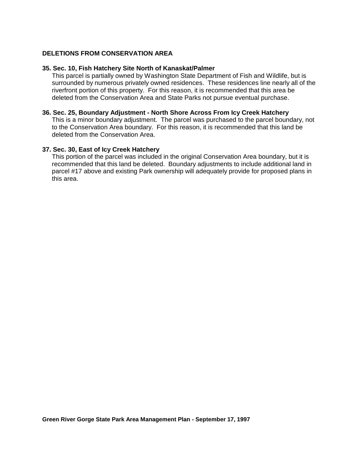## **DELETIONS FROM CONSERVATION AREA**

#### **35. Sec. 10, Fish Hatchery Site North of Kanaskat/Palmer**

This parcel is partially owned by Washington State Department of Fish and Wildlife, but is surrounded by numerous privately owned residences. These residences line nearly all of the riverfront portion of this property. For this reason, it is recommended that this area be deleted from the Conservation Area and State Parks not pursue eventual purchase.

#### **36. Sec. 25, Boundary Adjustment - North Shore Across From Icy Creek Hatchery**

This is a minor boundary adjustment. The parcel was purchased to the parcel boundary, not to the Conservation Area boundary. For this reason, it is recommended that this land be deleted from the Conservation Area.

#### **37. Sec. 30, East of Icy Creek Hatchery**

This portion of the parcel was included in the original Conservation Area boundary, but it is recommended that this land be deleted. Boundary adjustments to include additional land in parcel #17 above and existing Park ownership will adequately provide for proposed plans in this area.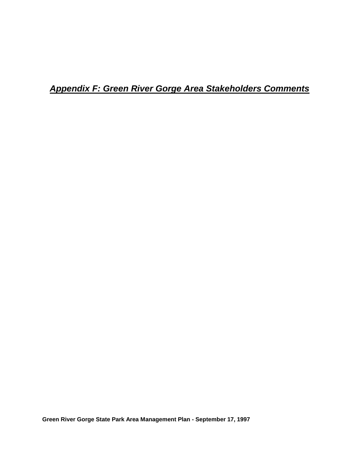*Appendix F: Green River Gorge Area Stakeholders Comments*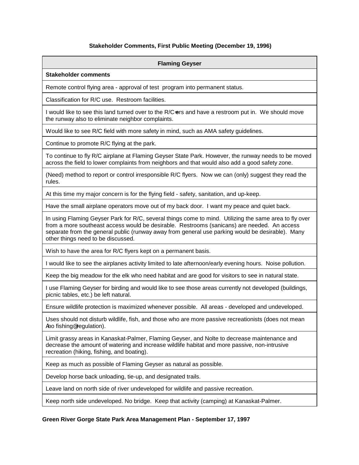#### **Stakeholder Comments, First Public Meeting (December 19, 1996)**

#### **Flaming Geyser**

#### **Stakeholder comments**

Remote control flying area - approval of test program into permanent status.

Classification for R/C use. Restroom facilities.

I would like to see this land turned over to the R/C=ers and have a restroom put in. We should move the runway also to eliminate neighbor complaints.

Would like to see R/C field with more safety in mind, such as AMA safety guidelines.

Continue to promote R/C flying at the park.

To continue to fly R/C airplane at Flaming Geyser State Park. However, the runway needs to be moved across the field to lower complaints from neighbors and that would also add a good safety zone.

(Need) method to report or control irresponsible R/C flyers. Now we can (only) suggest they read the rules.

At this time my major concern is for the flying field - safety, sanitation, and up-keep.

Have the small airplane operators move out of my back door. I want my peace and quiet back.

In using Flaming Geyser Park for R/C, several things come to mind. Utilizing the same area to fly over from a more southeast access would be desirable. Restrooms (sanicans) are needed. An access separate from the general public (runway away from general use parking would be desirable). Many other things need to be discussed.

Wish to have the area for R/C flyers kept on a permanent basis.

I would like to see the airplanes activity limited to late afternoon/early evening hours. Noise pollution.

Keep the big meadow for the elk who need habitat and are good for visitors to see in natural state.

I use Flaming Geyser for birding and would like to see those areas currently not developed (buildings, picnic tables, etc.) be left natural.

Ensure wildlife protection is maximized whenever possible. All areas - developed and undeveloped.

Uses should not disturb wildlife, fish, and those who are more passive recreationists (does not mean Ano fishing<sup>®</sup> regulation).

Limit grassy areas in Kanaskat-Palmer, Flaming Geyser, and Nolte to decrease maintenance and decrease the amount of watering and increase wildlife habitat and more passive, non-intrusive recreation (hiking, fishing, and boating).

Keep as much as possible of Flaming Geyser as natural as possible.

Develop horse back unloading, tie-up, and designated trails.

Leave land on north side of river undeveloped for wildlife and passive recreation.

Keep north side undeveloped. No bridge. Keep that activity (camping) at Kanaskat-Palmer.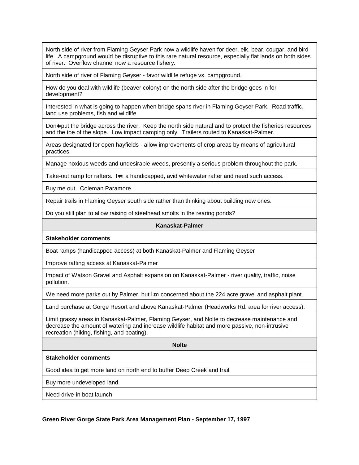North side of river from Flaming Geyser Park now a wildlife haven for deer, elk, bear, cougar, and bird life. A campground would be disruptive to this rare natural resource, especially flat lands on both sides of river. Overflow channel now a resource fishery.

North side of river of Flaming Geyser - favor wildlife refuge vs. campground.

How do you deal with wildlife (beaver colony) on the north side after the bridge goes in for development?

Interested in what is going to happen when bridge spans river in Flaming Geyser Park. Road traffic, land use problems, fish and wildlife.

Don-t put the bridge across the river. Keep the north side natural and to protect the fisheries resources and the toe of the slope. Low impact camping only. Trailers routed to Kanaskat-Palmer.

Areas designated for open hayfields - allow improvements of crop areas by means of agricultural practices.

Manage noxious weeds and undesirable weeds, presently a serious problem throughout the park.

Take-out ramp for rafters. I=m a handicapped, avid whitewater rafter and need such access.

Buy me out. Coleman Paramore

Repair trails in Flaming Geyser south side rather than thinking about building new ones.

Do you still plan to allow raising of steelhead smolts in the rearing ponds?

#### **Kanaskat-Palmer**

**Stakeholder comments**

Boat ramps (handicapped access) at both Kanaskat-Palmer and Flaming Geyser

Improve rafting access at Kanaskat-Palmer

Impact of Watson Gravel and Asphalt expansion on Kanaskat-Palmer - river quality, traffic, noise pollution.

We need more parks out by Palmer, but I=m concerned about the 224 acre gravel and asphalt plant.

Land purchase at Gorge Resort and above Kanaskat-Palmer (Headworks Rd. area for river access).

Limit grassy areas in Kanaskat-Palmer, Flaming Geyser, and Nolte to decrease maintenance and decrease the amount of watering and increase wildlife habitat and more passive, non-intrusive recreation (hiking, fishing, and boating).

**Nolte**

#### **Stakeholder comments**

Good idea to get more land on north end to buffer Deep Creek and trail.

Buy more undeveloped land.

Need drive-in boat launch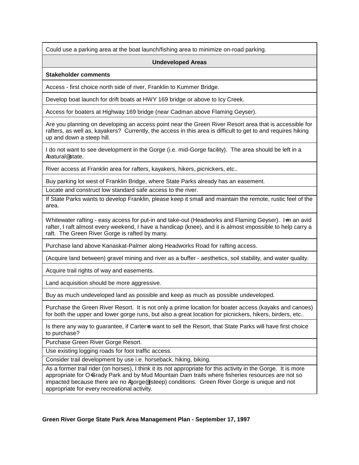Could use a parking area at the boat launch/fishing area to minimize on-road parking.

#### **Undeveloped Areas**

#### **Stakeholder comments**

Access - first choice north side of river, Franklin to Kummer Bridge.

Develop boat launch for drift boats at HWY 169 bridge or above to Icy Creek.

Access for boaters at Highway 169 bridge (near Cadman above Flaming Geyser).

Are you planning on developing an access point near the Green River Resort area that is accessible for rafters, as well as, kayakers? Currently, the access in this area is difficult to get to and requires hiking up and down a steep hill.

I do not want to see development in the Gorge (i.e. mid-Gorge facility). The area should be left in a Anatural@ state.

River access at Franklin area for rafters, kayakers, hikers, picnickers, etc..

Buy parking lot west of Franklin Bridge, where State Parks already has an easement.

Locate and construct low standard safe access to the river.

If State Parks wants to develop Franklin, please keep it small and maintain the remote, rustic feel of the area.

Whitewater rafting - easy access for put-in and take-out (Headworks and Flaming Geyser). I=m an avid rafter, I raft almost every weekend, I have a handicap (knee), and it is almost impossible to help carry a raft. The Green River Gorge is rafted by many.

Purchase land above Kanaskat-Palmer along Headworks Road for rafting access.

(Acquire land between) gravel mining and river as a buffer - aesthetics, soil stability, and water quality.

Acquire trail rights of way and easements.

Land acquisition should be more aggressive.

Buy as much undeveloped land as possible and keep as much as possible undeveloped.

Purchase the Green River Resort. It is not only a prime location for boater access (kayaks and canoes) for both the upper and lower gorge runs, but also a great location for picnickers, hikers, birders, etc..

Is there any way to guarantee, if Carter-s want to sell the Resort, that State Parks will have first choice to purchase?

Purchase Green River Gorge Resort.

Use existing logging roads for foot traffic access.

Consider trail development by use i.e. horseback, hiking, biking.

As a former trail rider (on horses), I think it its not appropriate for this activity in the Gorge. It is more appropriate for O=Grady Park and by Mud Mountain Dam trails where fisheries resources are not so impacted because there are no Agorge@ (steep) conditions. Green River Gorge is unique and not appropriate for every recreational activity.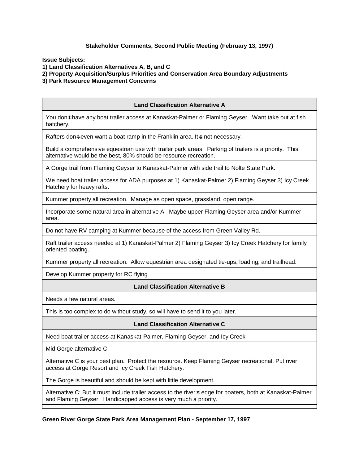#### **Stakeholder Comments, Second Public Meeting (February 13, 1997)**

**Issue Subjects:** 

**1) Land Classification Alternatives A, B, and C**

**2) Property Acquisition/Surplus Priorities and Conservation Area Boundary Adjustments**

**3) Park Resource Management Concerns**

# **Land Classification Alternative A** You don=t have any boat trailer access at Kanaskat-Palmer or Flaming Geyser. Want take out at fish hatchery. Rafters don=t even want a boat ramp in the Franklin area. It=s not necessary. Build a comprehensive equestrian use with trailer park areas. Parking of trailers is a priority. This alternative would be the best, 80% should be resource recreation. A Gorge trail from Flaming Geyser to Kanaskat-Palmer with side trail to Nolte State Park. We need boat trailer access for ADA purposes at 1) Kanaskat-Palmer 2) Flaming Geyser 3) Icy Creek Hatchery for heavy rafts. Kummer property all recreation. Manage as open space, grassland, open range. Incorporate some natural area in alternative A. Maybe upper Flaming Geyser area and/or Kummer area.

Do not have RV camping at Kummer because of the access from Green Valley Rd.

Raft trailer access needed at 1) Kanaskat-Palmer 2) Flaming Geyser 3) Icy Creek Hatchery for family oriented boating.

Kummer property all recreation. Allow equestrian area designated tie-ups, loading, and trailhead.

Develop Kummer property for RC flying

#### **Land Classification Alternative B**

Needs a few natural areas.

This is too complex to do without study, so will have to send it to you later.

#### **Land Classification Alternative C**

Need boat trailer access at Kanaskat-Palmer, Flaming Geyser, and Icy Creek

Mid Gorge alternative C.

Alternative C is your best plan. Protect the resource. Keep Flaming Geyser recreational. Put river access at Gorge Resort and Icy Creek Fish Hatchery.

The Gorge is beautiful and should be kept with little development.

Alternative C: But it must include trailer access to the river-s edge for boaters, both at Kanaskat-Palmer and Flaming Geyser. Handicapped access is very much a priority.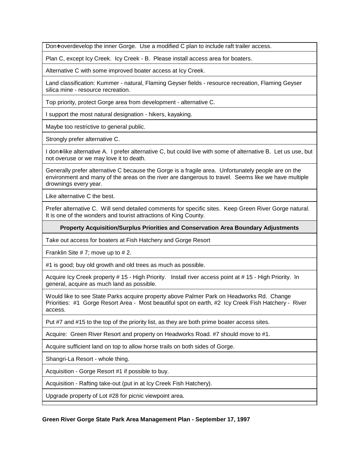Don-t overdevelop the inner Gorge. Use a modified C plan to include raft trailer access.

Plan C, except Icy Creek. Icy Creek - B. Please install access area for boaters.

Alternative C with some improved boater access at Icy Creek.

Land classification: Kummer - natural, Flaming Geyser fields - resource recreation, Flaming Geyser silica mine - resource recreation.

Top priority, protect Gorge area from development - alternative C.

I support the most natural designation - hikers, kayaking.

Maybe too restrictive to general public.

Strongly prefer alternative C.

I don<sub>t</sub> like alternative A. I prefer alternative C, but could live with some of alternative B. Let us use, but not overuse or we may love it to death.

Generally prefer alternative C because the Gorge is a fragile area. Unfortunately people are on the environment and many of the areas on the river are dangerous to travel. Seems like we have multiple drownings every year.

Like alternative C the best.

Prefer alternative C. Will send detailed comments for specific sites. Keep Green River Gorge natural. It is one of the wonders and tourist attractions of King County.

**Property Acquisition/Surplus Priorities and Conservation Area Boundary Adjustments**

Take out access for boaters at Fish Hatchery and Gorge Resort

Franklin Site # 7; move up to # 2.

#1 is good; buy old growth and old trees as much as possible.

Acquire Icy Creek property # 15 - High Priority. Install river access point at # 15 - High Priority. In general, acquire as much land as possible.

Would like to see State Parks acquire property above Palmer Park on Headworks Rd. Change Priorities: #1 Gorge Resort Area - Most beautiful spot on earth, #2 Icy Creek Fish Hatchery - River access.

Put #7 and #15 to the top of the priority list, as they are both prime boater access sites.

Acquire: Green River Resort and property on Headworks Road. #7 should move to #1.

Acquire sufficient land on top to allow horse trails on both sides of Gorge.

Shangri-La Resort - whole thing.

Acquisition - Gorge Resort #1 if possible to buy.

Acquisition - Rafting take-out (put in at Icy Creek Fish Hatchery).

Upgrade property of Lot #28 for picnic viewpoint area.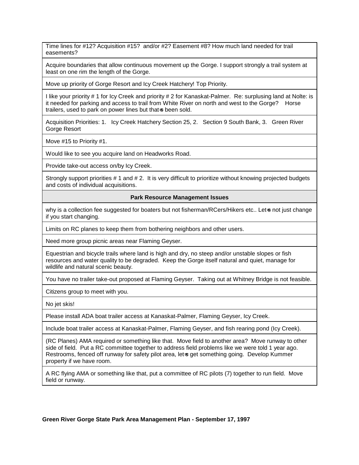Time lines for #12? Acquisition #15? and/or #2? Easement #8? How much land needed for trail easements?

Acquire boundaries that allow continuous movement up the Gorge. I support strongly a trail system at least on one rim the length of the Gorge.

Move up priority of Gorge Resort and Icy Creek Hatchery! Top Priority.

I like your priority # 1 for Icy Creek and priority # 2 for Kanaskat-Palmer. Re: surplusing land at Nolte: is it needed for parking and access to trail from White River on north and west to the Gorge? Horse trailers, used to park on power lines but that is been sold.

Acquisition Priorities: 1. Icy Creek Hatchery Section 25, 2. Section 9 South Bank, 3. Green River Gorge Resort

Move #15 to Priority #1.

Would like to see you acquire land on Headworks Road.

Provide take-out access on/by Icy Creek.

Strongly support priorities # 1 and # 2. It is very difficult to prioritize without knowing projected budgets and costs of individual acquisitions.

#### **Park Resource Management Issues**

why is a collection fee suggested for boaters but not fisherman/RCers/Hikers etc.. Let-s not just change if you start changing.

Limits on RC planes to keep them from bothering neighbors and other users.

Need more group picnic areas near Flaming Geyser.

Equestrian and bicycle trails where land is high and dry, no steep and/or unstable slopes or fish resources and water quality to be degraded. Keep the Gorge itself natural and quiet, manage for wildlife and natural scenic beauty.

You have no trailer take-out proposed at Flaming Geyser. Taking out at Whitney Bridge is not feasible.

Citizens group to meet with you.

No jet skis!

Please install ADA boat trailer access at Kanaskat-Palmer, Flaming Geyser, Icy Creek.

Include boat trailer access at Kanaskat-Palmer, Flaming Geyser, and fish rearing pond (Icy Creek).

(RC Planes) AMA required or something like that. Move field to another area? Move runway to other side of field. Put a RC committee together to address field problems like we were told 1 year ago. Restrooms, fenced off runway for safety pilot area, let-s get something going. Develop Kummer property if we have room.

A RC flying AMA or something like that, put a committee of RC pilots (7) together to run field. Move field or runway.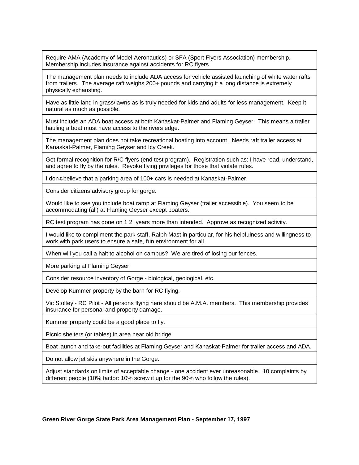Require AMA (Academy of Model Aeronautics) or SFA (Sport Flyers Association) membership. Membership includes insurance against accidents for RC flyers.

The management plan needs to include ADA access for vehicle assisted launching of white water rafts from trailers. The average raft weighs 200+ pounds and carrying it a long distance is extremely physically exhausting.

Have as little land in grass/lawns as is truly needed for kids and adults for less management. Keep it natural as much as possible.

Must include an ADA boat access at both Kanaskat-Palmer and Flaming Geyser. This means a trailer hauling a boat must have access to the rivers edge.

The management plan does not take recreational boating into account. Needs raft trailer access at Kanaskat-Palmer, Flaming Geyser and Icy Creek.

Get formal recognition for R/C flyers (end test program). Registration such as: I have read, understand, and agree to fly by the rules. Revoke flying privileges for those that violate rules.

I don<sup> $\pm$ </sup> believe that a parking area of 100+ cars is needed at Kanaskat-Palmer.

Consider citizens advisory group for gorge.

Would like to see you include boat ramp at Flaming Geyser (trailer accessible). You seem to be accommodating (all) at Flaming Geyser except boaters.

RC test program has gone on 1 2 years more than intended. Approve as recognized activity.

I would like to compliment the park staff, Ralph Mast in particular, for his helpfulness and willingness to work with park users to ensure a safe, fun environment for all.

When will you call a halt to alcohol on campus? We are tired of losing our fences.

More parking at Flaming Geyser.

Consider resource inventory of Gorge - biological, geological, etc.

Develop Kummer property by the barn for RC flying.

Vic Stoltey - RC Pilot - All persons flying here should be A.M.A. members. This membership provides insurance for personal and property damage.

Kummer property could be a good place to fly.

Picnic shelters (or tables) in area near old bridge.

Boat launch and take-out facilities at Flaming Geyser and Kanaskat-Palmer for trailer access and ADA.

Do not allow jet skis anywhere in the Gorge.

Adjust standards on limits of acceptable change - one accident ever unreasonable. 10 complaints by different people (10% factor: 10% screw it up for the 90% who follow the rules).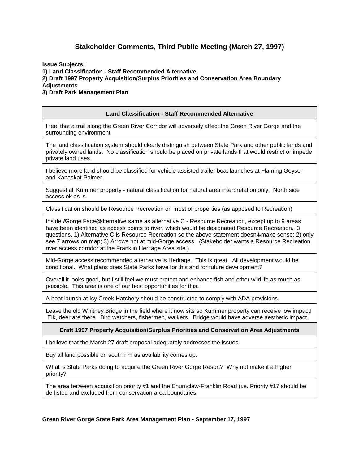## **Stakeholder Comments, Third Public Meeting (March 27, 1997)**

**Issue Subjects: 1) Land Classification - Staff Recommended Alternative 2) Draft 1997 Property Acquisition/Surplus Priorities and Conservation Area Boundary Adjustments 3) Draft Park Management Plan**

#### **Land Classification - Staff Recommended Alternative**

I feel that a trail along the Green River Corridor will adversely affect the Green River Gorge and the surrounding environment.

The land classification system should clearly distinguish between State Park and other public lands and privately owned lands. No classification should be placed on private lands that would restrict or impede private land uses.

I believe more land should be classified for vehicle assisted trailer boat launches at Flaming Geyser and Kanaskat-Palmer.

Suggest all Kummer property - natural classification for natural area interpretation only. North side access ok as is.

Classification should be Resource Recreation on most of properties (as apposed to Recreation)

Inside AGorge Face<sup>®</sup> alternative same as alternative C - Resource Recreation, except up to 9 areas have been identified as access points to river, which would be designated Resource Recreation. 3 questions, 1) Alternative C is Resource Recreation so the above statement doesn=t make sense; 2) only see 7 arrows on map; 3) Arrows not at mid-Gorge access. (Stakeholder wants a Resource Recreation river access corridor at the Franklin Heritage Area site.)

Mid-Gorge access recommended alternative is Heritage. This is great. All development would be conditional. What plans does State Parks have for this and for future development?

Overall it looks good, but I still feel we must protect and enhance fish and other wildlife as much as possible. This area is one of our best opportunities for this.

A boat launch at Icy Creek Hatchery should be constructed to comply with ADA provisions.

Leave the old Whitney Bridge in the field where it now sits so Kummer property can receive low impact! Elk, deer are there. Bird watchers, fishermen, walkers. Bridge would have adverse aesthetic impact.

#### **Draft 1997 Property Acquisition/Surplus Priorities and Conservation Area Adjustments**

I believe that the March 27 draft proposal adequately addresses the issues.

Buy all land possible on south rim as availability comes up.

What is State Parks doing to acquire the Green River Gorge Resort? Why not make it a higher priority?

The area between acquisition priority #1 and the Enumclaw-Franklin Road (i.e. Priority #17 should be de-listed and excluded from conservation area boundaries.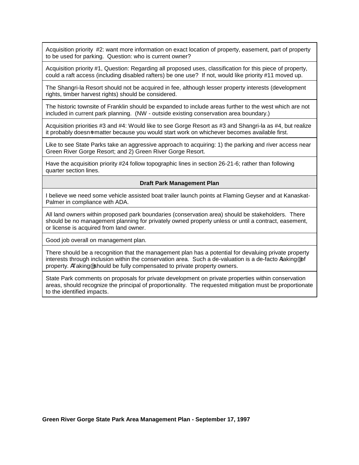Acquisition priority #2: want more information on exact location of property, easement, part of property to be used for parking. Question: who is current owner?

Acquisition priority #1, Question: Regarding all proposed uses, classification for this piece of property, could a raft access (including disabled rafters) be one use? If not, would like priority #11 moved up.

The Shangri-la Resort should not be acquired in fee, although lesser property interests (development rights, timber harvest rights) should be considered.

The historic townsite of Franklin should be expanded to include areas further to the west which are not included in current park planning. (NW - outside existing conservation area boundary.)

Acquisition priorities #3 and #4: Would like to see Gorge Resort as #3 and Shangri-la as #4, but realize it probably doesn-t matter because you would start work on whichever becomes available first.

Like to see State Parks take an aggressive approach to acquiring: 1) the parking and river access near Green River Gorge Resort; and 2) Green River Gorge Resort.

Have the acquisition priority #24 follow topographic lines in section 26-21-6; rather than following quarter section lines.

#### **Draft Park Management Plan**

I believe we need some vehicle assisted boat trailer launch points at Flaming Geyser and at Kanaskat-Palmer in compliance with ADA.

All land owners within proposed park boundaries (conservation area) should be stakeholders. There should be no management planning for privately owned property unless or until a contract, easement, or license is acquired from land owner.

Good job overall on management plan.

There should be a recognition that the management plan has a potential for devaluing private property interests through inclusion within the conservation area. Such a de-valuation is a de-facto Ataking<sup>®</sup> of property. ATaking<sup>®</sup> should be fully compensated to private property owners.

State Park comments on proposals for private development on private properties within conservation areas, should recognize the principal of proportionality. The requested mitigation must be proportionate to the identified impacts.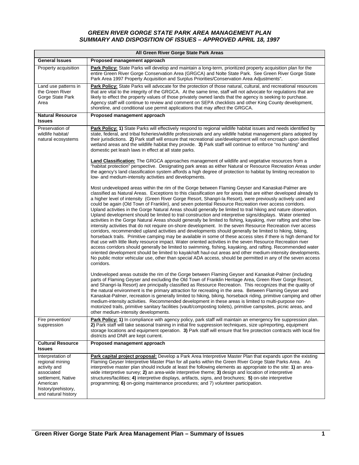#### *GREEN RIVER GORGE STATE PARK AREA MANAGEMENT PLAN SUMMARY AND DISPOSITION OF ISSUES – APPROVED APRIL 18, 1997*

|                                                                                                                                                    | All Green River Gorge State Park Areas                                                                                                                                                                                                                                                                                                                                                                                                                                                                                                                                                                                                                                                                                                                                                                                                                                                                                                                                                                                                                                                                                                                                                                                                                                                                                                                                                                                                                                                                                                                                                                                                 |
|----------------------------------------------------------------------------------------------------------------------------------------------------|----------------------------------------------------------------------------------------------------------------------------------------------------------------------------------------------------------------------------------------------------------------------------------------------------------------------------------------------------------------------------------------------------------------------------------------------------------------------------------------------------------------------------------------------------------------------------------------------------------------------------------------------------------------------------------------------------------------------------------------------------------------------------------------------------------------------------------------------------------------------------------------------------------------------------------------------------------------------------------------------------------------------------------------------------------------------------------------------------------------------------------------------------------------------------------------------------------------------------------------------------------------------------------------------------------------------------------------------------------------------------------------------------------------------------------------------------------------------------------------------------------------------------------------------------------------------------------------------------------------------------------------|
| <b>General Issues</b>                                                                                                                              | Proposed management approach                                                                                                                                                                                                                                                                                                                                                                                                                                                                                                                                                                                                                                                                                                                                                                                                                                                                                                                                                                                                                                                                                                                                                                                                                                                                                                                                                                                                                                                                                                                                                                                                           |
| Property acquisition                                                                                                                               | Park Policy: State Parks will develop and maintain a long-term, prioritized property acquisition plan for the<br>entire Green River Gorge Conservation Area (GRGCA) and Nolte State Park. See Green River Gorge State<br>Park Area 1997 Property Acquisition and Surplus Priorities/Conservation Area Adjustments".                                                                                                                                                                                                                                                                                                                                                                                                                                                                                                                                                                                                                                                                                                                                                                                                                                                                                                                                                                                                                                                                                                                                                                                                                                                                                                                    |
| Land use patterns in<br>the Green River<br>Gorge State Park<br>Area                                                                                | Park Policy: State Parks will advocate for the protection of those natural, cultural, and recreational resources<br>that are vital to the integrity of the GRGCA. At the same time, staff will not advocate for regulations that are<br>likely to effect the property values of those privately owned lands that the agency is seeking to purchase.<br>Agency staff will continue to review and comment on SEPA checklists and other King County development,<br>shoreline, and conditional use permit applications that may affect the GRGCA.                                                                                                                                                                                                                                                                                                                                                                                                                                                                                                                                                                                                                                                                                                                                                                                                                                                                                                                                                                                                                                                                                         |
| <b>Natural Resource</b><br><b>Issues</b>                                                                                                           | Proposed management approach                                                                                                                                                                                                                                                                                                                                                                                                                                                                                                                                                                                                                                                                                                                                                                                                                                                                                                                                                                                                                                                                                                                                                                                                                                                                                                                                                                                                                                                                                                                                                                                                           |
| Preservation of<br>wildlife habitat/<br>natural ecosystems                                                                                         | Park Policy: 1) State Parks will effectively respond to regional wildlife habitat issues and needs identified by<br>state, federal, and tribal fisheries/wildlife professionals and any wildlife habitat management plans adopted by<br>their jurisdictions. 2) Park staff will ensure that recreational use/development will not encroach upon identified<br>wetland areas and the wildlife habitat they provide. 3) Park staff will continue to enforce "no hunting" and<br>domestic pet leash laws in effect at all state parks.                                                                                                                                                                                                                                                                                                                                                                                                                                                                                                                                                                                                                                                                                                                                                                                                                                                                                                                                                                                                                                                                                                    |
|                                                                                                                                                    | Land Classification: The GRGCA approaches management of wildlife and vegetative resources from a<br>"habitat protection" perspective. Designating park areas as either Natural or Resource Recreation Areas under<br>the agency's land classification system affords a high degree of protection to habitat by limiting recreation to<br>low- and medium-intensity activities and developments.                                                                                                                                                                                                                                                                                                                                                                                                                                                                                                                                                                                                                                                                                                                                                                                                                                                                                                                                                                                                                                                                                                                                                                                                                                        |
|                                                                                                                                                    | Most undeveloped areas within the rim of the Gorge between Flaming Geyser and Kanaskat-Palmer are<br>classified as Natural Areas. Exceptions to this classification are for areas that are either developed already to<br>a higher level of intensity (Green River Gorge Resort, Shangri-la Resort), were previously actively used and<br>could be again (Old Town of Franklin), and seven potential Resource Recreation river access corridors.<br>Upland activities in the Gorge Natural Areas should generally be limited to trail hiking and nature observation.<br>Upland development should be limited to trail construction and interpretive signs/displays. Water oriented<br>activities in the Gorge Natural Areas should generally be limited to fishing, kayaking, river rafting and other low-<br>intensity activities that do not require on-shore development. In the seven Resource Recreation river access<br>corridors, recommended upland activities and developments should generally be limited to hiking, biking,<br>horseback trails. Primitive camping may be available in some of these access sites if there is high demand for<br>that use with little likely resource impact. Water oriented activities in the seven Resource Recreation river<br>access corridors should generally be limited to swimming, fishing, kayaking, and rafting. Recommended water<br>oriented development should be limited to kayak/raft haul-out areas and other medium-intensity developments.<br>No public motor vehicular use, other than special ADA access, should be permitted in any of the seven access<br>corridors. |
|                                                                                                                                                    | Undeveloped areas outside the rim of the Gorge between Flaming Geyser and Kanaskat-Palmer (including<br>parts of Flaming Geyser and excluding the Old Town of Franklin Heritage Area, Green River Gorge Resort,<br>and Shangri-la Resort) are principally classified as Resource Recreation. This recognizes that the quality of<br>the natural environment is the primary attraction for recreating in the area. Between Flaming Geyser and<br>Kanaskat-Palmer, recreation is generally limited to hiking, biking, horseback riding, primitive camping and other<br>medium-intensity activities. Recommended development in these areas is limited to multi-purpose non-<br>motorized trails, primitive sanitary facilities (vault/composting toilets), primitive campsites, picnic areas, and<br>other medium-intensity developments.                                                                                                                                                                                                                                                                                                                                                                                                                                                                                                                                                                                                                                                                                                                                                                                                |
| Fire prevention/<br>suppression                                                                                                                    | Park Policy: 1) In compliance with agency policy, park staff will maintain an emergency fire suppression plan.<br>2) Park staff will take seasonal training in initial fire suppression techniques, size up/reporting, equipment<br>storage locations and equipment operation. 3) Park staff will ensure that fire protection contracts with local fire<br>districts and DNR are kept current.                                                                                                                                                                                                                                                                                                                                                                                                                                                                                                                                                                                                                                                                                                                                                                                                                                                                                                                                                                                                                                                                                                                                                                                                                                         |
| <b>Cultural Resource</b><br><b>Issues</b>                                                                                                          | Proposed management approach                                                                                                                                                                                                                                                                                                                                                                                                                                                                                                                                                                                                                                                                                                                                                                                                                                                                                                                                                                                                                                                                                                                                                                                                                                                                                                                                                                                                                                                                                                                                                                                                           |
| Interpretation of<br>regional mining<br>activity and<br>associated<br>settlement, Native<br>American<br>history/prehistory,<br>and natural history | Park capital project proposal: Develop a Park Area Interpretive Master Plan that expands upon the existing<br>Flaming Geyser Interpretive Master Plan for all parks within the Green River Gorge State Parks Area. An<br>interpretive master plan should include at least the following elements as appropriate to the site: 1) an area-<br>wide interpretive survey; 2) an area-wide interpretive theme; 3) design and location of interpretive<br>structures/facilities; 4) interpretive displays, artifacts, signs, and brochures; 5) on-site interpretive<br>programming; 6) on-going maintenance procedures; and 7) volunteer participation.                                                                                                                                                                                                                                                                                                                                                                                                                                                                                                                                                                                                                                                                                                                                                                                                                                                                                                                                                                                      |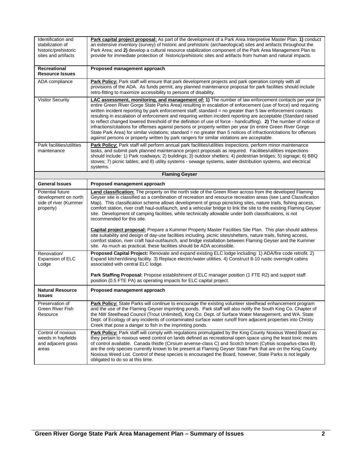| Identification and<br>stabilization of<br>historic/prehistoric<br>sites and artifacts | Park capital project proposal: As part of the development of a Park Area Interpretive Master Plan, 1) conduct<br>an extensive inventory (survey) of historic and prehistoric (archaeological) sites and artifacts throughout the<br>Park Area; and 2) develop a cultural resource stabilization component of the Park Area Management Plan to<br>provide for immediate protection of historic/prehistoric sites and artifacts from human and natural impacts.                                                                                                                                                                                                                                                                                                                                                                                                                                                      |
|---------------------------------------------------------------------------------------|--------------------------------------------------------------------------------------------------------------------------------------------------------------------------------------------------------------------------------------------------------------------------------------------------------------------------------------------------------------------------------------------------------------------------------------------------------------------------------------------------------------------------------------------------------------------------------------------------------------------------------------------------------------------------------------------------------------------------------------------------------------------------------------------------------------------------------------------------------------------------------------------------------------------|
| Recreational<br><b>Resource Issues</b>                                                | Proposed management approach                                                                                                                                                                                                                                                                                                                                                                                                                                                                                                                                                                                                                                                                                                                                                                                                                                                                                       |
| ADA compliance                                                                        | Park Policy: Park staff will ensure that park development projects and park operation comply with all<br>provisions of the ADA. As funds permit, any planned maintenance proposal for park facilities should include<br>retro-fitting to maximize accessibility to persons of disability.                                                                                                                                                                                                                                                                                                                                                                                                                                                                                                                                                                                                                          |
| <b>Visitor Security</b>                                                               | LAC assessment, monitoring, and management of: 1) The number of law enforcement contacts per year (in<br>entire Green River Gorge State Parks Area) resulting in escalation of enforcement (use of force) and requiring<br>written incident reporting by park enforcement staff; standard = no greater than 5 law enforcement contacts<br>resulting in escalation of enforcement and requiring written incident reporting are acceptable (Standard raised<br>to reflect changed lowered threshold of the definition of use of force - handcuffing). 2) The number of notice of<br>infractions/citations for offenses against persons or property written per year (in entire Green River Gorge<br>State Park Area) for similar violations; standard = no greater than 5 notices of infraction/citations for offenses<br>against persons or property written by park rangers for similar violations are acceptable. |
| Park facilities/utilities<br>maintenance                                              | Park Policy: Park staff will perform annual park facilities/utilities inspections, perform minor maintenance<br>tasks, and submit park planned maintenance project proposals as required. Facilities/utilities inspections<br>should include: 1) Park roadways; 2) buildings; 3) outdoor shelters; 4) pedestrian bridges; 5) signage; 6) BBQ<br>stoves; 7) picnic tables; and 8) utility systems - sewage systems, water distribution systems, and electrical<br>systems.                                                                                                                                                                                                                                                                                                                                                                                                                                          |
|                                                                                       | <b>Flaming Geyser</b>                                                                                                                                                                                                                                                                                                                                                                                                                                                                                                                                                                                                                                                                                                                                                                                                                                                                                              |
| <b>General Issues</b>                                                                 | Proposed management approach                                                                                                                                                                                                                                                                                                                                                                                                                                                                                                                                                                                                                                                                                                                                                                                                                                                                                       |
| <b>Potential future</b><br>development on north<br>side of river (Kummer<br>property) | Land classification: The property on the north side of the Green River across from the developed Flaming<br>Geyser site is classified as a combination of recreation and resource recreation areas (see Land Classification<br>Map). This classification scheme allows development of group picnicking sites, nature trails, fishing access,<br>comfort station, river craft haul-out/launch, and a vehicular bridge to link the site to the existing Flaming Geyser<br>site. Development of camping facilities, while technically allowable under both classifications, is not<br>recommended for this site.                                                                                                                                                                                                                                                                                                      |
|                                                                                       | Capital project proposal: Prepare a Kummer Property Master Facilities Site Plan. This plan should address<br>site suitability and design of day-use facilities including, picnic sites/shelters, nature trails, fishing access,<br>comfort station, river craft haul-out/launch, and bridge installation between Flaming Geyser and the Kummer<br>site. As much as practical, these facilities should be ADA accessible.                                                                                                                                                                                                                                                                                                                                                                                                                                                                                           |
| Renovation/<br>Expansion of ELC<br>Lodge                                              | Proposed Capital Project: Renovate and expand existing ELC lodge including: 1) ADA/fire code retrofit. 2)<br>Expand kitchen/dining facility. 3) Replace electric/water utilities. 4) Construct 8-10 rustic overnight cabins<br>associated with central ELC lodge.                                                                                                                                                                                                                                                                                                                                                                                                                                                                                                                                                                                                                                                  |
|                                                                                       | Park Staffing Proposal: Propose establishment of ELC manager position (1 FTE R2) and support staff<br>position (0.5 FTE PA) as operating impacts for ELC capital project.                                                                                                                                                                                                                                                                                                                                                                                                                                                                                                                                                                                                                                                                                                                                          |
| <b>Natural Resource</b><br><b>Issues</b>                                              | Proposed management approach                                                                                                                                                                                                                                                                                                                                                                                                                                                                                                                                                                                                                                                                                                                                                                                                                                                                                       |
| Preservation of<br>Green River Fish<br>Resource                                       | Park Policy: State Parks will continue to encourage the existing volunteer steelhead enhancement program<br>and the use of the Flaming Geyser imprinting ponds. Park staff will also notify the South King Co. Chapter of<br>the NW Steelhead Council (Trout Unlimited), King Co. Dept. of Surface Water Management, and WA. State<br>Dept. of Ecology of any incidents of contaminated surface water runoff from adjacent properties into Christy<br>Creek that pose a danger to fish in the imprinting ponds.                                                                                                                                                                                                                                                                                                                                                                                                    |
| Control of noxious<br>weeds in hayfields<br>and adjacent grass<br>areas               | Park Policy: Park staff will comply with regulations promulgated by the King County Noxious Weed Board as<br>they pertain to noxious weed control on lands defined as recreational open space using the least toxic means<br>of control available. Canada thistle (Cirsium arvense-class C) and Scotch broom (Cytisis scoparlus-class B)<br>are the only species currently known to be present at Flaming Geyser State Park that are on the King County<br>Noxious Weed List. Control of these species is encouraged the Board, however, State Parks is not legally<br>obligated to do so at this time.                                                                                                                                                                                                                                                                                                            |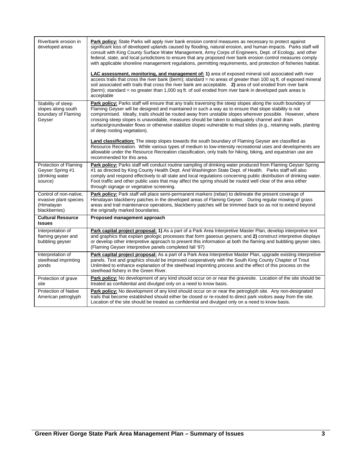| Riverbank erosion in<br>developed areas                                         | Park policy: State Parks will apply river bank erosion control measures as necessary to protect against<br>significant loss of developed uplands caused by flooding, natural erosion, and human impacts. Parks staff will<br>consult with King County Surface Water Management, Army Corps of Engineers, Dept. of Ecology, and other<br>federal, state, and local jurisdictions to ensure that any proposed river bank erosion control measures comply<br>with applicable shoreline management regulations, permitting requirements, and protection of fisheries habitat.<br>LAC assessment, monitoring, and management of: 1) area of exposed mineral soil associated with river<br>access trails that cross the river bank (berm); standard = no areas of greater than 100 sq ft. of exposed mineral<br>soil associated with trails that cross the river bank are acceptable. 2) area of soil eroded from river bank<br>(berm); standard = no greater than 1,000 sq ft. of soil eroded from river bank in developed park areas is<br>acceptable |
|---------------------------------------------------------------------------------|---------------------------------------------------------------------------------------------------------------------------------------------------------------------------------------------------------------------------------------------------------------------------------------------------------------------------------------------------------------------------------------------------------------------------------------------------------------------------------------------------------------------------------------------------------------------------------------------------------------------------------------------------------------------------------------------------------------------------------------------------------------------------------------------------------------------------------------------------------------------------------------------------------------------------------------------------------------------------------------------------------------------------------------------------|
| Stability of steep<br>slopes along south<br>boundary of Flaming<br>Geyser       | Park policy: Parks staff will ensure that any trails traversing the steep slopes along the south boundary of<br>Flaming Geyser will be designed and maintained in such a way as to ensure that slope stability is not<br>compromised. Ideally, trails should be routed away from unstable slopes wherever possible. However, where<br>crossing steep slopes is unavoidable, measures should be taken to adequately channel and drain<br>surface/groundwater flows or otherwise stabilize slopes vulnerable to mud slides (e.g., retaining walls, planting<br>of deep rooting vegetation).<br>Land classification: The steep slopes towards the south boundary of Flaming Geyser are classified as<br>Resource Recreation. While various types of medium to low-intensity recreational uses and developments are<br>allowable under the Resource Recreation classification, only trails for hiking, biking, and equestrian use are<br>recommended for this area.                                                                                   |
| Protection of Flaming<br>Geyser Spring #1<br>(drinking water<br>source)         | Park policy: Parks staff will conduct routine sampling of drinking water produced from Flaming Geyser Spring<br>#1 as directed by King County Health Dept. And Washington State Dept. of Health. Parks staff will also<br>comply and respond effectively to all state and local regulations concerning public distribution of drinking water.<br>Foot traffic and other public uses that may affect the spring should be routed well clear of the area either<br>through signage or vegetative screening.                                                                                                                                                                                                                                                                                                                                                                                                                                                                                                                                         |
| Control of non-native,<br>invasive plant species<br>(Himalayan<br>blackberries) | Park policy: Park staff will place semi-permanent markers (rebar) to delineate the present coverage of<br>Himalayan blackberry patches in the developed areas of Flaming Geyser. During regular mowing of grass<br>areas and trail maintenance operations, blackberry patches will be trimmed back so as not to extend beyond<br>the originally marked boundaries.                                                                                                                                                                                                                                                                                                                                                                                                                                                                                                                                                                                                                                                                                |
| <b>Cultural Resource</b><br><b>Issues</b>                                       | Proposed management approach                                                                                                                                                                                                                                                                                                                                                                                                                                                                                                                                                                                                                                                                                                                                                                                                                                                                                                                                                                                                                      |
| Interpretation of<br>flaming geyser and<br>bubbling geyser                      | Park capital project proposal: 1) As a part of a Park Area Interpretive Master Plan, develop interpretive text<br>and graphics that explain geologic processes that form gaseous geysers; and 2) construct interpretive displays<br>or develop other interpretive approach to present this information at both the flaming and bubbling geyser sites.<br>(Flaming Geyser interpretive panels completed fall '97)                                                                                                                                                                                                                                                                                                                                                                                                                                                                                                                                                                                                                                  |
| Interpretation of<br>steelhead imprinting<br>ponds                              | Park capital project proposal: As a part of a Park Area Interpretive Master Plan, upgrade existing interpretive<br>panels. Text and graphics should be improved cooperatively with the South King County Chapter of Trout<br>Unlimited to enhance explanation of the steelhead imprinting process and the effect of this process on the<br>steelhead fishery in the Green River.                                                                                                                                                                                                                                                                                                                                                                                                                                                                                                                                                                                                                                                                  |
| Protection of grave<br>site                                                     | Park policy: No development of any kind should occur on or near the gravesite. Location of the site should be<br>treated as confidential and divulged only on a need to know basis.                                                                                                                                                                                                                                                                                                                                                                                                                                                                                                                                                                                                                                                                                                                                                                                                                                                               |
| <b>Protection of Native</b><br>American petroglyph                              | Park policy: No development of any kind should occur on or near the petroglyph site. Any non-designated<br>trails that become established should either be closed or re-routed to direct park visitors away from the site.<br>Location of the site should be treated as confidential and divulged only on a need to know basis.                                                                                                                                                                                                                                                                                                                                                                                                                                                                                                                                                                                                                                                                                                                   |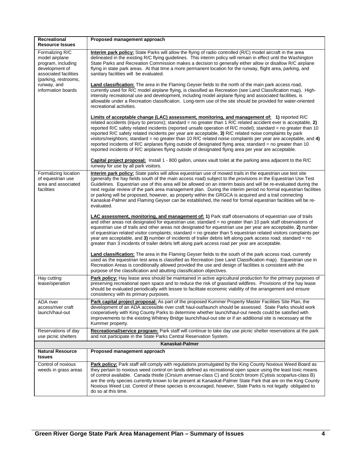| Recreational                                                                                                               | Proposed management approach                                                                                                                                                                                                                                                                                                                                                                                                                                                                                                                                                                                                                                                                                                                                                             |
|----------------------------------------------------------------------------------------------------------------------------|------------------------------------------------------------------------------------------------------------------------------------------------------------------------------------------------------------------------------------------------------------------------------------------------------------------------------------------------------------------------------------------------------------------------------------------------------------------------------------------------------------------------------------------------------------------------------------------------------------------------------------------------------------------------------------------------------------------------------------------------------------------------------------------|
| <b>Resource Issues</b>                                                                                                     |                                                                                                                                                                                                                                                                                                                                                                                                                                                                                                                                                                                                                                                                                                                                                                                          |
| Formalizing R/C<br>model airplane<br>program, including<br>development of<br>associated facilities<br>(parking, restrooms, | Interim park policy: State Parks will allow the flying of radio controlled (R/C) model aircraft in the area<br>delineated in the existing R/C flying guidelines. This interim policy will remain in effect until the Washington<br>State Parks and Recreation Commission makes a decision to generally either allow or disallow R/C airplane<br>flying in state park areas. At that time a more permanent location for the runway, flight area, parking, and<br>sanitary facilities will be evaluated.                                                                                                                                                                                                                                                                                   |
| runway, and<br>information boards                                                                                          | <b>Land classification:</b> The area in the Flaming Geyser fields to the north of the main park access road,<br>currently used for R/C model airplane flying, is classified as Recreation (see Land Classification map). High-<br>intensity recreational use and development, including model airplane flying and associated facilities, is<br>allowable under a Recreation classification. Long-term use of the site should be provided for water-oriented<br>recreational activities.                                                                                                                                                                                                                                                                                                  |
|                                                                                                                            | Limits of acceptable change (LAC) assessment, monitoring, and management of: 1) reported R/C<br>related accidents (injury to persons); standard = no greater than $1 R/C$ related accident ever is acceptable, 2)<br>reported R/C safety related incidents (reported unsafe operation of R/C model); standard = no greater than 10<br>reported R/C safety related incidents per year are acceptable, 3) R/C related noise complaints by park<br>visitors/neighbors; standard = no greater than 10 R/C related noise complaints per year are acceptable, and $4)$<br>reported incidents of R/C airplanes flying outside of designated flying area; standard = no greater than 10<br>reported incidents of R/C airplanes flying outside of designated flying area per year are acceptable. |
|                                                                                                                            | Capital project proposal: Install 1 - 800 gallon, unisex vault toilet at the parking area adjacent to the R/C<br>runway for use by all park visitors.                                                                                                                                                                                                                                                                                                                                                                                                                                                                                                                                                                                                                                    |
| Formalizing location<br>of equestrian use<br>area and associated<br>facilities                                             | <b>Interim park policy:</b> State parks will allow equestrian use of mowed trails in the equestrian use test site<br>(generally the hay fields south of the main access road) subject to the provisions in the Equestrian Use Test<br>Guidelines. Equestrian use of this area will be allowed on an interim basis and will be re-evaluated during the<br>next regular review of the park area management plan. During the interim period no formal equestrian facilities<br>or parking will be proposed, however, as property within the GRGCA is acquired and a trail connecting<br>Kanaskat-Palmer and Flaming Geyser can be established, the need for formal equestrian facilities will be re-<br>evaluated.                                                                          |
|                                                                                                                            | <b>LAC assessment, monitoring, and management of: 1)</b> Park staff observations of equestrian use of trails<br>and other areas not designated for equestrian use; standard = no greater than 10 park staff observations of<br>equestrian use of trails and other areas not designated for equestrian use per year are acceptable, 2) number<br>of equestrian related visitor complaints; standard = no greater than 5 equestrian related visitors complaints per<br>year are acceptable, and 3) number of incidents of trailer debris left along park access road; standard = no<br>greater than 3 incidents of trailer debris left along park access road per year are acceptable.                                                                                                     |
|                                                                                                                            | <b>Land classification:</b> The area in the Flaming Geyser fields to the south of the park access road, currently<br>used as the equestrian test area is classified as Recreation (see Land Classification map). Equestrian use in<br>Recreation Areas is conditionally allowed provided the use and design of facilities is consistent with the<br>purpose of the classification and abutting classification objectives.                                                                                                                                                                                                                                                                                                                                                                |
| Hay cutting<br>lease/operation                                                                                             | Park policy: Hay lease area should be maintained in active agricultural production for the primary purposes of<br>preserving recreational open space and to reduce the risk of grassland wildfires. Provisions of the hay lease<br>should be evaluated periodically with lessee to facilitate economic viability of the arrangement and ensure<br>consistency with its primary purposes.                                                                                                                                                                                                                                                                                                                                                                                                 |
| ADA river<br>access/river craft<br>launch/haul-out                                                                         | Park capital project proposal: As part of the proposed Kummer Property Master Facilities Site Plan, the<br>development of an ADA accessible river craft haul-out/launch should be assessed. State Parks should work<br>cooperatively with King County Parks to determine whether launch/haul-out needs could be satisfied with<br>improvements to the existing Whitney Bridge launch/haul-out site or if an additional site is necessary at the<br>Kummer property.                                                                                                                                                                                                                                                                                                                      |
| Reservations of day<br>use picnic shelters                                                                                 | Recreational/service program: Park staff will continue to take day use picnic shelter reservations at the park<br>and not participate in the State Parks Central Reservation System.                                                                                                                                                                                                                                                                                                                                                                                                                                                                                                                                                                                                     |
|                                                                                                                            | Kanaskat-Palmer                                                                                                                                                                                                                                                                                                                                                                                                                                                                                                                                                                                                                                                                                                                                                                          |
| <b>Natural Resource</b><br><b>Issues</b>                                                                                   | Proposed management approach                                                                                                                                                                                                                                                                                                                                                                                                                                                                                                                                                                                                                                                                                                                                                             |
| Control of noxious<br>weeds in grass areas                                                                                 | Park policy: Park staff will comply with regulations promulgated by the King County Noxious Weed Board as<br>they pertain to noxious weed control on lands defined as recreational open space using the least toxic means<br>of control available. Canada thistle (Cirsium arvense-class C) and Scotch broom (Cytisis scoparlus-class B)<br>are the only species currently known to be present at Kanaskat-Palmer State Park that are on the King County<br>Noxious Weed List. Control of these species is encouraged, however, State Parks is not legally obligated to<br>do so at this time.                                                                                                                                                                                           |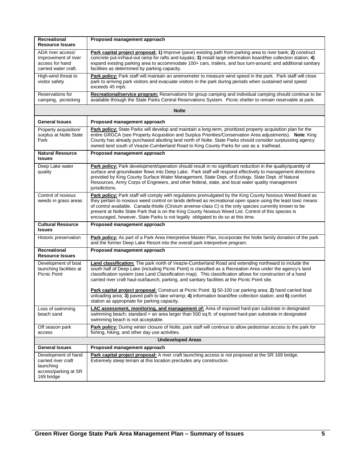| Recreational<br><b>Resource Issues</b>                                                        | Proposed management approach                                                                                                                                                                                                                                                                                                                                                                                                                                                                                                                       |  |
|-----------------------------------------------------------------------------------------------|----------------------------------------------------------------------------------------------------------------------------------------------------------------------------------------------------------------------------------------------------------------------------------------------------------------------------------------------------------------------------------------------------------------------------------------------------------------------------------------------------------------------------------------------------|--|
| ADA river access/<br>Improvement of river<br>access for hand<br>carried water craft.          | Park capital project proposal: 1) Improve (pave) existing path from parking area to river bank; 2) construct<br>concrete put-in/haul-out ramp for rafts and kayaks; 3) install large information board/fee collection station; 4)<br>expand existing parking area to accommodate 100+ cars, trailers, and bus turn-around; and additional sanitary<br>facilities as determined by parking capacity.                                                                                                                                                |  |
| High-wind threat to<br>visitor safety                                                         | Park policy: Park staff will maintain an anemometer to measure wind speed in the park. Park staff will close<br>park to arriving park visitors and evacuate visitors in the park during periods when sustained wind speed<br>exceeds 45 mph.                                                                                                                                                                                                                                                                                                       |  |
| Reservations for<br>camping, picnicking                                                       | Recreational/service program: Reservations for group camping and individual camping should continue to be<br>available through the State Parks Central Reservations System. Picnic shelter to remain reservable at park.                                                                                                                                                                                                                                                                                                                           |  |
|                                                                                               | <b>Nolte</b>                                                                                                                                                                                                                                                                                                                                                                                                                                                                                                                                       |  |
| <b>General Issues</b>                                                                         | Proposed management approach                                                                                                                                                                                                                                                                                                                                                                                                                                                                                                                       |  |
| Property acquisition/<br>surplus at Nolte State<br>Park                                       | Park policy: State Parks will develop and maintain a long-term, prioritized property acquisition plan for the<br>entire GRGCA (see Property Acquisition and Surplus Priorities/Conservation Area adjustments). Note: King<br>County has already purchased abutting land north of Nolte. State Parks should consider surplussing agency<br>owned land south of Veazie-Cumberland Road to King County Parks for use as a trailhead.                                                                                                                  |  |
| <b>Natural Resource</b><br><b>Issues</b>                                                      | Proposed management approach                                                                                                                                                                                                                                                                                                                                                                                                                                                                                                                       |  |
| Deep Lake water<br>quality                                                                    | Park policy: Park development/operation should result in no significant reduction in the quality/quantity of<br>surface and groundwater flows into Deep Lake. Park staff will respond effectively to management directions<br>provided by King County Surface Water Management, State Dept. of Ecology, State Dept. of Natural<br>Resources, Army Corps of Engineers, and other federal, state, and local water quality management<br>jurisdictions.                                                                                               |  |
| Control of noxious<br>weeds in grass areas                                                    | Park policy: Park staff will comply with regulations promulgated by the King County Noxious Weed Board as<br>they pertain to noxious weed control on lands defined as recreational open space using the least toxic means<br>of control available. Canada thistle (Cirsium arvense-class C) is the only species currently known to be<br>present at Nolte State Park that is on the King County Noxious Weed List. Control of this species is<br>encouraged, however, State Parks is not legally obligated to do so at this time.                  |  |
| <b>Cultural Resource</b><br><b>Issues</b>                                                     | Proposed management approach                                                                                                                                                                                                                                                                                                                                                                                                                                                                                                                       |  |
| Historic preservation                                                                         | Park policy: As part of a Park Area Interpretive Master Plan, incorporate the Nolte family donation of the park<br>and the former Deep Lake Resort into the overall park interpretive program.                                                                                                                                                                                                                                                                                                                                                     |  |
| Recreational<br><b>Resource Issues</b>                                                        | Proposed management approach                                                                                                                                                                                                                                                                                                                                                                                                                                                                                                                       |  |
| Development of boat<br>launching facilities at<br>Picnic Point                                | Land classification: The park north of Veazie-Cumberland Road and extending northward to include the<br>south half of Deep Lake (including Picnic Point) is classified as a Recreation Area under the agency's land<br>classification system (see Land Classification map). This classification allows for construction of a hand<br>carried river craft haul-out/launch, parking, and sanitary facilities at the Picnic Point site.<br>Park capital project proposal: Construct at Picnic Point: 1) 50-100 car parking area; 2) hand carried boat |  |
|                                                                                               | unloading area; 3) paved path to lake w/ramp; 4) information board/fee collection station; and 5) comfort<br>station as appropriate for parking capacity.                                                                                                                                                                                                                                                                                                                                                                                          |  |
| Loss of swimming<br>beach sand                                                                | LAC assessment, monitoring, and management of: Area of exposed hard-pan substrate in designated<br>swimming beach; standard = an area larger than 500 sq.ft. of exposed hard-pan substrate in designated<br>swimming beach is not acceptable.                                                                                                                                                                                                                                                                                                      |  |
| Off season park<br>access                                                                     | Park policy: During winter closure of Nolte, park staff will continue to allow pedestrian access to the park for<br>fishing, hiking, and other day use activities.                                                                                                                                                                                                                                                                                                                                                                                 |  |
| <b>Undeveloped Areas</b>                                                                      |                                                                                                                                                                                                                                                                                                                                                                                                                                                                                                                                                    |  |
| General Issues                                                                                | Proposed management approach                                                                                                                                                                                                                                                                                                                                                                                                                                                                                                                       |  |
| Development of hand<br>carried river craft<br>launching<br>access/parking at SR<br>169 bridge | Park capital project proposal: A river craft launching access is not proposed at the SR 169 bridge.<br>Extremely steep terrain at this location precludes any construction.                                                                                                                                                                                                                                                                                                                                                                        |  |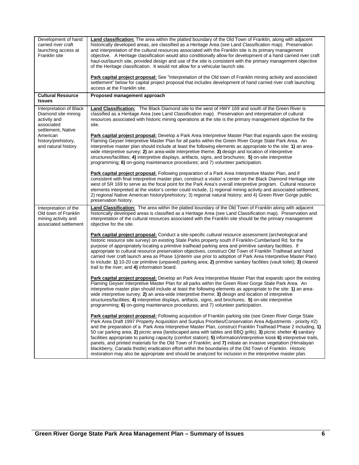| Development of hand<br>carried river craft<br>launching access at<br>Franklin site            | Land classification: The area within the platted boundary of the Old Town of Franklin, along with adjacent<br>historically developed areas, are classified as a Heritage Area (see Land Classification map). Preservation<br>and interpretation of the cultural resources associated with the Franklin site is its primary management<br>objective. A Heritage classification would also conditionally allow for development of a hand carried river craft<br>haul-out/launch site, provided design and use of the site is consistent with the primary management objective<br>of the Heritage classification. It would not allow for a vehicular launch site.<br>Park capital project proposal: See "Interpretation of the Old town of Franklin mining activity and associated<br>settlement" below for capital project proposal that includes development of hand carried river craft launching                                        |
|-----------------------------------------------------------------------------------------------|------------------------------------------------------------------------------------------------------------------------------------------------------------------------------------------------------------------------------------------------------------------------------------------------------------------------------------------------------------------------------------------------------------------------------------------------------------------------------------------------------------------------------------------------------------------------------------------------------------------------------------------------------------------------------------------------------------------------------------------------------------------------------------------------------------------------------------------------------------------------------------------------------------------------------------------|
| <b>Cultural Resource</b>                                                                      | access at the Franklin site.<br>Proposed management approach                                                                                                                                                                                                                                                                                                                                                                                                                                                                                                                                                                                                                                                                                                                                                                                                                                                                             |
| <b>Issues</b>                                                                                 |                                                                                                                                                                                                                                                                                                                                                                                                                                                                                                                                                                                                                                                                                                                                                                                                                                                                                                                                          |
| Interpretation of Black<br>Diamond site mining<br>activity and<br>associated                  | Land Classification: The Black Diamond site to the west of HWY 169 and south of the Green River is<br>classified as a Heritage Area (see Land Classification map). Preservation and interpretation of cultural<br>resources associated with historic mining operations at the site is the primary management objective for the<br>site.                                                                                                                                                                                                                                                                                                                                                                                                                                                                                                                                                                                                  |
| settlement, Native<br>American<br>history/prehistory,<br>and natural history                  | Park capital project proposal: Develop a Park Area Interpretive Master Plan that expands upon the existing<br>Flaming Geyser Interpretive Master Plan for all parks within the Green River Gorge State Park Area. An<br>interpretive master plan should include at least the following elements as appropriate to the site: 1) an area-<br>wide interpretive survey; 2) an area-wide interpretive theme; 3) design and location of interpretive<br>structures/facilities; 4) interpretive displays, artifacts, signs, and brochures; 5) on-site interpretive<br>programming; 6) on-going maintenance procedures; and 7) volunteer participation.                                                                                                                                                                                                                                                                                         |
|                                                                                               | Park capital project proposal: Following preparation of a Park Area Interpretive Master Plan, and if<br>consistent with final interpretive master plan, construct a visitor's center on the Black Diamond Heritage site<br>west of SR 169 to serve as the focal point for the Park Area's overall interpretive program. Cultural resource<br>elements interpreted at the visitor's center could include, 1) regional mining activity and associated settlement;<br>2) regional Native American history/prehistory; 3) regional natural history; and 4) Green River Gorge public<br>preservation history.                                                                                                                                                                                                                                                                                                                                 |
| Interpretation of the<br>Old town of Franklin<br>mining activity and<br>associated settlement | <b>Land Classification:</b> The area within the platted boundary of the Old Town of Franklin along with adjacent<br>historically developed areas is classified as a Heritage Area (see Land Classification map). Preservation and<br>interpretation of the cultural resources associated with the Franklin site should be the primary management<br>objective for the site.                                                                                                                                                                                                                                                                                                                                                                                                                                                                                                                                                              |
|                                                                                               | Park capital project proposal: Conduct a site-specific cultural resource assessment (archeological and<br>historic resource site survey) on existing State Parks property south if Franklin-Cumberland Rd. for the<br>purpose of appropriately locating a primitive trailhead parking area and primitive sanitary facilities. If<br>appropriate to cultural resource preservation objectives, construct Old Town of Franklin Trailhead and hand<br>carried river craft launch area as Phase 1 (interim use prior to adoption of Park Area Interpretive Master Plan)<br>to include: 1) 10-20 car primitive (unpaved) parking area; 2) primitive sanitary facilities (vault toilet); 3) cleared<br>trail to the river; and 4) information board.                                                                                                                                                                                           |
|                                                                                               | Park capital project proposal: Develop an Park Area Interpretive Master Plan that expands upon the existing<br>Flaming Geyser Interpretive Master Plan for all parks within the Green River Gorge State Park Area. An<br>interpretive master plan should include at least the following elements as appropriate to the site: 1) an area-<br>wide interpretive survey; 2) an area-wide interpretive theme; 3) design and location of interpretive<br>structures/facilities; 4) interpretive displays, artifacts, signs, and brochures; 5) on-site interpretive<br>programming; $6$ ) on-going maintenance procedures; and $7$ ) volunteer participation.                                                                                                                                                                                                                                                                                  |
|                                                                                               | Park capital project proposal: Following acquisition of Franklin parking site (see Green River Gorge State<br>Park Area Draft 1997 Property Acquisition and Surplus Priorities/Conservation Area Adjustments - priority #2)<br>and the preparation of a Park Area Interpretive Master Plan, construct Franklin Trailhead Phase 2 including, 1)<br>50 car parking area; 2) picnic area (landscaped area with tables and BBQ grills); 3) picnic shelter 4) sanitary<br>facilities appropriate to parking capacity (comfort station); 5) information/interpretive kiosk 6) interpretive trails,<br>panels, and printed materials for the Old Town of Franklin; and 7) initiate an invasive vegetation (Himalayan<br>blackberry, Canada thistle) eradication effort within the boundaries of the Old Town of Franklin. Historic<br>restoration may also be appropriate and should be analyzed for inclusion in the interpretive master plan. |